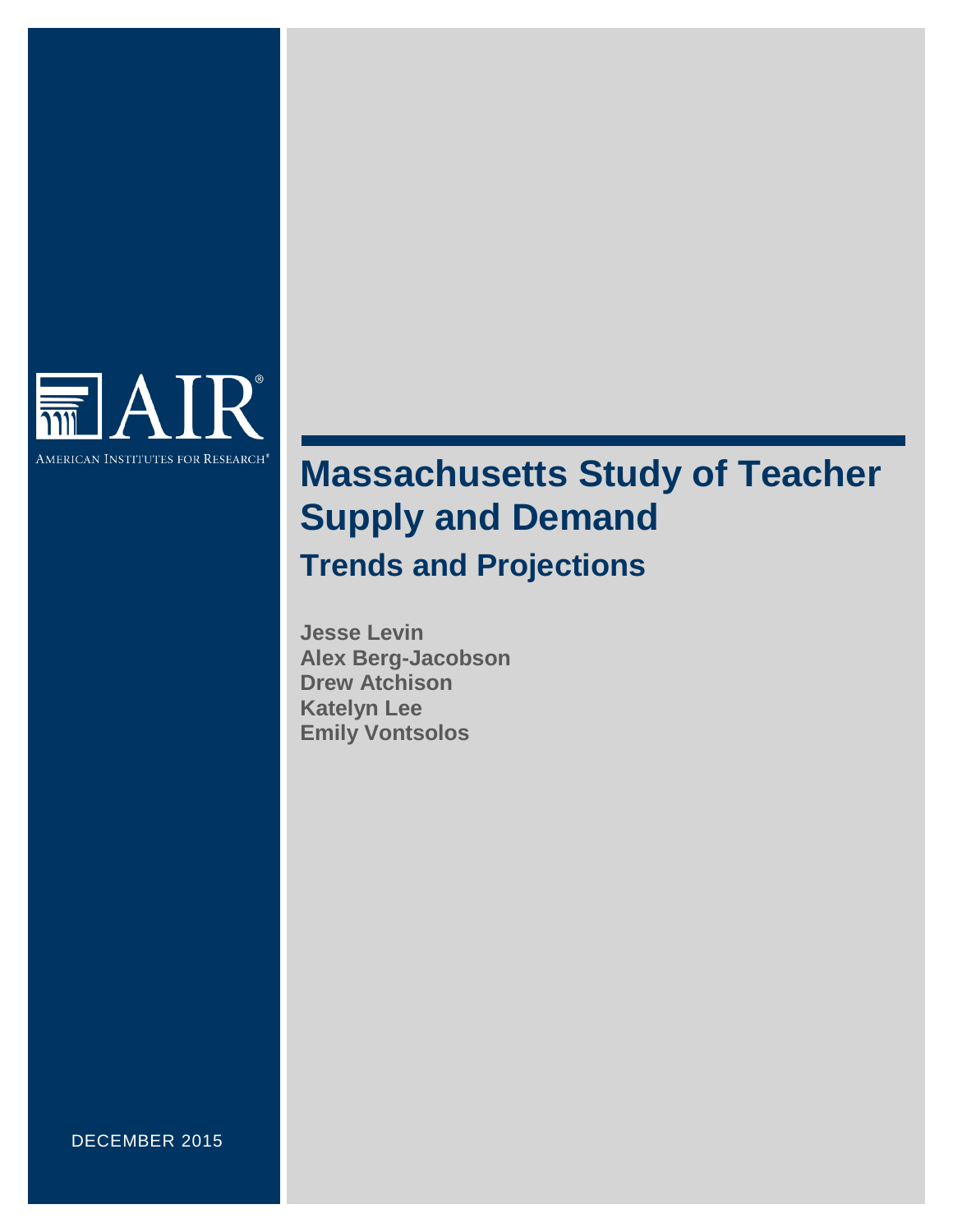

# **Massachusetts Study of Teacher Supply and Demand**

**Trends and Projections**

**Jesse Levin Alex Berg-Jacobson Drew Atchison Katelyn Lee Emily Vontsolos**

DECEMBER 2015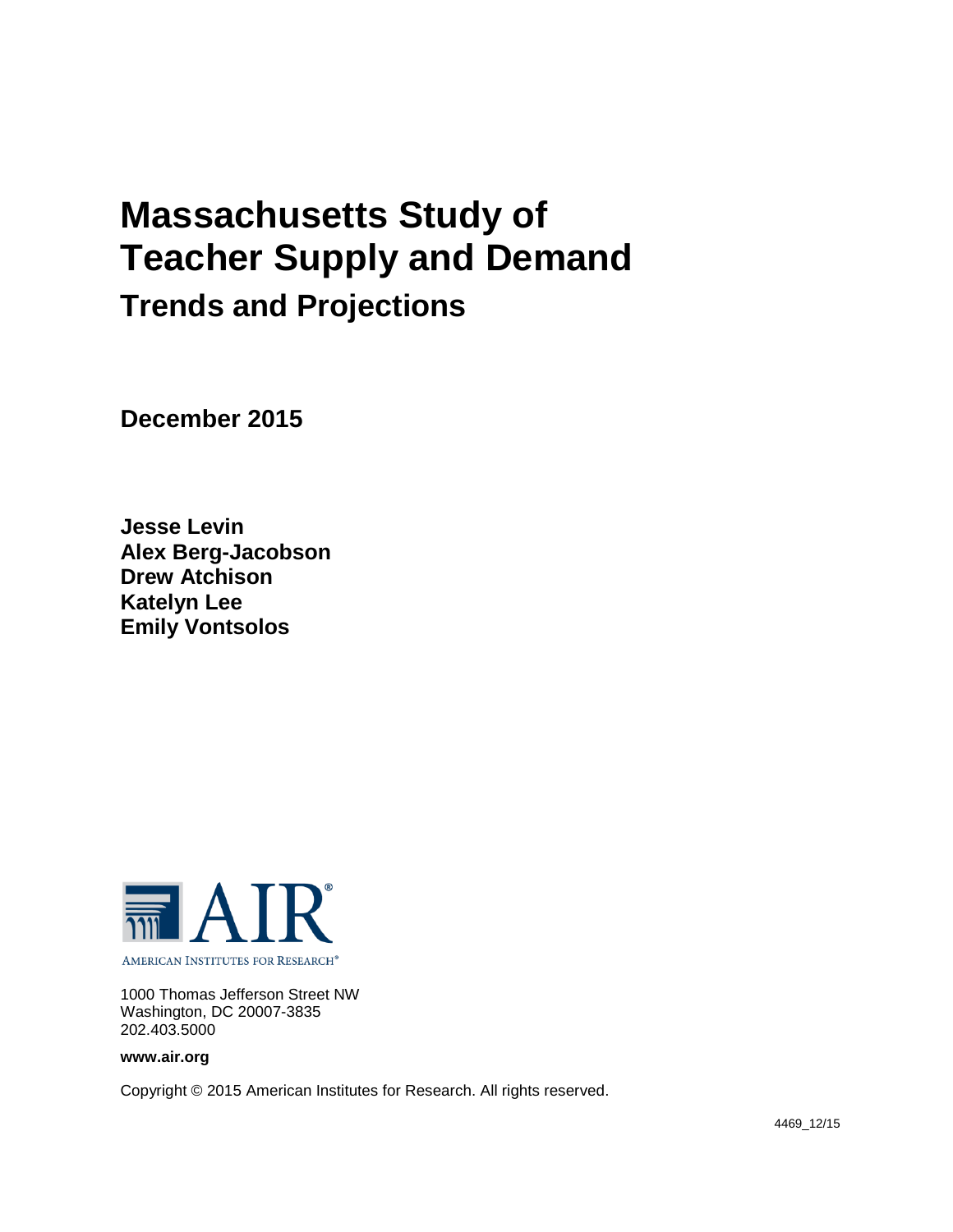# **Massachusetts Study of Teacher Supply and Demand Trends and Projections**

**December 2015**

**Jesse Levin Alex Berg-Jacobson Drew Atchison Katelyn Lee Emily Vontsolos**



1000 Thomas Jefferson Street NW Washington, DC 20007-3835 202.403.5000

**www.air.org**

Copyright © 2015 American Institutes for Research. All rights reserved.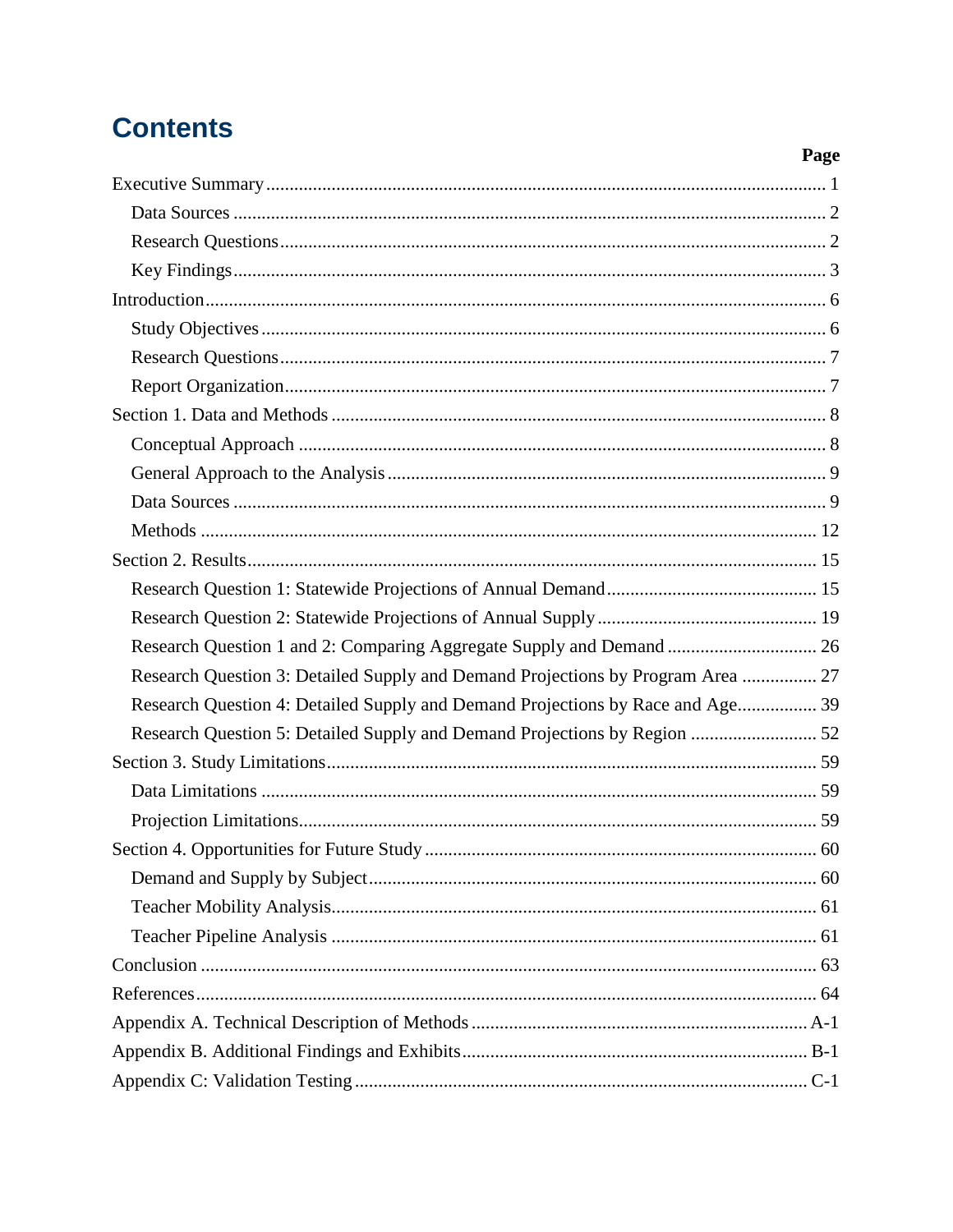## **Contents**

|                                                                                 | Page |
|---------------------------------------------------------------------------------|------|
|                                                                                 |      |
|                                                                                 |      |
|                                                                                 |      |
|                                                                                 |      |
|                                                                                 |      |
|                                                                                 |      |
|                                                                                 |      |
|                                                                                 |      |
|                                                                                 |      |
|                                                                                 |      |
|                                                                                 |      |
|                                                                                 |      |
|                                                                                 |      |
|                                                                                 |      |
|                                                                                 |      |
|                                                                                 |      |
| Research Question 1 and 2: Comparing Aggregate Supply and Demand  26            |      |
| Research Question 3: Detailed Supply and Demand Projections by Program Area  27 |      |
| Research Question 4: Detailed Supply and Demand Projections by Race and Age 39  |      |
|                                                                                 |      |
|                                                                                 |      |
|                                                                                 |      |
|                                                                                 |      |
|                                                                                 |      |
|                                                                                 |      |
|                                                                                 |      |
|                                                                                 |      |
|                                                                                 |      |
|                                                                                 |      |
|                                                                                 |      |
|                                                                                 |      |
|                                                                                 |      |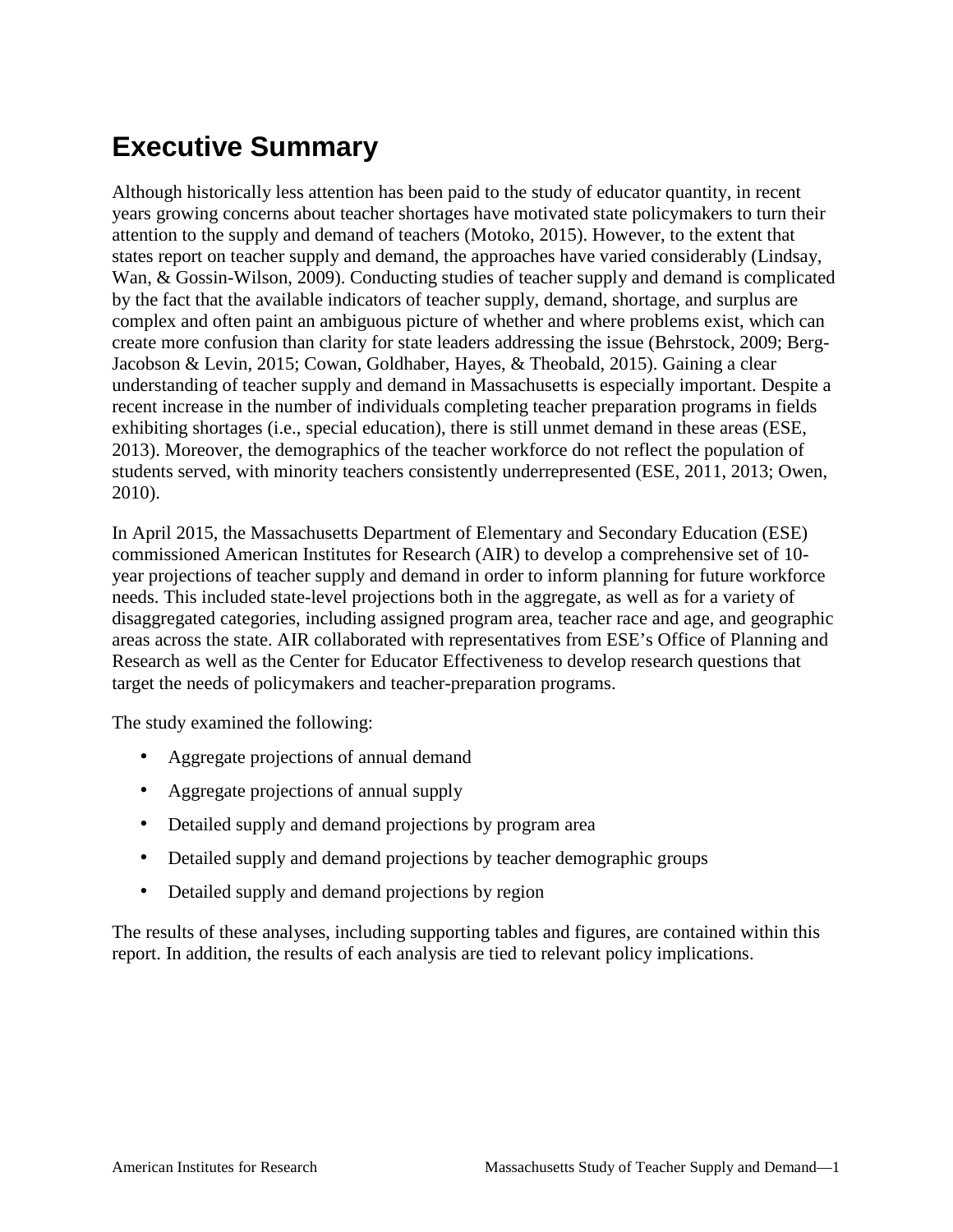## <span id="page-6-0"></span>**Executive Summary**

Although historically less attention has been paid to the study of educator quantity, in recent years growing concerns about teacher shortages have motivated state policymakers to turn their attention to the supply and demand of teachers (Motoko, 2015). However, to the extent that states report on teacher supply and demand, the approaches have varied considerably (Lindsay, Wan, & Gossin-Wilson, 2009). Conducting studies of teacher supply and demand is complicated by the fact that the available indicators of teacher supply, demand, shortage, and surplus are complex and often paint an ambiguous picture of whether and where problems exist, which can create more confusion than clarity for state leaders addressing the issue (Behrstock, 2009; Berg-Jacobson & Levin, 2015; Cowan, Goldhaber, Hayes, & Theobald, 2015). Gaining a clear understanding of teacher supply and demand in Massachusetts is especially important. Despite a recent increase in the number of individuals completing teacher preparation programs in fields exhibiting shortages (i.e., special education), there is still unmet demand in these areas (ESE, 2013). Moreover, the demographics of the teacher workforce do not reflect the population of students served, with minority teachers consistently underrepresented (ESE, 2011, 2013; Owen, 2010).

In April 2015, the Massachusetts Department of Elementary and Secondary Education (ESE) commissioned American Institutes for Research (AIR) to develop a comprehensive set of 10 year projections of teacher supply and demand in order to inform planning for future workforce needs. This included state-level projections both in the aggregate, as well as for a variety of disaggregated categories, including assigned program area, teacher race and age, and geographic areas across the state. AIR collaborated with representatives from ESE's Office of Planning and Research as well as the Center for Educator Effectiveness to develop research questions that target the needs of policymakers and teacher-preparation programs.

The study examined the following:

- Aggregate projections of annual demand
- Aggregate projections of annual supply
- Detailed supply and demand projections by program area
- Detailed supply and demand projections by teacher demographic groups
- Detailed supply and demand projections by region

The results of these analyses, including supporting tables and figures, are contained within this report. In addition, the results of each analysis are tied to relevant policy implications.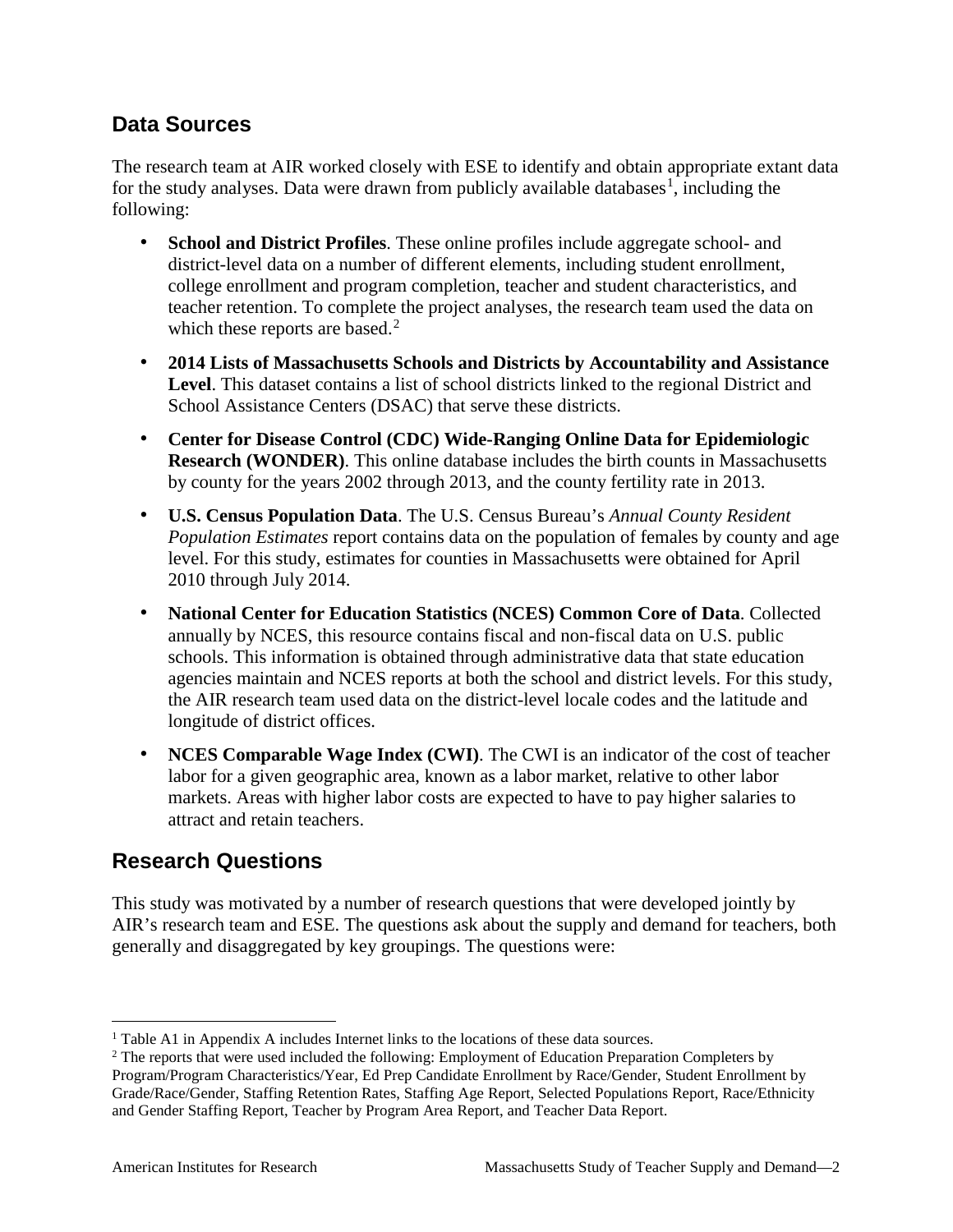## <span id="page-7-0"></span>**Data Sources**

The research team at AIR worked closely with ESE to identify and obtain appropriate extant data for the study analyses. Data were drawn from publicly available databases<sup>[1](#page-7-2)</sup>, including the following:

- **School and District Profiles**. These online profiles include aggregate school- and district-level data on a number of different elements, including student enrollment, college enrollment and program completion, teacher and student characteristics, and teacher retention. To complete the project analyses, the research team used the data on which these reports are based.<sup>[2](#page-7-3)</sup>
- **2014 Lists of Massachusetts Schools and Districts by Accountability and Assistance Level**. This dataset contains a list of school districts linked to the regional District and School Assistance Centers (DSAC) that serve these districts.
- **Center for Disease Control (CDC) Wide-Ranging Online Data for Epidemiologic Research (WONDER)**. This online database includes the birth counts in Massachusetts by county for the years 2002 through 2013, and the county fertility rate in 2013.
- **U.S. Census Population Data**. The U.S. Census Bureau's *Annual County Resident Population Estimates* report contains data on the population of females by county and age level. For this study, estimates for counties in Massachusetts were obtained for April 2010 through July 2014.
- **National Center for Education Statistics (NCES) Common Core of Data**. Collected annually by NCES, this resource contains fiscal and non-fiscal data on U.S. public schools. This information is obtained through administrative data that state education agencies maintain and NCES reports at both the school and district levels. For this study, the AIR research team used data on the district-level locale codes and the latitude and longitude of district offices.
- **NCES Comparable Wage Index (CWI)**. The CWI is an indicator of the cost of teacher labor for a given geographic area, known as a labor market, relative to other labor markets. Areas with higher labor costs are expected to have to pay higher salaries to attract and retain teachers.

## <span id="page-7-1"></span>**Research Questions**

This study was motivated by a number of research questions that were developed jointly by AIR's research team and ESE. The questions ask about the supply and demand for teachers, both generally and disaggregated by key groupings. The questions were:

<span id="page-7-2"></span><sup>&</sup>lt;sup>1</sup> Table A1 in Appendix A includes Internet links to the locations of these data sources.

<span id="page-7-3"></span><sup>&</sup>lt;sup>2</sup> The reports that were used included the following: Employment of Education Preparation Completers by Program/Program Characteristics/Year, Ed Prep Candidate Enrollment by Race/Gender, Student Enrollment by Grade/Race/Gender, Staffing Retention Rates, Staffing Age Report, Selected Populations Report, Race/Ethnicity and Gender Staffing Report, Teacher by Program Area Report, and Teacher Data Report.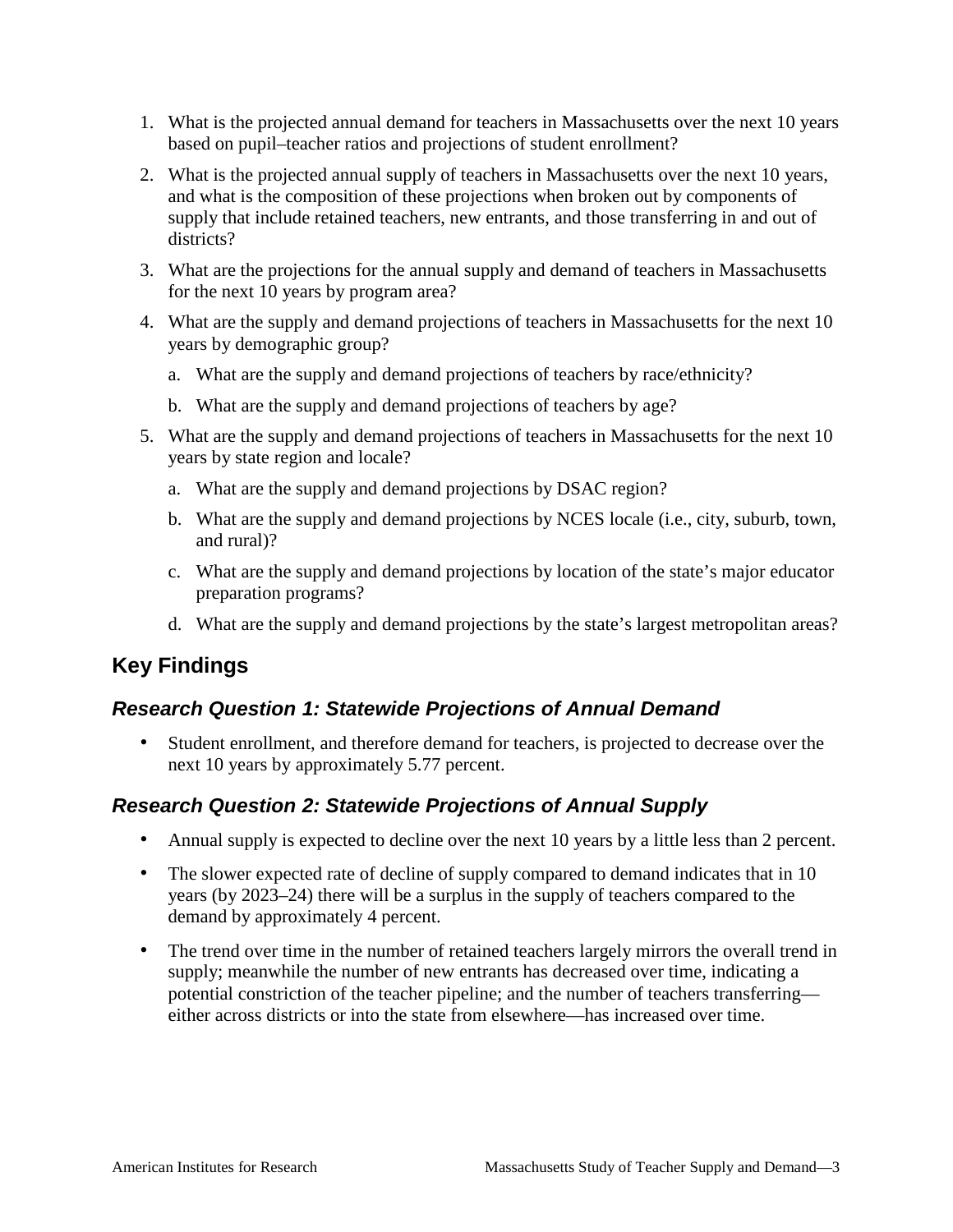- 1. What is the projected annual demand for teachers in Massachusetts over the next 10 years based on pupil–teacher ratios and projections of student enrollment?
- 2. What is the projected annual supply of teachers in Massachusetts over the next 10 years, and what is the composition of these projections when broken out by components of supply that include retained teachers, new entrants, and those transferring in and out of districts?
- 3. What are the projections for the annual supply and demand of teachers in Massachusetts for the next 10 years by program area?
- 4. What are the supply and demand projections of teachers in Massachusetts for the next 10 years by demographic group?
	- a. What are the supply and demand projections of teachers by race/ethnicity?
	- b. What are the supply and demand projections of teachers by age?
- 5. What are the supply and demand projections of teachers in Massachusetts for the next 10 years by state region and locale?
	- a. What are the supply and demand projections by DSAC region?
	- b. What are the supply and demand projections by NCES locale (i.e., city, suburb, town, and rural)?
	- c. What are the supply and demand projections by location of the state's major educator preparation programs?
	- d. What are the supply and demand projections by the state's largest metropolitan areas?

## <span id="page-8-0"></span>**Key Findings**

## *Research Question 1: Statewide Projections of Annual Demand*

• Student enrollment, and therefore demand for teachers, is projected to decrease over the next 10 years by approximately 5.77 percent.

## *Research Question 2: Statewide Projections of Annual Supply*

- Annual supply is expected to decline over the next 10 years by a little less than 2 percent.
- The slower expected rate of decline of supply compared to demand indicates that in 10 years (by 2023–24) there will be a surplus in the supply of teachers compared to the demand by approximately 4 percent.
- The trend over time in the number of retained teachers largely mirrors the overall trend in supply; meanwhile the number of new entrants has decreased over time, indicating a potential constriction of the teacher pipeline; and the number of teachers transferring either across districts or into the state from elsewhere—has increased over time.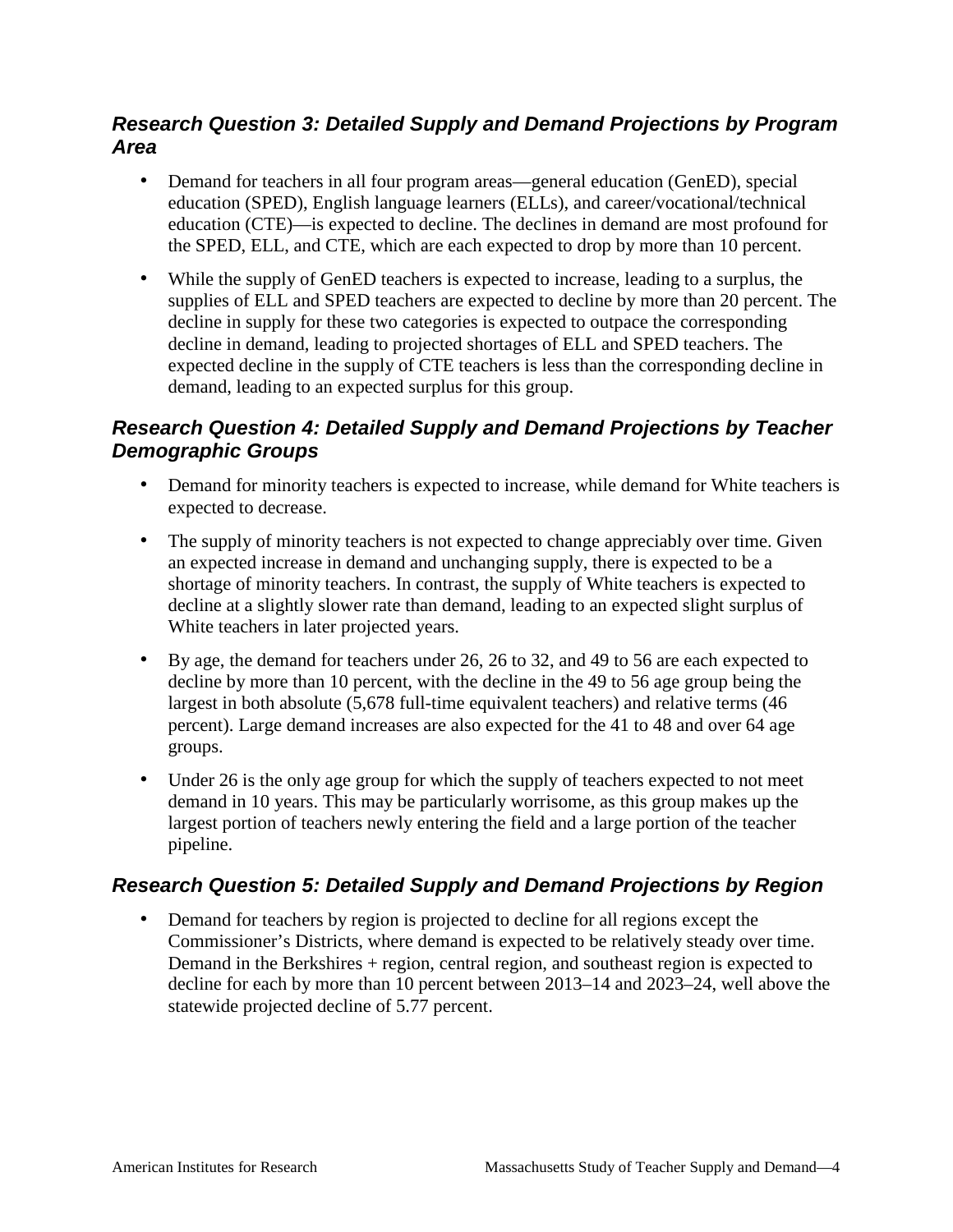### *Research Question 3: Detailed Supply and Demand Projections by Program Area*

- Demand for teachers in all four program areas—general education (GenED), special education (SPED), English language learners (ELLs), and career/vocational/technical education (CTE)—is expected to decline. The declines in demand are most profound for the SPED, ELL, and CTE, which are each expected to drop by more than 10 percent.
- While the supply of GenED teachers is expected to increase, leading to a surplus, the supplies of ELL and SPED teachers are expected to decline by more than 20 percent. The decline in supply for these two categories is expected to outpace the corresponding decline in demand, leading to projected shortages of ELL and SPED teachers. The expected decline in the supply of CTE teachers is less than the corresponding decline in demand, leading to an expected surplus for this group.

## *Research Question 4: Detailed Supply and Demand Projections by Teacher Demographic Groups*

- Demand for minority teachers is expected to increase, while demand for White teachers is expected to decrease.
- The supply of minority teachers is not expected to change appreciably over time. Given an expected increase in demand and unchanging supply, there is expected to be a shortage of minority teachers. In contrast, the supply of White teachers is expected to decline at a slightly slower rate than demand, leading to an expected slight surplus of White teachers in later projected years.
- By age, the demand for teachers under 26, 26 to 32, and 49 to 56 are each expected to decline by more than 10 percent, with the decline in the 49 to 56 age group being the largest in both absolute (5,678 full-time equivalent teachers) and relative terms (46 percent). Large demand increases are also expected for the 41 to 48 and over 64 age groups.
- Under 26 is the only age group for which the supply of teachers expected to not meet demand in 10 years. This may be particularly worrisome, as this group makes up the largest portion of teachers newly entering the field and a large portion of the teacher pipeline.

## *Research Question 5: Detailed Supply and Demand Projections by Region*

• Demand for teachers by region is projected to decline for all regions except the Commissioner's Districts, where demand is expected to be relatively steady over time. Demand in the Berkshires + region, central region, and southeast region is expected to decline for each by more than 10 percent between 2013–14 and 2023–24, well above the statewide projected decline of 5.77 percent.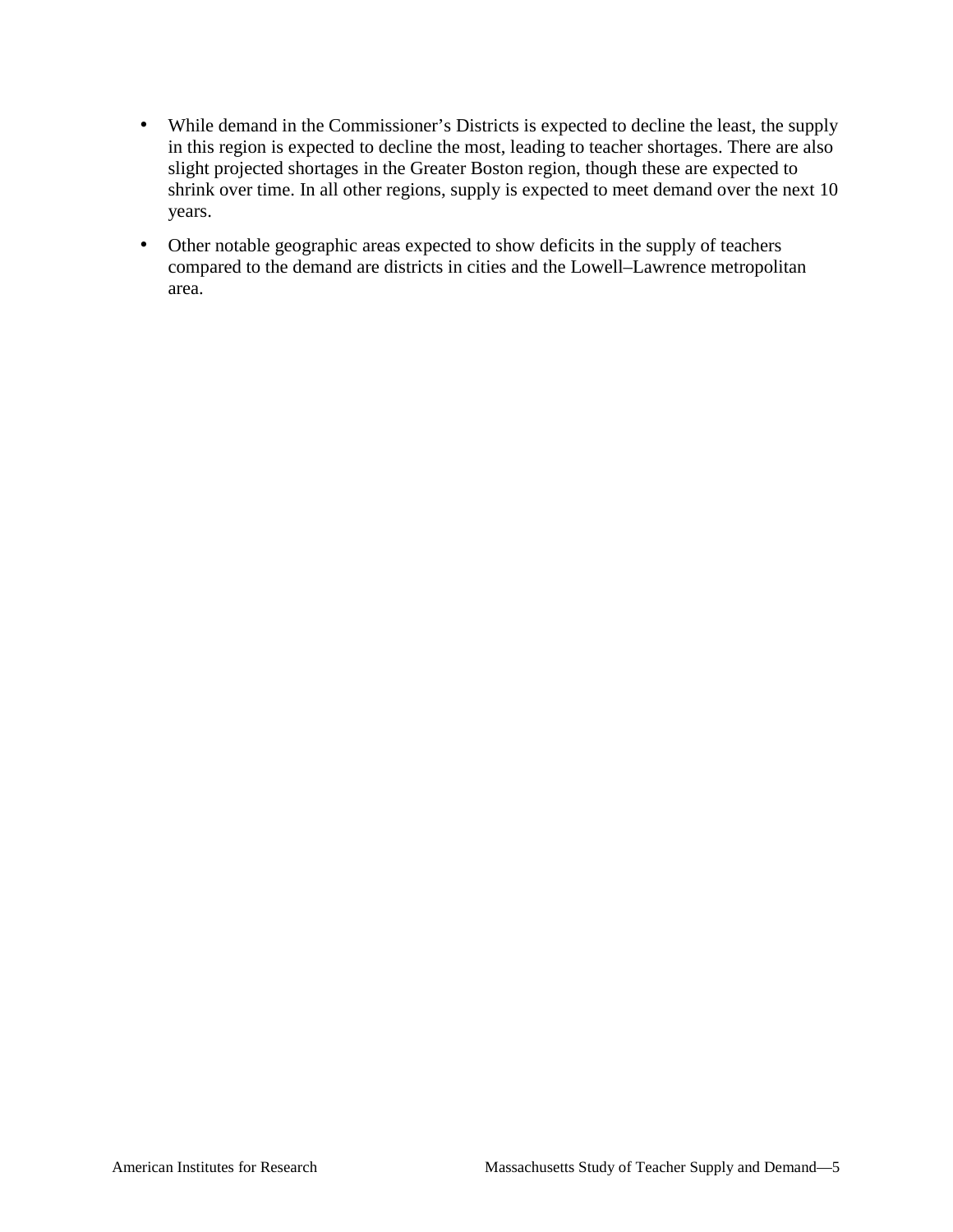- While demand in the Commissioner's Districts is expected to decline the least, the supply in this region is expected to decline the most, leading to teacher shortages. There are also slight projected shortages in the Greater Boston region, though these are expected to shrink over time. In all other regions, supply is expected to meet demand over the next 10 years.
- Other notable geographic areas expected to show deficits in the supply of teachers compared to the demand are districts in cities and the Lowell–Lawrence metropolitan area.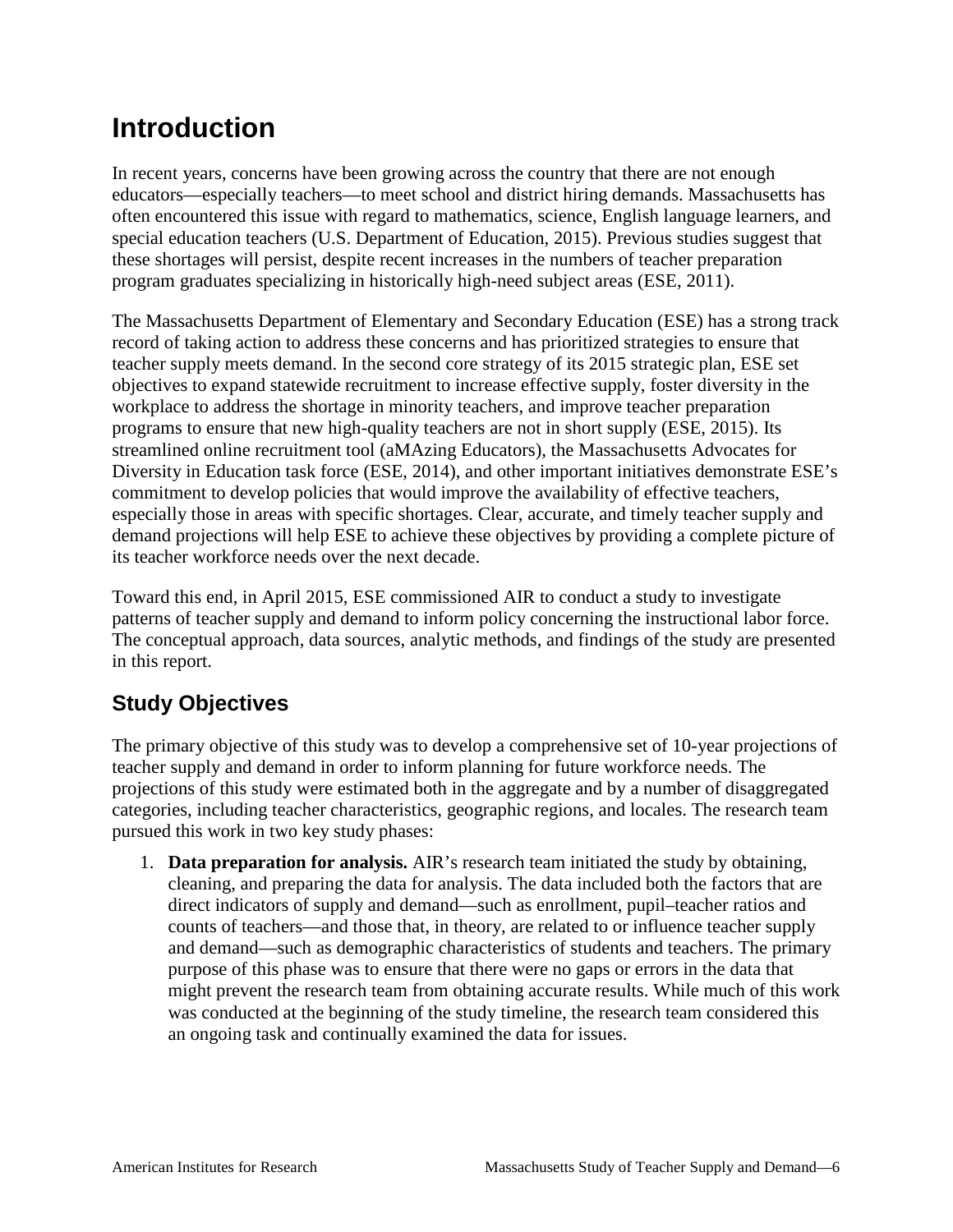## <span id="page-11-0"></span>**Introduction**

In recent years, concerns have been growing across the country that there are not enough educators—especially teachers—to meet school and district hiring demands. Massachusetts has often encountered this issue with regard to mathematics, science, English language learners, and special education teachers (U.S. Department of Education, 2015). Previous studies suggest that these shortages will persist, despite recent increases in the numbers of teacher preparation program graduates specializing in historically high-need subject areas (ESE, 2011).

The Massachusetts Department of Elementary and Secondary Education (ESE) has a strong track record of taking action to address these concerns and has prioritized strategies to ensure that teacher supply meets demand. In the second core strategy of its 2015 strategic plan, ESE set objectives to expand statewide recruitment to increase effective supply, foster diversity in the workplace to address the shortage in minority teachers, and improve teacher preparation programs to ensure that new high-quality teachers are not in short supply (ESE, 2015). Its streamlined online recruitment tool (aMAzing Educators), the Massachusetts Advocates for Diversity in Education task force (ESE, 2014), and other important initiatives demonstrate ESE's commitment to develop policies that would improve the availability of effective teachers, especially those in areas with specific shortages. Clear, accurate, and timely teacher supply and demand projections will help ESE to achieve these objectives by providing a complete picture of its teacher workforce needs over the next decade.

Toward this end, in April 2015, ESE commissioned AIR to conduct a study to investigate patterns of teacher supply and demand to inform policy concerning the instructional labor force. The conceptual approach, data sources, analytic methods, and findings of the study are presented in this report.

## <span id="page-11-1"></span>**Study Objectives**

The primary objective of this study was to develop a comprehensive set of 10-year projections of teacher supply and demand in order to inform planning for future workforce needs. The projections of this study were estimated both in the aggregate and by a number of disaggregated categories, including teacher characteristics, geographic regions, and locales. The research team pursued this work in two key study phases:

1. **Data preparation for analysis.** AIR's research team initiated the study by obtaining, cleaning, and preparing the data for analysis. The data included both the factors that are direct indicators of supply and demand—such as enrollment, pupil–teacher ratios and counts of teachers—and those that, in theory, are related to or influence teacher supply and demand—such as demographic characteristics of students and teachers. The primary purpose of this phase was to ensure that there were no gaps or errors in the data that might prevent the research team from obtaining accurate results. While much of this work was conducted at the beginning of the study timeline, the research team considered this an ongoing task and continually examined the data for issues.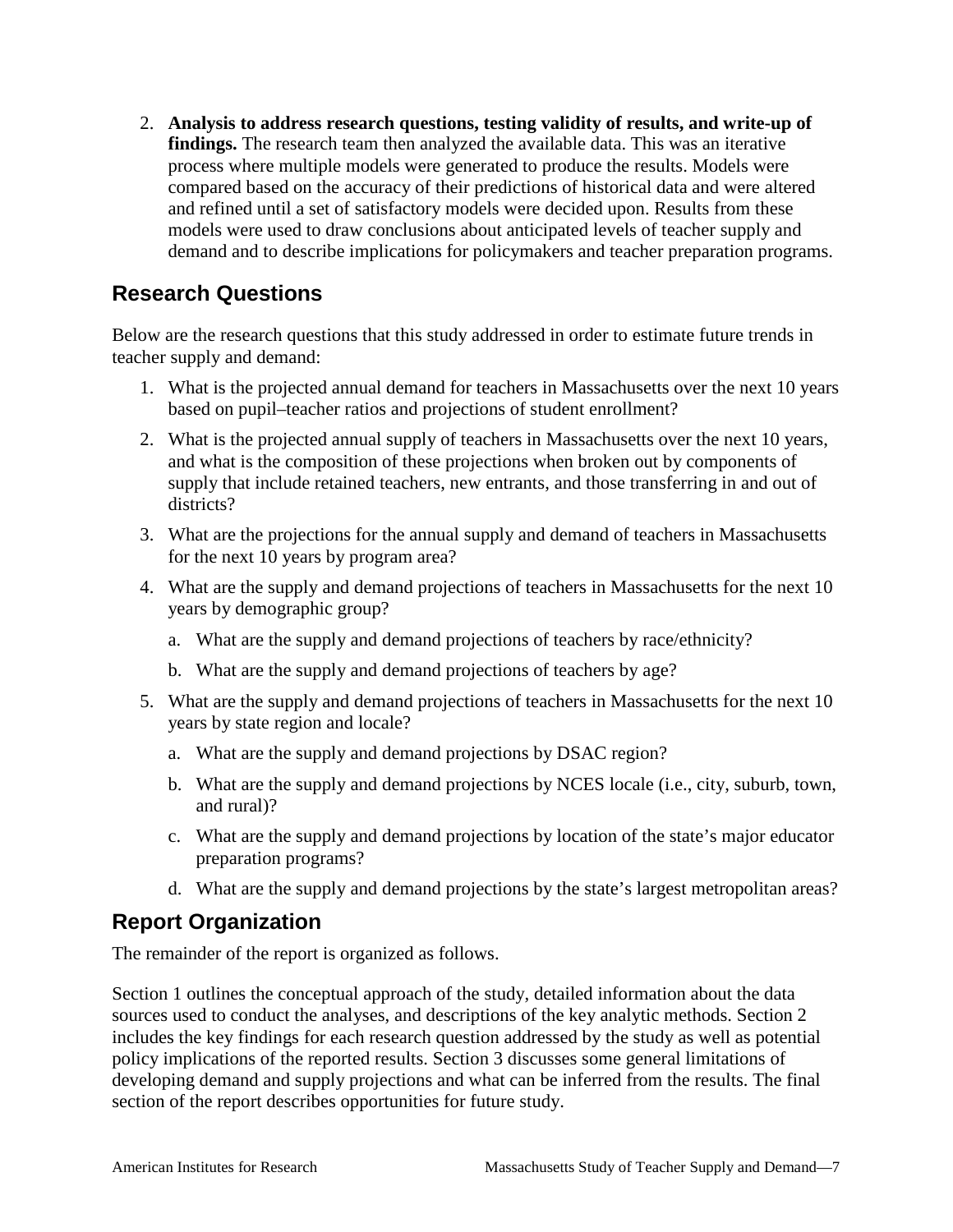2. **Analysis to address research questions, testing validity of results, and write-up of findings.** The research team then analyzed the available data. This was an iterative process where multiple models were generated to produce the results. Models were compared based on the accuracy of their predictions of historical data and were altered and refined until a set of satisfactory models were decided upon. Results from these models were used to draw conclusions about anticipated levels of teacher supply and demand and to describe implications for policymakers and teacher preparation programs.

## <span id="page-12-0"></span>**Research Questions**

Below are the research questions that this study addressed in order to estimate future trends in teacher supply and demand:

- 1. What is the projected annual demand for teachers in Massachusetts over the next 10 years based on pupil–teacher ratios and projections of student enrollment?
- 2. What is the projected annual supply of teachers in Massachusetts over the next 10 years, and what is the composition of these projections when broken out by components of supply that include retained teachers, new entrants, and those transferring in and out of districts?
- 3. What are the projections for the annual supply and demand of teachers in Massachusetts for the next 10 years by program area?
- 4. What are the supply and demand projections of teachers in Massachusetts for the next 10 years by demographic group?
	- a. What are the supply and demand projections of teachers by race/ethnicity?
	- b. What are the supply and demand projections of teachers by age?
- 5. What are the supply and demand projections of teachers in Massachusetts for the next 10 years by state region and locale?
	- a. What are the supply and demand projections by DSAC region?
	- b. What are the supply and demand projections by NCES locale (i.e., city, suburb, town, and rural)?
	- c. What are the supply and demand projections by location of the state's major educator preparation programs?
	- d. What are the supply and demand projections by the state's largest metropolitan areas?

## <span id="page-12-1"></span>**Report Organization**

The remainder of the report is organized as follows.

Section 1 outlines the conceptual approach of the study, detailed information about the data sources used to conduct the analyses, and descriptions of the key analytic methods. Section 2 includes the key findings for each research question addressed by the study as well as potential policy implications of the reported results. Section 3 discusses some general limitations of developing demand and supply projections and what can be inferred from the results. The final section of the report describes opportunities for future study.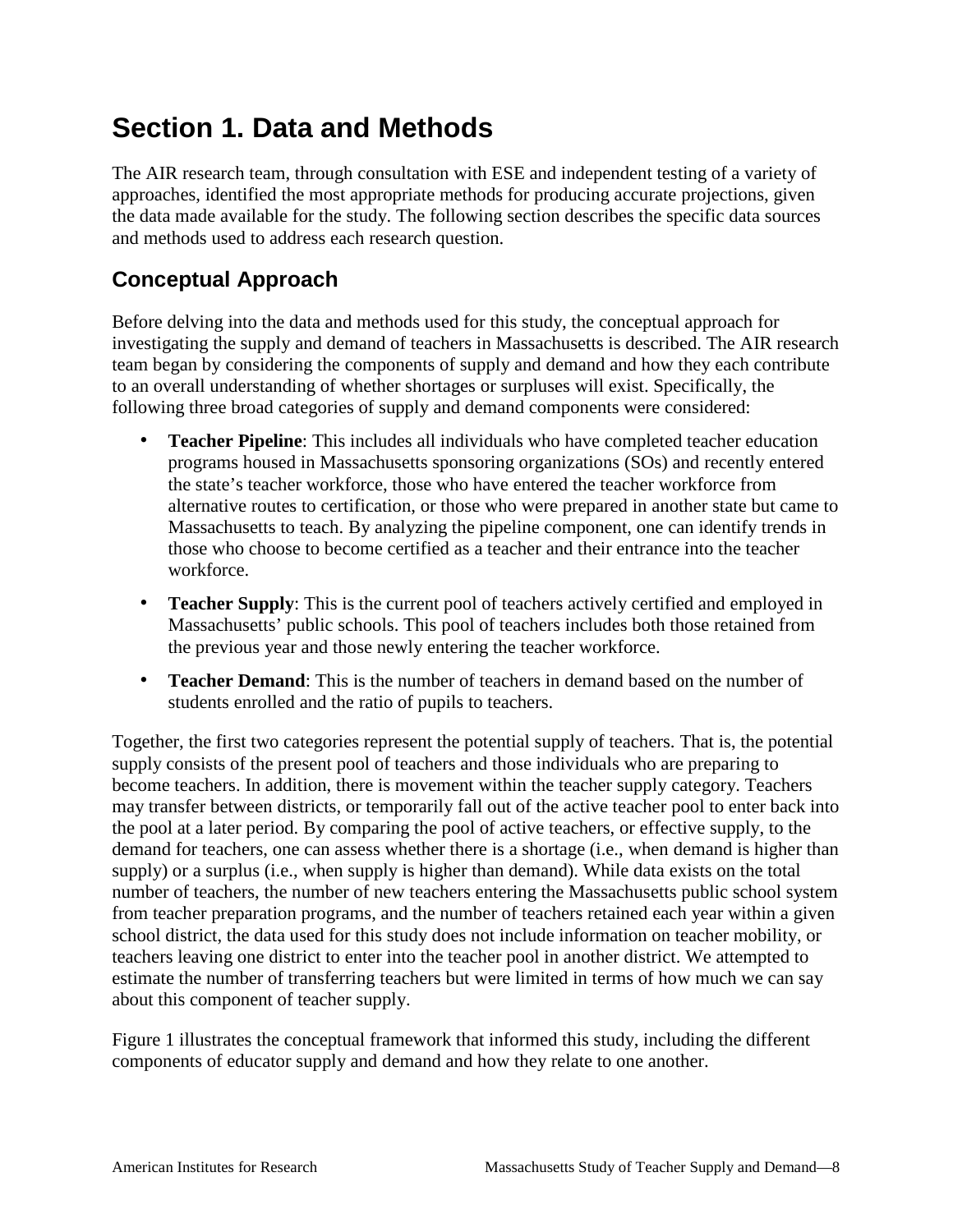## <span id="page-13-0"></span>**Section 1. Data and Methods**

The AIR research team, through consultation with ESE and independent testing of a variety of approaches, identified the most appropriate methods for producing accurate projections, given the data made available for the study. The following section describes the specific data sources and methods used to address each research question.

## <span id="page-13-1"></span>**Conceptual Approach**

Before delving into the data and methods used for this study, the conceptual approach for investigating the supply and demand of teachers in Massachusetts is described. The AIR research team began by considering the components of supply and demand and how they each contribute to an overall understanding of whether shortages or surpluses will exist. Specifically, the following three broad categories of supply and demand components were considered:

- **Teacher Pipeline**: This includes all individuals who have completed teacher education programs housed in Massachusetts sponsoring organizations (SOs) and recently entered the state's teacher workforce, those who have entered the teacher workforce from alternative routes to certification, or those who were prepared in another state but came to Massachusetts to teach. By analyzing the pipeline component, one can identify trends in those who choose to become certified as a teacher and their entrance into the teacher workforce.
- **Teacher Supply**: This is the current pool of teachers actively certified and employed in Massachusetts' public schools. This pool of teachers includes both those retained from the previous year and those newly entering the teacher workforce.
- **Teacher Demand**: This is the number of teachers in demand based on the number of students enrolled and the ratio of pupils to teachers.

Together, the first two categories represent the potential supply of teachers. That is, the potential supply consists of the present pool of teachers and those individuals who are preparing to become teachers. In addition, there is movement within the teacher supply category. Teachers may transfer between districts, or temporarily fall out of the active teacher pool to enter back into the pool at a later period. By comparing the pool of active teachers, or effective supply, to the demand for teachers, one can assess whether there is a shortage (i.e., when demand is higher than supply) or a surplus (i.e., when supply is higher than demand). While data exists on the total number of teachers, the number of new teachers entering the Massachusetts public school system from teacher preparation programs, and the number of teachers retained each year within a given school district, the data used for this study does not include information on teacher mobility, or teachers leaving one district to enter into the teacher pool in another district. We attempted to estimate the number of transferring teachers but were limited in terms of how much we can say about this component of teacher supply.

Figure 1 illustrates the conceptual framework that informed this study, including the different components of educator supply and demand and how they relate to one another.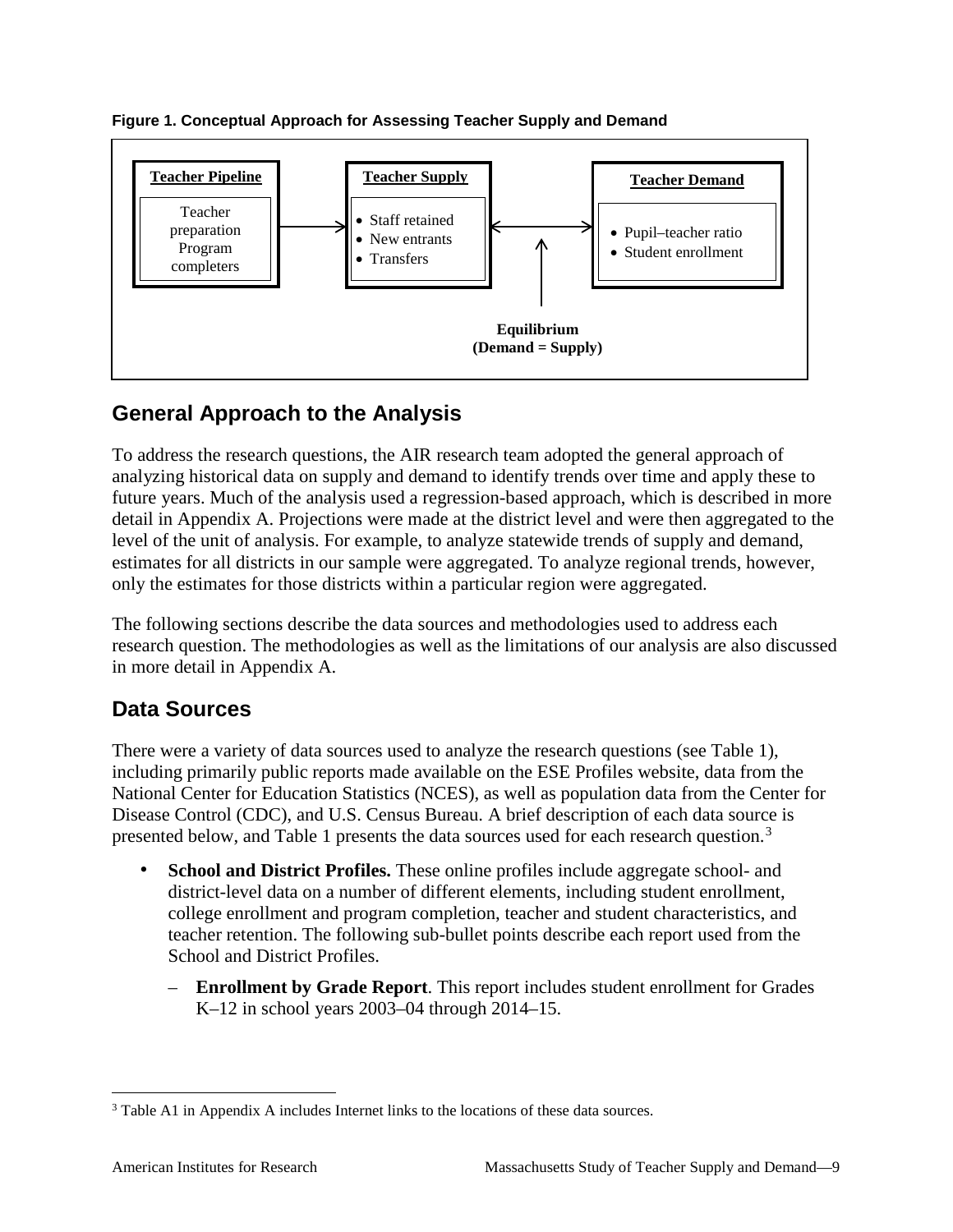



## <span id="page-14-0"></span>**General Approach to the Analysis**

To address the research questions, the AIR research team adopted the general approach of analyzing historical data on supply and demand to identify trends over time and apply these to future years. Much of the analysis used a regression-based approach, which is described in more detail in Appendix A. Projections were made at the district level and were then aggregated to the level of the unit of analysis. For example, to analyze statewide trends of supply and demand, estimates for all districts in our sample were aggregated. To analyze regional trends, however, only the estimates for those districts within a particular region were aggregated.

The following sections describe the data sources and methodologies used to address each research question. The methodologies as well as the limitations of our analysis are also discussed in more detail in Appendix A.

## <span id="page-14-1"></span>**Data Sources**

There were a variety of data sources used to analyze the research questions (see Table 1), including primarily public reports made available on the ESE Profiles website, data from the National Center for Education Statistics (NCES), as well as population data from the Center for Disease Control (CDC), and U.S. Census Bureau. A brief description of each data source is presented below, and Table 1 presents the data sources used for each research question.[3](#page-14-2)

- **School and District Profiles.** These online profiles include aggregate school- and district-level data on a number of different elements, including student enrollment, college enrollment and program completion, teacher and student characteristics, and teacher retention. The following sub-bullet points describe each report used from the School and District Profiles.
	- **Enrollment by Grade Report**. This report includes student enrollment for Grades K–12 in school years 2003–04 through 2014–15.

<span id="page-14-2"></span><sup>&</sup>lt;sup>3</sup> Table A1 in Appendix A includes Internet links to the locations of these data sources.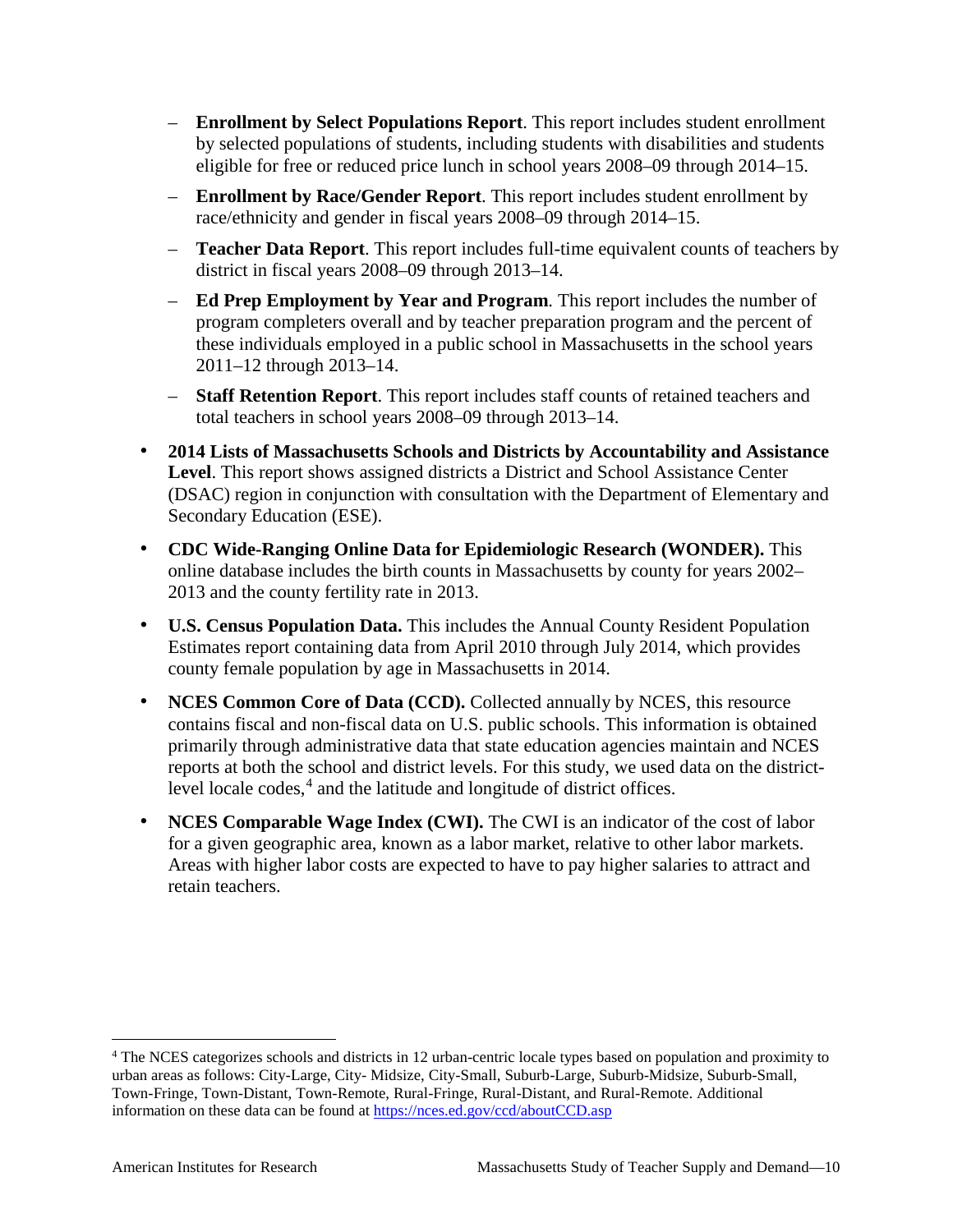- **Enrollment by Select Populations Report**. This report includes student enrollment by selected populations of students, including students with disabilities and students eligible for free or reduced price lunch in school years 2008–09 through 2014–15.
- **Enrollment by Race/Gender Report**. This report includes student enrollment by race/ethnicity and gender in fiscal years 2008–09 through 2014–15.
- **Teacher Data Report**. This report includes full-time equivalent counts of teachers by district in fiscal years 2008–09 through 2013–14.
- **Ed Prep Employment by Year and Program**. This report includes the number of program completers overall and by teacher preparation program and the percent of these individuals employed in a public school in Massachusetts in the school years 2011–12 through 2013–14.
- **Staff Retention Report**. This report includes staff counts of retained teachers and total teachers in school years 2008–09 through 2013–14.
- **2014 Lists of Massachusetts Schools and Districts by Accountability and Assistance**  Level. This report shows assigned districts a District and School Assistance Center (DSAC) region in conjunction with consultation with the Department of Elementary and Secondary Education (ESE).
- **CDC Wide-Ranging Online Data for Epidemiologic Research (WONDER).** This online database includes the birth counts in Massachusetts by county for years 2002– 2013 and the county fertility rate in 2013.
- **U.S. Census Population Data.** This includes the Annual County Resident Population Estimates report containing data from April 2010 through July 2014, which provides county female population by age in Massachusetts in 2014.
- **NCES Common Core of Data (CCD).** Collected annually by NCES, this resource contains fiscal and non-fiscal data on U.S. public schools. This information is obtained primarily through administrative data that state education agencies maintain and NCES reports at both the school and district levels. For this study, we used data on the district-level locale codes,<sup>[4](#page-15-0)</sup> and the latitude and longitude of district offices.
- **NCES Comparable Wage Index (CWI).** The CWI is an indicator of the cost of labor for a given geographic area, known as a labor market, relative to other labor markets. Areas with higher labor costs are expected to have to pay higher salaries to attract and retain teachers.

<span id="page-15-0"></span> <sup>4</sup> The NCES categorizes schools and districts in 12 urban-centric locale types based on population and proximity to urban areas as follows: City-Large, City- Midsize, City-Small, Suburb-Large, Suburb-Midsize, Suburb-Small, Town-Fringe, Town-Distant, Town-Remote, Rural-Fringe, Rural-Distant, and Rural-Remote. Additional information on these data can be found at<https://nces.ed.gov/ccd/aboutCCD.asp>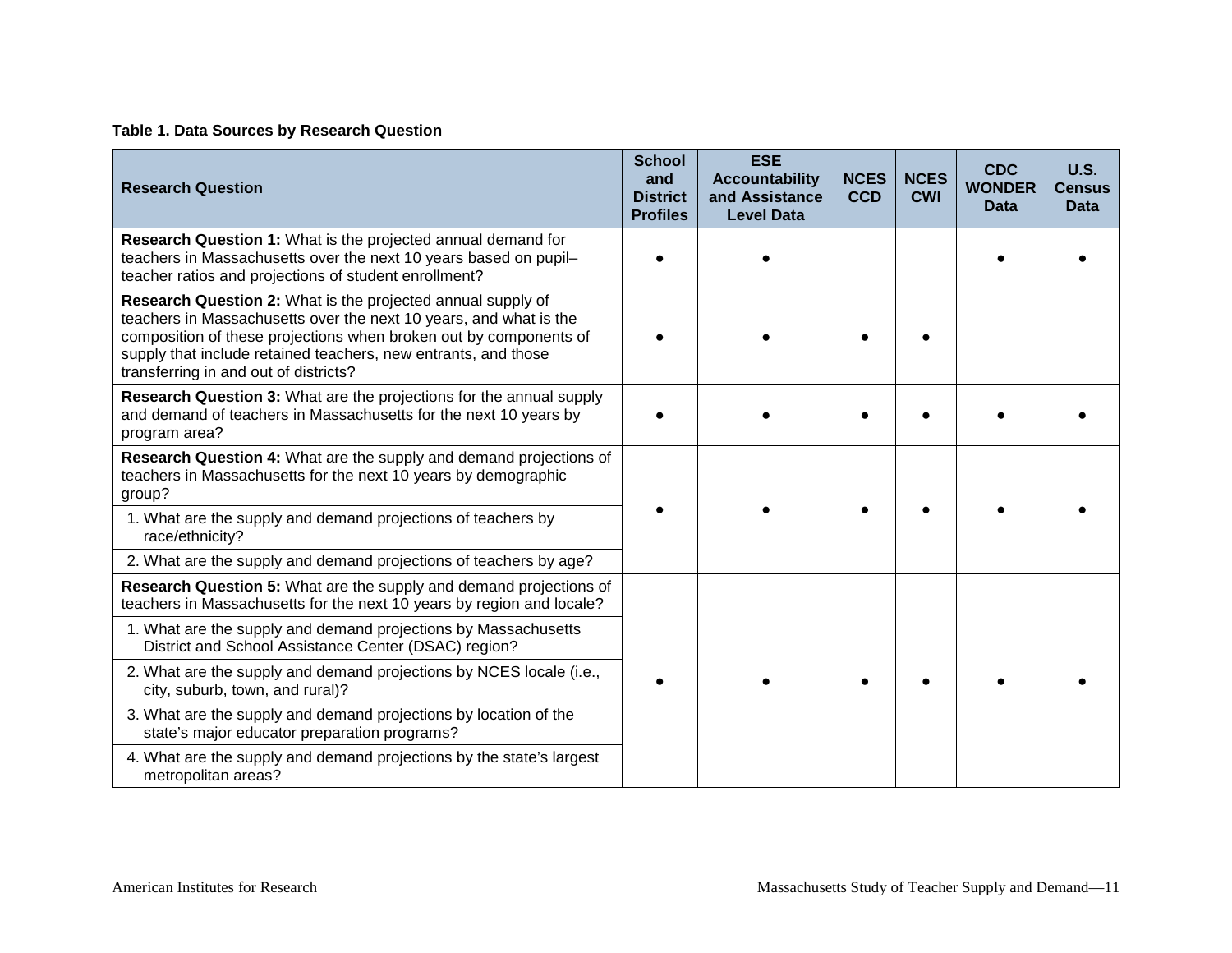#### **Table 1. Data Sources by Research Question**

| <b>Research Question</b>                                                                                                                                                                                                                                                                                         | <b>School</b><br>and<br><b>District</b><br><b>Profiles</b> | <b>ESE</b><br><b>Accountability</b><br>and Assistance<br><b>Level Data</b> | <b>NCES</b><br><b>CCD</b> | <b>NCES</b><br><b>CWI</b> | <b>CDC</b><br><b>WONDER</b><br><b>Data</b> | U.S.<br><b>Census</b><br><b>Data</b> |
|------------------------------------------------------------------------------------------------------------------------------------------------------------------------------------------------------------------------------------------------------------------------------------------------------------------|------------------------------------------------------------|----------------------------------------------------------------------------|---------------------------|---------------------------|--------------------------------------------|--------------------------------------|
| Research Question 1: What is the projected annual demand for<br>teachers in Massachusetts over the next 10 years based on pupil-<br>teacher ratios and projections of student enrollment?                                                                                                                        |                                                            |                                                                            |                           |                           |                                            |                                      |
| Research Question 2: What is the projected annual supply of<br>teachers in Massachusetts over the next 10 years, and what is the<br>composition of these projections when broken out by components of<br>supply that include retained teachers, new entrants, and those<br>transferring in and out of districts? |                                                            |                                                                            |                           |                           |                                            |                                      |
| Research Question 3: What are the projections for the annual supply<br>and demand of teachers in Massachusetts for the next 10 years by<br>program area?                                                                                                                                                         |                                                            |                                                                            |                           |                           |                                            |                                      |
| Research Question 4: What are the supply and demand projections of<br>teachers in Massachusetts for the next 10 years by demographic<br>group?                                                                                                                                                                   |                                                            |                                                                            |                           |                           |                                            |                                      |
| 1. What are the supply and demand projections of teachers by<br>race/ethnicity?                                                                                                                                                                                                                                  |                                                            |                                                                            |                           |                           |                                            |                                      |
| 2. What are the supply and demand projections of teachers by age?                                                                                                                                                                                                                                                |                                                            |                                                                            |                           |                           |                                            |                                      |
| Research Question 5: What are the supply and demand projections of<br>teachers in Massachusetts for the next 10 years by region and locale?                                                                                                                                                                      |                                                            |                                                                            |                           |                           |                                            |                                      |
| 1. What are the supply and demand projections by Massachusetts<br>District and School Assistance Center (DSAC) region?                                                                                                                                                                                           |                                                            |                                                                            |                           |                           |                                            |                                      |
| 2. What are the supply and demand projections by NCES locale (i.e.,<br>city, suburb, town, and rural)?                                                                                                                                                                                                           |                                                            |                                                                            |                           |                           |                                            |                                      |
| 3. What are the supply and demand projections by location of the<br>state's major educator preparation programs?                                                                                                                                                                                                 |                                                            |                                                                            |                           |                           |                                            |                                      |
| 4. What are the supply and demand projections by the state's largest<br>metropolitan areas?                                                                                                                                                                                                                      |                                                            |                                                                            |                           |                           |                                            |                                      |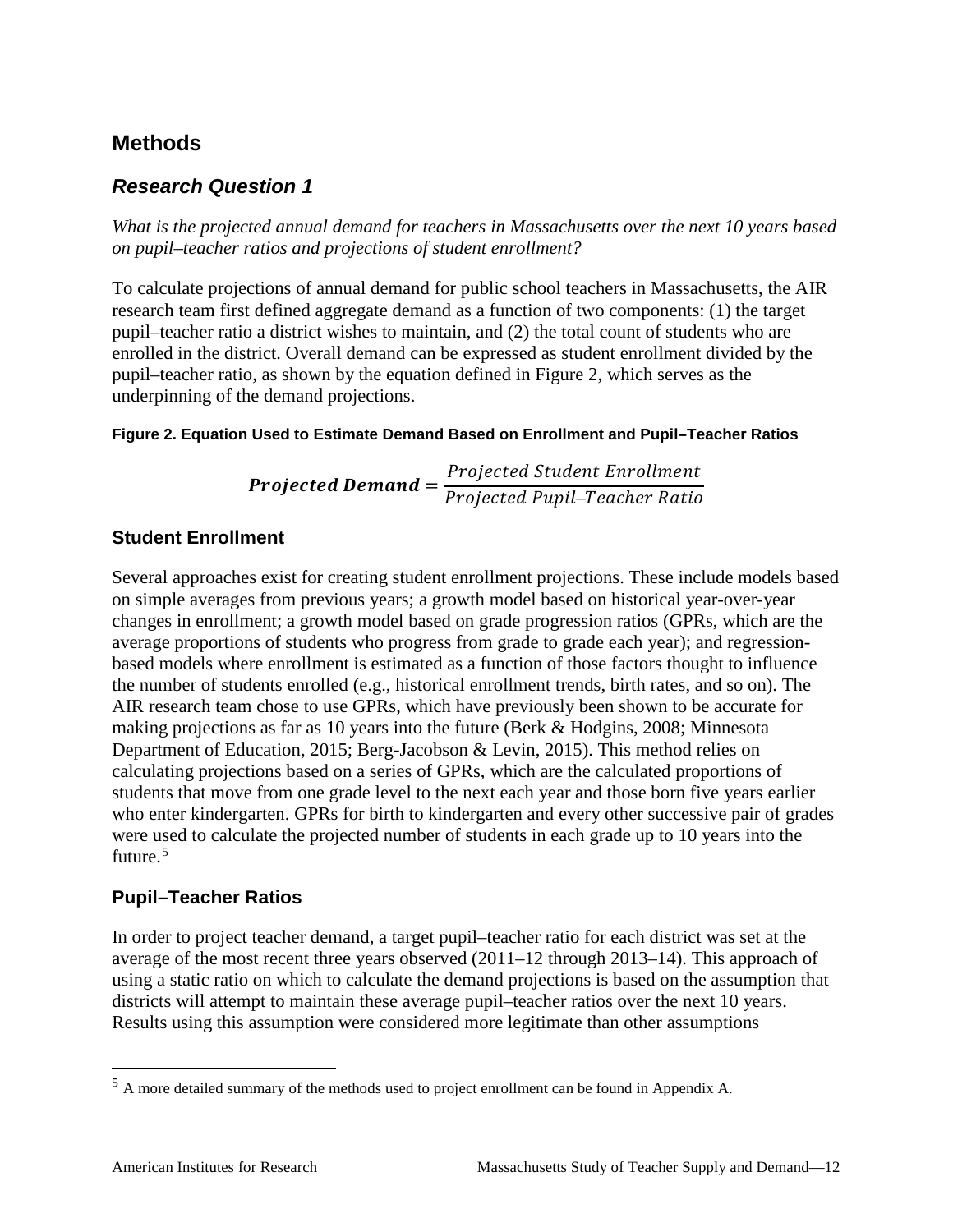## <span id="page-17-0"></span>**Methods**

## *Research Question 1*

*What is the projected annual demand for teachers in Massachusetts over the next 10 years based on pupil–teacher ratios and projections of student enrollment?*

To calculate projections of annual demand for public school teachers in Massachusetts, the AIR research team first defined aggregate demand as a function of two components: (1) the target pupil–teacher ratio a district wishes to maintain, and (2) the total count of students who are enrolled in the district. Overall demand can be expressed as student enrollment divided by the pupil–teacher ratio, as shown by the equation defined in Figure 2, which serves as the underpinning of the demand projections.

#### **Figure 2. Equation Used to Estimate Demand Based on Enrollment and Pupil–Teacher Ratios**

**Projected Demand** =  $\frac{Projected \ Student \ Enrollm}{Principal \ Daniel \ Researcher \ Ri}$ Projected Pupil–Teacher R

#### **Student Enrollment**

Several approaches exist for creating student enrollment projections. These include models based on simple averages from previous years; a growth model based on historical year-over-year changes in enrollment; a growth model based on grade progression ratios (GPRs, which are the average proportions of students who progress from grade to grade each year); and regressionbased models where enrollment is estimated as a function of those factors thought to influence the number of students enrolled (e.g., historical enrollment trends, birth rates, and so on). The AIR research team chose to use GPRs, which have previously been shown to be accurate for making projections as far as 10 years into the future (Berk & Hodgins, 2008; Minnesota Department of Education, 2015; Berg-Jacobson & Levin, 2015). This method relies on calculating projections based on a series of GPRs, which are the calculated proportions of students that move from one grade level to the next each year and those born five years earlier who enter kindergarten. GPRs for birth to kindergarten and every other successive pair of grades were used to calculate the projected number of students in each grade up to 10 years into the future. [5](#page-17-1)

#### **Pupil–Teacher Ratios**

In order to project teacher demand, a target pupil–teacher ratio for each district was set at the average of the most recent three years observed (2011–12 through 2013–14). This approach of using a static ratio on which to calculate the demand projections is based on the assumption that districts will attempt to maintain these average pupil–teacher ratios over the next 10 years. Results using this assumption were considered more legitimate than other assumptions

<span id="page-17-1"></span> <sup>5</sup> A more detailed summary of the methods used to project enrollment can be found in Appendix A.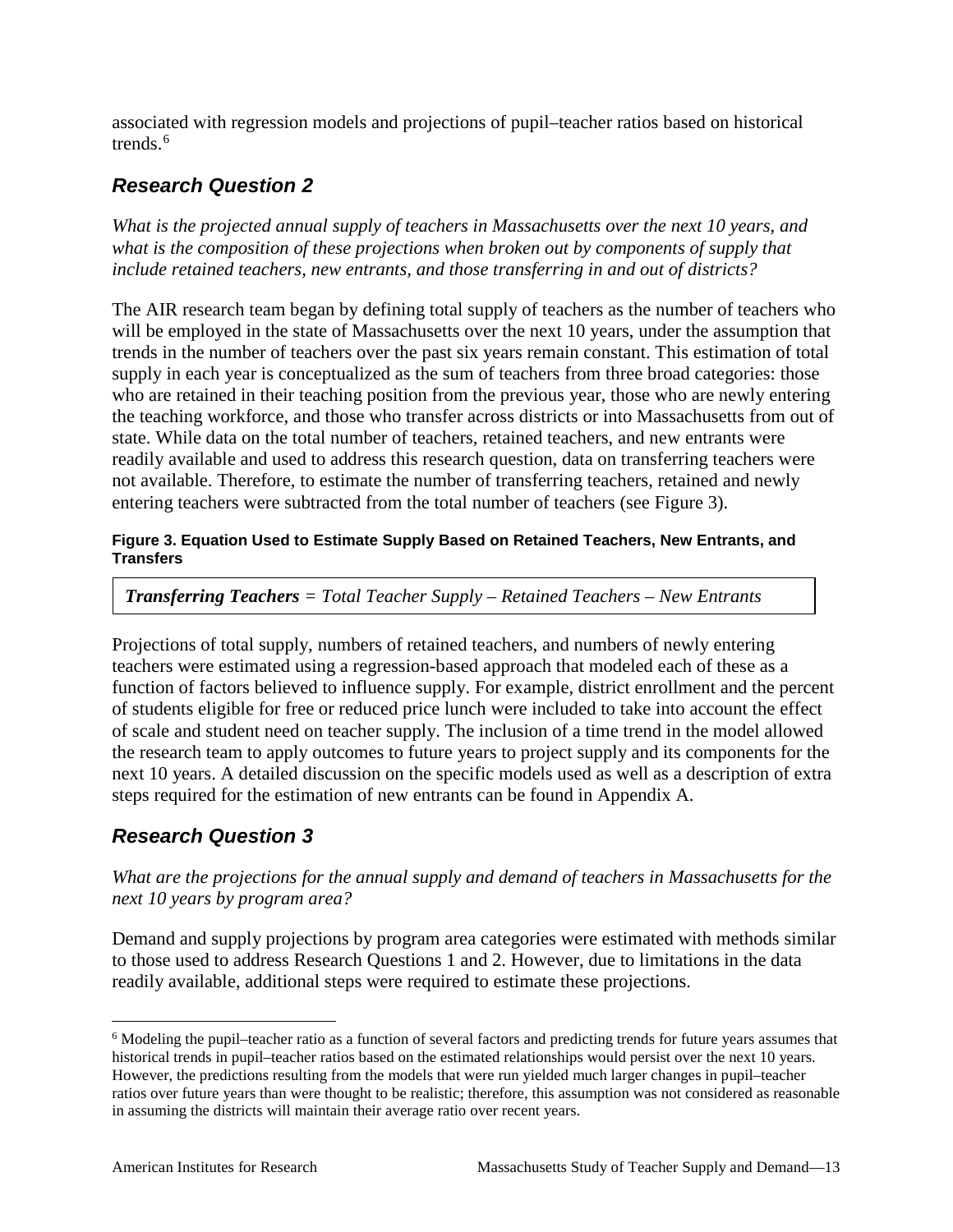associated with regression models and projections of pupil–teacher ratios based on historical trends. $6$ 

## *Research Question 2*

*What is the projected annual supply of teachers in Massachusetts over the next 10 years, and what is the composition of these projections when broken out by components of supply that include retained teachers, new entrants, and those transferring in and out of districts?*

The AIR research team began by defining total supply of teachers as the number of teachers who will be employed in the state of Massachusetts over the next 10 years, under the assumption that trends in the number of teachers over the past six years remain constant. This estimation of total supply in each year is conceptualized as the sum of teachers from three broad categories: those who are retained in their teaching position from the previous year, those who are newly entering the teaching workforce, and those who transfer across districts or into Massachusetts from out of state. While data on the total number of teachers, retained teachers, and new entrants were readily available and used to address this research question, data on transferring teachers were not available. Therefore, to estimate the number of transferring teachers, retained and newly entering teachers were subtracted from the total number of teachers (see Figure 3).

#### **Figure 3. Equation Used to Estimate Supply Based on Retained Teachers, New Entrants, and Transfers**

*Transferring Teachers = Total Teacher Supply – Retained Teachers – New Entrants*

Projections of total supply, numbers of retained teachers, and numbers of newly entering teachers were estimated using a regression-based approach that modeled each of these as a function of factors believed to influence supply. For example, district enrollment and the percent of students eligible for free or reduced price lunch were included to take into account the effect of scale and student need on teacher supply. The inclusion of a time trend in the model allowed the research team to apply outcomes to future years to project supply and its components for the next 10 years. A detailed discussion on the specific models used as well as a description of extra steps required for the estimation of new entrants can be found in Appendix A.

## *Research Question 3*

*What are the projections for the annual supply and demand of teachers in Massachusetts for the next 10 years by program area?*

Demand and supply projections by program area categories were estimated with methods similar to those used to address Research Questions 1 and 2. However, due to limitations in the data readily available, additional steps were required to estimate these projections.

<span id="page-18-0"></span> <sup>6</sup> Modeling the pupil–teacher ratio as a function of several factors and predicting trends for future years assumes that historical trends in pupil–teacher ratios based on the estimated relationships would persist over the next 10 years. However, the predictions resulting from the models that were run yielded much larger changes in pupil–teacher ratios over future years than were thought to be realistic; therefore, this assumption was not considered as reasonable in assuming the districts will maintain their average ratio over recent years.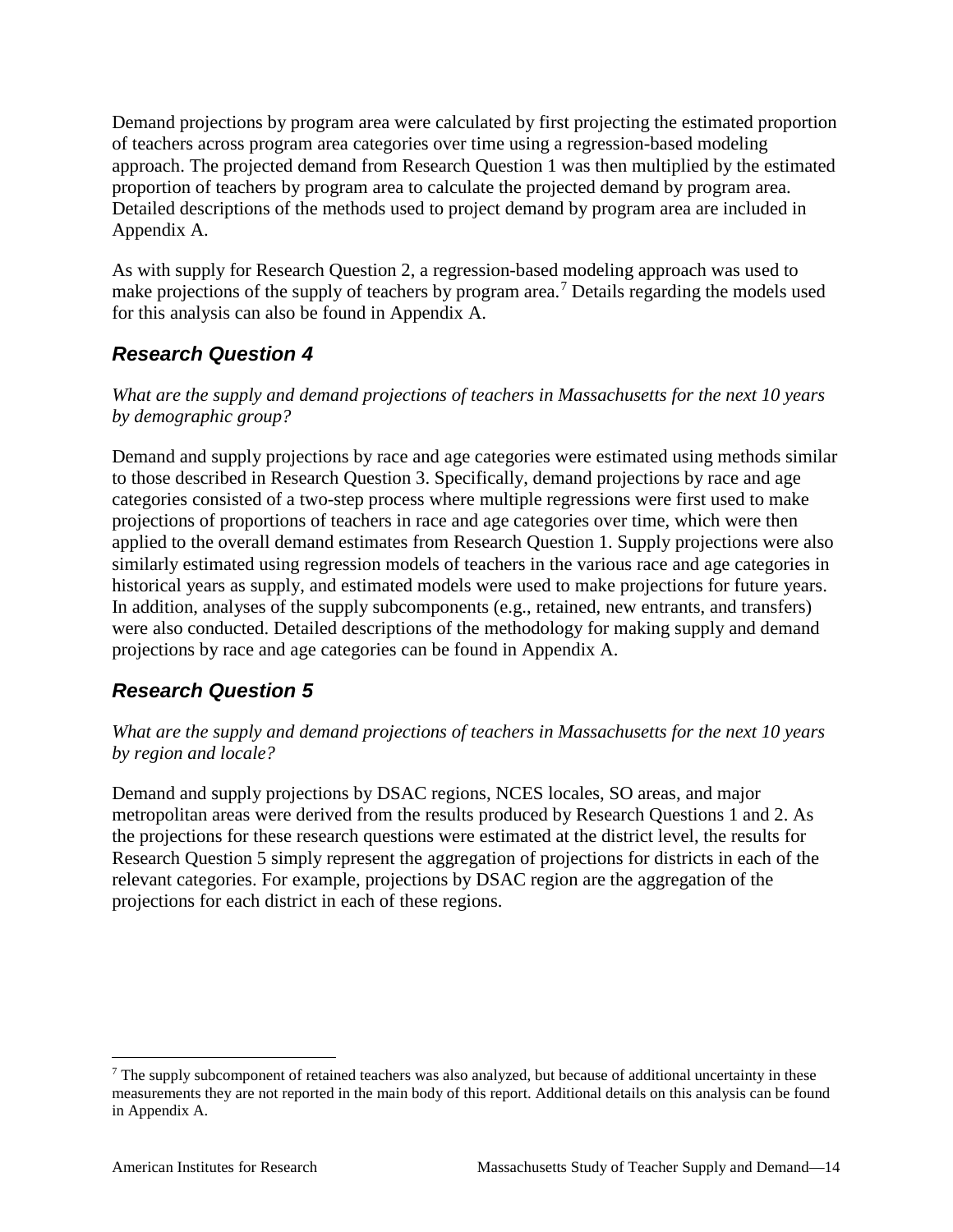Demand projections by program area were calculated by first projecting the estimated proportion of teachers across program area categories over time using a regression-based modeling approach. The projected demand from Research Question 1 was then multiplied by the estimated proportion of teachers by program area to calculate the projected demand by program area. Detailed descriptions of the methods used to project demand by program area are included in Appendix A.

As with supply for Research Question 2, a regression-based modeling approach was used to make projections of the supply of teachers by program area.<sup>[7](#page-19-0)</sup> Details regarding the models used for this analysis can also be found in Appendix A.

## *Research Question 4*

*What are the supply and demand projections of teachers in Massachusetts for the next 10 years by demographic group?*

Demand and supply projections by race and age categories were estimated using methods similar to those described in Research Question 3. Specifically, demand projections by race and age categories consisted of a two-step process where multiple regressions were first used to make projections of proportions of teachers in race and age categories over time, which were then applied to the overall demand estimates from Research Question 1. Supply projections were also similarly estimated using regression models of teachers in the various race and age categories in historical years as supply, and estimated models were used to make projections for future years. In addition, analyses of the supply subcomponents (e.g., retained, new entrants, and transfers) were also conducted. Detailed descriptions of the methodology for making supply and demand projections by race and age categories can be found in Appendix A.

## *Research Question 5*

*What are the supply and demand projections of teachers in Massachusetts for the next 10 years by region and locale?*

Demand and supply projections by DSAC regions, NCES locales, SO areas, and major metropolitan areas were derived from the results produced by Research Questions 1 and 2. As the projections for these research questions were estimated at the district level, the results for Research Question 5 simply represent the aggregation of projections for districts in each of the relevant categories. For example, projections by DSAC region are the aggregation of the projections for each district in each of these regions.

<span id="page-19-0"></span> $<sup>7</sup>$  The supply subcomponent of retained teachers was also analyzed, but because of additional uncertainty in these</sup> measurements they are not reported in the main body of this report. Additional details on this analysis can be found in Appendix A.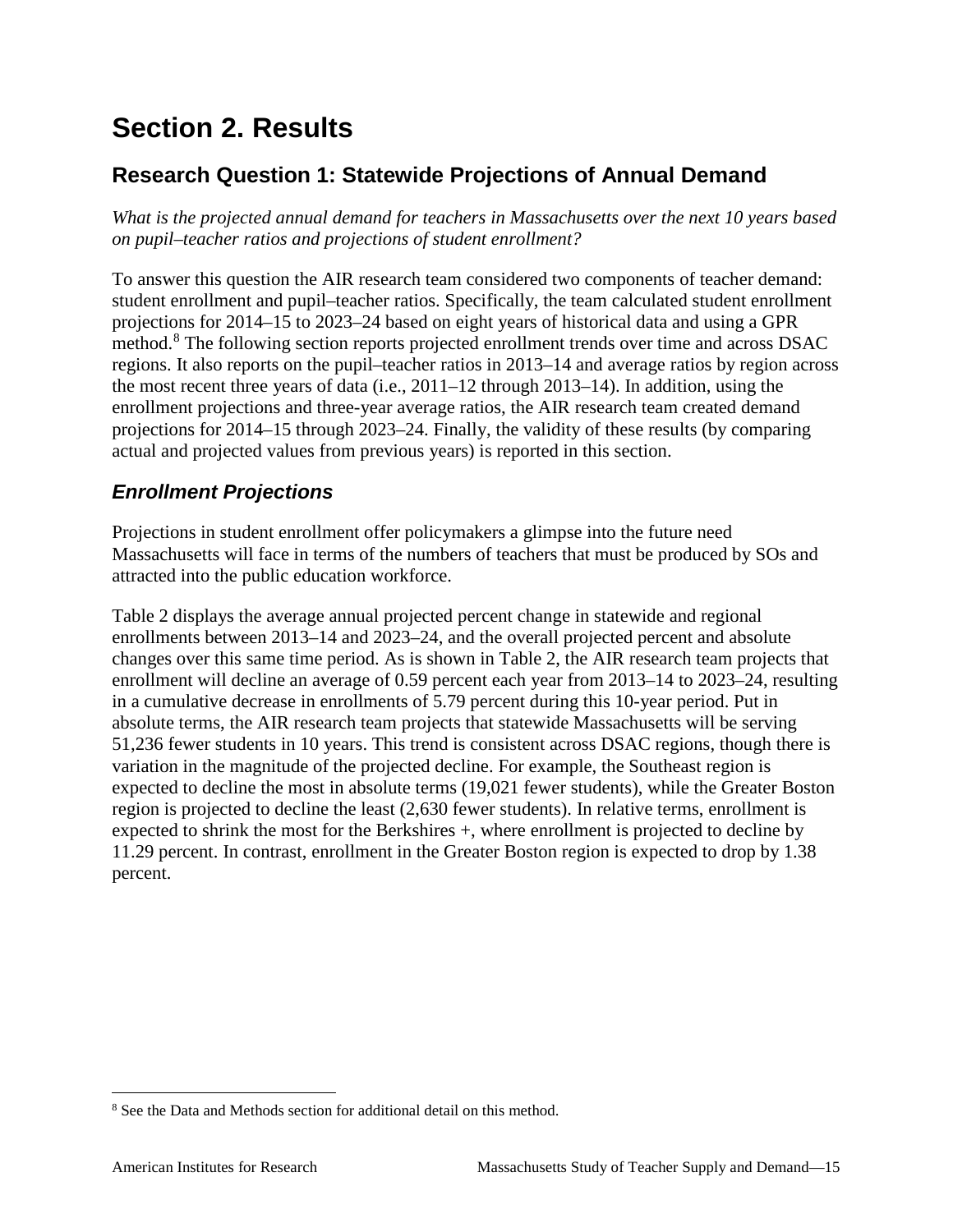## <span id="page-20-0"></span>**Section 2. Results**

## <span id="page-20-1"></span>**Research Question 1: Statewide Projections of Annual Demand**

*What is the projected annual demand for teachers in Massachusetts over the next 10 years based on pupil–teacher ratios and projections of student enrollment?*

To answer this question the AIR research team considered two components of teacher demand: student enrollment and pupil–teacher ratios. Specifically, the team calculated student enrollment projections for 2014–15 to 2023–24 based on eight years of historical data and using a GPR method.<sup>[8](#page-20-2)</sup> The following section reports projected enrollment trends over time and across DSAC regions. It also reports on the pupil–teacher ratios in 2013–14 and average ratios by region across the most recent three years of data (i.e., 2011–12 through 2013–14). In addition, using the enrollment projections and three-year average ratios, the AIR research team created demand projections for 2014–15 through 2023–24. Finally, the validity of these results (by comparing actual and projected values from previous years) is reported in this section.

## *Enrollment Projections*

Projections in student enrollment offer policymakers a glimpse into the future need Massachusetts will face in terms of the numbers of teachers that must be produced by SOs and attracted into the public education workforce.

Table 2 displays the average annual projected percent change in statewide and regional enrollments between 2013–14 and 2023–24, and the overall projected percent and absolute changes over this same time period. As is shown in Table 2, the AIR research team projects that enrollment will decline an average of 0.59 percent each year from 2013–14 to 2023–24, resulting in a cumulative decrease in enrollments of 5.79 percent during this 10-year period. Put in absolute terms, the AIR research team projects that statewide Massachusetts will be serving 51,236 fewer students in 10 years. This trend is consistent across DSAC regions, though there is variation in the magnitude of the projected decline. For example, the Southeast region is expected to decline the most in absolute terms (19,021 fewer students), while the Greater Boston region is projected to decline the least (2,630 fewer students). In relative terms, enrollment is expected to shrink the most for the Berkshires +, where enrollment is projected to decline by 11.29 percent. In contrast, enrollment in the Greater Boston region is expected to drop by 1.38 percent.

<span id="page-20-2"></span> <sup>8</sup> See the Data and Methods section for additional detail on this method.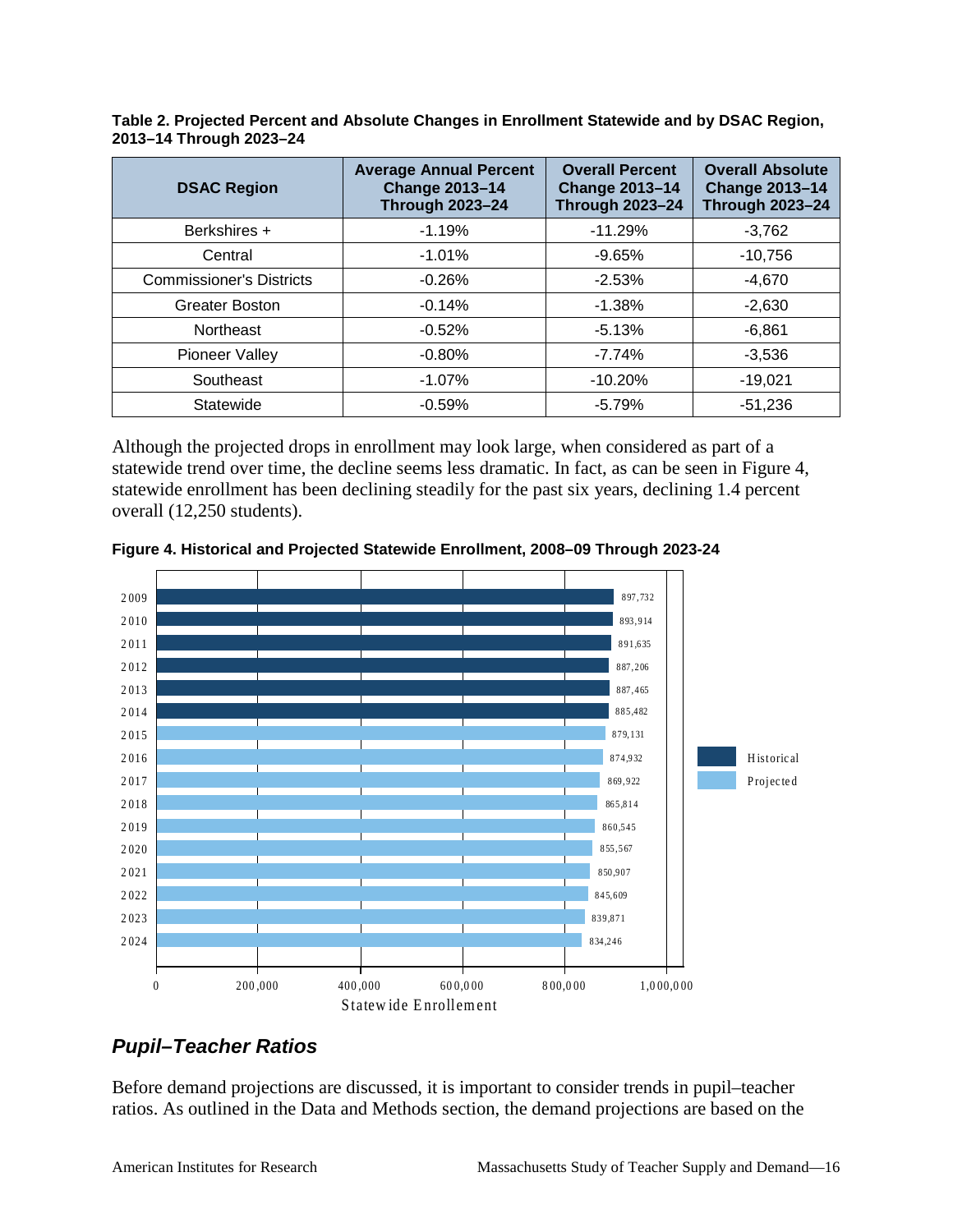**Table 2. Projected Percent and Absolute Changes in Enrollment Statewide and by DSAC Region, 2013–14 Through 2023–24**

| <b>DSAC Region</b>              | <b>Average Annual Percent</b><br><b>Change 2013-14</b><br><b>Through 2023-24</b> | <b>Overall Percent</b><br><b>Change 2013-14</b><br><b>Through 2023-24</b> | <b>Overall Absolute</b><br><b>Change 2013-14</b><br><b>Through 2023-24</b> |
|---------------------------------|----------------------------------------------------------------------------------|---------------------------------------------------------------------------|----------------------------------------------------------------------------|
| Berkshires +                    | $-1.19%$                                                                         | $-11.29%$                                                                 | $-3,762$                                                                   |
| Central                         | $-1.01%$                                                                         | $-9.65%$                                                                  | $-10.756$                                                                  |
| <b>Commissioner's Districts</b> | $-0.26%$                                                                         | $-2.53%$                                                                  | $-4,670$                                                                   |
| <b>Greater Boston</b>           | $-0.14%$                                                                         | $-1.38%$                                                                  | $-2.630$                                                                   |
| Northeast                       | $-0.52%$                                                                         | $-5.13%$                                                                  | $-6,861$                                                                   |
| Pioneer Valley                  | $-0.80%$                                                                         | $-7.74%$                                                                  | $-3,536$                                                                   |
| Southeast                       | $-1.07%$                                                                         | $-10.20%$                                                                 | $-19,021$                                                                  |
| Statewide                       | $-0.59%$                                                                         | $-5.79%$                                                                  | $-51,236$                                                                  |

Although the projected drops in enrollment may look large, when considered as part of a statewide trend over time, the decline seems less dramatic. In fact, as can be seen in Figure 4, statewide enrollment has been declining steadily for the past six years, declining 1.4 percent overall (12,250 students).



**Figure 4. Historical and Projected Statewide Enrollment, 2008–09 Through 2023-24**

## *Pupil–Teacher Ratios*

Before demand projections are discussed, it is important to consider trends in pupil–teacher ratios. As outlined in the Data and Methods section, the demand projections are based on the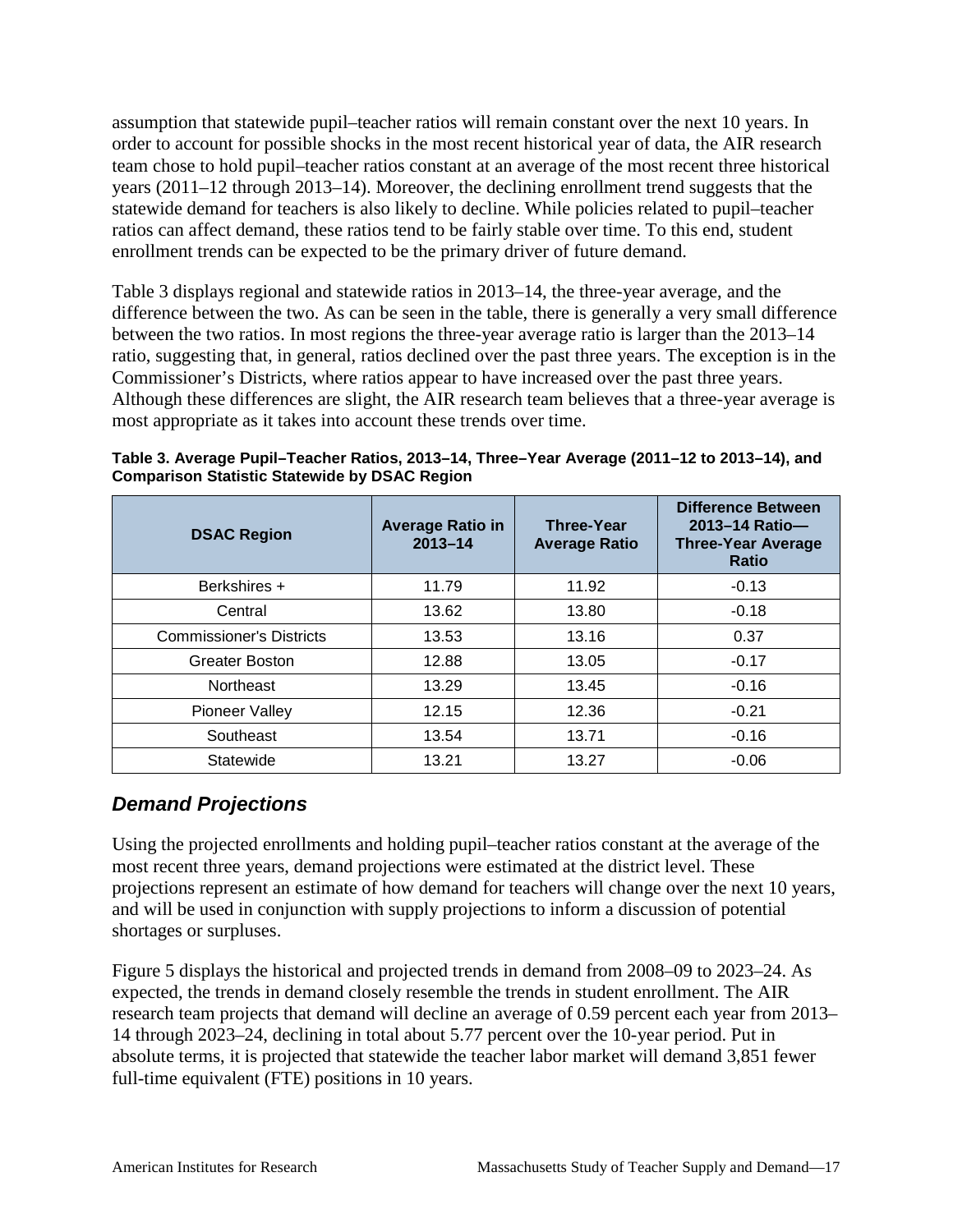assumption that statewide pupil–teacher ratios will remain constant over the next 10 years. In order to account for possible shocks in the most recent historical year of data, the AIR research team chose to hold pupil–teacher ratios constant at an average of the most recent three historical years (2011–12 through 2013–14). Moreover, the declining enrollment trend suggests that the statewide demand for teachers is also likely to decline. While policies related to pupil–teacher ratios can affect demand, these ratios tend to be fairly stable over time. To this end, student enrollment trends can be expected to be the primary driver of future demand.

Table 3 displays regional and statewide ratios in 2013–14, the three-year average, and the difference between the two. As can be seen in the table, there is generally a very small difference between the two ratios. In most regions the three-year average ratio is larger than the 2013–14 ratio, suggesting that, in general, ratios declined over the past three years. The exception is in the Commissioner's Districts, where ratios appear to have increased over the past three years. Although these differences are slight, the AIR research team believes that a three-year average is most appropriate as it takes into account these trends over time.

| <b>DSAC Region</b>              | <b>Average Ratio in</b><br>$2013 - 14$ | <b>Three-Year</b><br><b>Average Ratio</b> | <b>Difference Between</b><br>2013-14 Ratio-<br><b>Three-Year Average</b><br><b>Ratio</b> |
|---------------------------------|----------------------------------------|-------------------------------------------|------------------------------------------------------------------------------------------|
| Berkshires +                    | 11.79                                  | 11.92                                     | $-0.13$                                                                                  |
| Central                         | 13.62                                  | 13.80                                     | $-0.18$                                                                                  |
| <b>Commissioner's Districts</b> | 13.53                                  | 13.16                                     | 0.37                                                                                     |
| Greater Boston                  | 12.88                                  | 13.05                                     | $-0.17$                                                                                  |
| Northeast                       | 13.29                                  | 13.45                                     | $-0.16$                                                                                  |
| <b>Pioneer Valley</b>           | 12.15                                  | 12.36                                     | $-0.21$                                                                                  |
| Southeast                       | 13.54                                  | 13.71                                     | $-0.16$                                                                                  |
| Statewide                       | 13.21                                  | 13.27                                     | $-0.06$                                                                                  |

**Table 3. Average Pupil–Teacher Ratios, 2013–14, Three–Year Average (2011–12 to 2013–14), and Comparison Statistic Statewide by DSAC Region**

## *Demand Projections*

Using the projected enrollments and holding pupil–teacher ratios constant at the average of the most recent three years, demand projections were estimated at the district level. These projections represent an estimate of how demand for teachers will change over the next 10 years, and will be used in conjunction with supply projections to inform a discussion of potential shortages or surpluses.

Figure 5 displays the historical and projected trends in demand from 2008–09 to 2023–24. As expected, the trends in demand closely resemble the trends in student enrollment. The AIR research team projects that demand will decline an average of 0.59 percent each year from 2013– 14 through 2023–24, declining in total about 5.77 percent over the 10-year period. Put in absolute terms, it is projected that statewide the teacher labor market will demand 3,851 fewer full-time equivalent (FTE) positions in 10 years.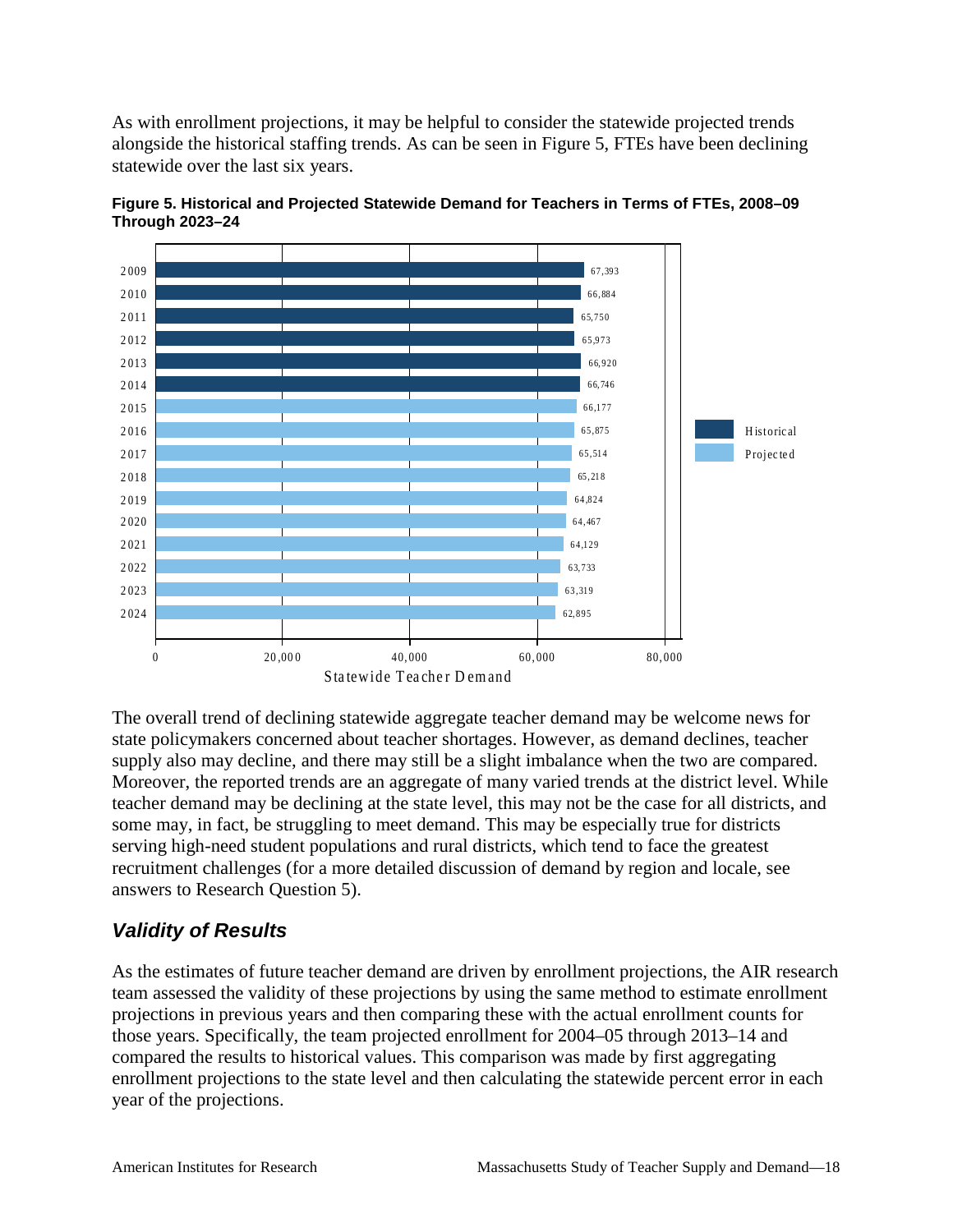As with enrollment projections, it may be helpful to consider the statewide projected trends alongside the historical staffing trends. As can be seen in Figure 5, FTEs have been declining statewide over the last six years.



**Figure 5. Historical and Projected Statewide Demand for Teachers in Terms of FTEs, 2008–09 Through 2023–24**

The overall trend of declining statewide aggregate teacher demand may be welcome news for state policymakers concerned about teacher shortages. However, as demand declines, teacher supply also may decline, and there may still be a slight imbalance when the two are compared. Moreover, the reported trends are an aggregate of many varied trends at the district level. While teacher demand may be declining at the state level, this may not be the case for all districts, and some may, in fact, be struggling to meet demand. This may be especially true for districts serving high-need student populations and rural districts, which tend to face the greatest recruitment challenges (for a more detailed discussion of demand by region and locale, see answers to Research Question 5).

## *Validity of Results*

As the estimates of future teacher demand are driven by enrollment projections, the AIR research team assessed the validity of these projections by using the same method to estimate enrollment projections in previous years and then comparing these with the actual enrollment counts for those years. Specifically, the team projected enrollment for 2004–05 through 2013–14 and compared the results to historical values. This comparison was made by first aggregating enrollment projections to the state level and then calculating the statewide percent error in each year of the projections.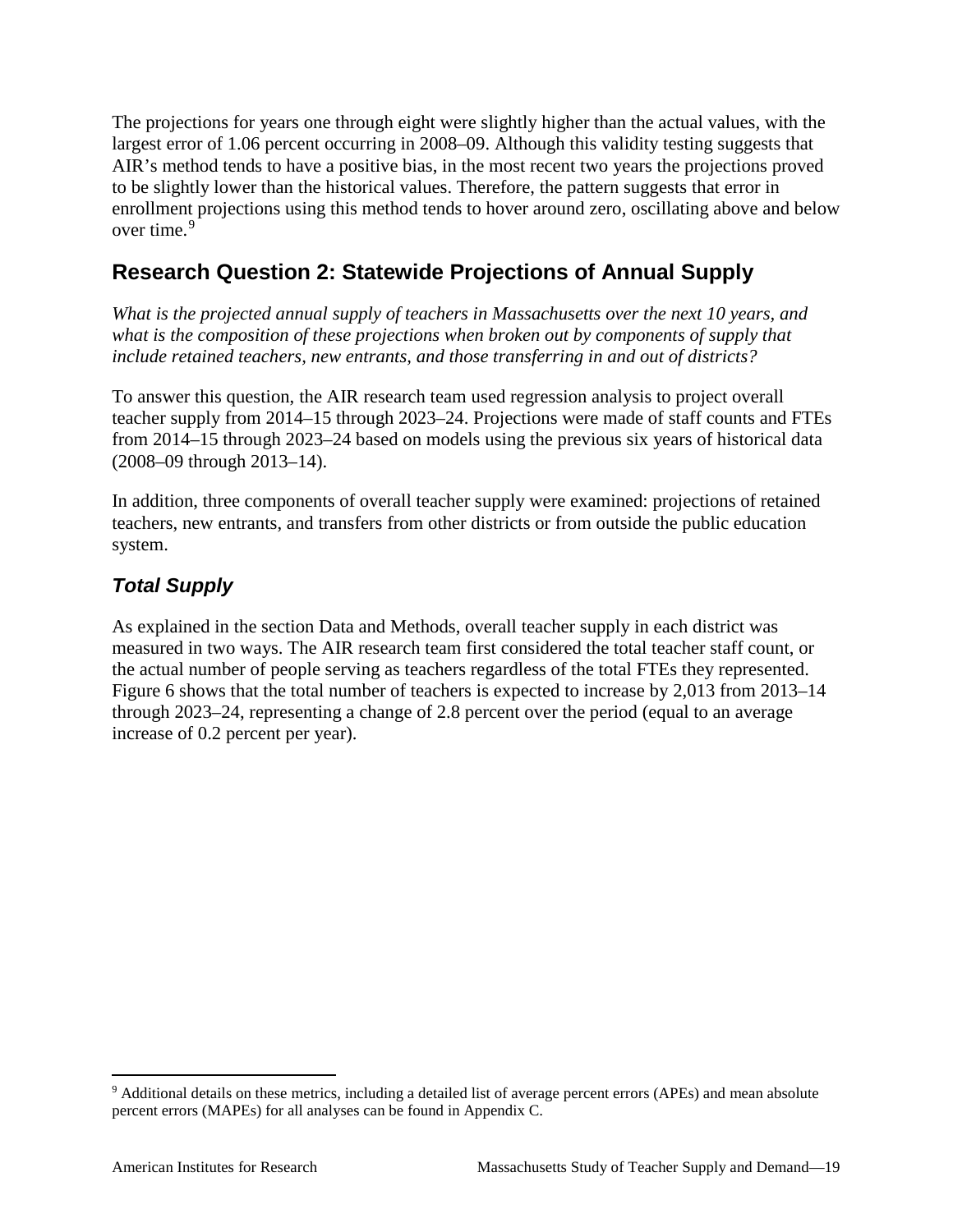The projections for years one through eight were slightly higher than the actual values, with the largest error of 1.06 percent occurring in 2008–09. Although this validity testing suggests that AIR's method tends to have a positive bias, in the most recent two years the projections proved to be slightly lower than the historical values. Therefore, the pattern suggests that error in enrollment projections using this method tends to hover around zero, oscillating above and below over time.<sup>[9](#page-24-1)</sup>

## <span id="page-24-0"></span>**Research Question 2: Statewide Projections of Annual Supply**

*What is the projected annual supply of teachers in Massachusetts over the next 10 years, and what is the composition of these projections when broken out by components of supply that include retained teachers, new entrants, and those transferring in and out of districts?*

To answer this question, the AIR research team used regression analysis to project overall teacher supply from 2014–15 through 2023–24. Projections were made of staff counts and FTEs from 2014–15 through 2023–24 based on models using the previous six years of historical data (2008–09 through 2013–14).

In addition, three components of overall teacher supply were examined: projections of retained teachers, new entrants, and transfers from other districts or from outside the public education system.

## *Total Supply*

As explained in the section Data and Methods, overall teacher supply in each district was measured in two ways. The AIR research team first considered the total teacher staff count, or the actual number of people serving as teachers regardless of the total FTEs they represented. Figure 6 shows that the total number of teachers is expected to increase by 2,013 from 2013–14 through 2023–24, representing a change of 2.8 percent over the period (equal to an average increase of 0.2 percent per year).

<span id="page-24-1"></span> <sup>9</sup> Additional details on these metrics, including a detailed list of average percent errors (APEs) and mean absolute percent errors (MAPEs) for all analyses can be found in Appendix C.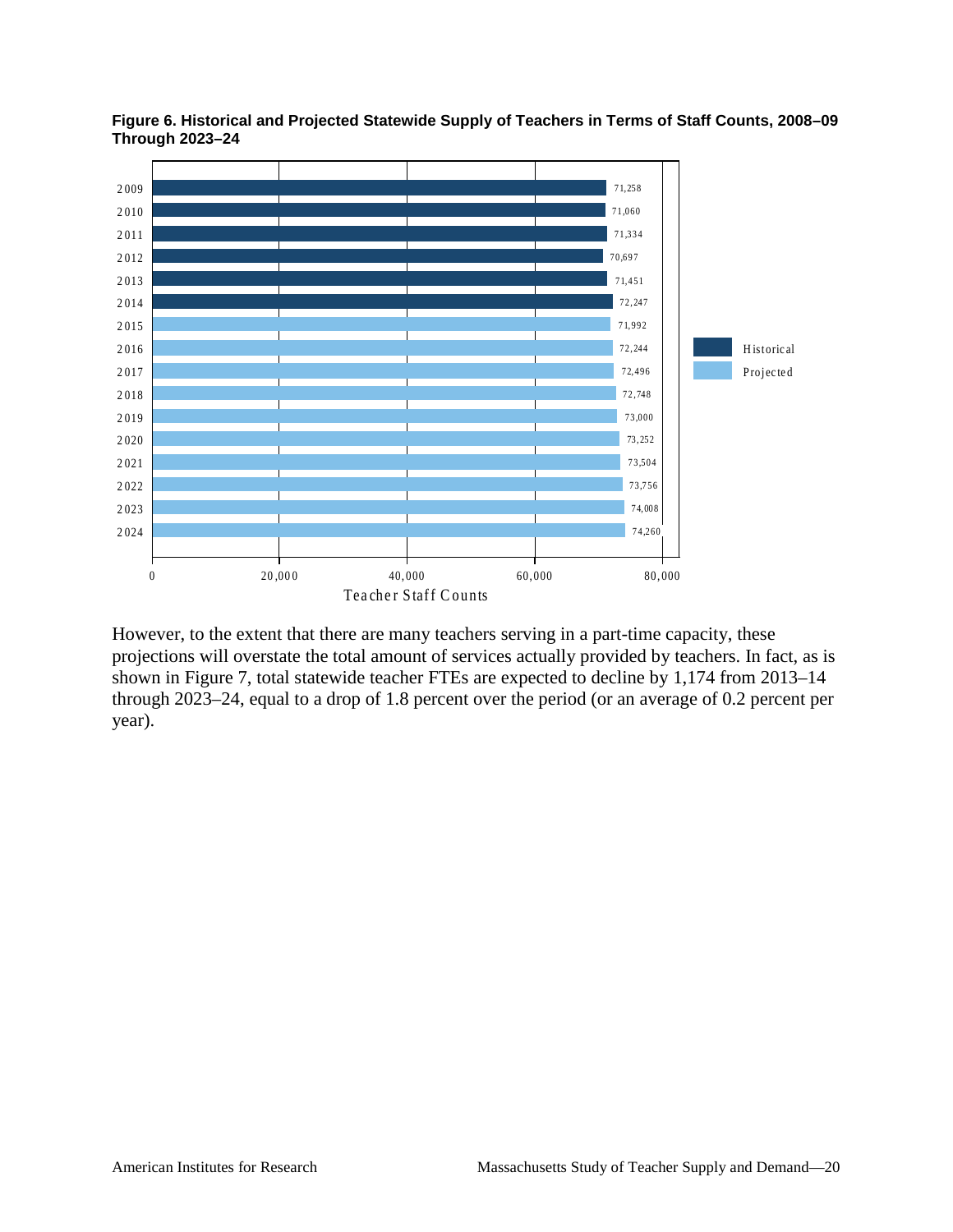

Figure 6. Historical and Projected Statewide Supply of Teachers in Terms of Staff Counts, 2008-09 **Through 2023-24** 

However, to the extent that there are many teachers serving in a part-time capacity, these projections will overstate the total amount of services actually provided by teachers. In fact, as is shown in Figure 7, total statewide teacher FTEs are expected to decline by 1,174 from 2013–14 through  $2023-24$ , equal to a drop of 1.8 percent over the period (or an average of 0.2 percent per year).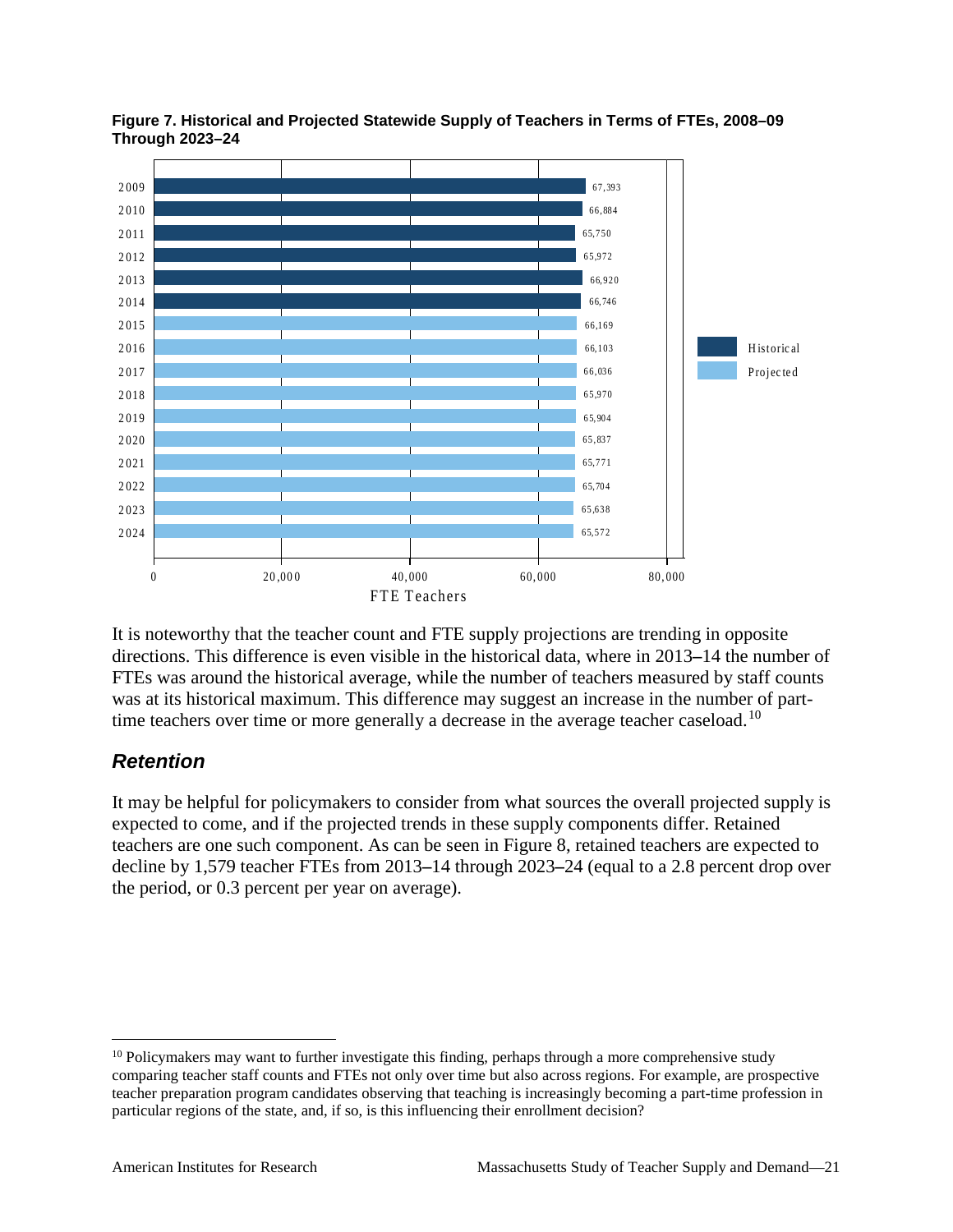

**Figure 7. Historical and Projected Statewide Supply of Teachers in Terms of FTEs, 2008–09 Through 2023–24**

It is noteworthy that the teacher count and FTE supply projections are trending in opposite directions. This difference is even visible in the historical data, where in 2013**–**14 the number of FTEs was around the historical average, while the number of teachers measured by staff counts was at its historical maximum. This difference may suggest an increase in the number of part-time teachers over time or more generally a decrease in the average teacher caseload.<sup>[10](#page-26-0)</sup>

## *Retention*

It may be helpful for policymakers to consider from what sources the overall projected supply is expected to come, and if the projected trends in these supply components differ. Retained teachers are one such component. As can be seen in Figure 8, retained teachers are expected to decline by 1,579 teacher FTEs from 2013**–**14 through 2023**–**24 (equal to a 2.8 percent drop over the period, or 0.3 percent per year on average).

<span id="page-26-0"></span><sup>&</sup>lt;sup>10</sup> Policymakers may want to further investigate this finding, perhaps through a more comprehensive study comparing teacher staff counts and FTEs not only over time but also across regions. For example, are prospective teacher preparation program candidates observing that teaching is increasingly becoming a part-time profession in particular regions of the state, and, if so, is this influencing their enrollment decision?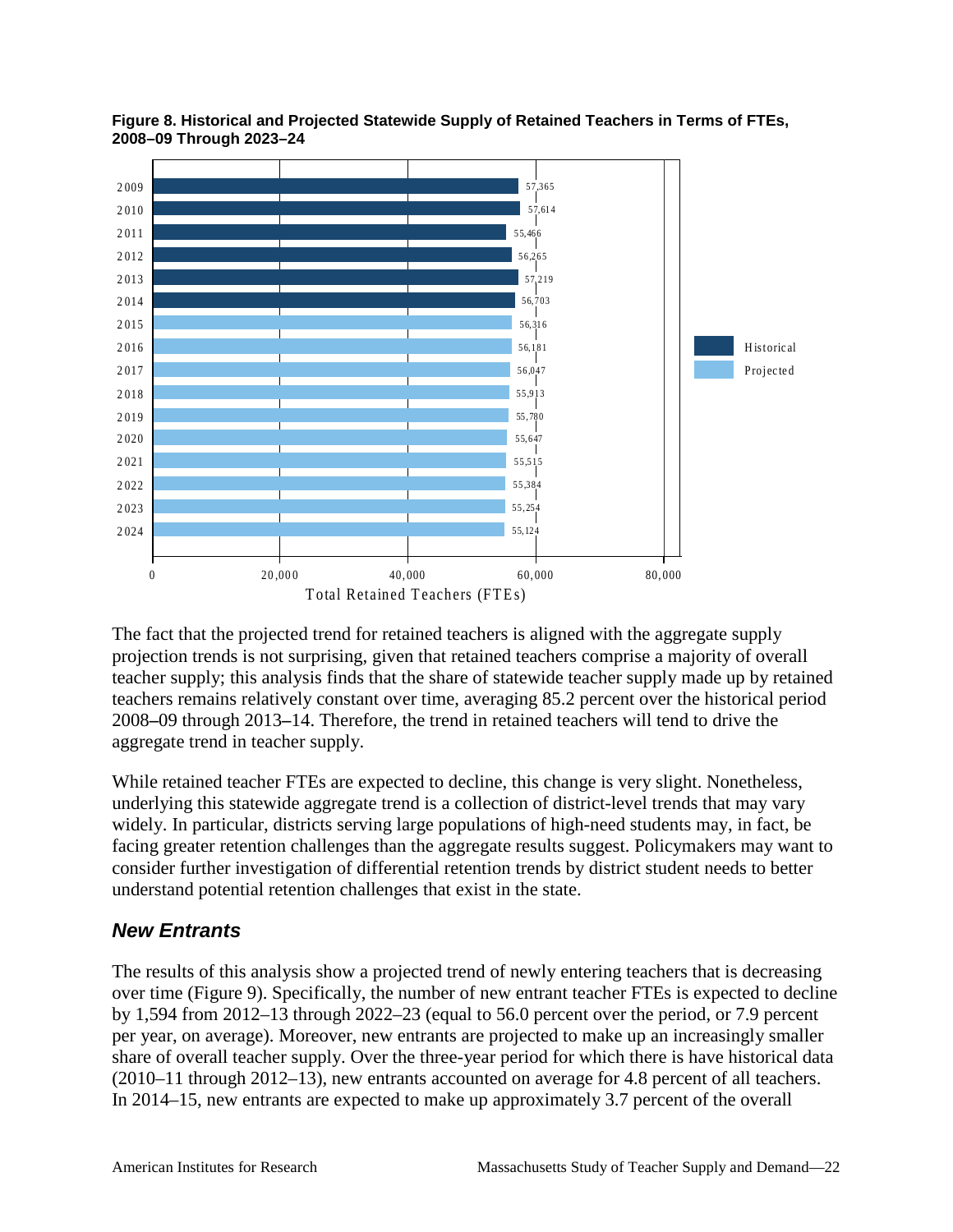



The fact that the projected trend for retained teachers is aligned with the aggregate supply projection trends is not surprising, given that retained teachers comprise a majority of overall teacher supply; this analysis finds that the share of statewide teacher supply made up by retained teachers remains relatively constant over time, averaging 85.2 percent over the historical period 2008**–**09 through 2013**–**14. Therefore, the trend in retained teachers will tend to drive the aggregate trend in teacher supply.

While retained teacher FTEs are expected to decline, this change is very slight. Nonetheless, underlying this statewide aggregate trend is a collection of district-level trends that may vary widely. In particular, districts serving large populations of high-need students may, in fact, be facing greater retention challenges than the aggregate results suggest. Policymakers may want to consider further investigation of differential retention trends by district student needs to better understand potential retention challenges that exist in the state.

#### *New Entrants*

The results of this analysis show a projected trend of newly entering teachers that is decreasing over time (Figure 9). Specifically, the number of new entrant teacher FTEs is expected to decline by 1,594 from 2012–13 through 2022–23 (equal to 56.0 percent over the period, or 7.9 percent per year, on average). Moreover, new entrants are projected to make up an increasingly smaller share of overall teacher supply. Over the three-year period for which there is have historical data (2010–11 through 2012–13), new entrants accounted on average for 4.8 percent of all teachers. In 2014–15, new entrants are expected to make up approximately 3.7 percent of the overall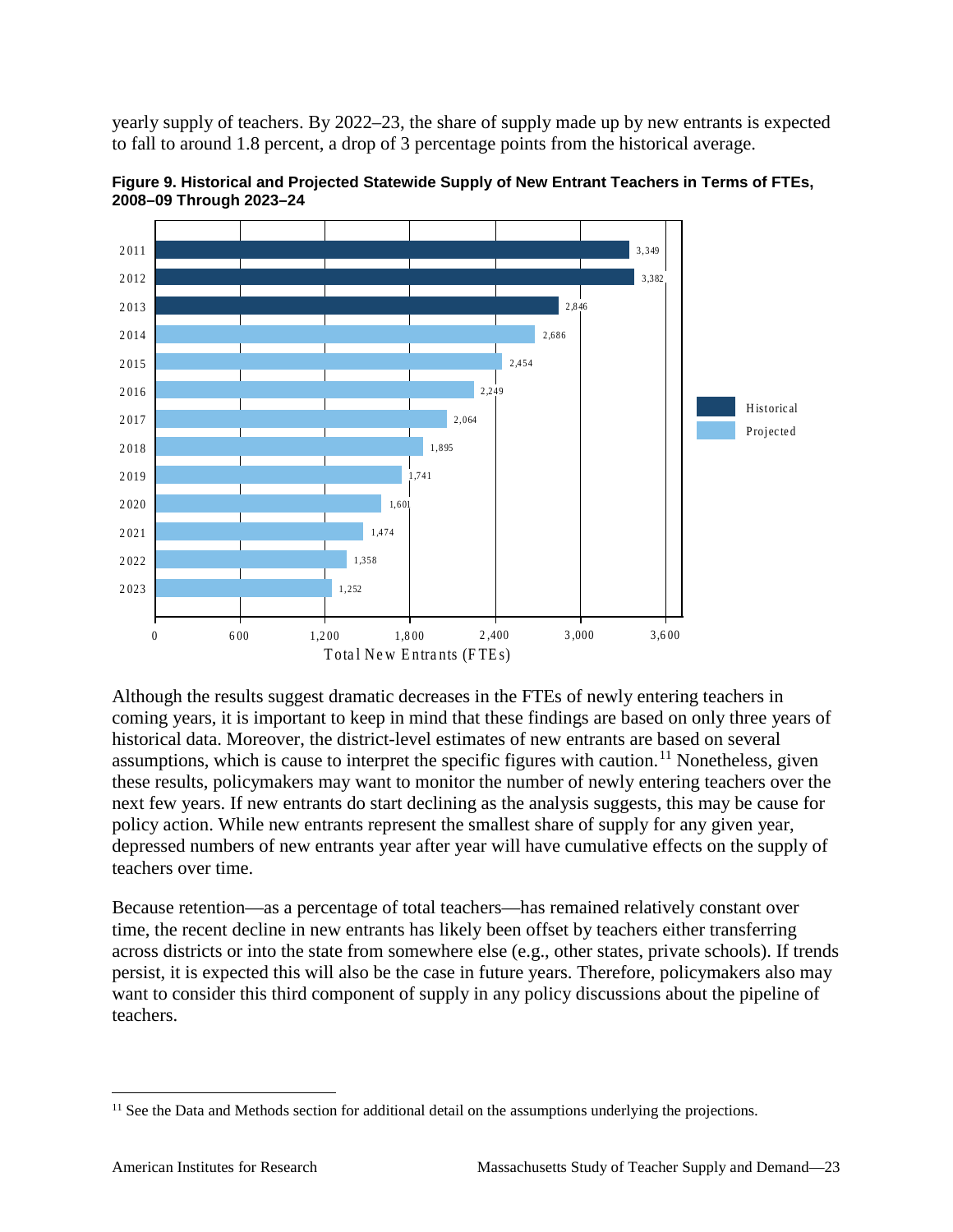yearly supply of teachers. By 2022–23, the share of supply made up by new entrants is expected to fall to around 1.8 percent, a drop of 3 percentage points from the historical average.



**Figure 9. Historical and Projected Statewide Supply of New Entrant Teachers in Terms of FTEs, 2008–09 Through 2023–24**

Although the results suggest dramatic decreases in the FTEs of newly entering teachers in coming years, it is important to keep in mind that these findings are based on only three years of historical data. Moreover, the district-level estimates of new entrants are based on several assumptions, which is cause to interpret the specific figures with caution.<sup>[11](#page-28-0)</sup> Nonetheless, given these results, policymakers may want to monitor the number of newly entering teachers over the next few years. If new entrants do start declining as the analysis suggests, this may be cause for policy action. While new entrants represent the smallest share of supply for any given year, depressed numbers of new entrants year after year will have cumulative effects on the supply of teachers over time.

Because retention—as a percentage of total teachers—has remained relatively constant over time, the recent decline in new entrants has likely been offset by teachers either transferring across districts or into the state from somewhere else (e.g., other states, private schools). If trends persist, it is expected this will also be the case in future years. Therefore, policymakers also may want to consider this third component of supply in any policy discussions about the pipeline of teachers.

<span id="page-28-0"></span> $11$  See the Data and Methods section for additional detail on the assumptions underlying the projections.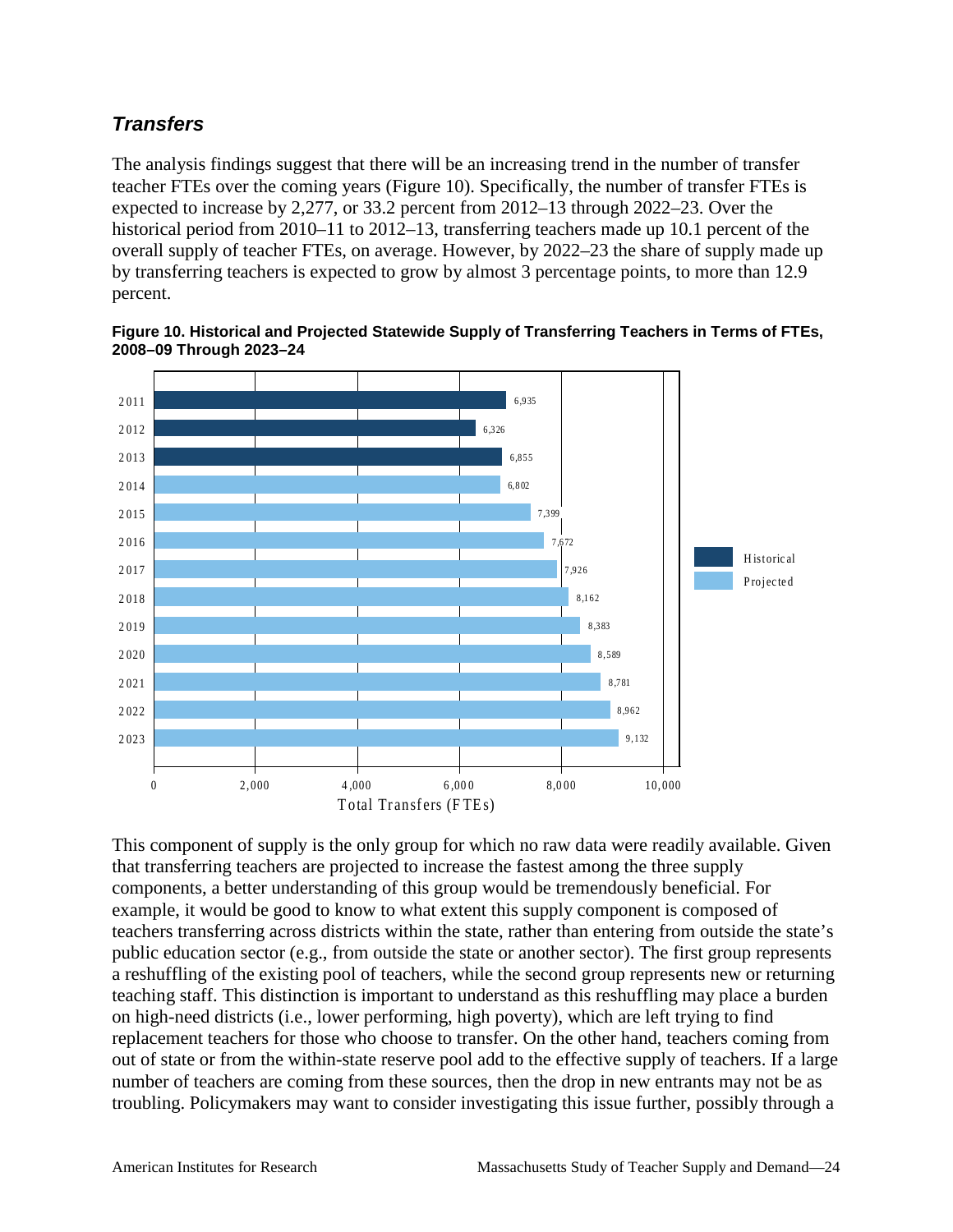## *Transfers*

The analysis findings suggest that there will be an increasing trend in the number of transfer teacher FTEs over the coming years (Figure 10). Specifically, the number of transfer FTEs is expected to increase by 2,277, or 33.2 percent from 2012–13 through 2022–23. Over the historical period from 2010–11 to 2012–13, transferring teachers made up 10.1 percent of the overall supply of teacher FTEs, on average. However, by 2022–23 the share of supply made up by transferring teachers is expected to grow by almost 3 percentage points, to more than 12.9 percent.



**Figure 10. Historical and Projected Statewide Supply of Transferring Teachers in Terms of FTEs, 2008–09 Through 2023–24**

This component of supply is the only group for which no raw data were readily available. Given that transferring teachers are projected to increase the fastest among the three supply components, a better understanding of this group would be tremendously beneficial. For example, it would be good to know to what extent this supply component is composed of teachers transferring across districts within the state, rather than entering from outside the state's public education sector (e.g., from outside the state or another sector). The first group represents a reshuffling of the existing pool of teachers, while the second group represents new or returning teaching staff. This distinction is important to understand as this reshuffling may place a burden on high-need districts (i.e., lower performing, high poverty), which are left trying to find replacement teachers for those who choose to transfer. On the other hand, teachers coming from out of state or from the within-state reserve pool add to the effective supply of teachers. If a large number of teachers are coming from these sources, then the drop in new entrants may not be as troubling. Policymakers may want to consider investigating this issue further, possibly through a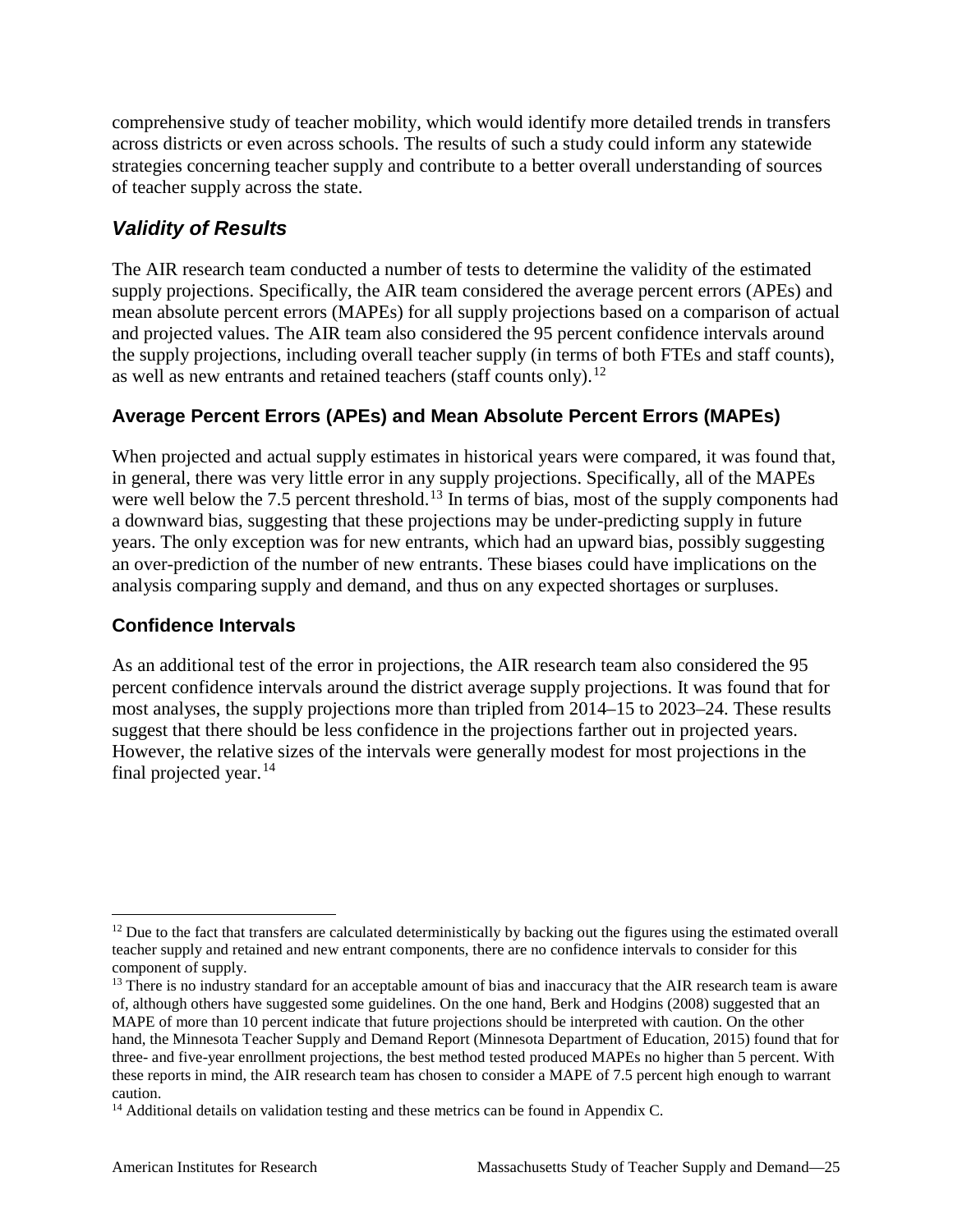comprehensive study of teacher mobility, which would identify more detailed trends in transfers across districts or even across schools. The results of such a study could inform any statewide strategies concerning teacher supply and contribute to a better overall understanding of sources of teacher supply across the state.

## *Validity of Results*

The AIR research team conducted a number of tests to determine the validity of the estimated supply projections. Specifically, the AIR team considered the average percent errors (APEs) and mean absolute percent errors (MAPEs) for all supply projections based on a comparison of actual and projected values. The AIR team also considered the 95 percent confidence intervals around the supply projections, including overall teacher supply (in terms of both FTEs and staff counts), as well as new entrants and retained teachers (staff counts only).<sup>[12](#page-30-0)</sup>

### **Average Percent Errors (APEs) and Mean Absolute Percent Errors (MAPEs)**

When projected and actual supply estimates in historical years were compared, it was found that, in general, there was very little error in any supply projections. Specifically, all of the MAPEs were well below the 7.5 percent threshold.<sup>[13](#page-30-1)</sup> In terms of bias, most of the supply components had a downward bias, suggesting that these projections may be under-predicting supply in future years. The only exception was for new entrants, which had an upward bias, possibly suggesting an over-prediction of the number of new entrants. These biases could have implications on the analysis comparing supply and demand, and thus on any expected shortages or surpluses.

#### **Confidence Intervals**

As an additional test of the error in projections, the AIR research team also considered the 95 percent confidence intervals around the district average supply projections. It was found that for most analyses, the supply projections more than tripled from 2014–15 to 2023–24. These results suggest that there should be less confidence in the projections farther out in projected years. However, the relative sizes of the intervals were generally modest for most projections in the final projected year. $14$ 

<span id="page-30-0"></span> $12$  Due to the fact that transfers are calculated deterministically by backing out the figures using the estimated overall teacher supply and retained and new entrant components, there are no confidence intervals to consider for this component of supply.

<span id="page-30-1"></span><sup>&</sup>lt;sup>13</sup> There is no industry standard for an acceptable amount of bias and inaccuracy that the AIR research team is aware of, although others have suggested some guidelines. On the one hand, Berk and Hodgins (2008) suggested that an MAPE of more than 10 percent indicate that future projections should be interpreted with caution. On the other hand, the Minnesota Teacher Supply and Demand Report (Minnesota Department of Education, 2015) found that for three- and five-year enrollment projections, the best method tested produced MAPEs no higher than 5 percent. With these reports in mind, the AIR research team has chosen to consider a MAPE of 7.5 percent high enough to warrant caution.

<span id="page-30-2"></span><sup>&</sup>lt;sup>14</sup> Additional details on validation testing and these metrics can be found in Appendix C.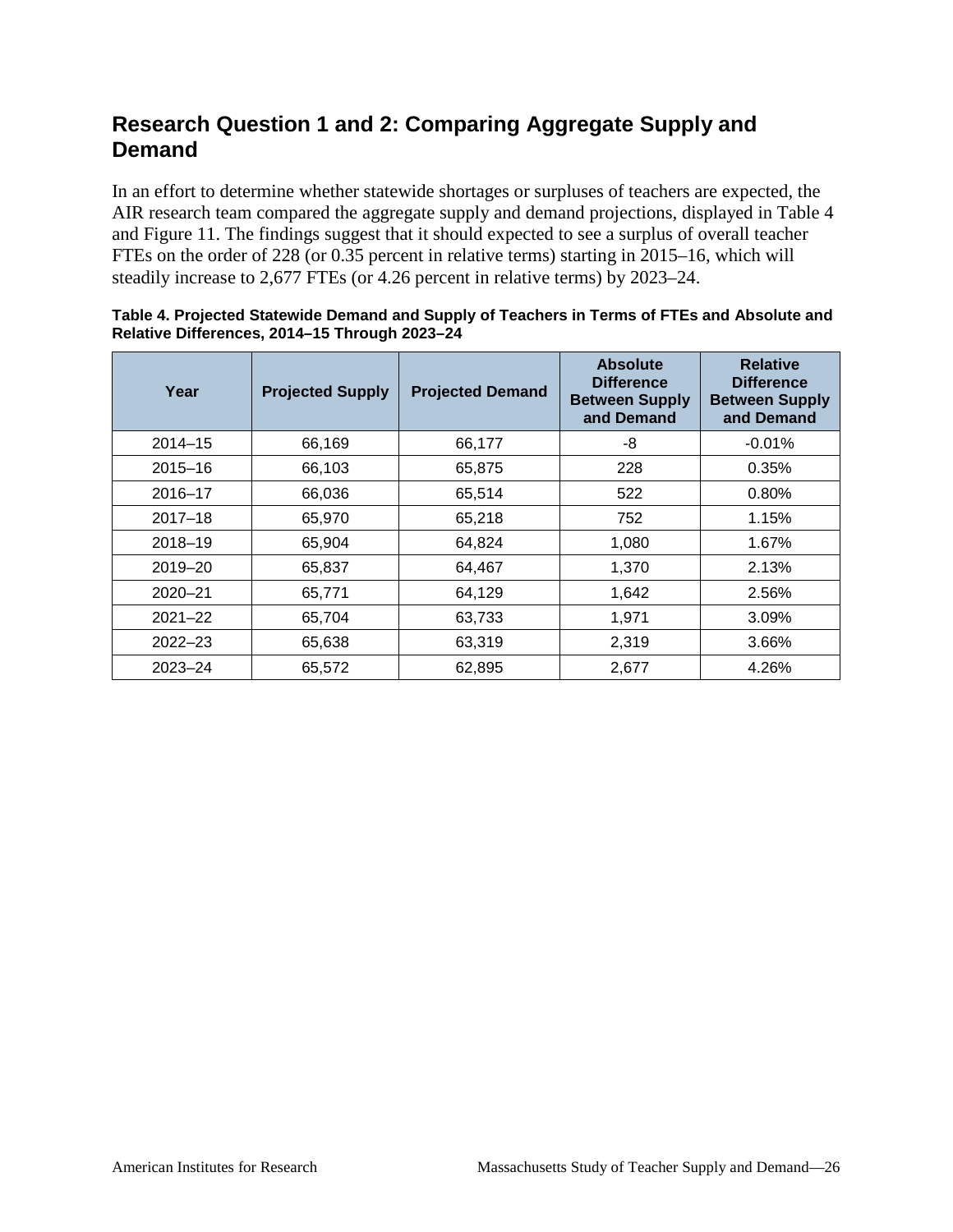## <span id="page-31-0"></span>**Research Question 1 and 2: Comparing Aggregate Supply and Demand**

In an effort to determine whether statewide shortages or surpluses of teachers are expected, the AIR research team compared the aggregate supply and demand projections, displayed in Table 4 and Figure 11. The findings suggest that it should expected to see a surplus of overall teacher FTEs on the order of 228 (or 0.35 percent in relative terms) starting in 2015–16, which will steadily increase to 2,677 FTEs (or 4.26 percent in relative terms) by 2023–24.

| Year        | <b>Projected Supply</b> | <b>Projected Demand</b> | <b>Absolute</b><br><b>Difference</b><br><b>Between Supply</b><br>and Demand | <b>Relative</b><br><b>Difference</b><br><b>Between Supply</b><br>and Demand |
|-------------|-------------------------|-------------------------|-----------------------------------------------------------------------------|-----------------------------------------------------------------------------|
| $2014 - 15$ | 66,169                  | 66,177                  | -8                                                                          | $-0.01%$                                                                    |
| $2015 - 16$ | 66,103                  | 65,875                  | 228                                                                         | 0.35%                                                                       |
| $2016 - 17$ | 66,036                  | 65,514                  | 522                                                                         | 0.80%                                                                       |
| $2017 - 18$ | 65,970                  | 65,218                  | 752                                                                         | 1.15%                                                                       |
| $2018 - 19$ | 65,904                  | 64,824                  | 1,080                                                                       | 1.67%                                                                       |
| $2019 - 20$ | 65,837                  | 64,467                  | 1,370                                                                       | 2.13%                                                                       |
| $2020 - 21$ | 65,771                  | 64,129                  | 1,642                                                                       | 2.56%                                                                       |
| $2021 - 22$ | 65,704                  | 63,733                  | 1,971                                                                       | 3.09%                                                                       |
| $2022 - 23$ | 65,638                  | 63,319                  | 2,319                                                                       | 3.66%                                                                       |
| $2023 - 24$ | 65,572                  | 62,895                  | 2.677                                                                       | 4.26%                                                                       |

#### **Table 4. Projected Statewide Demand and Supply of Teachers in Terms of FTEs and Absolute and Relative Differences, 2014–15 Through 2023–24**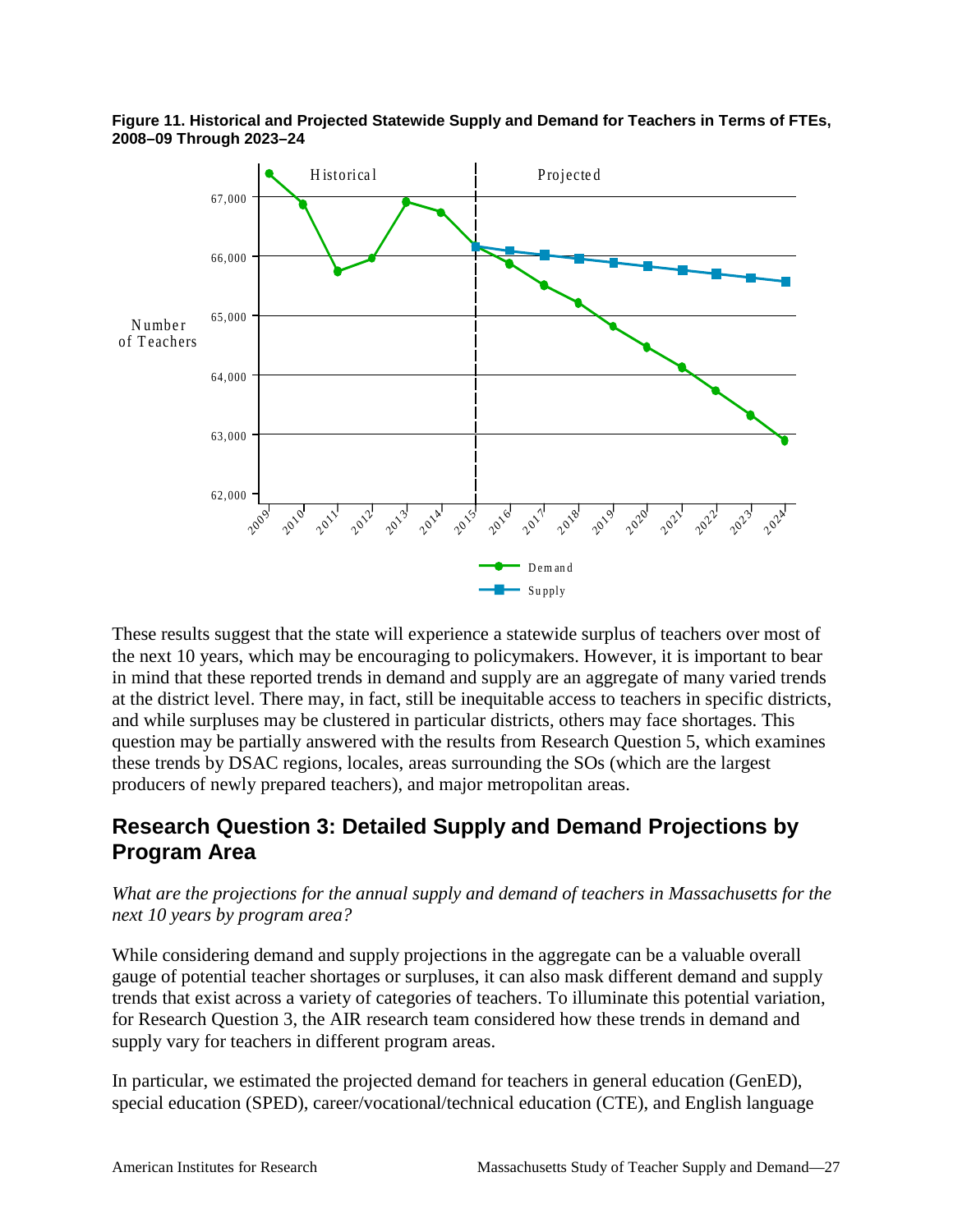

**Figure 11. Historical and Projected Statewide Supply and Demand for Teachers in Terms of FTEs, 2008–09 Through 2023–24**

These results suggest that the state will experience a statewide surplus of teachers over most of the next 10 years, which may be encouraging to policymakers. However, it is important to bear in mind that these reported trends in demand and supply are an aggregate of many varied trends at the district level. There may, in fact, still be inequitable access to teachers in specific districts, and while surpluses may be clustered in particular districts, others may face shortages. This question may be partially answered with the results from Research Question 5, which examines these trends by DSAC regions, locales, areas surrounding the SOs (which are the largest producers of newly prepared teachers), and major metropolitan areas.

## <span id="page-32-0"></span>**Research Question 3: Detailed Supply and Demand Projections by Program Area**

#### *What are the projections for the annual supply and demand of teachers in Massachusetts for the next 10 years by program area?*

While considering demand and supply projections in the aggregate can be a valuable overall gauge of potential teacher shortages or surpluses, it can also mask different demand and supply trends that exist across a variety of categories of teachers. To illuminate this potential variation, for Research Question 3, the AIR research team considered how these trends in demand and supply vary for teachers in different program areas.

In particular, we estimated the projected demand for teachers in general education (GenED), special education (SPED), career/vocational/technical education (CTE), and English language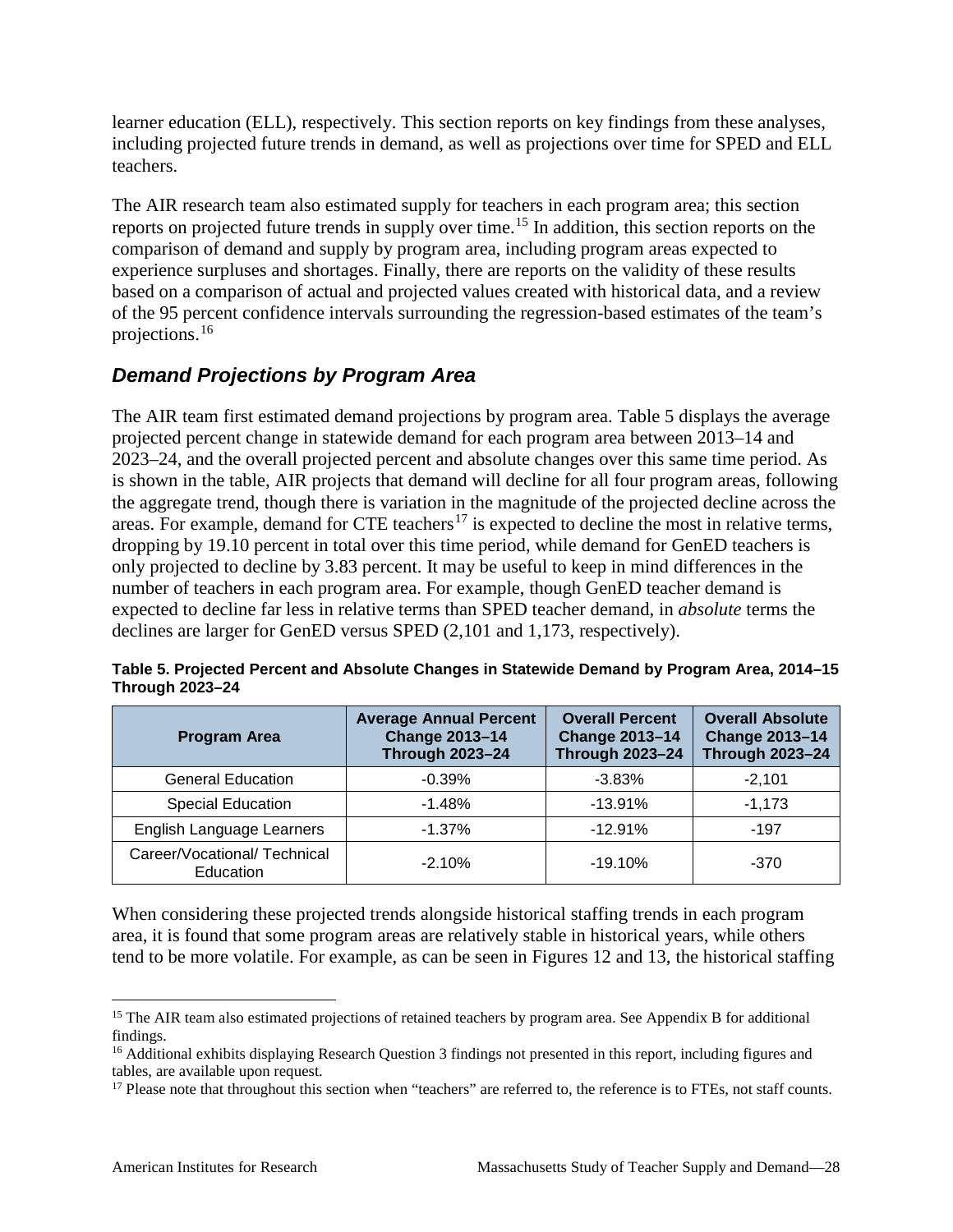learner education (ELL), respectively. This section reports on key findings from these analyses, including projected future trends in demand, as well as projections over time for SPED and ELL teachers.

The AIR research team also estimated supply for teachers in each program area; this section reports on projected future trends in supply over time.<sup>[15](#page-33-0)</sup> In addition, this section reports on the comparison of demand and supply by program area, including program areas expected to experience surpluses and shortages. Finally, there are reports on the validity of these results based on a comparison of actual and projected values created with historical data, and a review of the 95 percent confidence intervals surrounding the regression-based estimates of the team's projections.[16](#page-33-1)

## *Demand Projections by Program Area*

The AIR team first estimated demand projections by program area. Table 5 displays the average projected percent change in statewide demand for each program area between 2013–14 and 2023–24, and the overall projected percent and absolute changes over this same time period. As is shown in the table, AIR projects that demand will decline for all four program areas, following the aggregate trend, though there is variation in the magnitude of the projected decline across the areas. For example, demand for CTE teachers<sup>[17](#page-33-2)</sup> is expected to decline the most in relative terms, dropping by 19.10 percent in total over this time period, while demand for GenED teachers is only projected to decline by 3.83 percent. It may be useful to keep in mind differences in the number of teachers in each program area. For example, though GenED teacher demand is expected to decline far less in relative terms than SPED teacher demand, in *absolute* terms the declines are larger for GenED versus SPED (2,101 and 1,173, respectively).

| <b>Program Area</b>                      | <b>Average Annual Percent</b><br><b>Change 2013-14</b><br><b>Through 2023-24</b> | <b>Overall Percent</b><br><b>Change 2013-14</b><br><b>Through 2023-24</b> | <b>Overall Absolute</b><br><b>Change 2013-14</b><br><b>Through 2023-24</b> |
|------------------------------------------|----------------------------------------------------------------------------------|---------------------------------------------------------------------------|----------------------------------------------------------------------------|
| <b>General Education</b>                 | $-0.39%$                                                                         | $-3.83%$                                                                  | $-2.101$                                                                   |
| <b>Special Education</b>                 | $-1.48%$                                                                         | $-13.91%$                                                                 | $-1.173$                                                                   |
| English Language Learners                | $-1.37%$                                                                         | $-12.91%$                                                                 | $-197$                                                                     |
| Career/Vocational/Technical<br>Education | $-2.10%$                                                                         | $-19.10%$                                                                 | $-370$                                                                     |

**Table 5. Projected Percent and Absolute Changes in Statewide Demand by Program Area, 2014–15 Through 2023–24**

When considering these projected trends alongside historical staffing trends in each program area, it is found that some program areas are relatively stable in historical years, while others tend to be more volatile. For example, as can be seen in Figures 12 and 13, the historical staffing

<span id="page-33-0"></span><sup>&</sup>lt;sup>15</sup> The AIR team also estimated projections of retained teachers by program area. See Appendix B for additional findings.

<span id="page-33-1"></span><sup>&</sup>lt;sup>16</sup> Additional exhibits displaying Research Question 3 findings not presented in this report, including figures and tables, are available upon request.

<span id="page-33-2"></span><sup>&</sup>lt;sup>17</sup> Please note that throughout this section when "teachers" are referred to, the reference is to FTEs, not staff counts.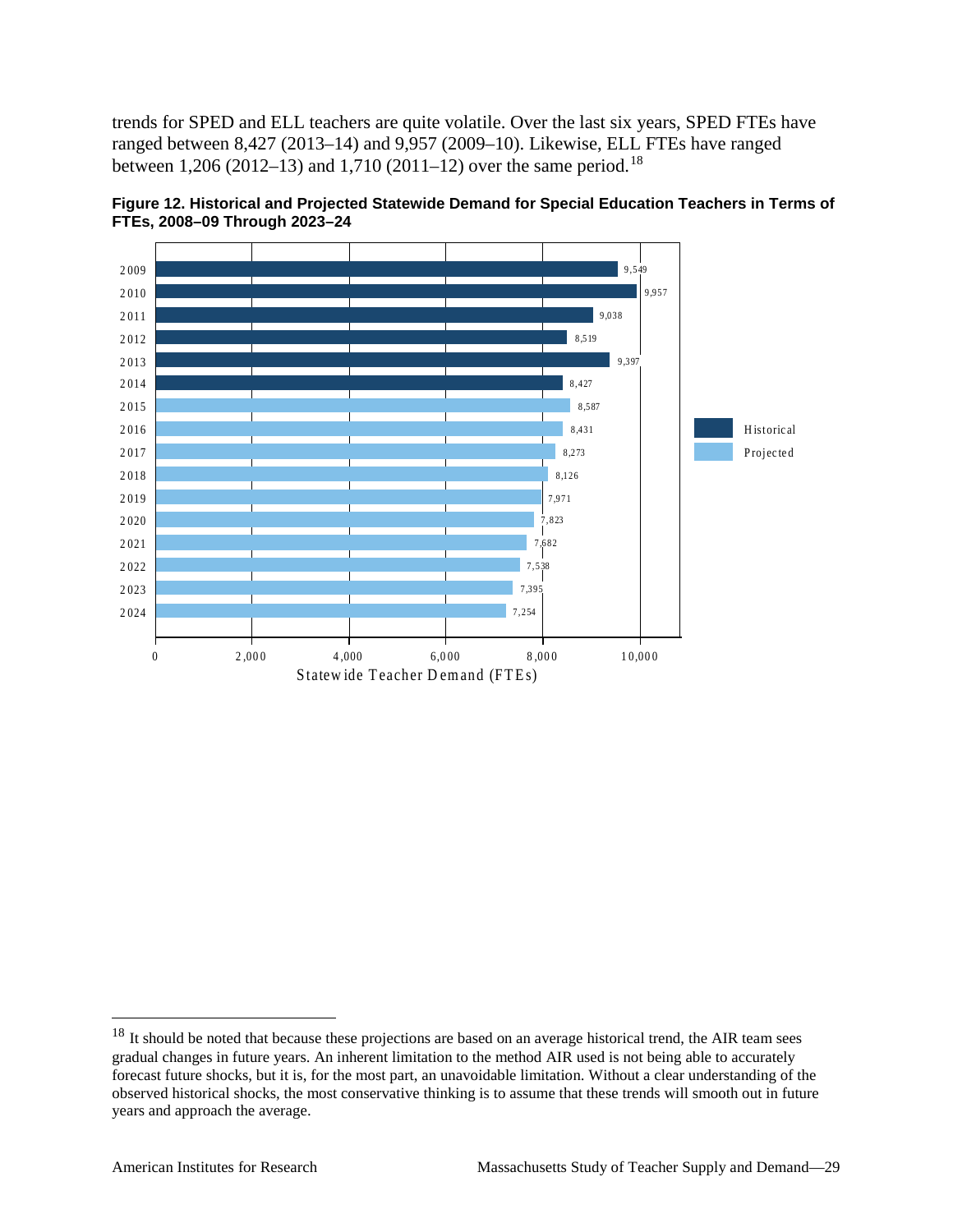trends for SPED and ELL teachers are quite volatile. Over the last six years, SPED FTEs have ranged between 8,427 (2013–14) and 9,957 (2009–10). Likewise, ELL FTEs have ranged between 1,206 (2012–13) and 1,710 (2011–12) over the same period.<sup>18</sup>



Figure 12. Historical and Projected Statewide Demand for Special Education Teachers in Terms of FTEs, 2008-09 Through 2023-24

<span id="page-34-0"></span> $18$  It should be noted that because these projections are based on an average historical trend, the AIR team sees gradual changes in future years. An inherent limitation to the method AIR used is not being able to accurately forecast future shocks, but it is, for the most part, an unavoidable limitation. Without a clear understanding of the observed historical shocks, the most conservative thinking is to assume that these trends will smooth out in future years and approach the average.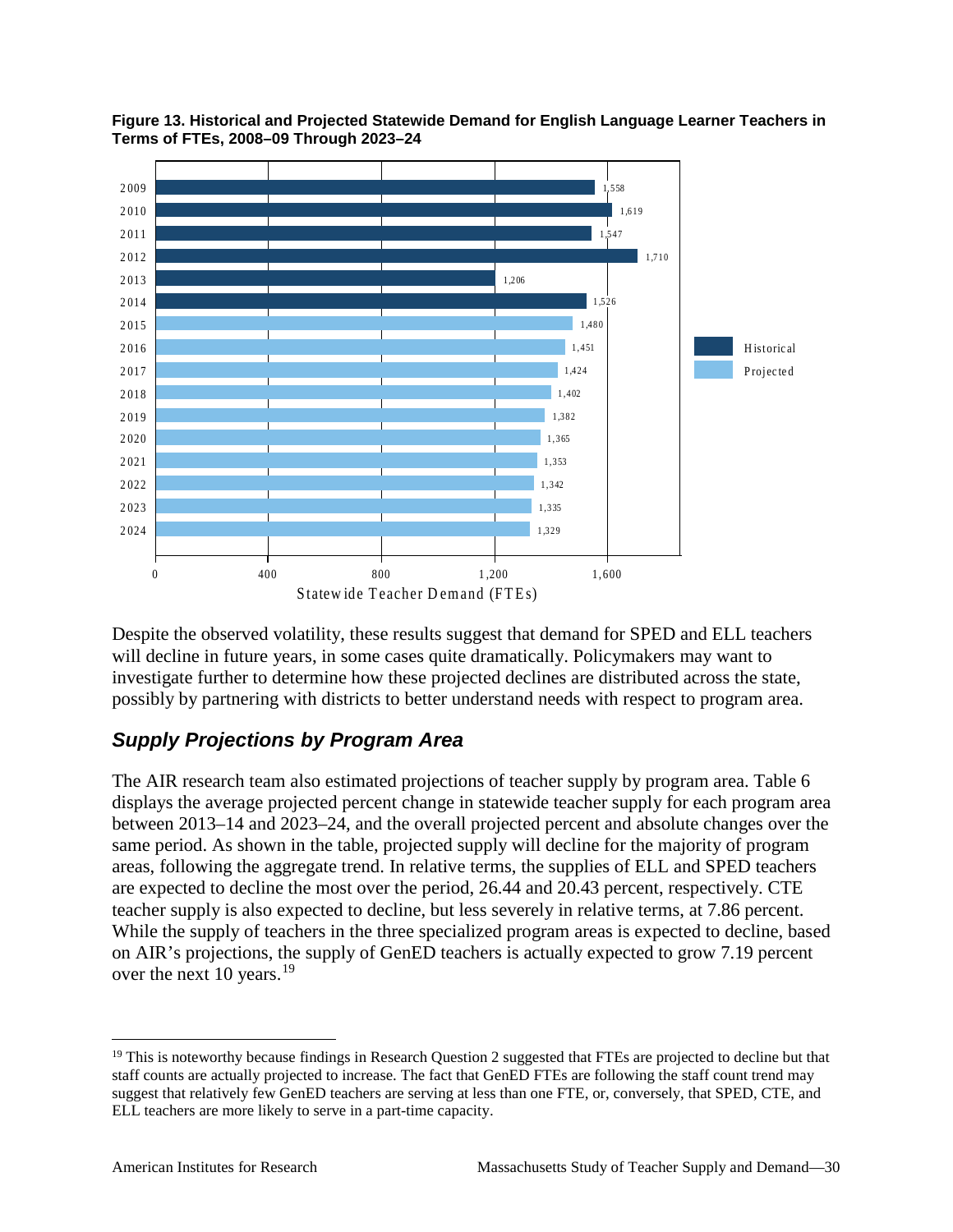

**Figure 13. Historical and Projected Statewide Demand for English Language Learner Teachers in Terms of FTEs, 2008–09 Through 2023–24**

Despite the observed volatility, these results suggest that demand for SPED and ELL teachers will decline in future years, in some cases quite dramatically. Policymakers may want to investigate further to determine how these projected declines are distributed across the state, possibly by partnering with districts to better understand needs with respect to program area.

## *Supply Projections by Program Area*

The AIR research team also estimated projections of teacher supply by program area. Table 6 displays the average projected percent change in statewide teacher supply for each program area between 2013–14 and 2023–24, and the overall projected percent and absolute changes over the same period. As shown in the table, projected supply will decline for the majority of program areas, following the aggregate trend. In relative terms, the supplies of ELL and SPED teachers are expected to decline the most over the period, 26.44 and 20.43 percent, respectively. CTE teacher supply is also expected to decline, but less severely in relative terms, at 7.86 percent. While the supply of teachers in the three specialized program areas is expected to decline, based on AIR's projections, the supply of GenED teachers is actually expected to grow 7.19 percent over the next 10 years.<sup>[19](#page-35-0)</sup>

<span id="page-35-0"></span><sup>&</sup>lt;sup>19</sup> This is noteworthy because findings in Research Question 2 suggested that FTEs are projected to decline but that staff counts are actually projected to increase. The fact that GenED FTEs are following the staff count trend may suggest that relatively few GenED teachers are serving at less than one FTE, or, conversely, that SPED, CTE, and ELL teachers are more likely to serve in a part-time capacity.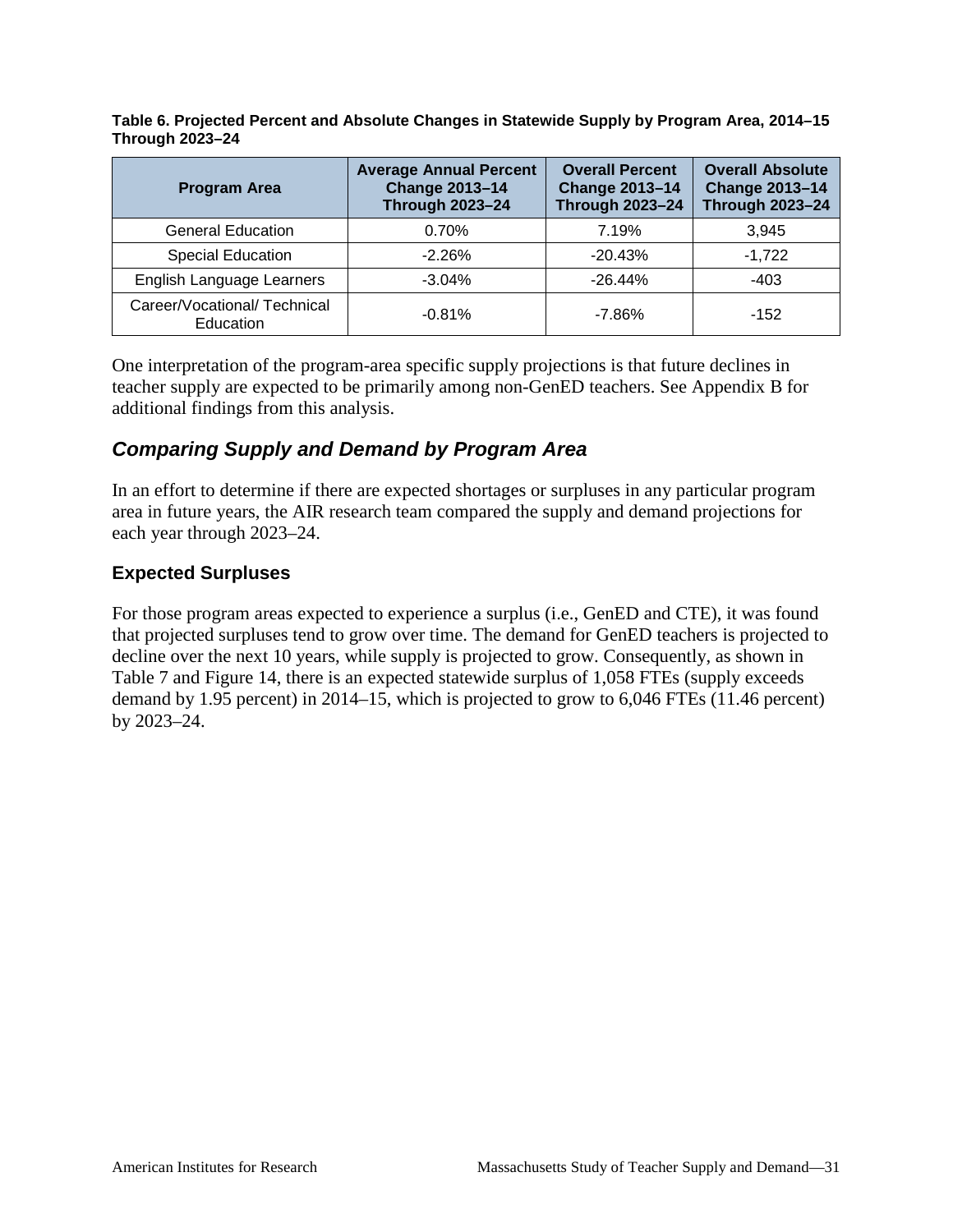**Table 6. Projected Percent and Absolute Changes in Statewide Supply by Program Area, 2014–15 Through 2023–24**

| <b>Program Area</b>                       | <b>Average Annual Percent</b><br><b>Change 2013-14</b><br><b>Through 2023-24</b> | <b>Overall Percent</b><br><b>Change 2013-14</b><br><b>Through 2023-24</b> | <b>Overall Absolute</b><br><b>Change 2013-14</b><br><b>Through 2023-24</b> |
|-------------------------------------------|----------------------------------------------------------------------------------|---------------------------------------------------------------------------|----------------------------------------------------------------------------|
| <b>General Education</b>                  | 0.70%                                                                            | 7.19%                                                                     | 3.945                                                                      |
| <b>Special Education</b>                  | $-2.26%$                                                                         | $-20.43%$                                                                 | $-1.722$                                                                   |
| English Language Learners                 | $-3.04%$                                                                         | $-26.44%$                                                                 | $-403$                                                                     |
| Career/Vocational/ Technical<br>Education | $-0.81%$                                                                         | $-7.86\%$                                                                 | $-152$                                                                     |

One interpretation of the program-area specific supply projections is that future declines in teacher supply are expected to be primarily among non-GenED teachers. See Appendix B for additional findings from this analysis.

#### *Comparing Supply and Demand by Program Area*

In an effort to determine if there are expected shortages or surpluses in any particular program area in future years, the AIR research team compared the supply and demand projections for each year through 2023–24.

#### **Expected Surpluses**

For those program areas expected to experience a surplus (i.e., GenED and CTE), it was found that projected surpluses tend to grow over time. The demand for GenED teachers is projected to decline over the next 10 years, while supply is projected to grow. Consequently, as shown in Table 7 and Figure 14, there is an expected statewide surplus of 1,058 FTEs (supply exceeds demand by 1.95 percent) in 2014–15, which is projected to grow to 6,046 FTEs (11.46 percent) by 2023–24.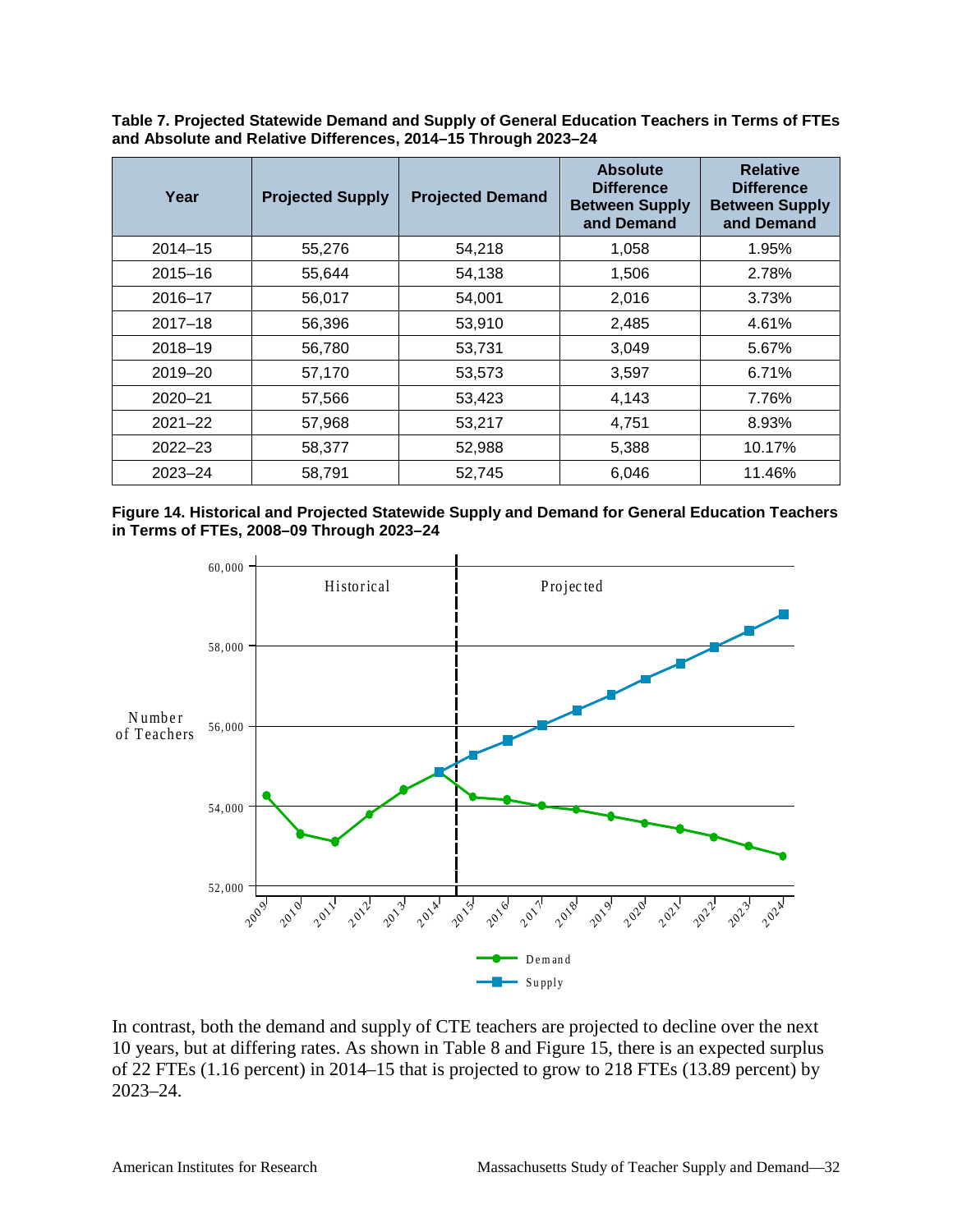| Table 7. Projected Statewide Demand and Supply of General Education Teachers in Terms of FTEs |
|-----------------------------------------------------------------------------------------------|
| and Absolute and Relative Differences, 2014-15 Through 2023-24                                |

| Year        | <b>Projected Supply</b> | <b>Projected Demand</b> | <b>Absolute</b><br><b>Difference</b><br><b>Between Supply</b><br>and Demand | <b>Relative</b><br><b>Difference</b><br><b>Between Supply</b><br>and Demand |
|-------------|-------------------------|-------------------------|-----------------------------------------------------------------------------|-----------------------------------------------------------------------------|
| $2014 - 15$ | 55,276                  | 54,218                  | 1,058                                                                       | 1.95%                                                                       |
| $2015 - 16$ | 55,644                  | 54,138                  | 1,506                                                                       | 2.78%                                                                       |
| $2016 - 17$ | 56,017                  | 54,001                  | 2,016                                                                       | 3.73%                                                                       |
| $2017 - 18$ | 56,396                  | 53,910                  | 2,485                                                                       | 4.61%                                                                       |
| $2018 - 19$ | 56,780                  | 53,731                  | 3,049                                                                       | 5.67%                                                                       |
| $2019 - 20$ | 57,170                  | 53,573                  | 3,597                                                                       | 6.71%                                                                       |
| $2020 - 21$ | 57,566                  | 53,423                  | 4,143                                                                       | 7.76%                                                                       |
| $2021 - 22$ | 57,968                  | 53,217                  | 4,751                                                                       | 8.93%                                                                       |
| $2022 - 23$ | 58,377                  | 52,988                  | 5,388                                                                       | 10.17%                                                                      |
| $2023 - 24$ | 58,791                  | 52,745                  | 6,046                                                                       | 11.46%                                                                      |

**Figure 14. Historical and Projected Statewide Supply and Demand for General Education Teachers in Terms of FTEs, 2008–09 Through 2023–24**



In contrast, both the demand and supply of CTE teachers are projected to decline over the next 10 years, but at differing rates. As shown in Table 8 and Figure 15, there is an expected surplus of 22 FTEs (1.16 percent) in 2014–15 that is projected to grow to 218 FTEs (13.89 percent) by 2023–24.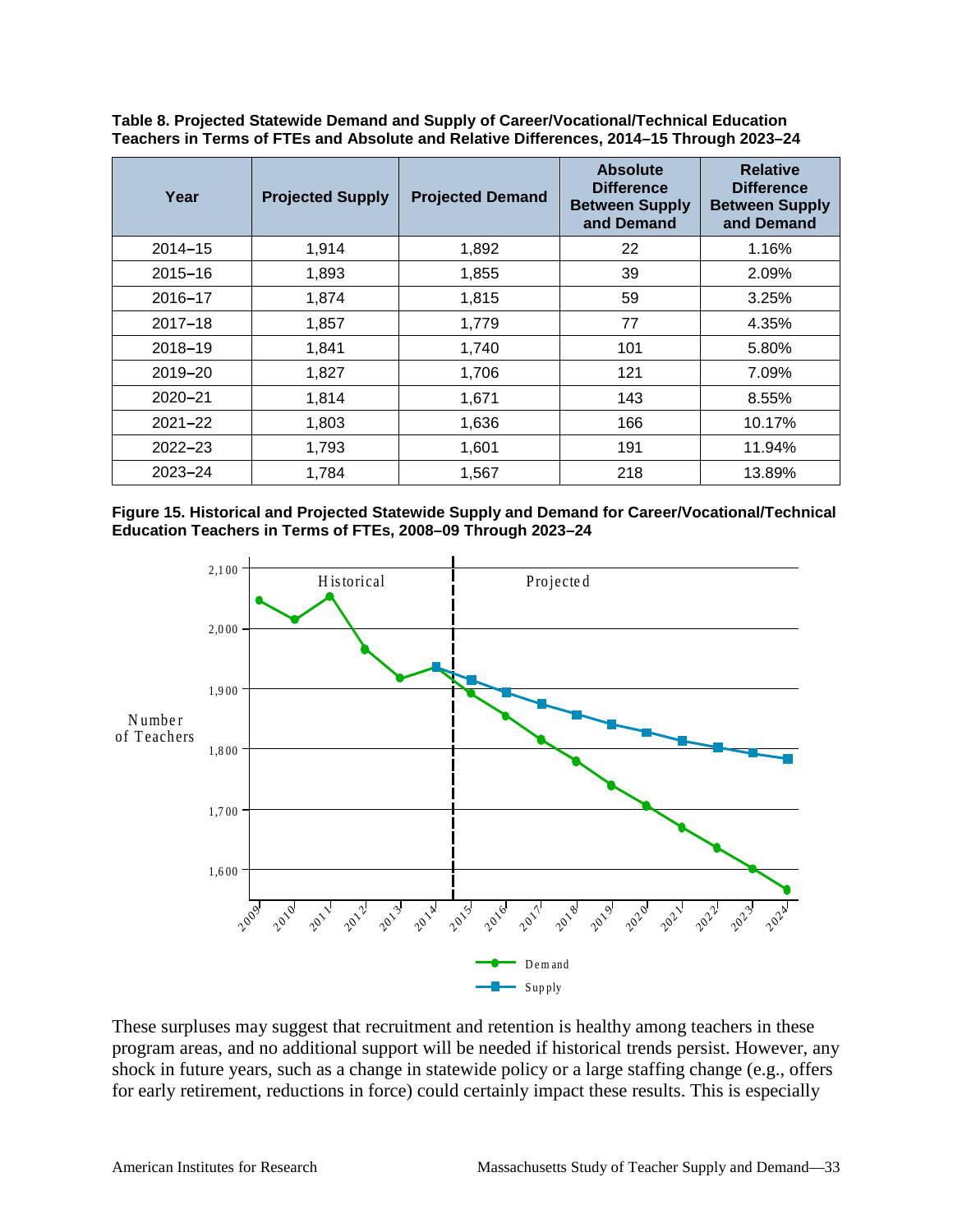| Year        | <b>Projected Supply</b> | <b>Projected Demand</b> | <b>Absolute</b><br><b>Difference</b><br><b>Between Supply</b><br>and Demand | <b>Relative</b><br><b>Difference</b><br><b>Between Supply</b><br>and Demand |
|-------------|-------------------------|-------------------------|-----------------------------------------------------------------------------|-----------------------------------------------------------------------------|
| $2014 - 15$ | 1,914                   | 1,892                   | 22                                                                          | 1.16%                                                                       |
| $2015 - 16$ | 1,893                   | 1,855                   | 39                                                                          | 2.09%                                                                       |
| 2016-17     | 1,874                   | 1,815                   | 59                                                                          | 3.25%                                                                       |
| $2017 - 18$ | 1,857                   | 1,779                   | 77                                                                          | 4.35%                                                                       |
| 2018-19     | 1,841                   | 1,740                   | 101                                                                         | 5.80%                                                                       |
| 2019-20     | 1,827                   | 1,706                   | 121                                                                         | 7.09%                                                                       |
| $2020 - 21$ | 1,814                   | 1,671                   | 143                                                                         | 8.55%                                                                       |
| $2021 - 22$ | 1,803                   | 1,636                   | 166                                                                         | 10.17%                                                                      |
| $2022 - 23$ | 1,793                   | 1,601                   | 191                                                                         | 11.94%                                                                      |
| $2023 - 24$ | 1,784                   | 1,567                   | 218                                                                         | 13.89%                                                                      |

**Table 8. Projected Statewide Demand and Supply of Career/Vocational/Technical Education Teachers in Terms of FTEs and Absolute and Relative Differences, 2014–15 Through 2023–24**





These surpluses may suggest that recruitment and retention is healthy among teachers in these program areas, and no additional support will be needed if historical trends persist. However, any shock in future years, such as a change in statewide policy or a large staffing change (e.g., offers for early retirement, reductions in force) could certainly impact these results. This is especially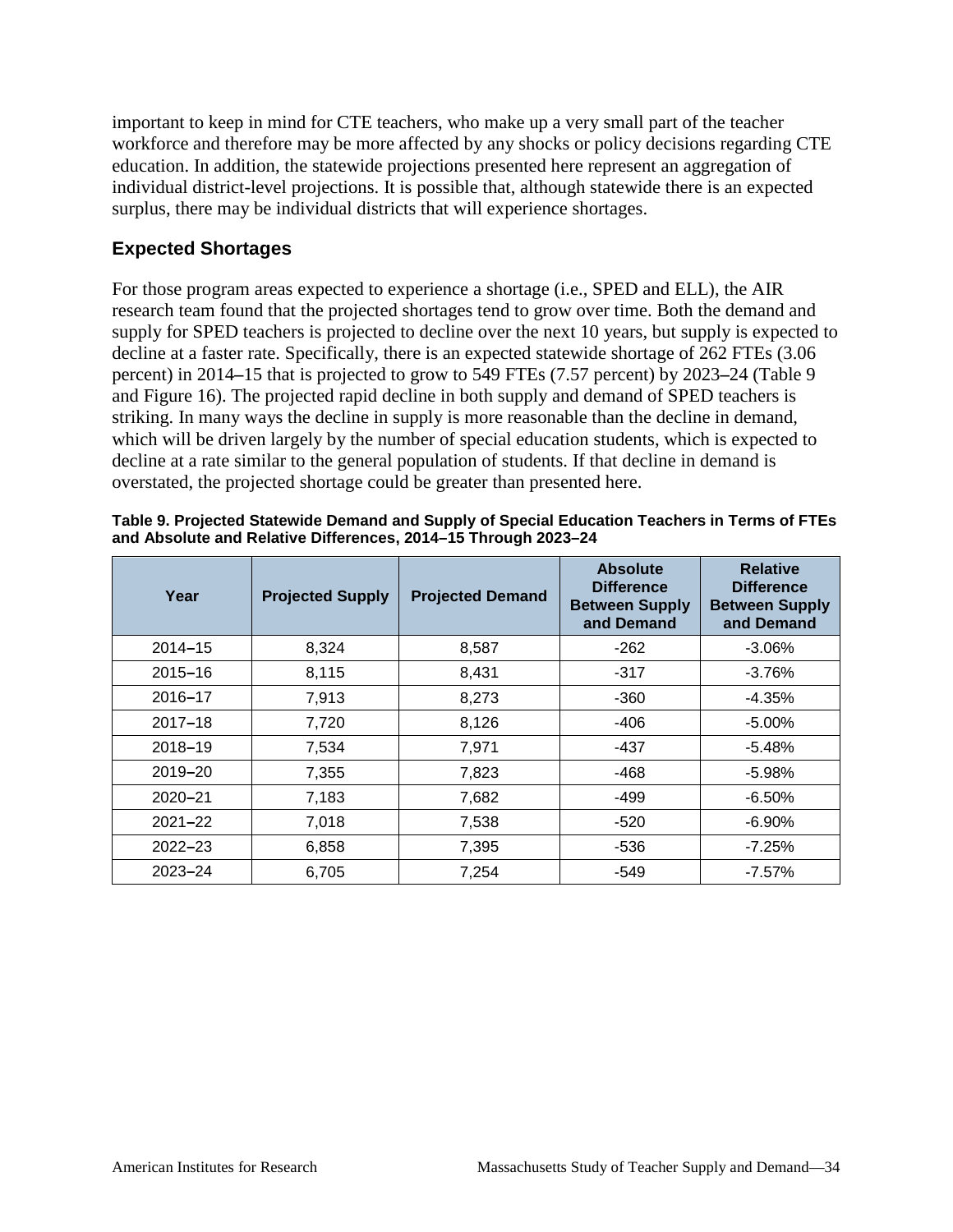important to keep in mind for CTE teachers, who make up a very small part of the teacher workforce and therefore may be more affected by any shocks or policy decisions regarding CTE education. In addition, the statewide projections presented here represent an aggregation of individual district-level projections. It is possible that, although statewide there is an expected surplus, there may be individual districts that will experience shortages.

#### **Expected Shortages**

For those program areas expected to experience a shortage (i.e., SPED and ELL), the AIR research team found that the projected shortages tend to grow over time. Both the demand and supply for SPED teachers is projected to decline over the next 10 years, but supply is expected to decline at a faster rate. Specifically, there is an expected statewide shortage of 262 FTEs (3.06 percent) in 2014**–**15 that is projected to grow to 549 FTEs (7.57 percent) by 2023**–**24 (Table 9 and Figure 16). The projected rapid decline in both supply and demand of SPED teachers is striking. In many ways the decline in supply is more reasonable than the decline in demand, which will be driven largely by the number of special education students, which is expected to decline at a rate similar to the general population of students. If that decline in demand is overstated, the projected shortage could be greater than presented here.

| Year        | <b>Projected Supply</b> | <b>Projected Demand</b> | <b>Absolute</b><br><b>Difference</b><br><b>Between Supply</b><br>and Demand | <b>Relative</b><br><b>Difference</b><br><b>Between Supply</b><br>and Demand |
|-------------|-------------------------|-------------------------|-----------------------------------------------------------------------------|-----------------------------------------------------------------------------|
| $2014 - 15$ | 8,324                   | 8,587                   | $-262$                                                                      | $-3.06\%$                                                                   |
| $2015 - 16$ | 8,115                   | 8,431                   | $-317$                                                                      | $-3.76%$                                                                    |
| 2016-17     | 7,913                   | 8,273                   | $-360$                                                                      | $-4.35%$                                                                    |
| $2017 - 18$ | 7,720                   | 8,126                   | $-406$                                                                      | $-5.00\%$                                                                   |
| 2018-19     | 7,534                   | 7,971                   | $-437$                                                                      | $-5.48%$                                                                    |
| $2019 - 20$ | 7,355                   | 7,823                   | $-468$                                                                      | $-5.98\%$                                                                   |
| $2020 - 21$ | 7,183                   | 7,682                   | $-499$                                                                      | $-6.50\%$                                                                   |
| $2021 - 22$ | 7,018                   | 7,538                   | $-520$                                                                      | $-6.90\%$                                                                   |
| $2022 - 23$ | 6,858                   | 7,395                   | -536                                                                        | -7.25%                                                                      |
| $2023 - 24$ | 6,705                   | 7,254                   | $-549$                                                                      | $-7.57\%$                                                                   |

| Table 9. Projected Statewide Demand and Supply of Special Education Teachers in Terms of FTEs |
|-----------------------------------------------------------------------------------------------|
| and Absolute and Relative Differences, 2014-15 Through 2023-24                                |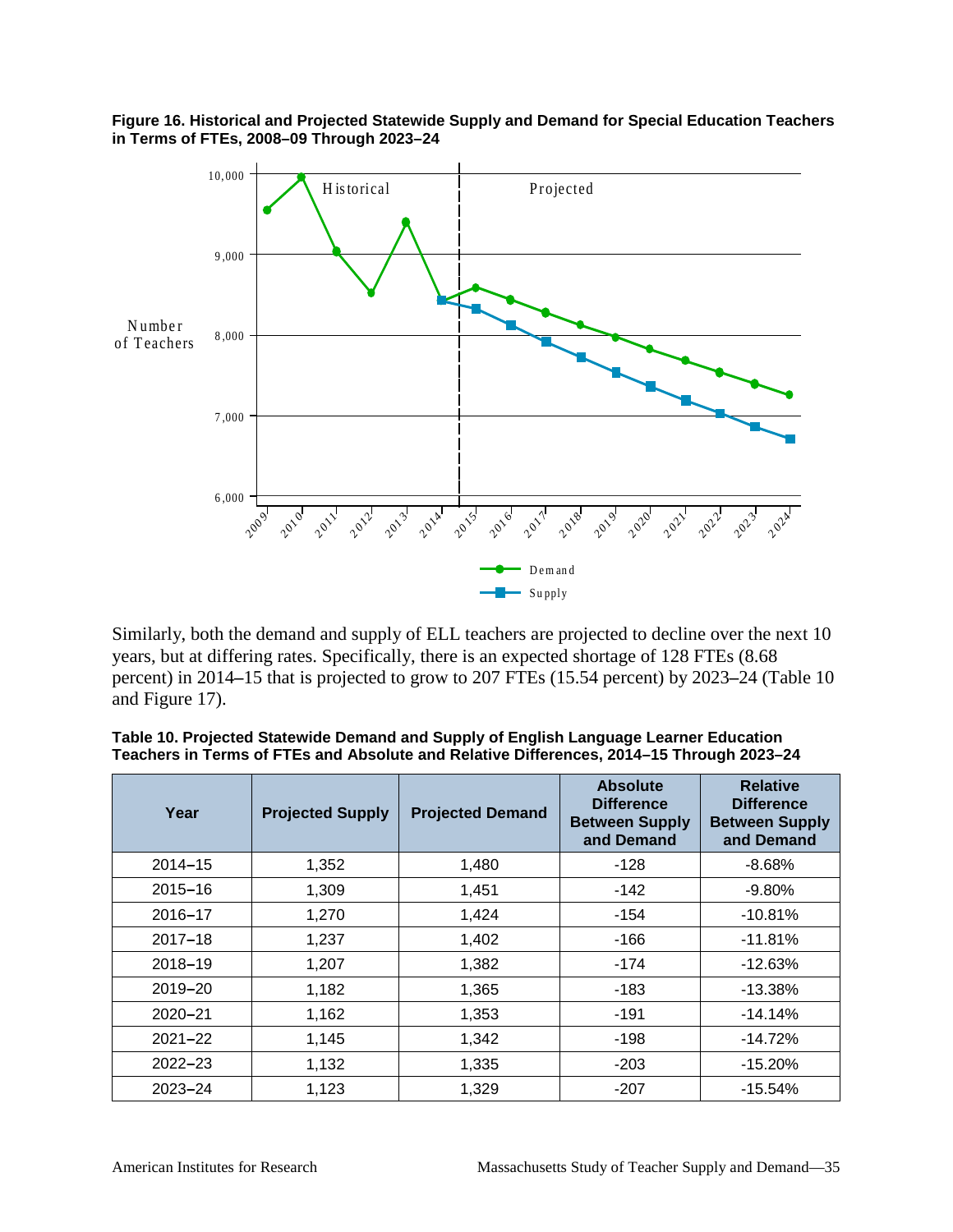



Similarly, both the demand and supply of ELL teachers are projected to decline over the next 10 years, but at differing rates. Specifically, there is an expected shortage of 128 FTEs (8.68 percent) in 2014**–**15 that is projected to grow to 207 FTEs (15.54 percent) by 2023**–**24 (Table 10 and Figure 17).

| Year        | <b>Projected Supply</b> | <b>Projected Demand</b> | <b>Absolute</b><br><b>Difference</b><br><b>Between Supply</b><br>and Demand | <b>Relative</b><br><b>Difference</b><br><b>Between Supply</b><br>and Demand |
|-------------|-------------------------|-------------------------|-----------------------------------------------------------------------------|-----------------------------------------------------------------------------|
| $2014 - 15$ | 1,352                   | 1,480                   | $-128$                                                                      | $-8.68\%$                                                                   |
| $2015 - 16$ | 1,309                   | 1,451                   | $-142$                                                                      | $-9.80\%$                                                                   |
| 2016-17     | 1,270                   | 1,424                   | $-154$                                                                      | $-10.81%$                                                                   |
| $2017 - 18$ | 1,237                   | 1,402                   | $-166$                                                                      | $-11.81%$                                                                   |
| 2018-19     | 1,207                   | 1,382                   | $-174$                                                                      | $-12.63%$                                                                   |
| 2019-20     | 1,182                   | 1,365                   | -183                                                                        | $-13.38%$                                                                   |
| 2020-21     | 1,162                   | 1,353                   | $-191$                                                                      | $-14.14%$                                                                   |
| $2021 - 22$ | 1,145                   | 1,342                   | $-198$                                                                      | $-14.72%$                                                                   |
| $2022 - 23$ | 1,132                   | 1,335                   | $-203$                                                                      | $-15.20%$                                                                   |
| 2023-24     | 1,123                   | 1,329                   | $-207$                                                                      | $-15.54%$                                                                   |

**Table 10. Projected Statewide Demand and Supply of English Language Learner Education Teachers in Terms of FTEs and Absolute and Relative Differences, 2014–15 Through 2023–24**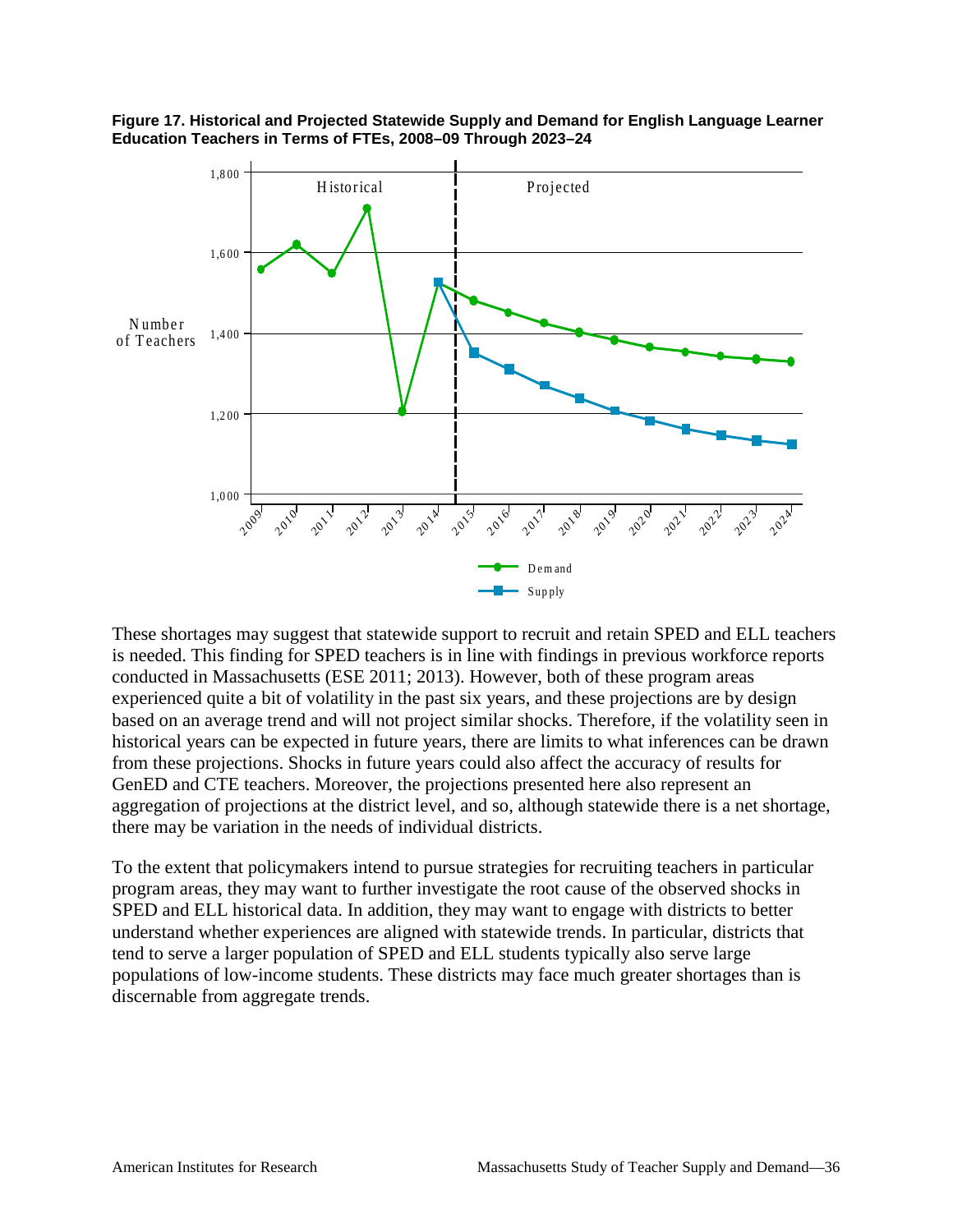

**Figure 17. Historical and Projected Statewide Supply and Demand for English Language Learner Education Teachers in Terms of FTEs, 2008–09 Through 2023–24**

These shortages may suggest that statewide support to recruit and retain SPED and ELL teachers is needed. This finding for SPED teachers is in line with findings in previous workforce reports conducted in Massachusetts (ESE 2011; 2013). However, both of these program areas experienced quite a bit of volatility in the past six years, and these projections are by design based on an average trend and will not project similar shocks. Therefore, if the volatility seen in historical years can be expected in future years, there are limits to what inferences can be drawn from these projections. Shocks in future years could also affect the accuracy of results for GenED and CTE teachers. Moreover, the projections presented here also represent an aggregation of projections at the district level, and so, although statewide there is a net shortage, there may be variation in the needs of individual districts.

To the extent that policymakers intend to pursue strategies for recruiting teachers in particular program areas, they may want to further investigate the root cause of the observed shocks in SPED and ELL historical data. In addition, they may want to engage with districts to better understand whether experiences are aligned with statewide trends. In particular, districts that tend to serve a larger population of SPED and ELL students typically also serve large populations of low-income students. These districts may face much greater shortages than is discernable from aggregate trends.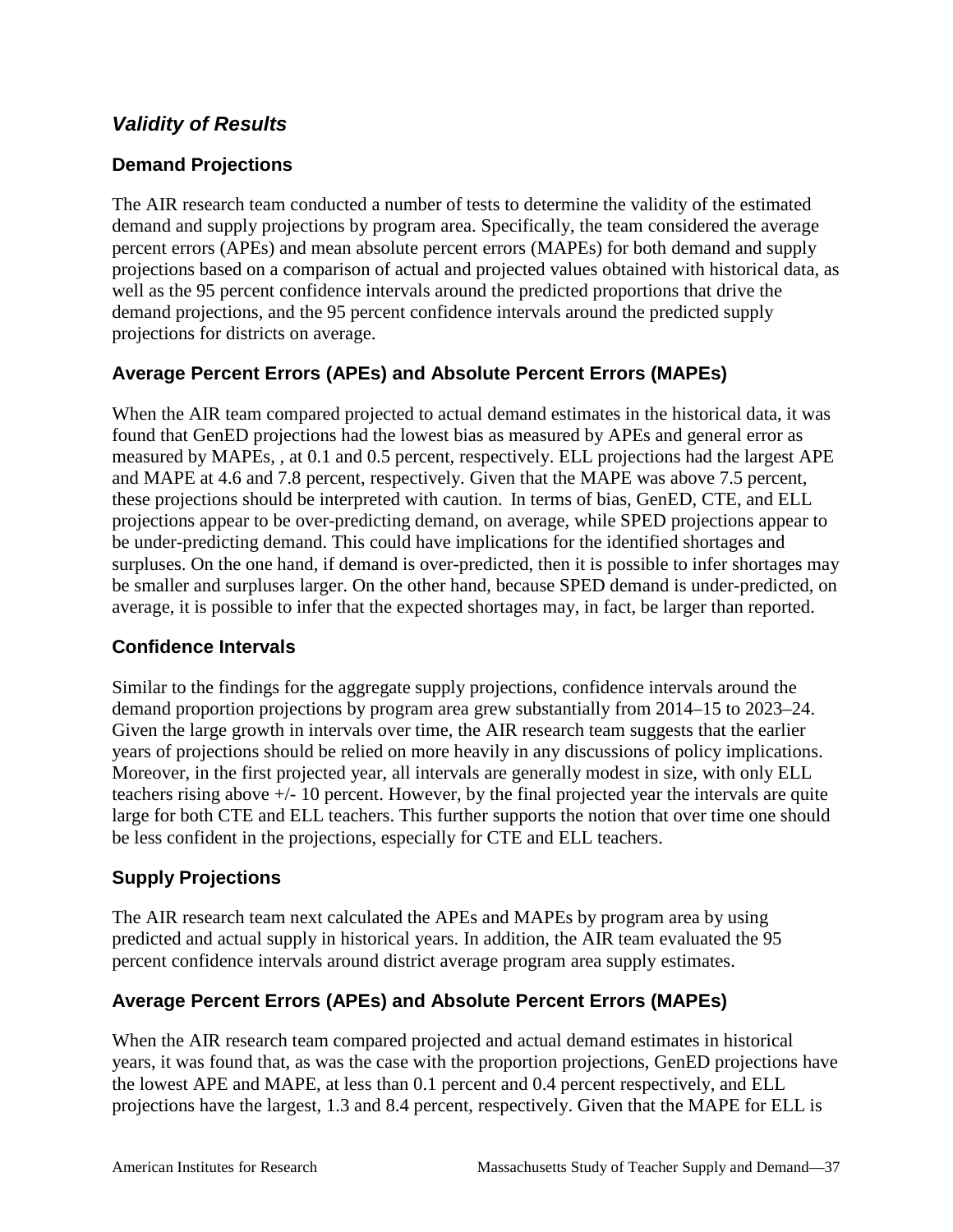#### *Validity of Results*

#### **Demand Projections**

The AIR research team conducted a number of tests to determine the validity of the estimated demand and supply projections by program area. Specifically, the team considered the average percent errors (APEs) and mean absolute percent errors (MAPEs) for both demand and supply projections based on a comparison of actual and projected values obtained with historical data, as well as the 95 percent confidence intervals around the predicted proportions that drive the demand projections, and the 95 percent confidence intervals around the predicted supply projections for districts on average.

#### **Average Percent Errors (APEs) and Absolute Percent Errors (MAPEs)**

When the AIR team compared projected to actual demand estimates in the historical data, it was found that GenED projections had the lowest bias as measured by APEs and general error as measured by MAPEs, , at 0.1 and 0.5 percent, respectively. ELL projections had the largest APE and MAPE at 4.6 and 7.8 percent, respectively. Given that the MAPE was above 7.5 percent, these projections should be interpreted with caution. In terms of bias, GenED, CTE, and ELL projections appear to be over-predicting demand, on average, while SPED projections appear to be under-predicting demand. This could have implications for the identified shortages and surpluses. On the one hand, if demand is over-predicted, then it is possible to infer shortages may be smaller and surpluses larger. On the other hand, because SPED demand is under-predicted, on average, it is possible to infer that the expected shortages may, in fact, be larger than reported.

#### **Confidence Intervals**

Similar to the findings for the aggregate supply projections, confidence intervals around the demand proportion projections by program area grew substantially from 2014–15 to 2023–24. Given the large growth in intervals over time, the AIR research team suggests that the earlier years of projections should be relied on more heavily in any discussions of policy implications. Moreover, in the first projected year, all intervals are generally modest in size, with only ELL teachers rising above +/- 10 percent. However, by the final projected year the intervals are quite large for both CTE and ELL teachers. This further supports the notion that over time one should be less confident in the projections, especially for CTE and ELL teachers.

#### **Supply Projections**

The AIR research team next calculated the APEs and MAPEs by program area by using predicted and actual supply in historical years. In addition, the AIR team evaluated the 95 percent confidence intervals around district average program area supply estimates.

#### **Average Percent Errors (APEs) and Absolute Percent Errors (MAPEs)**

When the AIR research team compared projected and actual demand estimates in historical years, it was found that, as was the case with the proportion projections, GenED projections have the lowest APE and MAPE, at less than 0.1 percent and 0.4 percent respectively, and ELL projections have the largest, 1.3 and 8.4 percent, respectively. Given that the MAPE for ELL is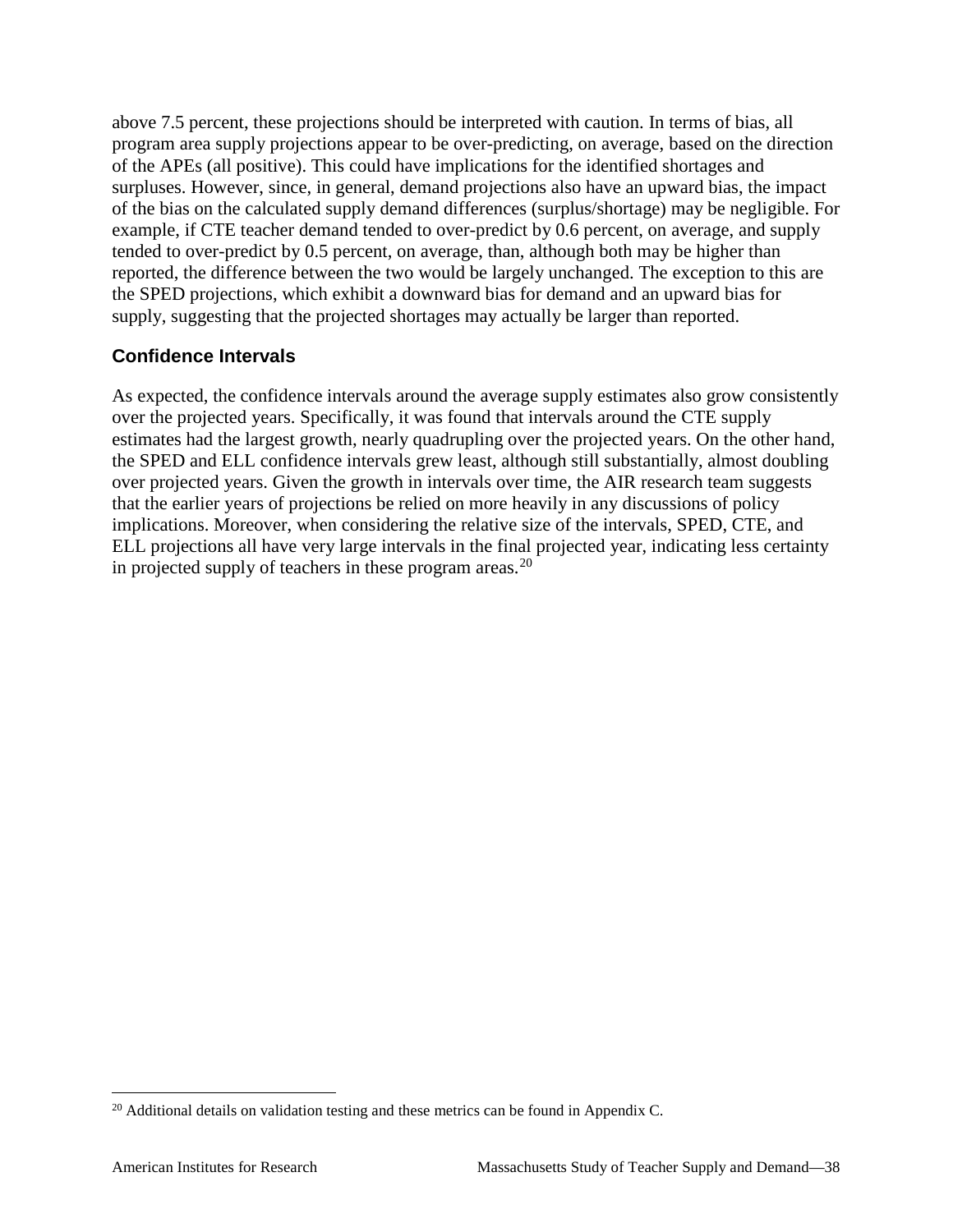above 7.5 percent, these projections should be interpreted with caution. In terms of bias, all program area supply projections appear to be over-predicting, on average, based on the direction of the APEs (all positive). This could have implications for the identified shortages and surpluses. However, since, in general, demand projections also have an upward bias, the impact of the bias on the calculated supply demand differences (surplus/shortage) may be negligible. For example, if CTE teacher demand tended to over-predict by 0.6 percent, on average, and supply tended to over-predict by 0.5 percent, on average, than, although both may be higher than reported, the difference between the two would be largely unchanged. The exception to this are the SPED projections, which exhibit a downward bias for demand and an upward bias for supply, suggesting that the projected shortages may actually be larger than reported.

#### **Confidence Intervals**

As expected, the confidence intervals around the average supply estimates also grow consistently over the projected years. Specifically, it was found that intervals around the CTE supply estimates had the largest growth, nearly quadrupling over the projected years. On the other hand, the SPED and ELL confidence intervals grew least, although still substantially, almost doubling over projected years. Given the growth in intervals over time, the AIR research team suggests that the earlier years of projections be relied on more heavily in any discussions of policy implications. Moreover, when considering the relative size of the intervals, SPED, CTE, and ELL projections all have very large intervals in the final projected year, indicating less certainty in projected supply of teachers in these program areas.<sup>[20](#page-43-0)</sup>

<span id="page-43-0"></span><sup>&</sup>lt;sup>20</sup> Additional details on validation testing and these metrics can be found in Appendix C.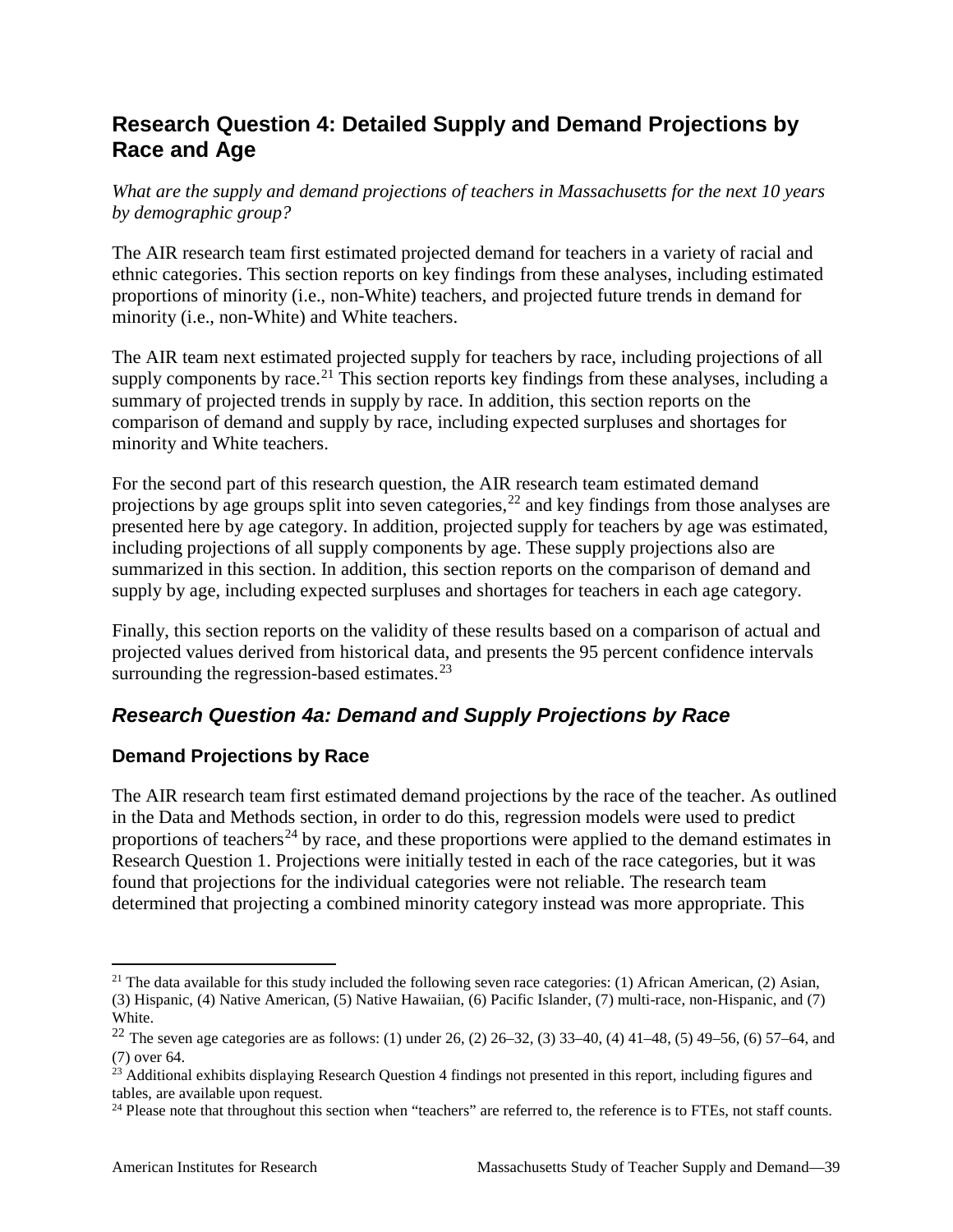## **Research Question 4: Detailed Supply and Demand Projections by Race and Age**

*What are the supply and demand projections of teachers in Massachusetts for the next 10 years by demographic group?*

The AIR research team first estimated projected demand for teachers in a variety of racial and ethnic categories. This section reports on key findings from these analyses, including estimated proportions of minority (i.e., non-White) teachers, and projected future trends in demand for minority (i.e., non-White) and White teachers.

The AIR team next estimated projected supply for teachers by race, including projections of all supply components by race.<sup>[21](#page-44-0)</sup> This section reports key findings from these analyses, including a summary of projected trends in supply by race. In addition, this section reports on the comparison of demand and supply by race, including expected surpluses and shortages for minority and White teachers.

For the second part of this research question, the AIR research team estimated demand projections by age groups split into seven categories,  $^{22}$  $^{22}$  $^{22}$  and key findings from those analyses are presented here by age category. In addition, projected supply for teachers by age was estimated, including projections of all supply components by age. These supply projections also are summarized in this section. In addition, this section reports on the comparison of demand and supply by age, including expected surpluses and shortages for teachers in each age category.

Finally, this section reports on the validity of these results based on a comparison of actual and projected values derived from historical data, and presents the 95 percent confidence intervals surrounding the regression-based estimates. $^{23}$  $^{23}$  $^{23}$ 

#### *Research Question 4a: Demand and Supply Projections by Race*

#### **Demand Projections by Race**

The AIR research team first estimated demand projections by the race of the teacher. As outlined in the Data and Methods section, in order to do this, regression models were used to predict proportions of teachers<sup>[24](#page-44-3)</sup> by race, and these proportions were applied to the demand estimates in Research Question 1. Projections were initially tested in each of the race categories, but it was found that projections for the individual categories were not reliable. The research team determined that projecting a combined minority category instead was more appropriate. This

<span id="page-44-0"></span><sup>&</sup>lt;sup>21</sup> The data available for this study included the following seven race categories: (1) African American, (2) Asian, (3) Hispanic, (4) Native American, (5) Native Hawaiian, (6) Pacific Islander, (7) multi-race, non-Hispanic, and (7) White.

<span id="page-44-1"></span><sup>&</sup>lt;sup>22</sup> The seven age categories are as follows: (1) under 26, (2) 26–32, (3) 33–40, (4) 41–48, (5) 49–56, (6) 57–64, and (7) over 64.

<span id="page-44-2"></span> $23$  Additional exhibits displaying Research Question 4 findings not presented in this report, including figures and tables, are available upon request.

<span id="page-44-3"></span><sup>&</sup>lt;sup>24</sup> Please note that throughout this section when "teachers" are referred to, the reference is to FTEs, not staff counts.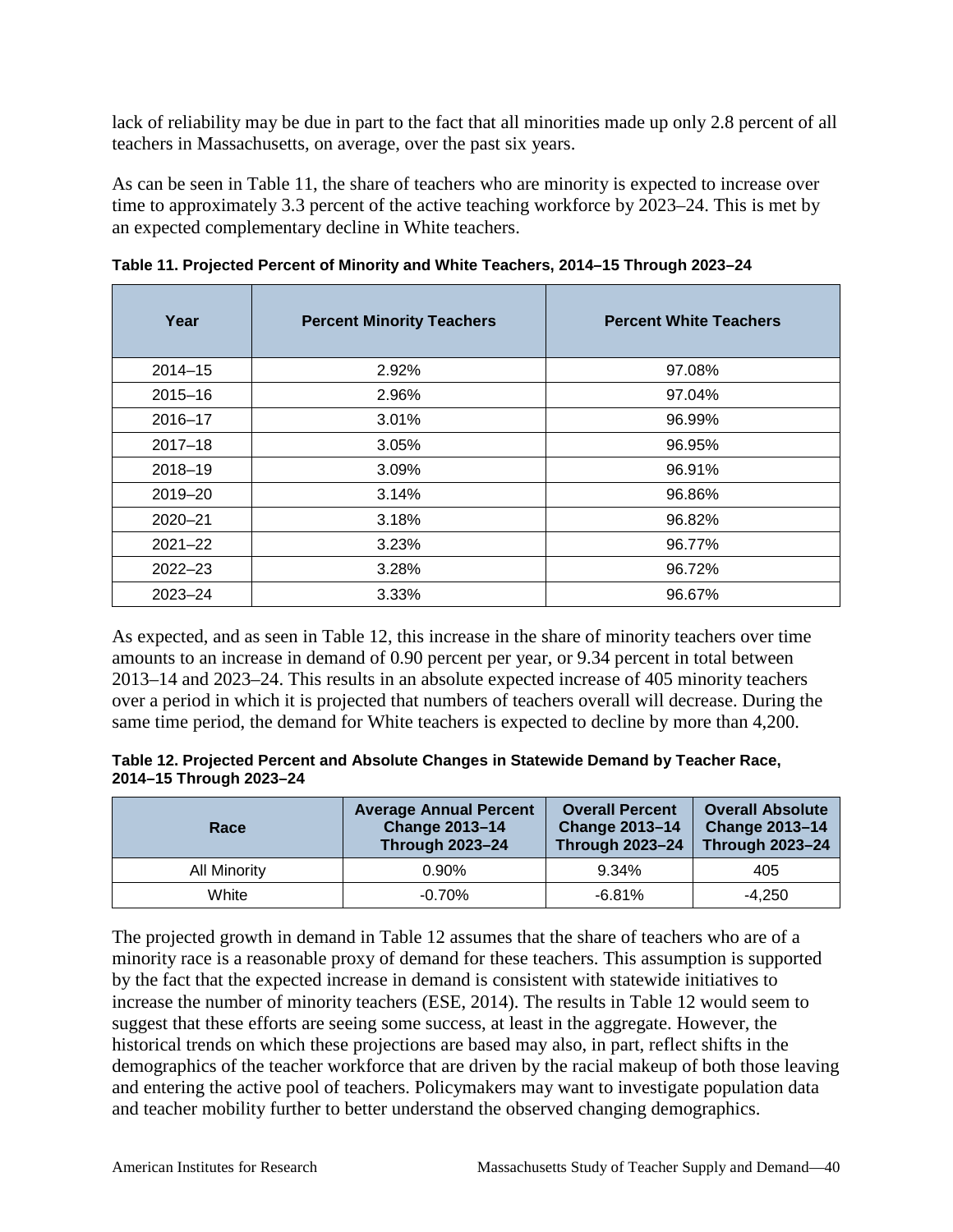lack of reliability may be due in part to the fact that all minorities made up only 2.8 percent of all teachers in Massachusetts, on average, over the past six years.

As can be seen in Table 11, the share of teachers who are minority is expected to increase over time to approximately 3.3 percent of the active teaching workforce by 2023–24. This is met by an expected complementary decline in White teachers.

| Year        | <b>Percent Minority Teachers</b> | <b>Percent White Teachers</b> |
|-------------|----------------------------------|-------------------------------|
| $2014 - 15$ | 2.92%                            | 97.08%                        |
| $2015 - 16$ | 2.96%                            | 97.04%                        |
| 2016-17     | 3.01%                            | 96.99%                        |
| $2017 - 18$ | 3.05%                            | 96.95%                        |
| $2018 - 19$ | 3.09%                            | 96.91%                        |
| $2019 - 20$ | 3.14%                            | 96.86%                        |
| $2020 - 21$ | 3.18%                            | 96.82%                        |
| $2021 - 22$ | 3.23%                            | 96.77%                        |
| $2022 - 23$ | 3.28%                            | 96.72%                        |
| $2023 - 24$ | 3.33%                            | 96.67%                        |

**Table 11. Projected Percent of Minority and White Teachers, 2014–15 Through 2023–24**

As expected, and as seen in Table 12, this increase in the share of minority teachers over time amounts to an increase in demand of 0.90 percent per year, or 9.34 percent in total between 2013–14 and 2023–24. This results in an absolute expected increase of 405 minority teachers over a period in which it is projected that numbers of teachers overall will decrease. During the same time period, the demand for White teachers is expected to decline by more than 4,200.

| Table 12. Projected Percent and Absolute Changes in Statewide Demand by Teacher Race, |  |
|---------------------------------------------------------------------------------------|--|
| 2014-15 Through 2023-24                                                               |  |

| Race         | <b>Average Annual Percent</b><br><b>Change 2013-14</b><br><b>Through 2023-24</b> | <b>Overall Percent</b><br><b>Change 2013-14</b><br><b>Through 2023-24</b> | <b>Overall Absolute</b><br><b>Change 2013-14</b><br><b>Through 2023-24</b> |
|--------------|----------------------------------------------------------------------------------|---------------------------------------------------------------------------|----------------------------------------------------------------------------|
| All Minority | $0.90\%$                                                                         | 9.34%                                                                     | 405                                                                        |
| White        | $-0.70\%$                                                                        | $-6.81%$                                                                  | $-4.250$                                                                   |

The projected growth in demand in Table 12 assumes that the share of teachers who are of a minority race is a reasonable proxy of demand for these teachers. This assumption is supported by the fact that the expected increase in demand is consistent with statewide initiatives to increase the number of minority teachers (ESE, 2014). The results in Table 12 would seem to suggest that these efforts are seeing some success, at least in the aggregate. However, the historical trends on which these projections are based may also, in part, reflect shifts in the demographics of the teacher workforce that are driven by the racial makeup of both those leaving and entering the active pool of teachers. Policymakers may want to investigate population data and teacher mobility further to better understand the observed changing demographics.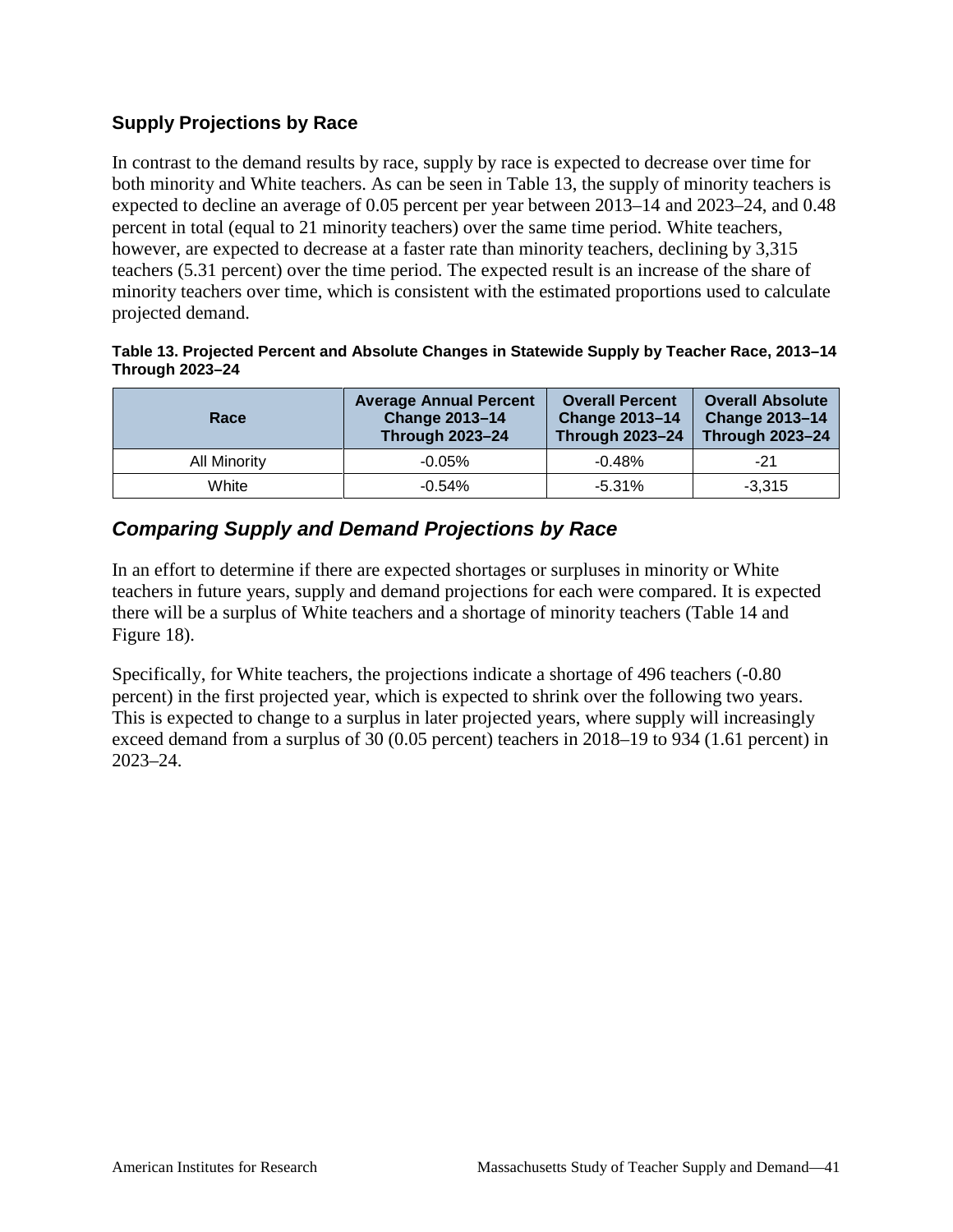#### **Supply Projections by Race**

In contrast to the demand results by race, supply by race is expected to decrease over time for both minority and White teachers. As can be seen in Table 13, the supply of minority teachers is expected to decline an average of 0.05 percent per year between 2013–14 and 2023–24, and 0.48 percent in total (equal to 21 minority teachers) over the same time period. White teachers, however, are expected to decrease at a faster rate than minority teachers, declining by 3,315 teachers (5.31 percent) over the time period. The expected result is an increase of the share of minority teachers over time, which is consistent with the estimated proportions used to calculate projected demand.

#### **Table 13. Projected Percent and Absolute Changes in Statewide Supply by Teacher Race, 2013–14 Through 2023–24**

| Race         | <b>Average Annual Percent</b><br><b>Change 2013-14</b><br><b>Through 2023-24</b> | <b>Overall Percent</b><br><b>Change 2013-14</b><br><b>Through 2023-24</b> | <b>Overall Absolute</b><br><b>Change 2013-14</b><br><b>Through 2023-24</b> |
|--------------|----------------------------------------------------------------------------------|---------------------------------------------------------------------------|----------------------------------------------------------------------------|
| All Minority | $-0.05%$                                                                         | $-0.48%$                                                                  | $-21$                                                                      |
| White        | $-0.54%$                                                                         | $-5.31\%$                                                                 | $-3.315$                                                                   |

### *Comparing Supply and Demand Projections by Race*

In an effort to determine if there are expected shortages or surpluses in minority or White teachers in future years, supply and demand projections for each were compared. It is expected there will be a surplus of White teachers and a shortage of minority teachers (Table 14 and Figure 18).

Specifically, for White teachers, the projections indicate a shortage of 496 teachers (-0.80 percent) in the first projected year, which is expected to shrink over the following two years. This is expected to change to a surplus in later projected years, where supply will increasingly exceed demand from a surplus of 30 (0.05 percent) teachers in 2018–19 to 934 (1.61 percent) in 2023–24.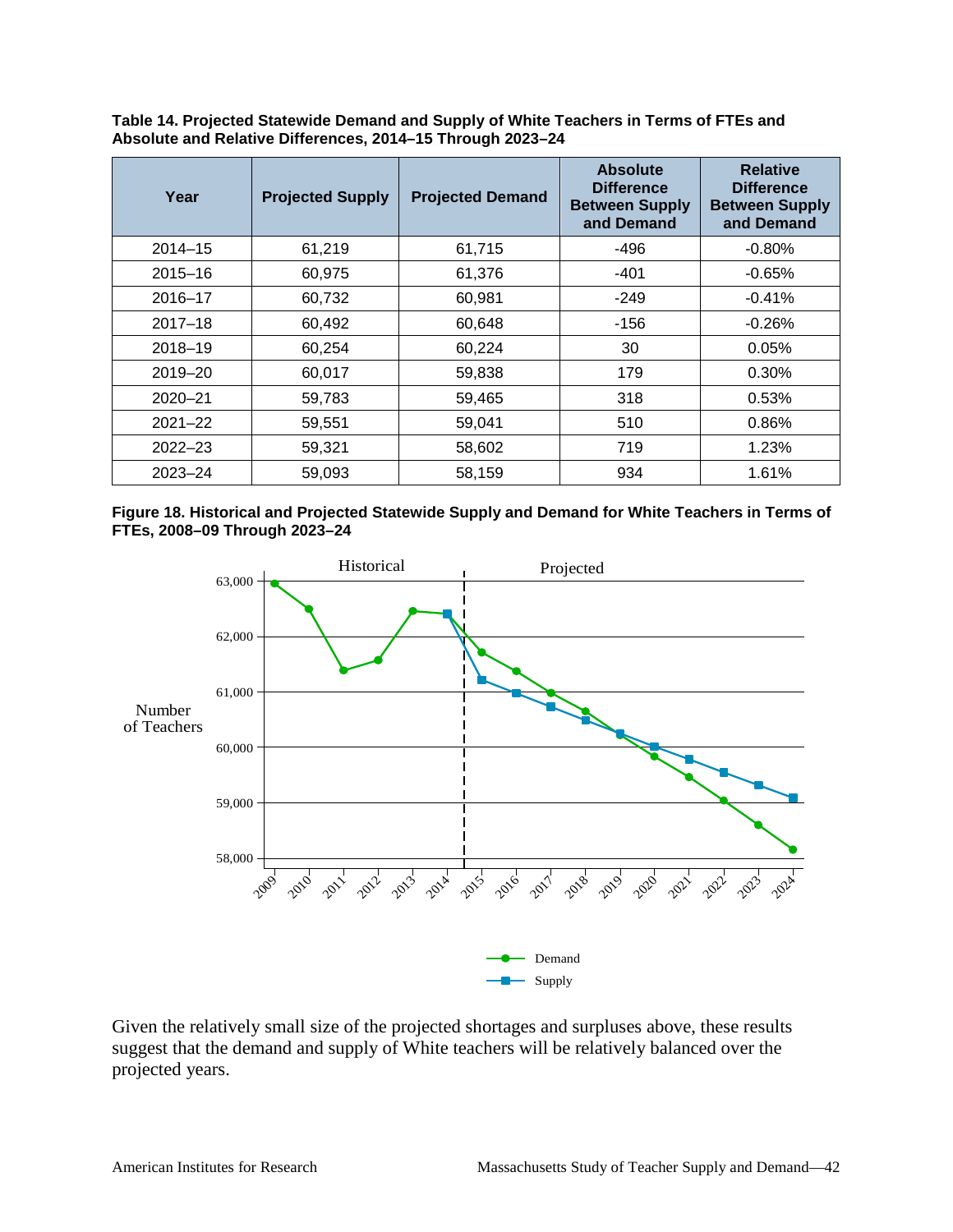| Year        | <b>Projected Supply</b> | <b>Projected Demand</b> | <b>Absolute</b><br><b>Difference</b><br><b>Between Supply</b><br>and Demand | <b>Relative</b><br><b>Difference</b><br><b>Between Supply</b><br>and Demand |
|-------------|-------------------------|-------------------------|-----------------------------------------------------------------------------|-----------------------------------------------------------------------------|
| $2014 - 15$ | 61,219                  | 61,715                  | $-496$                                                                      | $-0.80%$                                                                    |
| $2015 - 16$ | 60,975                  | 61,376                  | $-401$                                                                      | $-0.65%$                                                                    |
| 2016-17     | 60,732                  | 60,981                  | $-249$                                                                      | $-0.41%$                                                                    |
| $2017 - 18$ | 60,492                  | 60,648                  | $-156$                                                                      | $-0.26%$                                                                    |
| 2018-19     | 60,254                  | 60,224                  | 30                                                                          | 0.05%                                                                       |
| 2019-20     | 60,017                  | 59,838                  | 179                                                                         | 0.30%                                                                       |
| $2020 - 21$ | 59,783                  | 59,465                  | 318                                                                         | 0.53%                                                                       |
| $2021 - 22$ | 59,551                  | 59,041                  | 510                                                                         | 0.86%                                                                       |
| $2022 - 23$ | 59,321                  | 58,602                  | 719                                                                         | 1.23%                                                                       |
| $2023 - 24$ | 59,093                  | 58,159                  | 934                                                                         | 1.61%                                                                       |

**Table 14. Projected Statewide Demand and Supply of White Teachers in Terms of FTEs and Absolute and Relative Differences, 2014–15 Through 2023–24**

#### **Figure 18. Historical and Projected Statewide Supply and Demand for White Teachers in Terms of FTEs, 2008–09 Through 2023–24**



Given the relatively small size of the projected shortages and surpluses above, these results suggest that the demand and supply of White teachers will be relatively balanced over the projected years.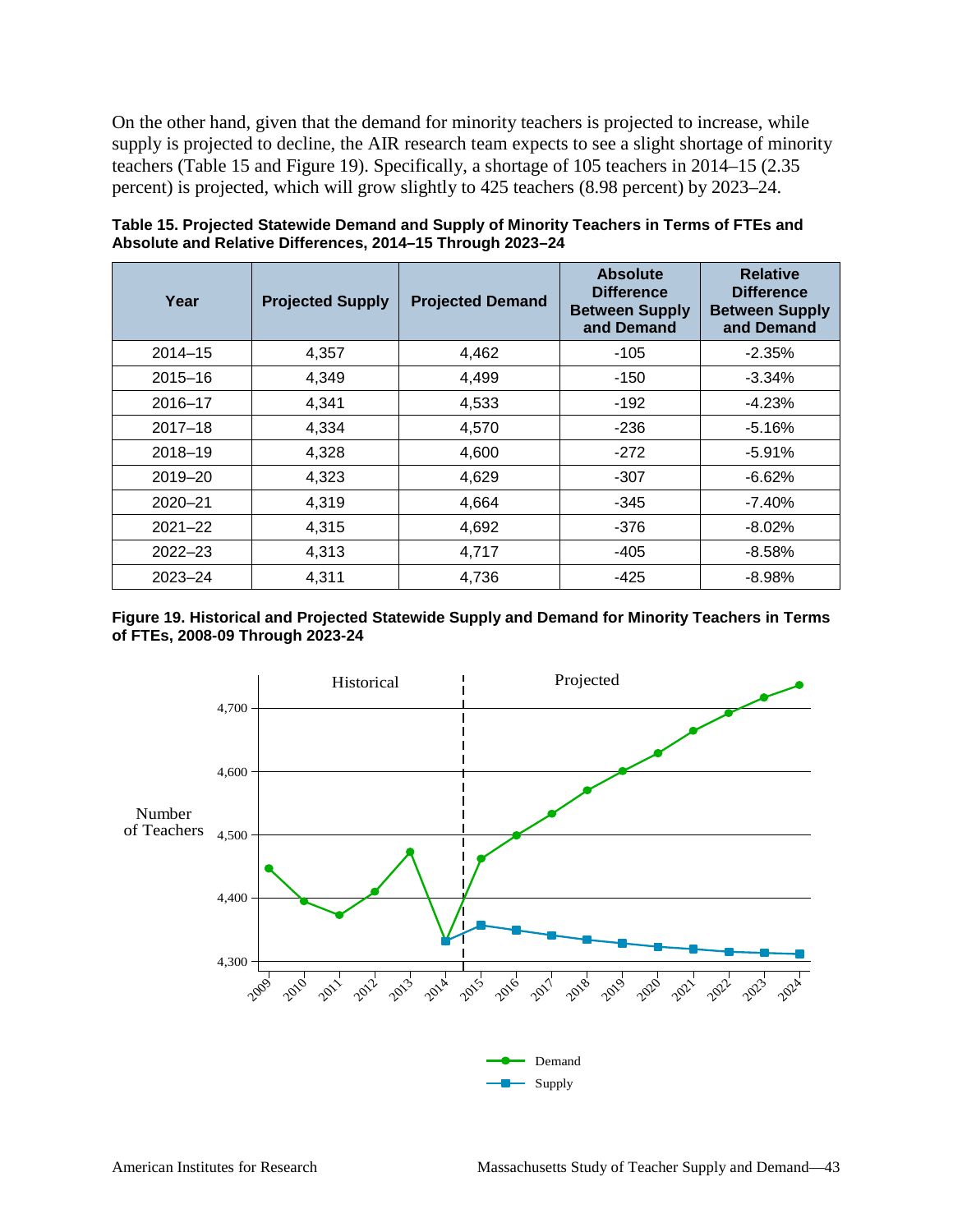On the other hand, given that the demand for minority teachers is projected to increase, while supply is projected to decline, the AIR research team expects to see a slight shortage of minority teachers (Table 15 and Figure 19). Specifically, a shortage of 105 teachers in 2014–15 (2.35 percent) is projected, which will grow slightly to 425 teachers (8.98 percent) by 2023–24.

| Year        | <b>Projected Supply</b> | <b>Projected Demand</b> | <b>Absolute</b><br><b>Difference</b><br><b>Between Supply</b><br>and Demand | <b>Relative</b><br><b>Difference</b><br><b>Between Supply</b><br>and Demand |
|-------------|-------------------------|-------------------------|-----------------------------------------------------------------------------|-----------------------------------------------------------------------------|
| $2014 - 15$ | 4,357                   | 4,462                   | $-105$                                                                      | $-2.35%$                                                                    |
| $2015 - 16$ | 4,349                   | 4,499                   | $-150$                                                                      | $-3.34\%$                                                                   |
| $2016 - 17$ | 4,341                   | 4,533                   | $-192$                                                                      | $-4.23%$                                                                    |
| $2017 - 18$ | 4,334                   | 4,570                   | $-236$                                                                      | $-5.16%$                                                                    |
| $2018 - 19$ | 4,328                   | 4,600                   | $-272$                                                                      | $-5.91%$                                                                    |
| $2019 - 20$ | 4,323                   | 4,629                   | $-307$                                                                      | $-6.62%$                                                                    |
| $2020 - 21$ | 4,319                   | 4,664                   | $-345$                                                                      | $-7.40%$                                                                    |
| $2021 - 22$ | 4,315                   | 4,692                   | -376                                                                        | $-8.02\%$                                                                   |
| $2022 - 23$ | 4,313                   | 4,717                   | -405                                                                        | $-8.58%$                                                                    |
| $2023 - 24$ | 4,311                   | 4,736                   | $-425$                                                                      | $-8.98%$                                                                    |

**Table 15. Projected Statewide Demand and Supply of Minority Teachers in Terms of FTEs and Absolute and Relative Differences, 2014–15 Through 2023–24**

#### **Figure 19. Historical and Projected Statewide Supply and Demand for Minority Teachers in Terms of FTEs, 2008-09 Through 2023-24**

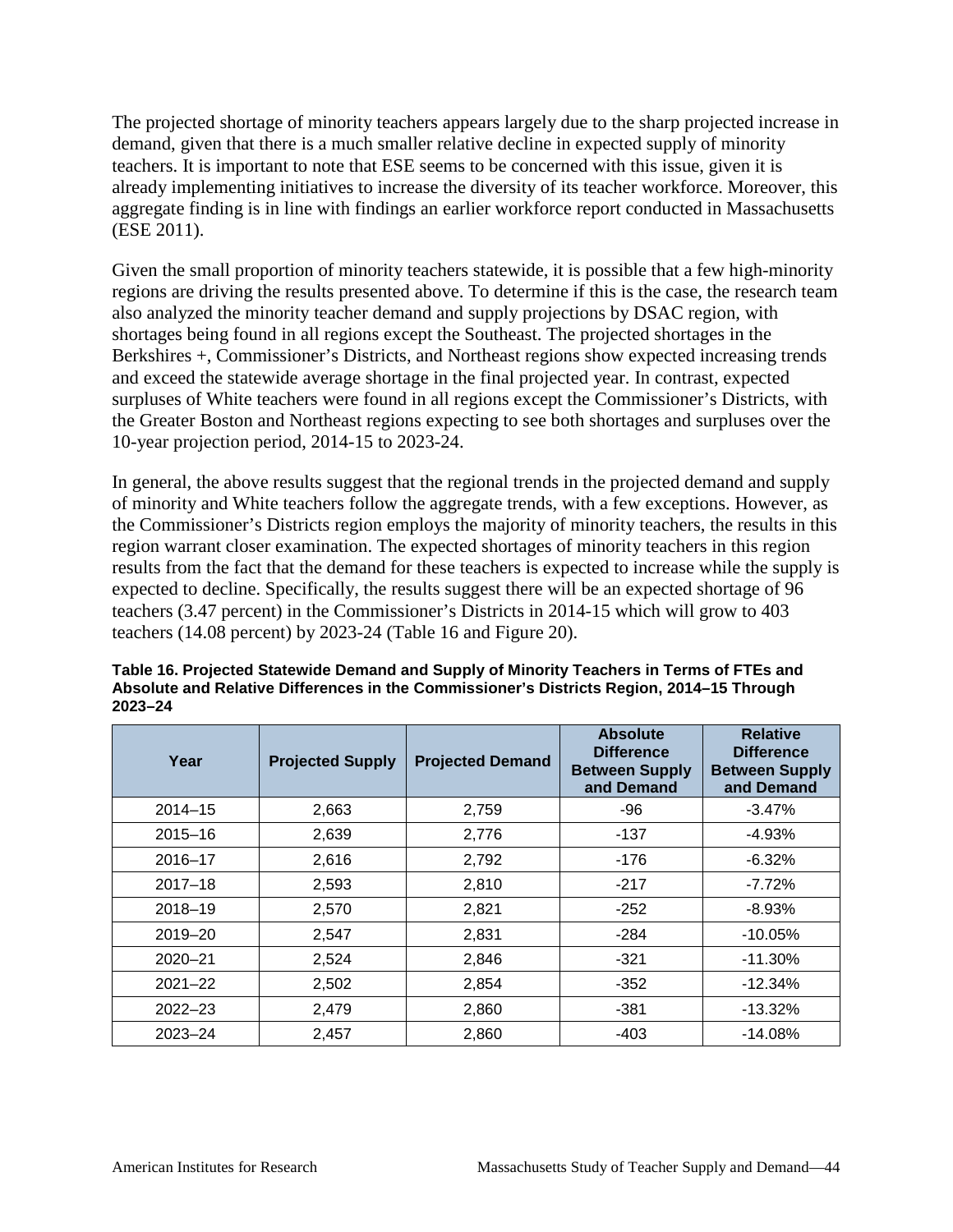The projected shortage of minority teachers appears largely due to the sharp projected increase in demand, given that there is a much smaller relative decline in expected supply of minority teachers. It is important to note that ESE seems to be concerned with this issue, given it is already implementing initiatives to increase the diversity of its teacher workforce. Moreover, this aggregate finding is in line with findings an earlier workforce report conducted in Massachusetts (ESE 2011).

Given the small proportion of minority teachers statewide, it is possible that a few high-minority regions are driving the results presented above. To determine if this is the case, the research team also analyzed the minority teacher demand and supply projections by DSAC region, with shortages being found in all regions except the Southeast. The projected shortages in the Berkshires +, Commissioner's Districts, and Northeast regions show expected increasing trends and exceed the statewide average shortage in the final projected year. In contrast, expected surpluses of White teachers were found in all regions except the Commissioner's Districts, with the Greater Boston and Northeast regions expecting to see both shortages and surpluses over the 10-year projection period, 2014-15 to 2023-24.

In general, the above results suggest that the regional trends in the projected demand and supply of minority and White teachers follow the aggregate trends, with a few exceptions. However, as the Commissioner's Districts region employs the majority of minority teachers, the results in this region warrant closer examination. The expected shortages of minority teachers in this region results from the fact that the demand for these teachers is expected to increase while the supply is expected to decline. Specifically, the results suggest there will be an expected shortage of 96 teachers (3.47 percent) in the Commissioner's Districts in 2014-15 which will grow to 403 teachers (14.08 percent) by 2023-24 (Table 16 and Figure 20).

| Year        | <b>Projected Supply</b> | <b>Projected Demand</b> | <b>Absolute</b><br><b>Difference</b><br><b>Between Supply</b><br>and Demand | <b>Relative</b><br><b>Difference</b><br><b>Between Supply</b><br>and Demand |
|-------------|-------------------------|-------------------------|-----------------------------------------------------------------------------|-----------------------------------------------------------------------------|
| $2014 - 15$ | 2,663                   | 2,759                   | $-96$                                                                       | $-3.47%$                                                                    |
| $2015 - 16$ | 2,639                   | 2,776                   | $-137$                                                                      | $-4.93%$                                                                    |
| 2016-17     | 2,616                   | 2,792                   | $-176$                                                                      | $-6.32%$                                                                    |
| $2017 - 18$ | 2,593                   | 2,810                   | $-217$                                                                      | $-7.72%$                                                                    |
| 2018-19     | 2,570                   | 2,821                   | $-252$                                                                      | $-8.93%$                                                                    |
| 2019-20     | 2,547                   | 2,831                   | $-284$                                                                      | $-10.05%$                                                                   |
| $2020 - 21$ | 2,524                   | 2,846                   | $-321$                                                                      | $-11.30\%$                                                                  |
| $2021 - 22$ | 2,502                   | 2,854                   | $-352$                                                                      | $-12.34\%$                                                                  |
| $2022 - 23$ | 2,479                   | 2,860                   | $-381$                                                                      | $-13.32\%$                                                                  |
| $2023 - 24$ | 2,457                   | 2,860                   | $-403$                                                                      | $-14.08%$                                                                   |

**Table 16. Projected Statewide Demand and Supply of Minority Teachers in Terms of FTEs and Absolute and Relative Differences in the Commissioner's Districts Region, 2014–15 Through 2023–24**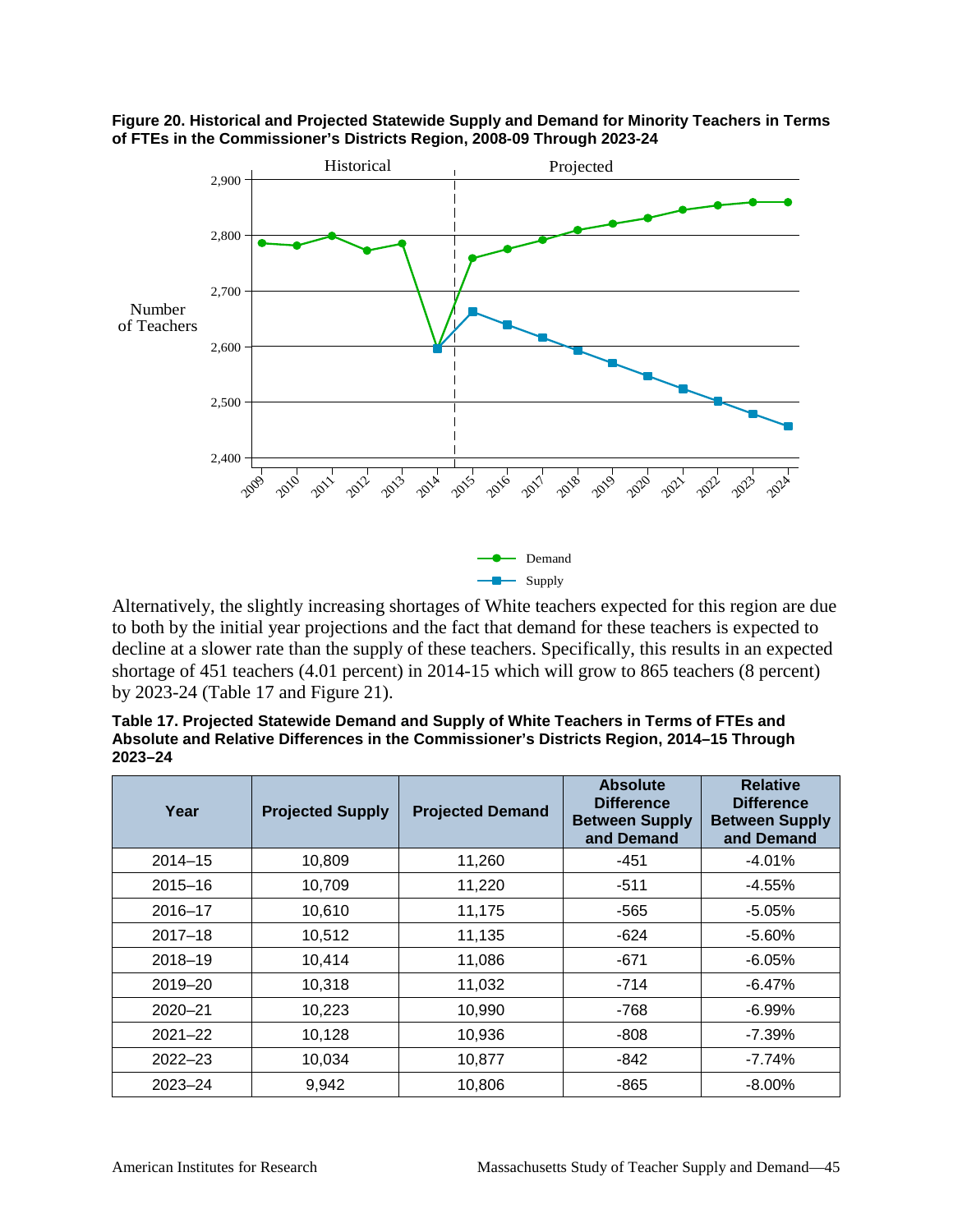

**Figure 20. Historical and Projected Statewide Supply and Demand for Minority Teachers in Terms of FTEs in the Commissioner's Districts Region, 2008-09 Through 2023-24**

Alternatively, the slightly increasing shortages of White teachers expected for this region are due to both by the initial year projections and the fact that demand for these teachers is expected to decline at a slower rate than the supply of these teachers. Specifically, this results in an expected shortage of 451 teachers (4.01 percent) in 2014-15 which will grow to 865 teachers (8 percent) by 2023-24 (Table 17 and Figure 21).

**Table 17. Projected Statewide Demand and Supply of White Teachers in Terms of FTEs and Absolute and Relative Differences in the Commissioner's Districts Region, 2014–15 Through 2023–24**

| Year        | <b>Projected Supply</b> | <b>Projected Demand</b> | <b>Absolute</b><br><b>Difference</b><br><b>Between Supply</b><br>and Demand | <b>Relative</b><br><b>Difference</b><br><b>Between Supply</b><br>and Demand |
|-------------|-------------------------|-------------------------|-----------------------------------------------------------------------------|-----------------------------------------------------------------------------|
| $2014 - 15$ | 10,809                  | 11,260                  | $-451$                                                                      | $-4.01%$                                                                    |
| $2015 - 16$ | 10,709                  | 11,220                  | $-511$                                                                      | $-4.55%$                                                                    |
| $2016 - 17$ | 10,610                  | 11,175                  | $-565$                                                                      | $-5.05%$                                                                    |
| $2017 - 18$ | 10,512                  | 11,135                  | $-624$                                                                      | $-5.60\%$                                                                   |
| 2018-19     | 10,414                  | 11,086                  | $-671$                                                                      | $-6.05%$                                                                    |
| $2019 - 20$ | 10,318                  | 11,032                  | $-714$                                                                      | $-6.47%$                                                                    |
| $2020 - 21$ | 10,223                  | 10,990                  | $-768$                                                                      | $-6.99%$                                                                    |
| $2021 - 22$ | 10,128                  | 10,936                  | -808                                                                        | $-7.39%$                                                                    |
| $2022 - 23$ | 10,034                  | 10,877                  | $-842$                                                                      | $-7.74%$                                                                    |
| $2023 - 24$ | 9,942                   | 10,806                  | -865                                                                        | $-8.00\%$                                                                   |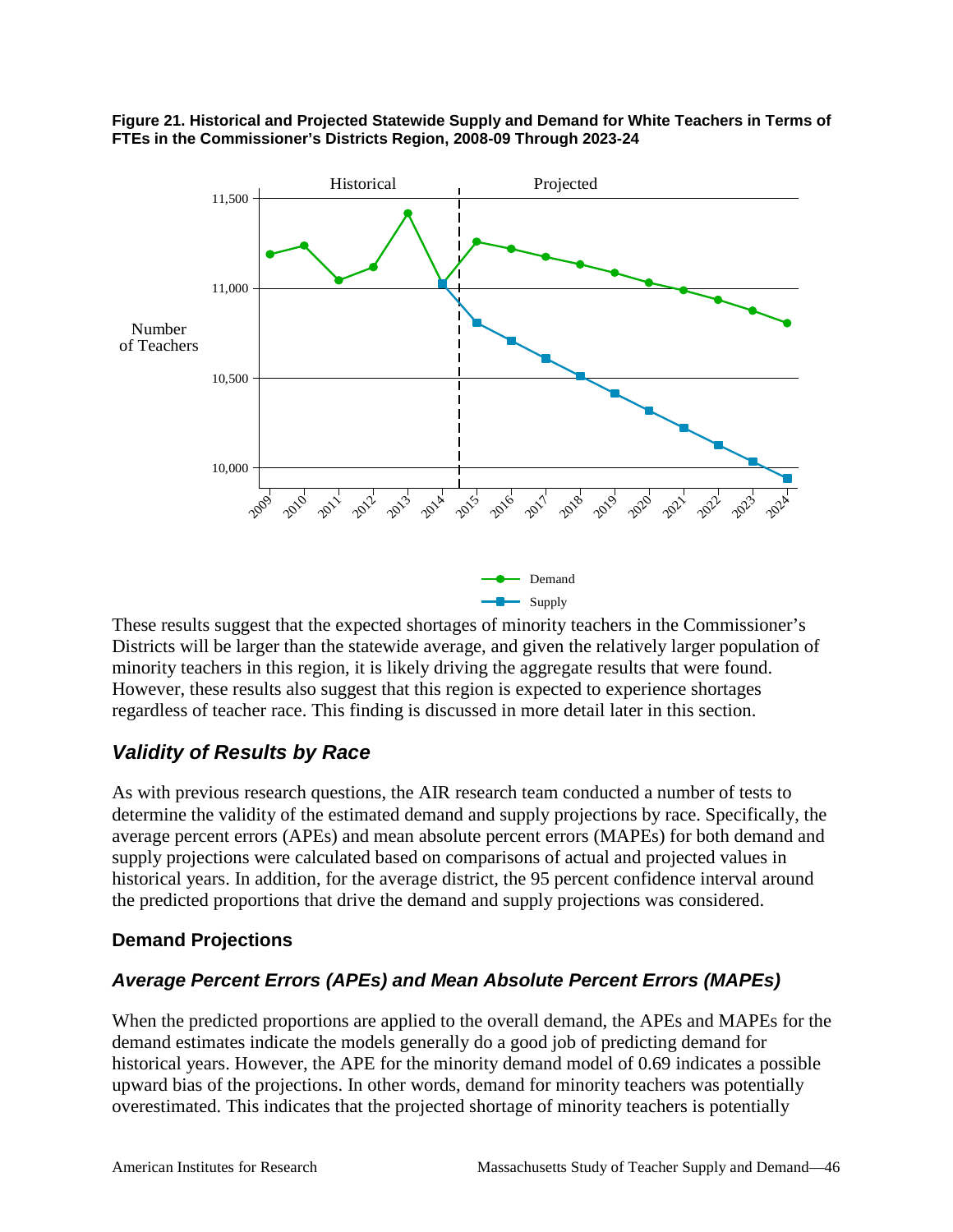

#### **Figure 21. Historical and Projected Statewide Supply and Demand for White Teachers in Terms of FTEs in the Commissioner's Districts Region, 2008-09 Through 2023-24**

These results suggest that the expected shortages of minority teachers in the Commissioner's Districts will be larger than the statewide average, and given the relatively larger population of minority teachers in this region, it is likely driving the aggregate results that were found. However, these results also suggest that this region is expected to experience shortages regardless of teacher race. This finding is discussed in more detail later in this section.

#### *Validity of Results by Race*

As with previous research questions, the AIR research team conducted a number of tests to determine the validity of the estimated demand and supply projections by race. Specifically, the average percent errors (APEs) and mean absolute percent errors (MAPEs) for both demand and supply projections were calculated based on comparisons of actual and projected values in historical years. In addition, for the average district, the 95 percent confidence interval around the predicted proportions that drive the demand and supply projections was considered.

#### **Demand Projections**

#### *Average Percent Errors (APEs) and Mean Absolute Percent Errors (MAPEs)*

When the predicted proportions are applied to the overall demand, the APEs and MAPEs for the demand estimates indicate the models generally do a good job of predicting demand for historical years. However, the APE for the minority demand model of 0.69 indicates a possible upward bias of the projections. In other words, demand for minority teachers was potentially overestimated. This indicates that the projected shortage of minority teachers is potentially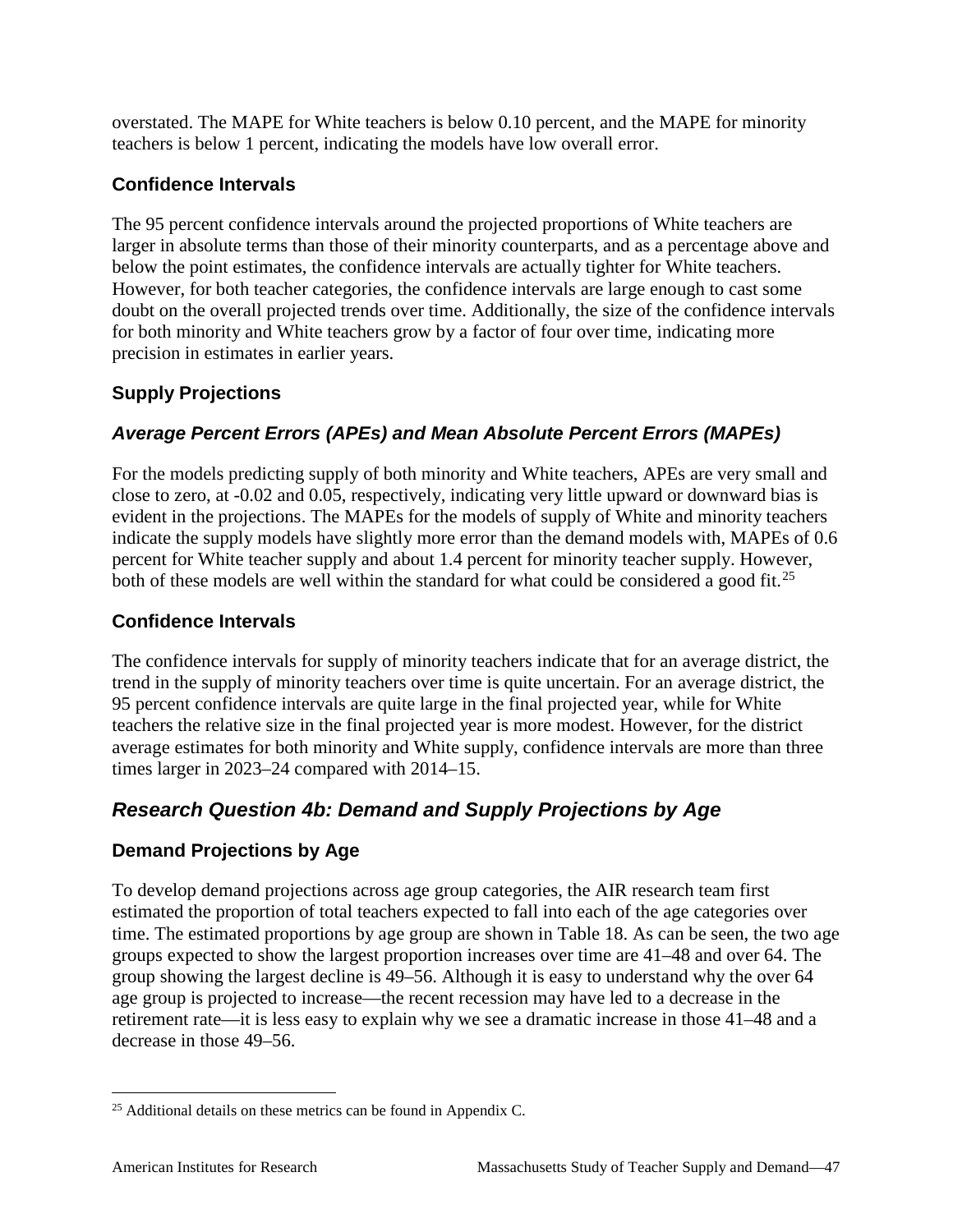overstated. The MAPE for White teachers is below 0.10 percent, and the MAPE for minority teachers is below 1 percent, indicating the models have low overall error.

#### **Confidence Intervals**

The 95 percent confidence intervals around the projected proportions of White teachers are larger in absolute terms than those of their minority counterparts, and as a percentage above and below the point estimates, the confidence intervals are actually tighter for White teachers. However, for both teacher categories, the confidence intervals are large enough to cast some doubt on the overall projected trends over time. Additionally, the size of the confidence intervals for both minority and White teachers grow by a factor of four over time, indicating more precision in estimates in earlier years.

#### **Supply Projections**

#### *Average Percent Errors (APEs) and Mean Absolute Percent Errors (MAPEs)*

For the models predicting supply of both minority and White teachers, APEs are very small and close to zero, at -0.02 and 0.05, respectively, indicating very little upward or downward bias is evident in the projections. The MAPEs for the models of supply of White and minority teachers indicate the supply models have slightly more error than the demand models with, MAPEs of 0.6 percent for White teacher supply and about 1.4 percent for minority teacher supply. However, both of these models are well within the standard for what could be considered a good fit.<sup>[25](#page-52-0)</sup>

#### **Confidence Intervals**

The confidence intervals for supply of minority teachers indicate that for an average district, the trend in the supply of minority teachers over time is quite uncertain. For an average district, the 95 percent confidence intervals are quite large in the final projected year, while for White teachers the relative size in the final projected year is more modest. However, for the district average estimates for both minority and White supply, confidence intervals are more than three times larger in 2023–24 compared with 2014–15.

### *Research Question 4b: Demand and Supply Projections by Age*

#### **Demand Projections by Age**

To develop demand projections across age group categories, the AIR research team first estimated the proportion of total teachers expected to fall into each of the age categories over time. The estimated proportions by age group are shown in Table 18. As can be seen, the two age groups expected to show the largest proportion increases over time are 41–48 and over 64. The group showing the largest decline is 49–56. Although it is easy to understand why the over 64 age group is projected to increase—the recent recession may have led to a decrease in the retirement rate—it is less easy to explain why we see a dramatic increase in those 41–48 and a decrease in those 49–56.

<span id="page-52-0"></span><sup>&</sup>lt;sup>25</sup> Additional details on these metrics can be found in Appendix C.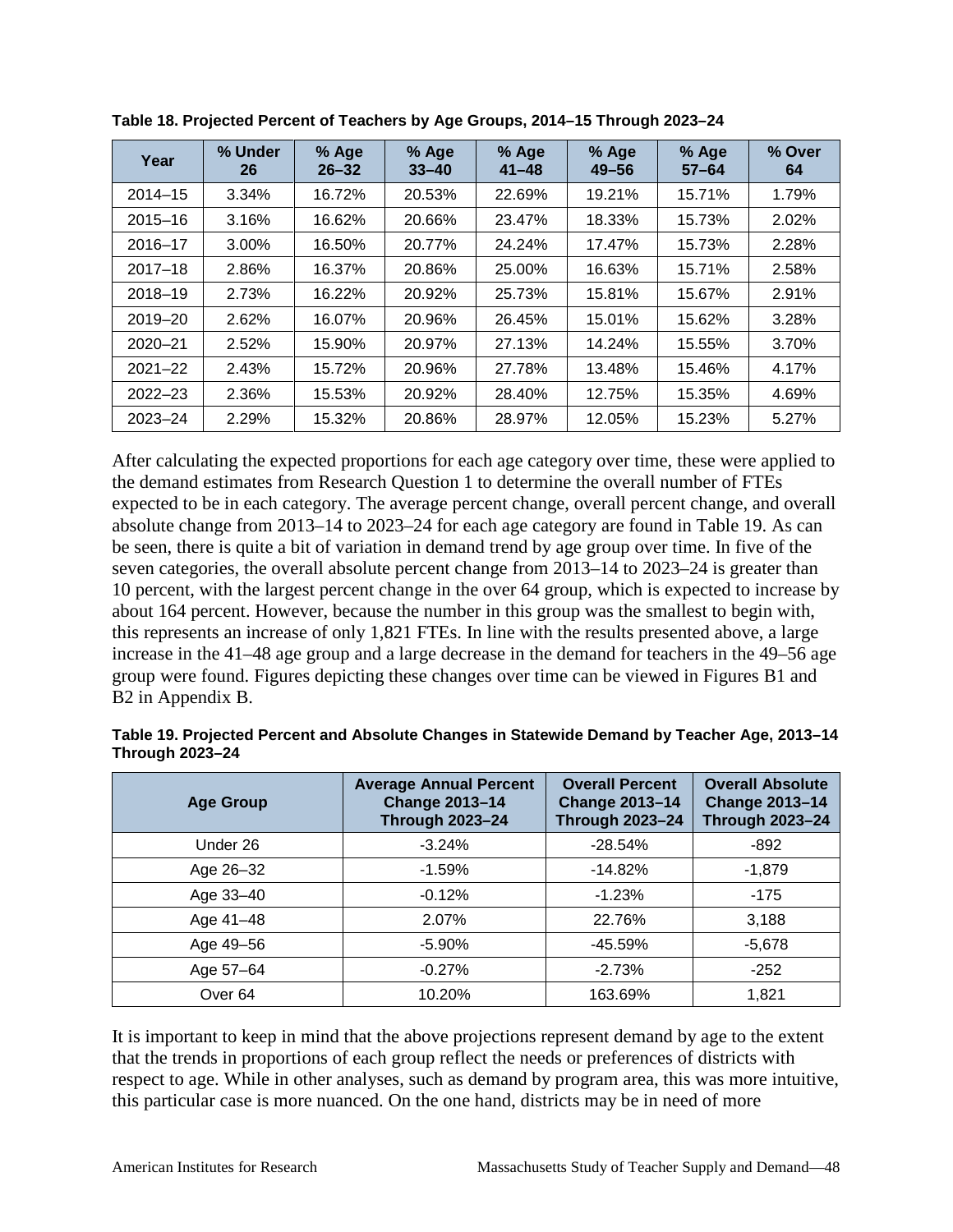| Year        | % Under<br>26 | % Age<br>$26 - 32$ | % Age<br>$33 - 40$ | % Age<br>$41 - 48$ | % Age<br>$49 - 56$ | % Age<br>$57 - 64$ | % Over<br>64 |
|-------------|---------------|--------------------|--------------------|--------------------|--------------------|--------------------|--------------|
| $2014 - 15$ | 3.34%         | 16.72%             | 20.53%             | 22.69%             | 19.21%             | 15.71%             | 1.79%        |
| $2015 - 16$ | 3.16%         | 16.62%             | 20.66%             | 23.47%             | 18.33%             | 15.73%             | 2.02%        |
| $2016 - 17$ | $3.00\%$      | 16.50%             | 20.77%             | 24.24%             | 17.47%             | 15.73%             | 2.28%        |
| $2017 - 18$ | 2.86%         | 16.37%             | 20.86%             | 25.00%             | 16.63%             | 15.71%             | 2.58%        |
| $2018 - 19$ | 2.73%         | 16.22%             | 20.92%             | 25.73%             | 15.81%             | 15.67%             | 2.91%        |
| $2019 - 20$ | 2.62%         | 16.07%             | 20.96%             | 26.45%             | 15.01%             | 15.62%             | 3.28%        |
| $2020 - 21$ | 2.52%         | 15.90%             | 20.97%             | 27.13%             | 14.24%             | 15.55%             | 3.70%        |
| $2021 - 22$ | 2.43%         | 15.72%             | 20.96%             | 27.78%             | 13.48%             | 15.46%             | 4.17%        |
| $2022 - 23$ | 2.36%         | 15.53%             | 20.92%             | 28.40%             | 12.75%             | 15.35%             | 4.69%        |
| $2023 - 24$ | 2.29%         | 15.32%             | 20.86%             | 28.97%             | 12.05%             | 15.23%             | 5.27%        |

**Table 18. Projected Percent of Teachers by Age Groups, 2014–15 Through 2023–24**

After calculating the expected proportions for each age category over time, these were applied to the demand estimates from Research Question 1 to determine the overall number of FTEs expected to be in each category. The average percent change, overall percent change, and overall absolute change from 2013–14 to 2023–24 for each age category are found in Table 19. As can be seen, there is quite a bit of variation in demand trend by age group over time. In five of the seven categories, the overall absolute percent change from 2013–14 to 2023–24 is greater than 10 percent, with the largest percent change in the over 64 group, which is expected to increase by about 164 percent. However, because the number in this group was the smallest to begin with, this represents an increase of only 1,821 FTEs. In line with the results presented above, a large increase in the 41–48 age group and a large decrease in the demand for teachers in the 49–56 age group were found. Figures depicting these changes over time can be viewed in Figures B1 and B2 in Appendix B.

| Table 19. Projected Percent and Absolute Changes in Statewide Demand by Teacher Age, 2013–14 |  |  |
|----------------------------------------------------------------------------------------------|--|--|
| <b>Through 2023-24</b>                                                                       |  |  |

| <b>Age Group</b>   | <b>Average Annual Percent</b><br><b>Change 2013-14</b><br><b>Through 2023-24</b> | <b>Overall Percent</b><br><b>Change 2013-14</b><br><b>Through 2023-24</b> | <b>Overall Absolute</b><br><b>Change 2013-14</b><br><b>Through 2023-24</b> |
|--------------------|----------------------------------------------------------------------------------|---------------------------------------------------------------------------|----------------------------------------------------------------------------|
| Under 26           | $-3.24%$                                                                         | $-28.54%$                                                                 | -892                                                                       |
| Age 26-32          | $-1.59%$                                                                         | $-14.82%$                                                                 | $-1,879$                                                                   |
| Age 33-40          | $-0.12%$                                                                         | $-1.23%$                                                                  | $-175$                                                                     |
| Age 41-48          | 2.07%                                                                            | 22.76%                                                                    | 3,188                                                                      |
| Age 49–56          | $-5.90\%$                                                                        | $-45.59\%$                                                                | $-5,678$                                                                   |
| Age 57-64          | $-0.27%$                                                                         | $-2.73%$                                                                  | $-252$                                                                     |
| Over <sub>64</sub> | 10.20%                                                                           | 163.69%                                                                   | 1,821                                                                      |

It is important to keep in mind that the above projections represent demand by age to the extent that the trends in proportions of each group reflect the needs or preferences of districts with respect to age. While in other analyses, such as demand by program area, this was more intuitive, this particular case is more nuanced. On the one hand, districts may be in need of more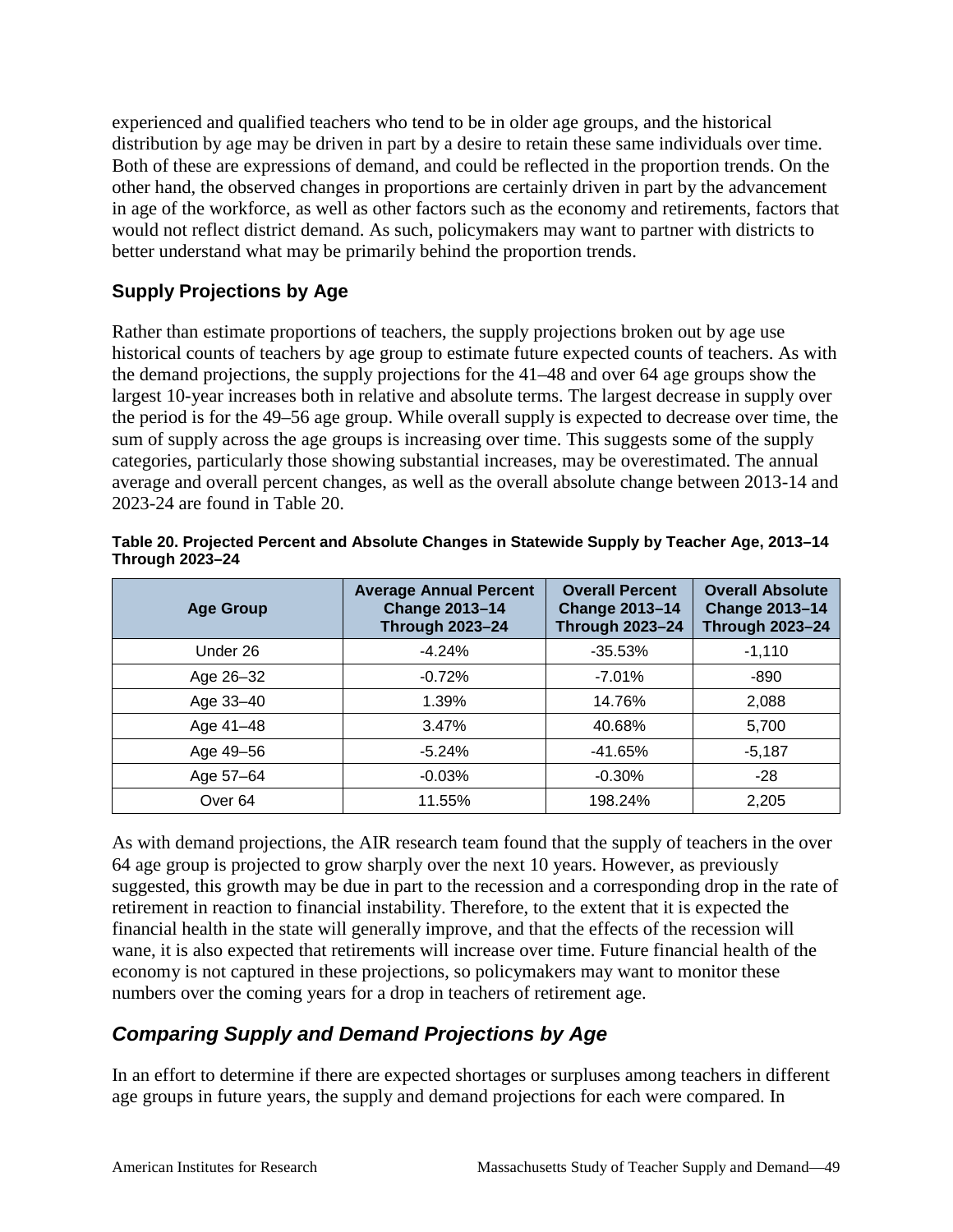experienced and qualified teachers who tend to be in older age groups, and the historical distribution by age may be driven in part by a desire to retain these same individuals over time. Both of these are expressions of demand, and could be reflected in the proportion trends. On the other hand, the observed changes in proportions are certainly driven in part by the advancement in age of the workforce, as well as other factors such as the economy and retirements, factors that would not reflect district demand. As such, policymakers may want to partner with districts to better understand what may be primarily behind the proportion trends.

#### **Supply Projections by Age**

Rather than estimate proportions of teachers, the supply projections broken out by age use historical counts of teachers by age group to estimate future expected counts of teachers. As with the demand projections, the supply projections for the 41–48 and over 64 age groups show the largest 10-year increases both in relative and absolute terms. The largest decrease in supply over the period is for the 49–56 age group. While overall supply is expected to decrease over time, the sum of supply across the age groups is increasing over time. This suggests some of the supply categories, particularly those showing substantial increases, may be overestimated. The annual average and overall percent changes, as well as the overall absolute change between 2013-14 and 2023-24 are found in Table 20.

| <b>Age Group</b>   | <b>Average Annual Percent</b><br><b>Change 2013-14</b><br><b>Through 2023-24</b> | <b>Overall Percent</b><br><b>Change 2013-14</b><br><b>Through 2023-24</b> | <b>Overall Absolute</b><br><b>Change 2013-14</b><br><b>Through 2023-24</b> |
|--------------------|----------------------------------------------------------------------------------|---------------------------------------------------------------------------|----------------------------------------------------------------------------|
| Under 26           | $-4.24%$                                                                         | $-35.53%$                                                                 | $-1,110$                                                                   |
| Age 26-32          | $-0.72%$                                                                         | $-7.01%$                                                                  | -890                                                                       |
| Age 33-40          | 1.39%                                                                            | 14.76%                                                                    | 2,088                                                                      |
| Age 41-48          | 3.47%                                                                            | 40.68%                                                                    | 5,700                                                                      |
| Age 49-56          | $-5.24%$                                                                         | -41.65%                                                                   | $-5,187$                                                                   |
| Age 57-64          | $-0.03%$                                                                         | $-0.30%$                                                                  | -28                                                                        |
| Over <sub>64</sub> | 11.55%                                                                           | 198.24%                                                                   | 2,205                                                                      |

**Table 20. Projected Percent and Absolute Changes in Statewide Supply by Teacher Age, 2013–14 Through 2023–24**

As with demand projections, the AIR research team found that the supply of teachers in the over 64 age group is projected to grow sharply over the next 10 years. However, as previously suggested, this growth may be due in part to the recession and a corresponding drop in the rate of retirement in reaction to financial instability. Therefore, to the extent that it is expected the financial health in the state will generally improve, and that the effects of the recession will wane, it is also expected that retirements will increase over time. Future financial health of the economy is not captured in these projections, so policymakers may want to monitor these numbers over the coming years for a drop in teachers of retirement age.

#### *Comparing Supply and Demand Projections by Age*

In an effort to determine if there are expected shortages or surpluses among teachers in different age groups in future years, the supply and demand projections for each were compared. In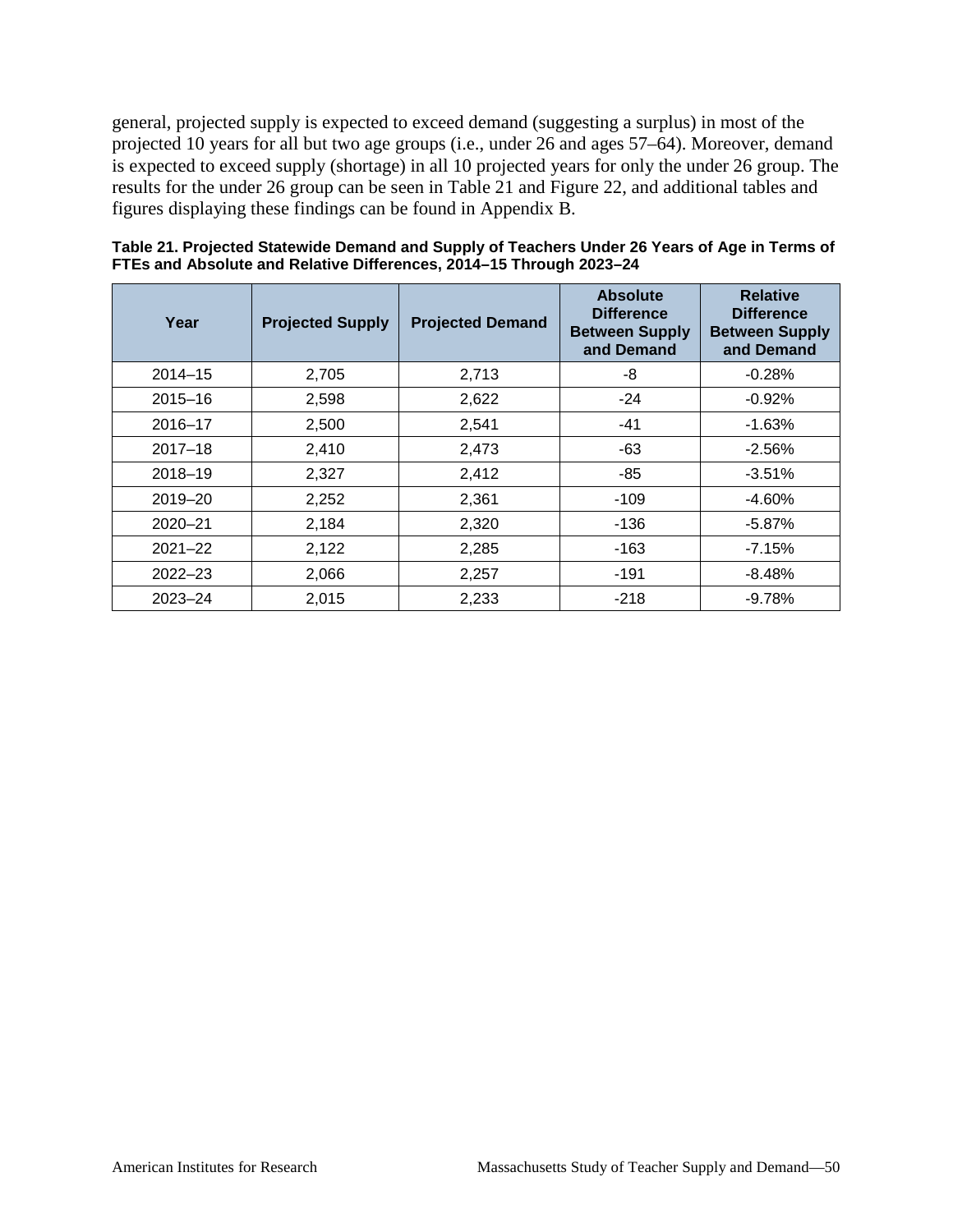general, projected supply is expected to exceed demand (suggesting a surplus) in most of the projected 10 years for all but two age groups (i.e., under 26 and ages 57–64). Moreover, demand is expected to exceed supply (shortage) in all 10 projected years for only the under 26 group. The results for the under 26 group can be seen in Table 21 and Figure 22, and additional tables and figures displaying these findings can be found in Appendix B.

| Year        | <b>Projected Supply</b> | <b>Projected Demand</b> | <b>Absolute</b><br><b>Difference</b><br><b>Between Supply</b><br>and Demand | <b>Relative</b><br><b>Difference</b><br><b>Between Supply</b><br>and Demand |
|-------------|-------------------------|-------------------------|-----------------------------------------------------------------------------|-----------------------------------------------------------------------------|
| $2014 - 15$ | 2,705                   | 2,713                   | -8                                                                          | $-0.28%$                                                                    |
| $2015 - 16$ | 2,598                   | 2,622                   | $-24$                                                                       | $-0.92%$                                                                    |
| $2016 - 17$ | 2,500                   | 2,541                   | -41                                                                         | $-1.63%$                                                                    |
| $2017 - 18$ | 2,410                   | 2,473                   | $-63$                                                                       | $-2.56%$                                                                    |
| $2018 - 19$ | 2,327                   | 2,412                   | $-85$                                                                       | $-3.51%$                                                                    |
| $2019 - 20$ | 2,252                   | 2,361                   | $-109$                                                                      | $-4.60%$                                                                    |
| $2020 - 21$ | 2,184                   | 2,320                   | $-136$                                                                      | $-5.87\%$                                                                   |
| $2021 - 22$ | 2,122                   | 2,285                   | $-163$                                                                      | $-7.15%$                                                                    |
| $2022 - 23$ | 2,066                   | 2,257                   | $-191$                                                                      | $-8.48%$                                                                    |
| $2023 - 24$ | 2,015                   | 2,233                   | $-218$                                                                      | $-9.78%$                                                                    |

**Table 21. Projected Statewide Demand and Supply of Teachers Under 26 Years of Age in Terms of FTEs and Absolute and Relative Differences, 2014–15 Through 2023–24**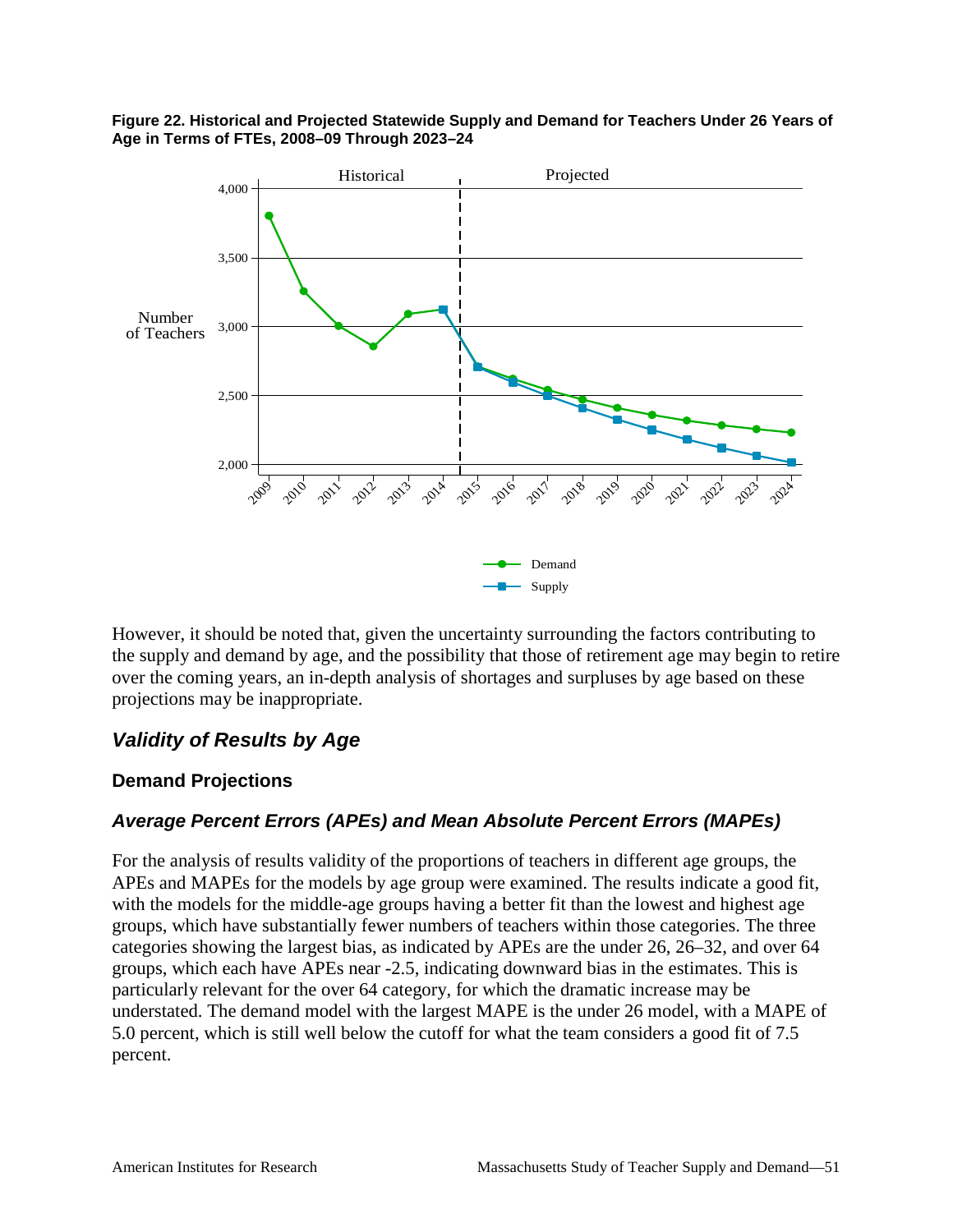



However, it should be noted that, given the uncertainty surrounding the factors contributing to the supply and demand by age, and the possibility that those of retirement age may begin to retire over the coming years, an in-depth analysis of shortages and surpluses by age based on these projections may be inappropriate.

#### *Validity of Results by Age*

#### **Demand Projections**

#### *Average Percent Errors (APEs) and Mean Absolute Percent Errors (MAPEs)*

For the analysis of results validity of the proportions of teachers in different age groups, the APEs and MAPEs for the models by age group were examined. The results indicate a good fit, with the models for the middle-age groups having a better fit than the lowest and highest age groups, which have substantially fewer numbers of teachers within those categories. The three categories showing the largest bias, as indicated by APEs are the under 26, 26–32, and over 64 groups, which each have APEs near -2.5, indicating downward bias in the estimates. This is particularly relevant for the over 64 category, for which the dramatic increase may be understated. The demand model with the largest MAPE is the under 26 model, with a MAPE of 5.0 percent, which is still well below the cutoff for what the team considers a good fit of 7.5 percent.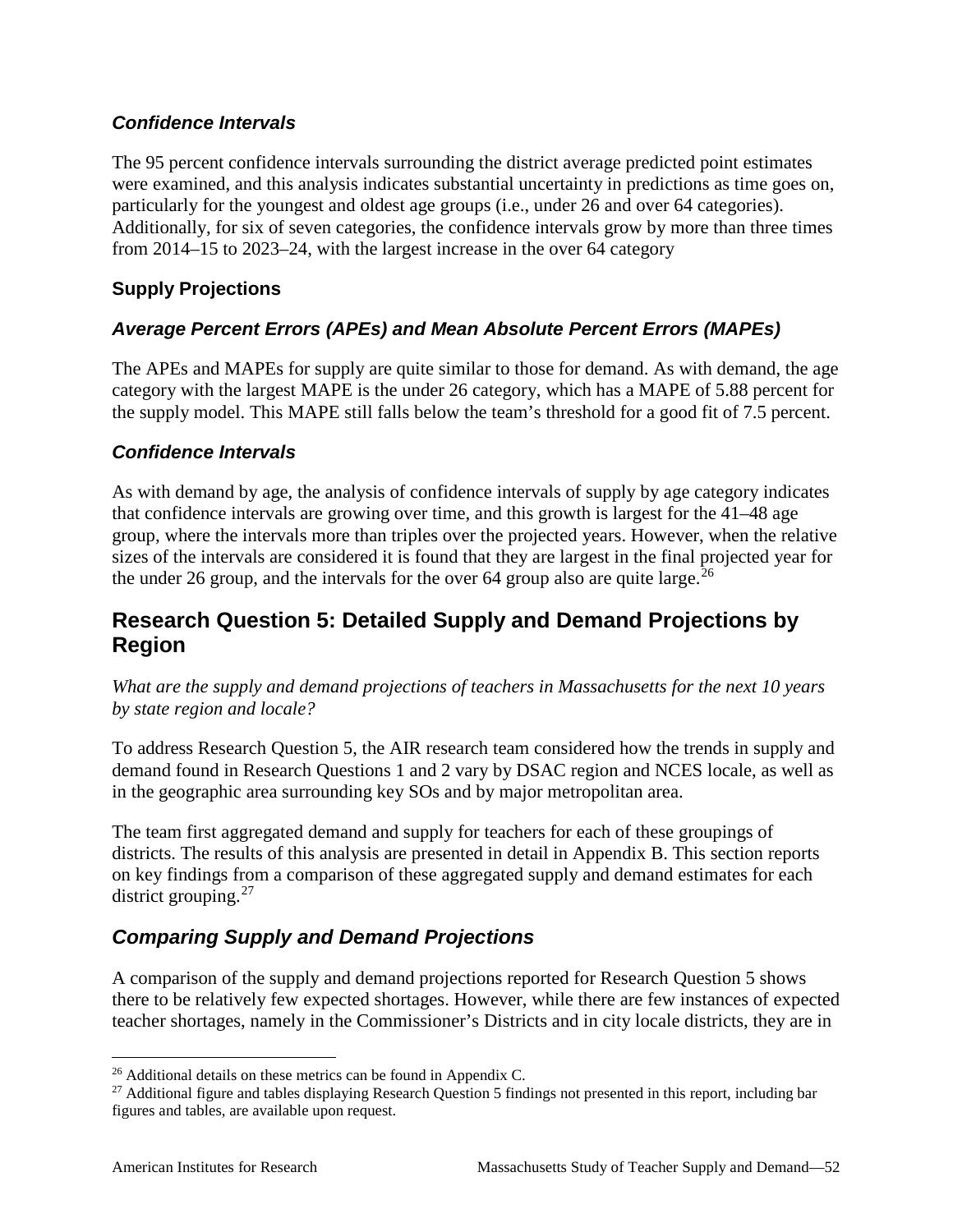#### *Confidence Intervals*

The 95 percent confidence intervals surrounding the district average predicted point estimates were examined, and this analysis indicates substantial uncertainty in predictions as time goes on, particularly for the youngest and oldest age groups (i.e., under 26 and over 64 categories). Additionally, for six of seven categories, the confidence intervals grow by more than three times from 2014–15 to 2023–24, with the largest increase in the over 64 category

#### **Supply Projections**

#### *Average Percent Errors (APEs) and Mean Absolute Percent Errors (MAPEs)*

The APEs and MAPEs for supply are quite similar to those for demand. As with demand, the age category with the largest MAPE is the under 26 category, which has a MAPE of 5.88 percent for the supply model. This MAPE still falls below the team's threshold for a good fit of 7.5 percent.

#### *Confidence Intervals*

As with demand by age, the analysis of confidence intervals of supply by age category indicates that confidence intervals are growing over time, and this growth is largest for the 41–48 age group, where the intervals more than triples over the projected years. However, when the relative sizes of the intervals are considered it is found that they are largest in the final projected year for the under [26](#page-57-0) group, and the intervals for the over 64 group also are quite large.<sup>26</sup>

### **Research Question 5: Detailed Supply and Demand Projections by Region**

*What are the supply and demand projections of teachers in Massachusetts for the next 10 years by state region and locale?*

To address Research Question 5, the AIR research team considered how the trends in supply and demand found in Research Questions 1 and 2 vary by DSAC region and NCES locale, as well as in the geographic area surrounding key SOs and by major metropolitan area.

The team first aggregated demand and supply for teachers for each of these groupings of districts. The results of this analysis are presented in detail in Appendix B. This section reports on key findings from a comparison of these aggregated supply and demand estimates for each district grouping.<sup>[27](#page-57-1)</sup>

### *Comparing Supply and Demand Projections*

A comparison of the supply and demand projections reported for Research Question 5 shows there to be relatively few expected shortages. However, while there are few instances of expected teacher shortages, namely in the Commissioner's Districts and in city locale districts, they are in

<span id="page-57-0"></span><sup>&</sup>lt;sup>26</sup> Additional details on these metrics can be found in Appendix C.

<span id="page-57-1"></span><sup>&</sup>lt;sup>27</sup> Additional figure and tables displaying Research Question 5 findings not presented in this report, including bar figures and tables, are available upon request.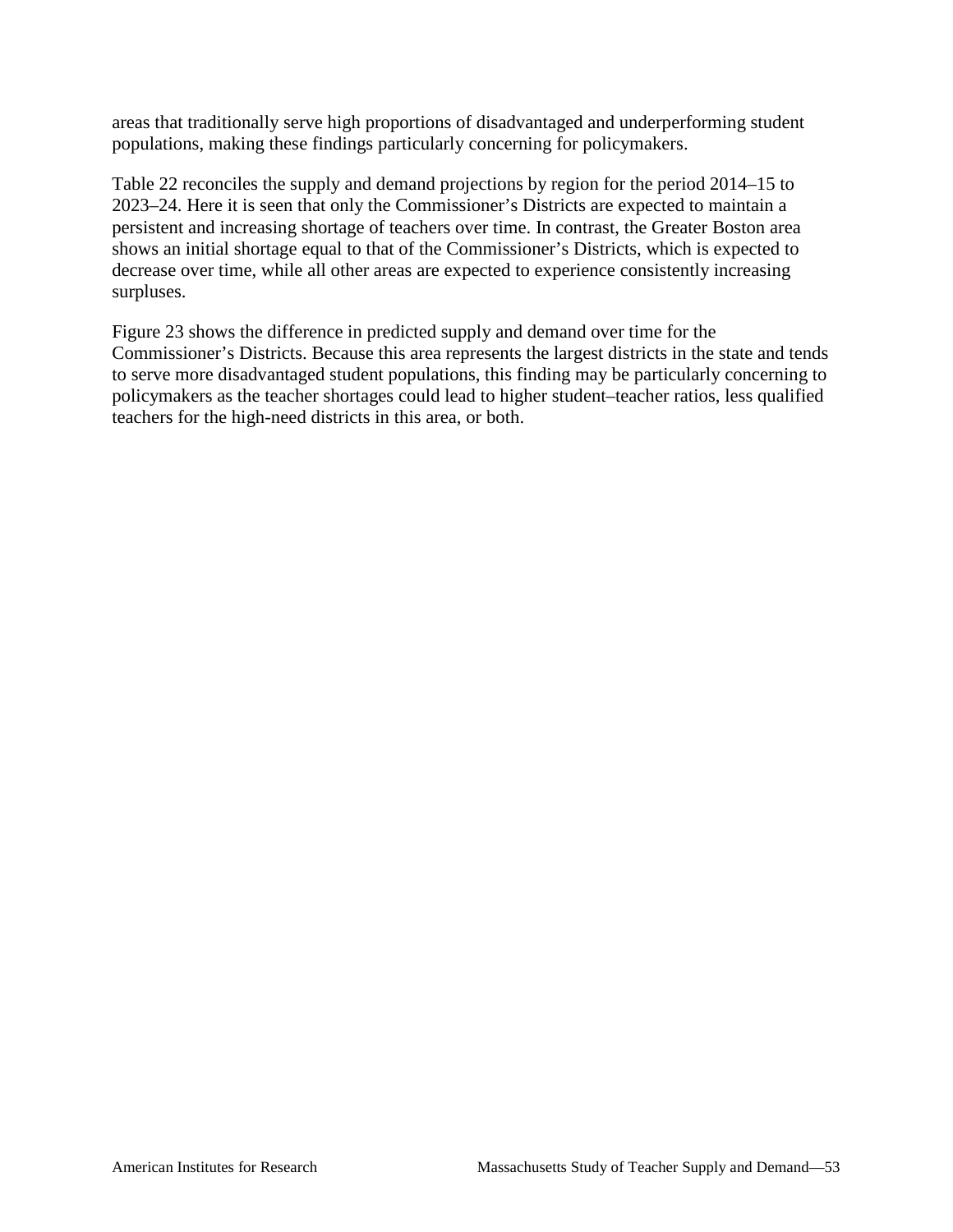areas that traditionally serve high proportions of disadvantaged and underperforming student populations, making these findings particularly concerning for policymakers.

Table 22 reconciles the supply and demand projections by region for the period 2014–15 to 2023–24. Here it is seen that only the Commissioner's Districts are expected to maintain a persistent and increasing shortage of teachers over time. In contrast, the Greater Boston area shows an initial shortage equal to that of the Commissioner's Districts, which is expected to decrease over time, while all other areas are expected to experience consistently increasing surpluses.

Figure 23 shows the difference in predicted supply and demand over time for the Commissioner's Districts. Because this area represents the largest districts in the state and tends to serve more disadvantaged student populations, this finding may be particularly concerning to policymakers as the teacher shortages could lead to higher student–teacher ratios, less qualified teachers for the high-need districts in this area, or both.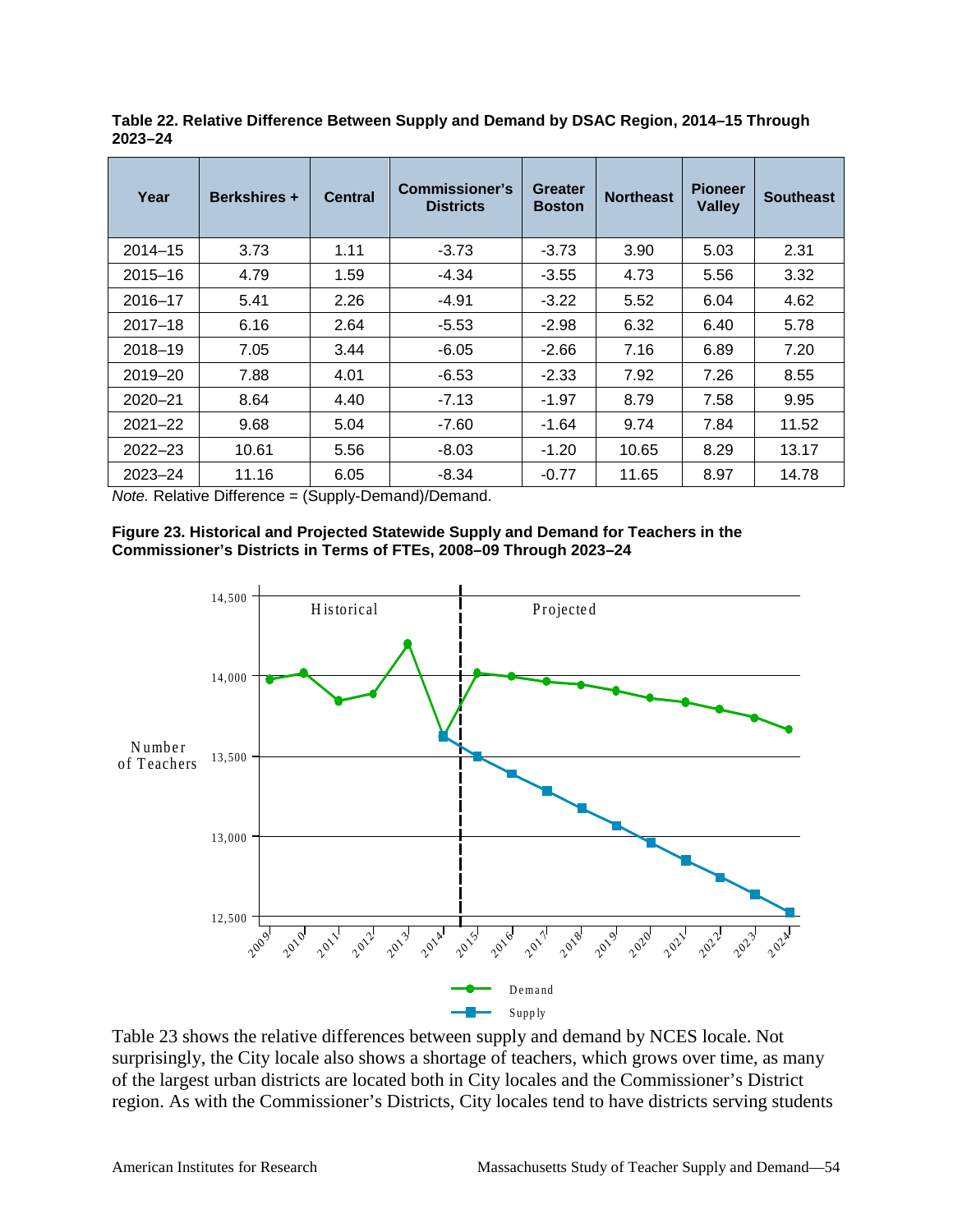| Year        | <b>Berkshires +</b> | <b>Central</b> | <b>Commissioner's</b><br><b>Districts</b> | <b>Greater</b><br><b>Boston</b> | <b>Northeast</b> | <b>Pioneer</b><br><b>Valley</b> | <b>Southeast</b> |
|-------------|---------------------|----------------|-------------------------------------------|---------------------------------|------------------|---------------------------------|------------------|
| $2014 - 15$ | 3.73                | 1.11           | $-3.73$                                   | $-3.73$                         | 3.90             | 5.03                            | 2.31             |
| $2015 - 16$ | 4.79                | 1.59           | -4.34                                     | $-3.55$                         | 4.73             | 5.56                            | 3.32             |
| $2016 - 17$ | 5.41                | 2.26           | $-4.91$                                   | $-3.22$                         | 5.52             | 6.04                            | 4.62             |
| $2017 - 18$ | 6.16                | 2.64           | $-5.53$                                   | $-2.98$                         | 6.32             | 6.40                            | 5.78             |
| 2018-19     | 7.05                | 3.44           | $-6.05$                                   | $-2.66$                         | 7.16             | 6.89                            | 7.20             |
| 2019-20     | 7.88                | 4.01           | -6.53                                     | $-2.33$                         | 7.92             | 7.26                            | 8.55             |
| $2020 - 21$ | 8.64                | 4.40           | $-7.13$                                   | $-1.97$                         | 8.79             | 7.58                            | 9.95             |
| $2021 - 22$ | 9.68                | 5.04           | $-7.60$                                   | $-1.64$                         | 9.74             | 7.84                            | 11.52            |
| $2022 - 23$ | 10.61               | 5.56           | $-8.03$                                   | -1.20                           | 10.65            | 8.29                            | 13.17            |
| $2023 - 24$ | 11.16               | 6.05           | $-8.34$                                   | $-0.77$                         | 11.65            | 8.97                            | 14.78            |

**Table 22. Relative Difference Between Supply and Demand by DSAC Region, 2014–15 Through 2023–24**

*Note.* Relative Difference = (Supply-Demand)/Demand.





Table 23 shows the relative differences between supply and demand by NCES locale. Not surprisingly, the City locale also shows a shortage of teachers, which grows over time, as many of the largest urban districts are located both in City locales and the Commissioner's District region. As with the Commissioner's Districts, City locales tend to have districts serving students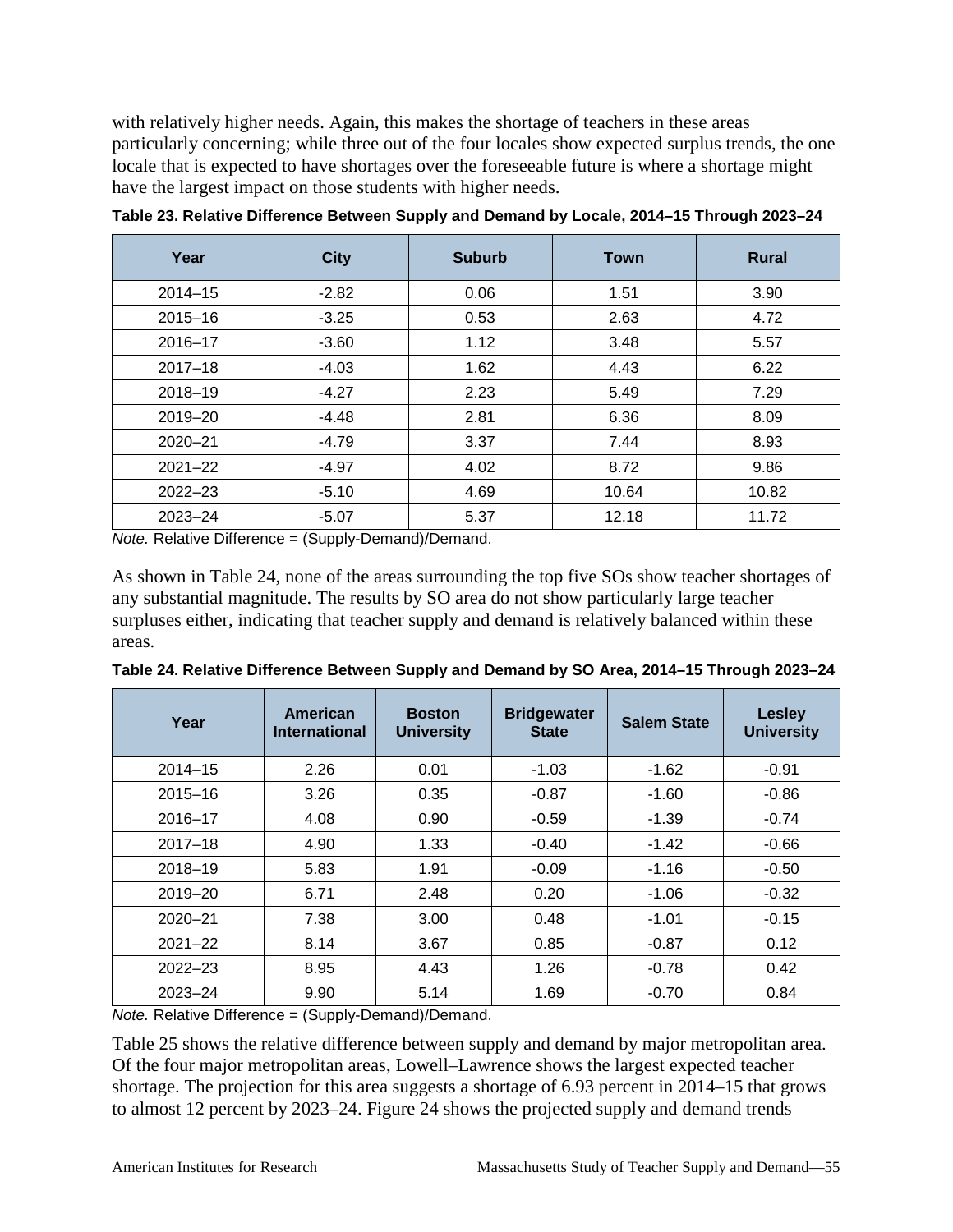with relatively higher needs. Again, this makes the shortage of teachers in these areas particularly concerning; while three out of the four locales show expected surplus trends, the one locale that is expected to have shortages over the foreseeable future is where a shortage might have the largest impact on those students with higher needs.

| Year        | <b>City</b> | <b>Suburb</b> | <b>Town</b> | <b>Rural</b> |
|-------------|-------------|---------------|-------------|--------------|
| $2014 - 15$ | $-2.82$     | 0.06          | 1.51        | 3.90         |
| $2015 - 16$ | $-3.25$     | 0.53          | 2.63        | 4.72         |
| $2016 - 17$ | $-3.60$     | 1.12          | 3.48        | 5.57         |
| $2017 - 18$ | $-4.03$     | 1.62          | 4.43        | 6.22         |
| 2018-19     | $-4.27$     | 2.23          | 5.49        | 7.29         |
| 2019-20     | $-4.48$     | 2.81          | 6.36        | 8.09         |
| $2020 - 21$ | $-4.79$     | 3.37          | 7.44        | 8.93         |
| $2021 - 22$ | $-4.97$     | 4.02          | 8.72        | 9.86         |
| $2022 - 23$ | $-5.10$     | 4.69          | 10.64       | 10.82        |
| $2023 - 24$ | $-5.07$     | 5.37          | 12.18       | 11.72        |

**Table 23. Relative Difference Between Supply and Demand by Locale, 2014–15 Through 2023–24**

*Note.* Relative Difference = (Supply-Demand)/Demand.

As shown in Table 24, none of the areas surrounding the top five SOs show teacher shortages of any substantial magnitude. The results by SO area do not show particularly large teacher surpluses either, indicating that teacher supply and demand is relatively balanced within these areas.

| Year        | American<br><b>International</b> | <b>Boston</b><br><b>University</b> | <b>Bridgewater</b><br><b>State</b> | <b>Salem State</b> | <b>Lesley</b><br><b>University</b> |
|-------------|----------------------------------|------------------------------------|------------------------------------|--------------------|------------------------------------|
| $2014 - 15$ | 2.26                             | 0.01                               | $-1.03$                            | $-1.62$            | $-0.91$                            |
| $2015 - 16$ | 3.26                             | 0.35                               | $-0.87$                            | $-1.60$            | $-0.86$                            |
| 2016-17     | 4.08                             | 0.90                               | $-0.59$                            | $-1.39$            | $-0.74$                            |
| $2017 - 18$ | 4.90                             | 1.33                               | $-0.40$                            | $-1.42$            | $-0.66$                            |
| 2018-19     | 5.83                             | 1.91                               | $-0.09$                            | $-1.16$            | $-0.50$                            |
| $2019 - 20$ | 6.71                             | 2.48                               | 0.20                               | $-1.06$            | $-0.32$                            |
| $2020 - 21$ | 7.38                             | 3.00                               | 0.48                               | $-1.01$            | $-0.15$                            |
| $2021 - 22$ | 8.14                             | 3.67                               | 0.85                               | $-0.87$            | 0.12                               |
| $2022 - 23$ | 8.95                             | 4.43                               | 1.26                               | $-0.78$            | 0.42                               |
| $2023 - 24$ | 9.90                             | 5.14                               | 1.69                               | $-0.70$            | 0.84                               |

**Table 24. Relative Difference Between Supply and Demand by SO Area, 2014–15 Through 2023–24**

*Note.* Relative Difference = (Supply-Demand)/Demand.

Table 25 shows the relative difference between supply and demand by major metropolitan area. Of the four major metropolitan areas, Lowell–Lawrence shows the largest expected teacher shortage. The projection for this area suggests a shortage of 6.93 percent in 2014–15 that grows to almost 12 percent by 2023–24. Figure 24 shows the projected supply and demand trends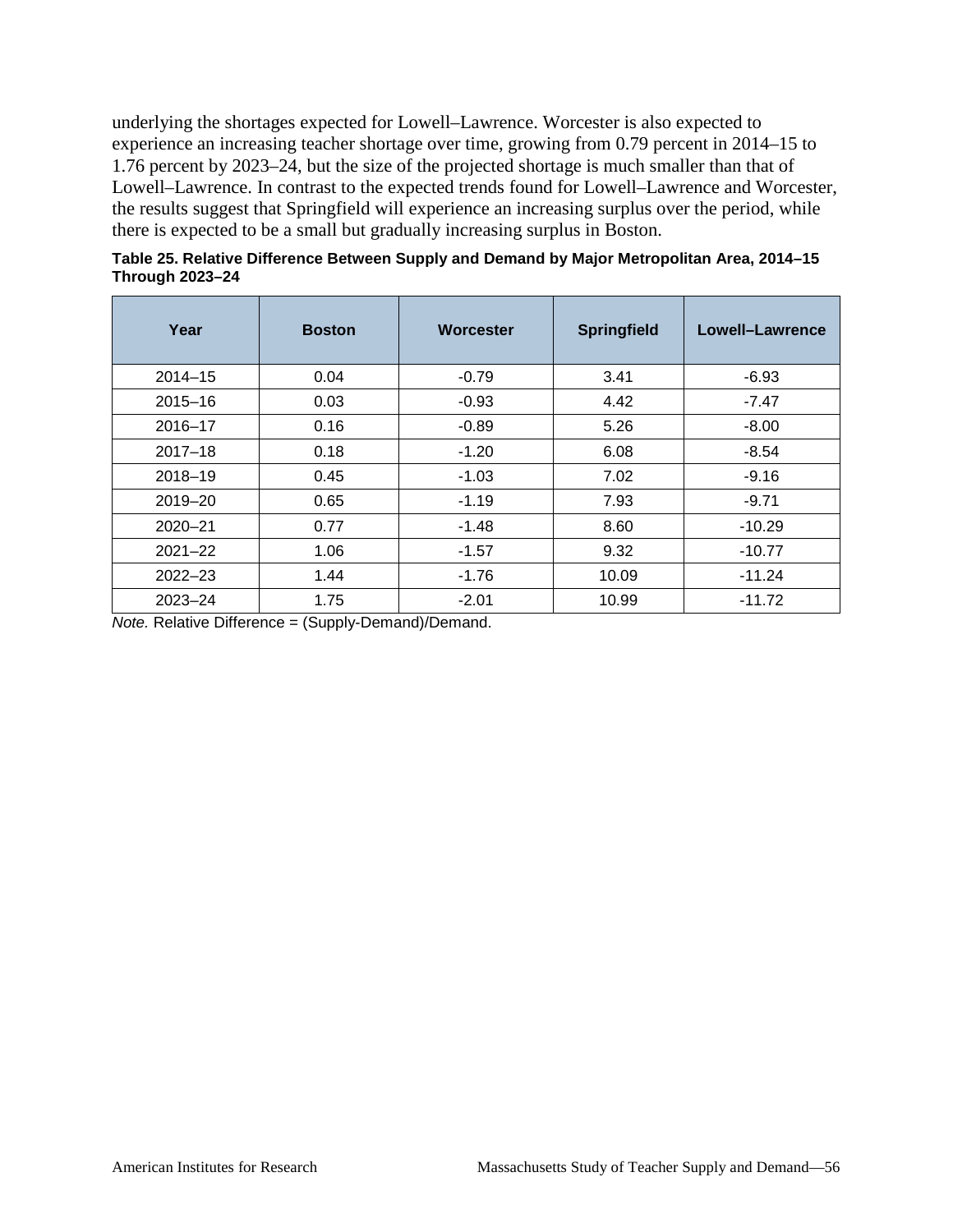underlying the shortages expected for Lowell–Lawrence. Worcester is also expected to experience an increasing teacher shortage over time, growing from 0.79 percent in 2014–15 to 1.76 percent by 2023–24, but the size of the projected shortage is much smaller than that of Lowell–Lawrence. In contrast to the expected trends found for Lowell–Lawrence and Worcester, the results suggest that Springfield will experience an increasing surplus over the period, while there is expected to be a small but gradually increasing surplus in Boston.

|                        | Table 25. Relative Difference Between Supply and Demand by Major Metropolitan Area, 2014–15 |  |  |  |
|------------------------|---------------------------------------------------------------------------------------------|--|--|--|
| <b>Through 2023-24</b> |                                                                                             |  |  |  |

| Year        | <b>Boston</b> | <b>Worcester</b> | <b>Springfield</b> | Lowell-Lawrence |
|-------------|---------------|------------------|--------------------|-----------------|
| $2014 - 15$ | 0.04          | $-0.79$          | 3.41               | $-6.93$         |
| $2015 - 16$ | 0.03          | $-0.93$          | 4.42               | $-7.47$         |
| $2016 - 17$ | 0.16          | $-0.89$          | 5.26               | $-8.00$         |
| $2017 - 18$ | 0.18          | $-1.20$          | 6.08               | $-8.54$         |
| 2018-19     | 0.45          | $-1.03$          | 7.02               | $-9.16$         |
| 2019-20     | 0.65          | $-1.19$          | 7.93               | $-9.71$         |
| $2020 - 21$ | 0.77          | $-1.48$          | 8.60               | $-10.29$        |
| $2021 - 22$ | 1.06          | $-1.57$          | 9.32               | $-10.77$        |
| $2022 - 23$ | 1.44          | $-1.76$          | 10.09              | $-11.24$        |
| $2023 - 24$ | 1.75          | $-2.01$          | 10.99              | $-11.72$        |

*Note.* Relative Difference = (Supply-Demand)/Demand.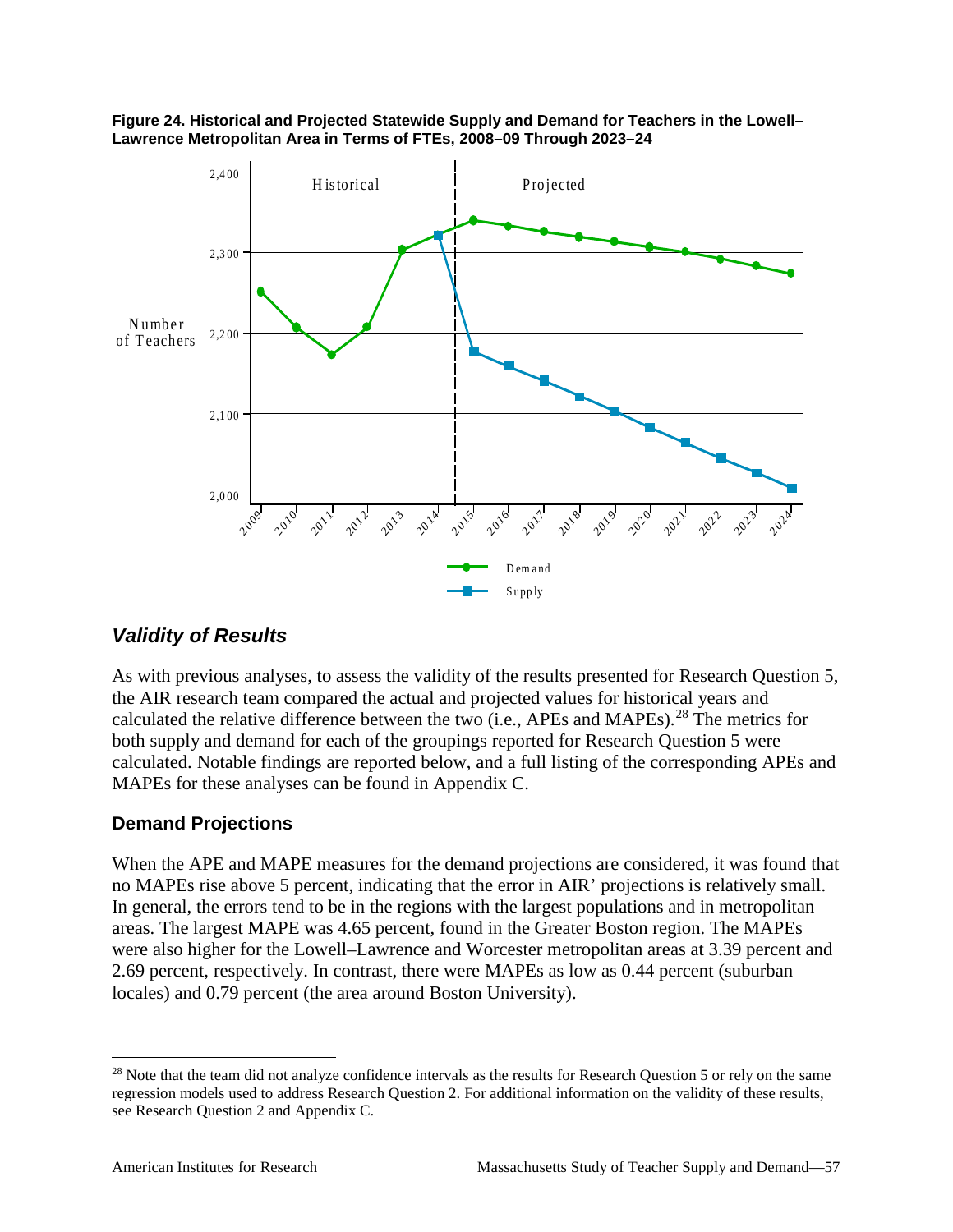



#### *Validity of Results*

As with previous analyses, to assess the validity of the results presented for Research Question 5, the AIR research team compared the actual and projected values for historical years and calculated the relative difference between the two (i.e., APEs and MAPEs).<sup>[28](#page-62-0)</sup> The metrics for both supply and demand for each of the groupings reported for Research Question 5 were calculated. Notable findings are reported below, and a full listing of the corresponding APEs and MAPEs for these analyses can be found in Appendix C.

#### **Demand Projections**

When the APE and MAPE measures for the demand projections are considered, it was found that no MAPEs rise above 5 percent, indicating that the error in AIR' projections is relatively small. In general, the errors tend to be in the regions with the largest populations and in metropolitan areas. The largest MAPE was 4.65 percent, found in the Greater Boston region. The MAPEs were also higher for the Lowell–Lawrence and Worcester metropolitan areas at 3.39 percent and 2.69 percent, respectively. In contrast, there were MAPEs as low as 0.44 percent (suburban locales) and 0.79 percent (the area around Boston University).

<span id="page-62-0"></span><sup>&</sup>lt;sup>28</sup> Note that the team did not analyze confidence intervals as the results for Research Question 5 or rely on the same regression models used to address Research Question 2. For additional information on the validity of these results, see Research Question 2 and Appendix C.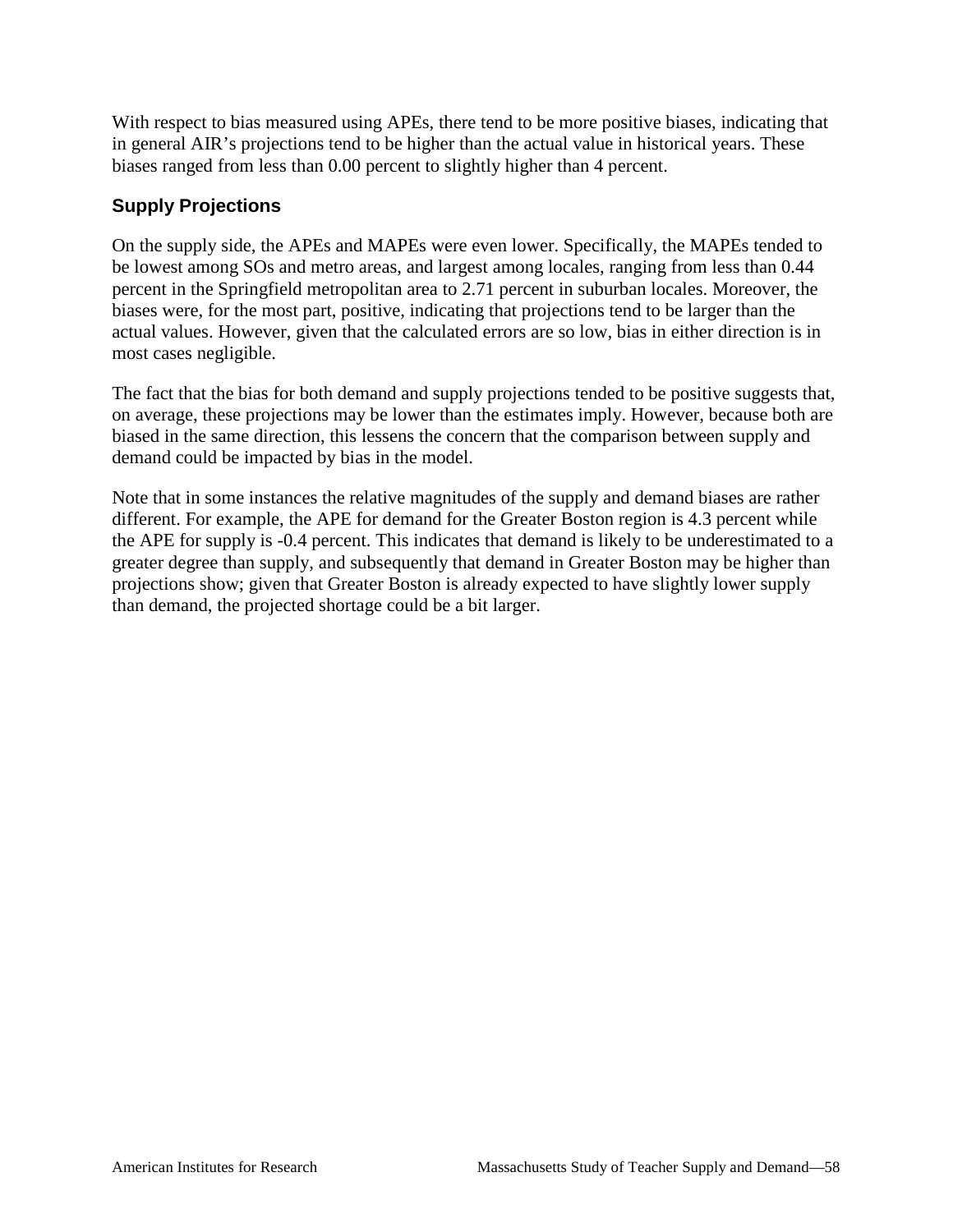With respect to bias measured using APEs, there tend to be more positive biases, indicating that in general AIR's projections tend to be higher than the actual value in historical years. These biases ranged from less than 0.00 percent to slightly higher than 4 percent.

#### **Supply Projections**

On the supply side, the APEs and MAPEs were even lower. Specifically, the MAPEs tended to be lowest among SOs and metro areas, and largest among locales, ranging from less than 0.44 percent in the Springfield metropolitan area to 2.71 percent in suburban locales. Moreover, the biases were, for the most part, positive, indicating that projections tend to be larger than the actual values. However, given that the calculated errors are so low, bias in either direction is in most cases negligible.

The fact that the bias for both demand and supply projections tended to be positive suggests that, on average, these projections may be lower than the estimates imply. However, because both are biased in the same direction, this lessens the concern that the comparison between supply and demand could be impacted by bias in the model.

Note that in some instances the relative magnitudes of the supply and demand biases are rather different. For example, the APE for demand for the Greater Boston region is 4.3 percent while the APE for supply is -0.4 percent. This indicates that demand is likely to be underestimated to a greater degree than supply, and subsequently that demand in Greater Boston may be higher than projections show; given that Greater Boston is already expected to have slightly lower supply than demand, the projected shortage could be a bit larger.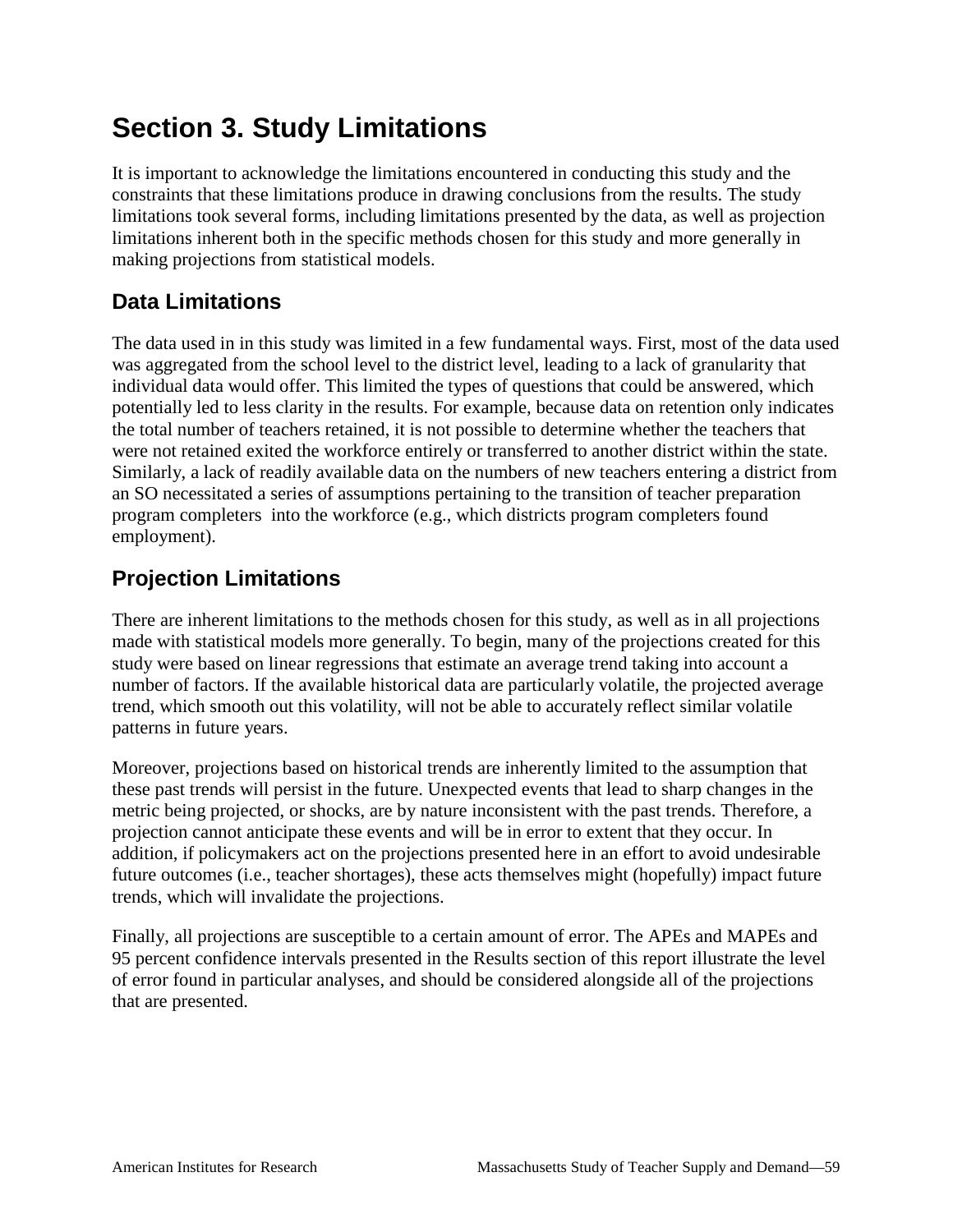# **Section 3. Study Limitations**

It is important to acknowledge the limitations encountered in conducting this study and the constraints that these limitations produce in drawing conclusions from the results. The study limitations took several forms, including limitations presented by the data, as well as projection limitations inherent both in the specific methods chosen for this study and more generally in making projections from statistical models.

## **Data Limitations**

The data used in in this study was limited in a few fundamental ways. First, most of the data used was aggregated from the school level to the district level, leading to a lack of granularity that individual data would offer. This limited the types of questions that could be answered, which potentially led to less clarity in the results. For example, because data on retention only indicates the total number of teachers retained, it is not possible to determine whether the teachers that were not retained exited the workforce entirely or transferred to another district within the state. Similarly, a lack of readily available data on the numbers of new teachers entering a district from an SO necessitated a series of assumptions pertaining to the transition of teacher preparation program completers into the workforce (e.g., which districts program completers found employment).

## **Projection Limitations**

There are inherent limitations to the methods chosen for this study, as well as in all projections made with statistical models more generally. To begin, many of the projections created for this study were based on linear regressions that estimate an average trend taking into account a number of factors. If the available historical data are particularly volatile, the projected average trend, which smooth out this volatility, will not be able to accurately reflect similar volatile patterns in future years.

Moreover, projections based on historical trends are inherently limited to the assumption that these past trends will persist in the future. Unexpected events that lead to sharp changes in the metric being projected, or shocks, are by nature inconsistent with the past trends. Therefore, a projection cannot anticipate these events and will be in error to extent that they occur. In addition, if policymakers act on the projections presented here in an effort to avoid undesirable future outcomes (i.e., teacher shortages), these acts themselves might (hopefully) impact future trends, which will invalidate the projections.

Finally, all projections are susceptible to a certain amount of error. The APEs and MAPEs and 95 percent confidence intervals presented in the Results section of this report illustrate the level of error found in particular analyses, and should be considered alongside all of the projections that are presented.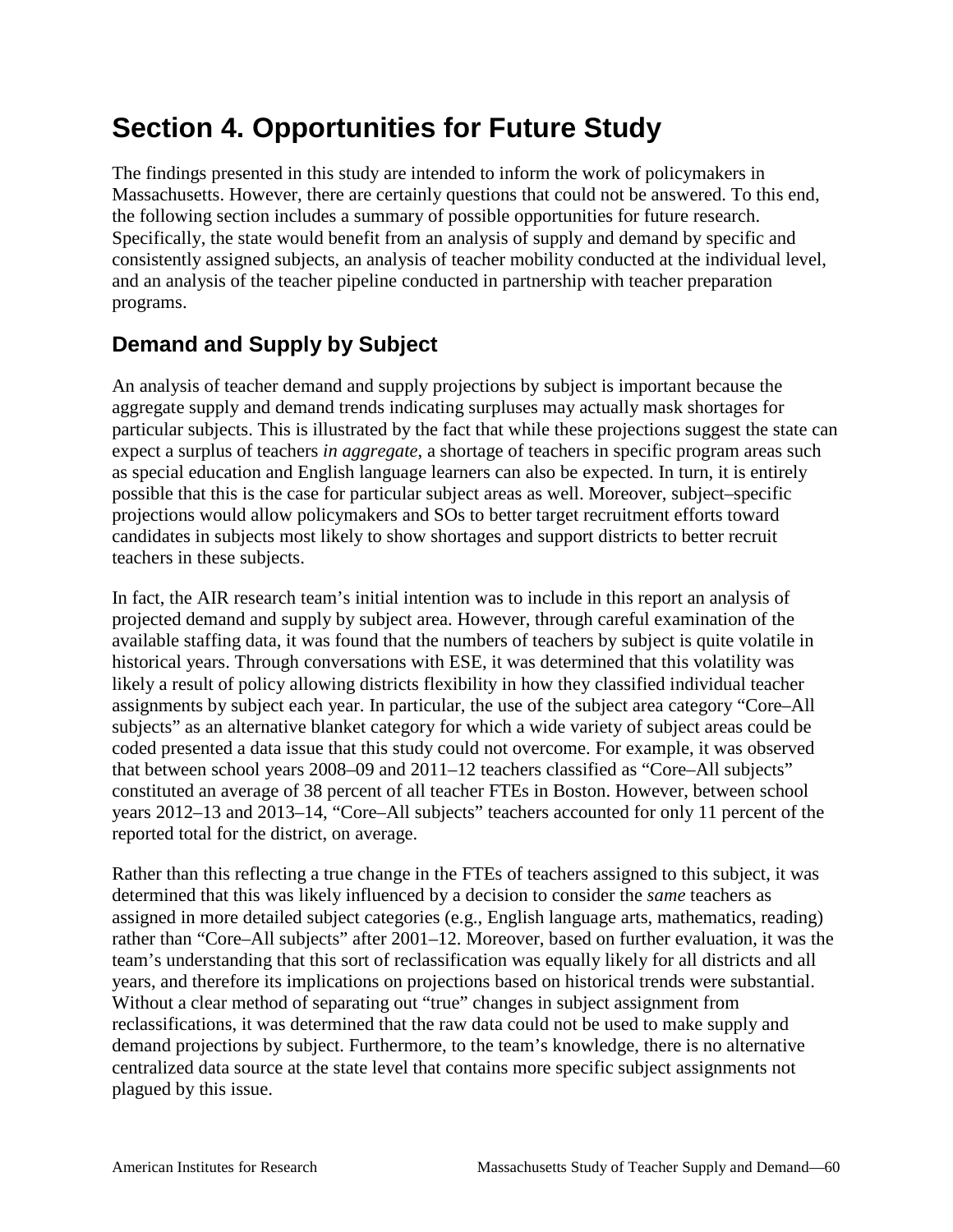# **Section 4. Opportunities for Future Study**

The findings presented in this study are intended to inform the work of policymakers in Massachusetts. However, there are certainly questions that could not be answered. To this end, the following section includes a summary of possible opportunities for future research. Specifically, the state would benefit from an analysis of supply and demand by specific and consistently assigned subjects, an analysis of teacher mobility conducted at the individual level, and an analysis of the teacher pipeline conducted in partnership with teacher preparation programs.

## **Demand and Supply by Subject**

An analysis of teacher demand and supply projections by subject is important because the aggregate supply and demand trends indicating surpluses may actually mask shortages for particular subjects. This is illustrated by the fact that while these projections suggest the state can expect a surplus of teachers *in aggregate*, a shortage of teachers in specific program areas such as special education and English language learners can also be expected. In turn, it is entirely possible that this is the case for particular subject areas as well. Moreover, subject–specific projections would allow policymakers and SOs to better target recruitment efforts toward candidates in subjects most likely to show shortages and support districts to better recruit teachers in these subjects.

In fact, the AIR research team's initial intention was to include in this report an analysis of projected demand and supply by subject area. However, through careful examination of the available staffing data, it was found that the numbers of teachers by subject is quite volatile in historical years. Through conversations with ESE, it was determined that this volatility was likely a result of policy allowing districts flexibility in how they classified individual teacher assignments by subject each year. In particular, the use of the subject area category "Core–All subjects" as an alternative blanket category for which a wide variety of subject areas could be coded presented a data issue that this study could not overcome. For example, it was observed that between school years 2008–09 and 2011–12 teachers classified as "Core–All subjects" constituted an average of 38 percent of all teacher FTEs in Boston. However, between school years 2012–13 and 2013–14, "Core–All subjects" teachers accounted for only 11 percent of the reported total for the district, on average.

Rather than this reflecting a true change in the FTEs of teachers assigned to this subject, it was determined that this was likely influenced by a decision to consider the *same* teachers as assigned in more detailed subject categories (e.g., English language arts, mathematics, reading) rather than "Core–All subjects" after 2001–12. Moreover, based on further evaluation, it was the team's understanding that this sort of reclassification was equally likely for all districts and all years, and therefore its implications on projections based on historical trends were substantial. Without a clear method of separating out "true" changes in subject assignment from reclassifications, it was determined that the raw data could not be used to make supply and demand projections by subject. Furthermore, to the team's knowledge, there is no alternative centralized data source at the state level that contains more specific subject assignments not plagued by this issue.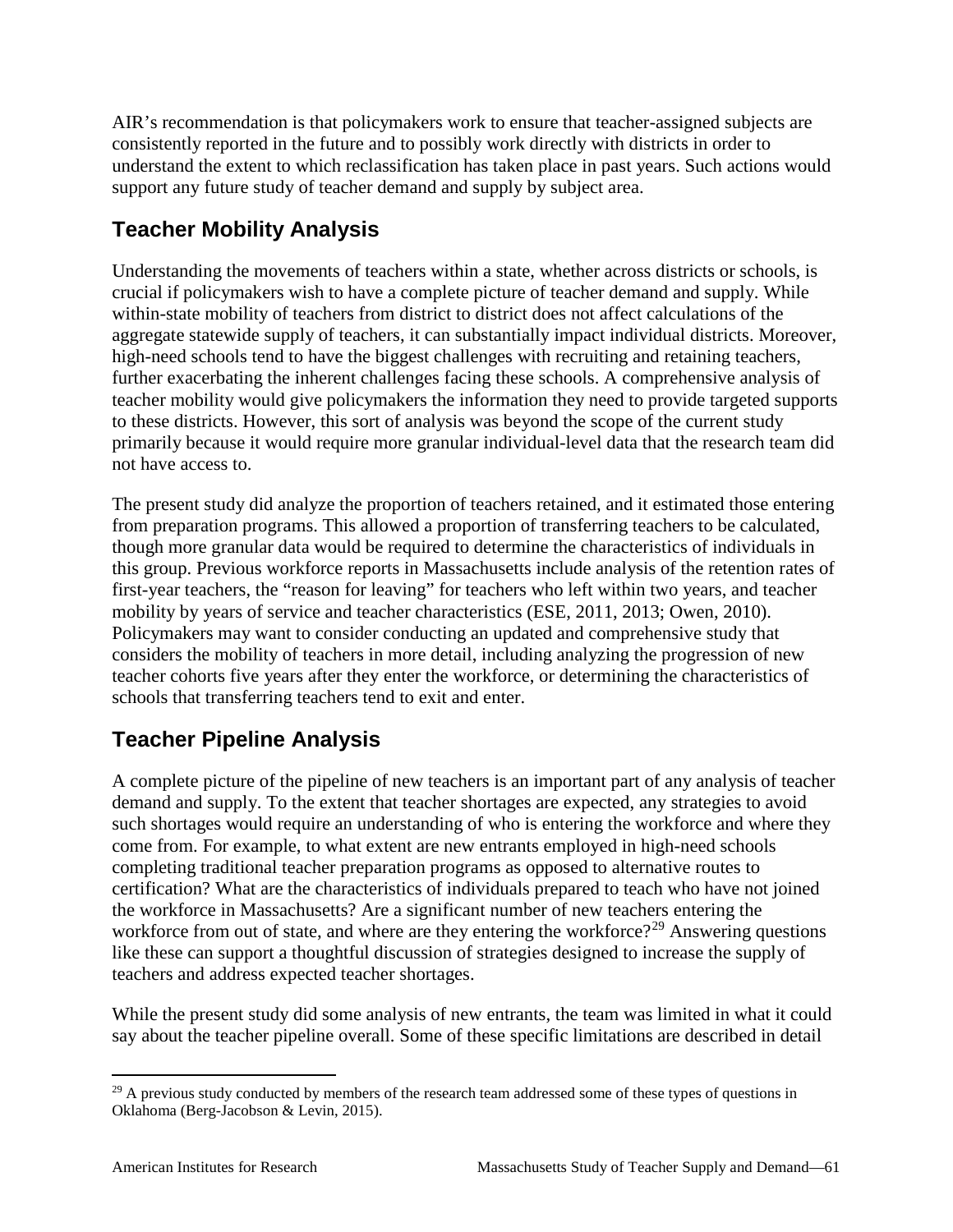AIR's recommendation is that policymakers work to ensure that teacher-assigned subjects are consistently reported in the future and to possibly work directly with districts in order to understand the extent to which reclassification has taken place in past years. Such actions would support any future study of teacher demand and supply by subject area.

## **Teacher Mobility Analysis**

Understanding the movements of teachers within a state, whether across districts or schools, is crucial if policymakers wish to have a complete picture of teacher demand and supply. While within-state mobility of teachers from district to district does not affect calculations of the aggregate statewide supply of teachers, it can substantially impact individual districts. Moreover, high-need schools tend to have the biggest challenges with recruiting and retaining teachers, further exacerbating the inherent challenges facing these schools. A comprehensive analysis of teacher mobility would give policymakers the information they need to provide targeted supports to these districts. However, this sort of analysis was beyond the scope of the current study primarily because it would require more granular individual-level data that the research team did not have access to.

The present study did analyze the proportion of teachers retained, and it estimated those entering from preparation programs. This allowed a proportion of transferring teachers to be calculated, though more granular data would be required to determine the characteristics of individuals in this group. Previous workforce reports in Massachusetts include analysis of the retention rates of first-year teachers, the "reason for leaving" for teachers who left within two years, and teacher mobility by years of service and teacher characteristics (ESE, 2011, 2013; Owen, 2010). Policymakers may want to consider conducting an updated and comprehensive study that considers the mobility of teachers in more detail, including analyzing the progression of new teacher cohorts five years after they enter the workforce, or determining the characteristics of schools that transferring teachers tend to exit and enter.

## **Teacher Pipeline Analysis**

A complete picture of the pipeline of new teachers is an important part of any analysis of teacher demand and supply. To the extent that teacher shortages are expected, any strategies to avoid such shortages would require an understanding of who is entering the workforce and where they come from. For example, to what extent are new entrants employed in high-need schools completing traditional teacher preparation programs as opposed to alternative routes to certification? What are the characteristics of individuals prepared to teach who have not joined the workforce in Massachusetts? Are a significant number of new teachers entering the workforce from out of state, and where are they entering the workforce?<sup>[29](#page-66-0)</sup> Answering questions like these can support a thoughtful discussion of strategies designed to increase the supply of teachers and address expected teacher shortages.

While the present study did some analysis of new entrants, the team was limited in what it could say about the teacher pipeline overall. Some of these specific limitations are described in detail

<span id="page-66-0"></span> $^{29}$  A previous study conducted by members of the research team addressed some of these types of questions in Oklahoma (Berg-Jacobson & Levin, 2015).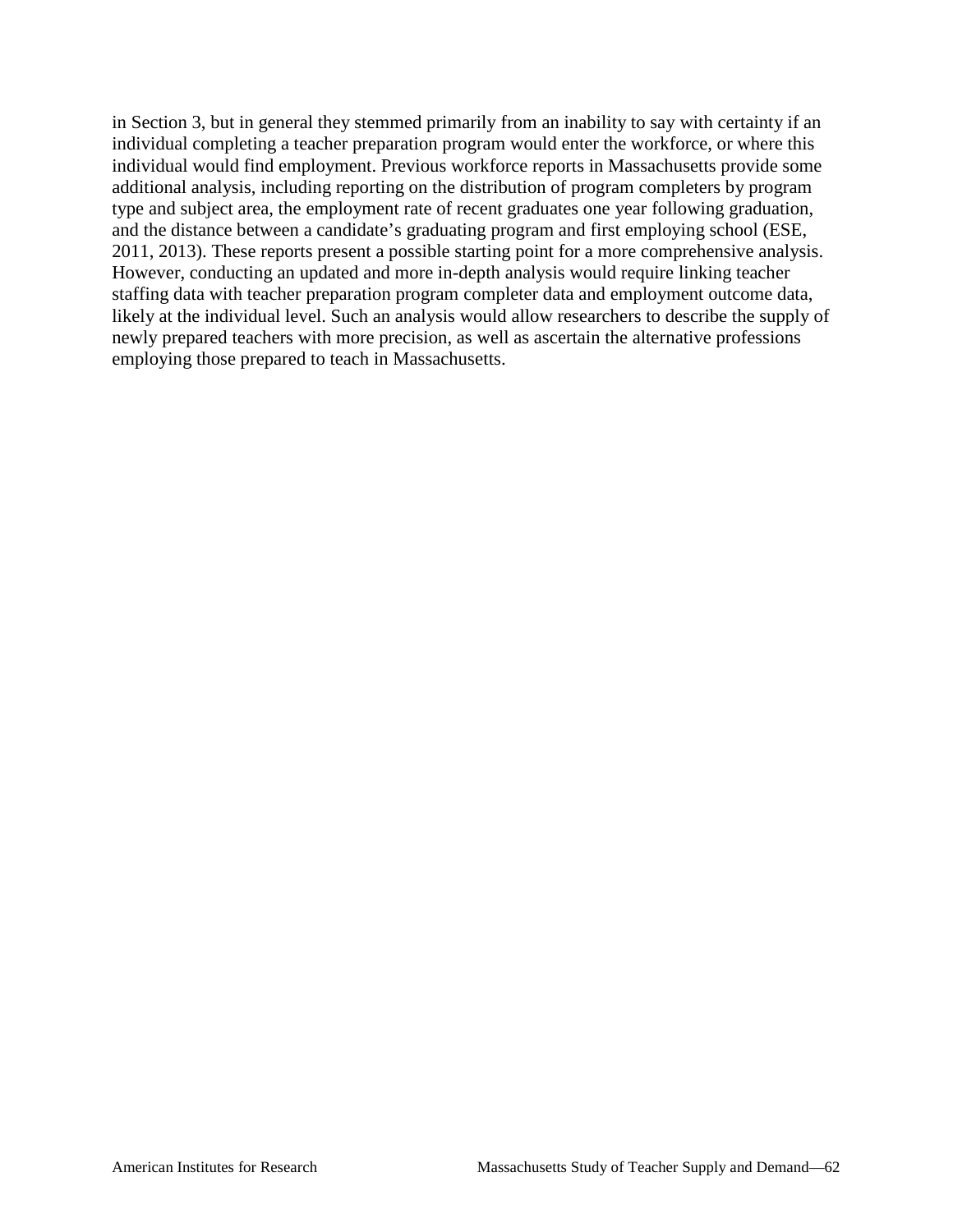in Section 3, but in general they stemmed primarily from an inability to say with certainty if an individual completing a teacher preparation program would enter the workforce, or where this individual would find employment. Previous workforce reports in Massachusetts provide some additional analysis, including reporting on the distribution of program completers by program type and subject area, the employment rate of recent graduates one year following graduation, and the distance between a candidate's graduating program and first employing school (ESE, 2011, 2013). These reports present a possible starting point for a more comprehensive analysis. However, conducting an updated and more in-depth analysis would require linking teacher staffing data with teacher preparation program completer data and employment outcome data, likely at the individual level. Such an analysis would allow researchers to describe the supply of newly prepared teachers with more precision, as well as ascertain the alternative professions employing those prepared to teach in Massachusetts.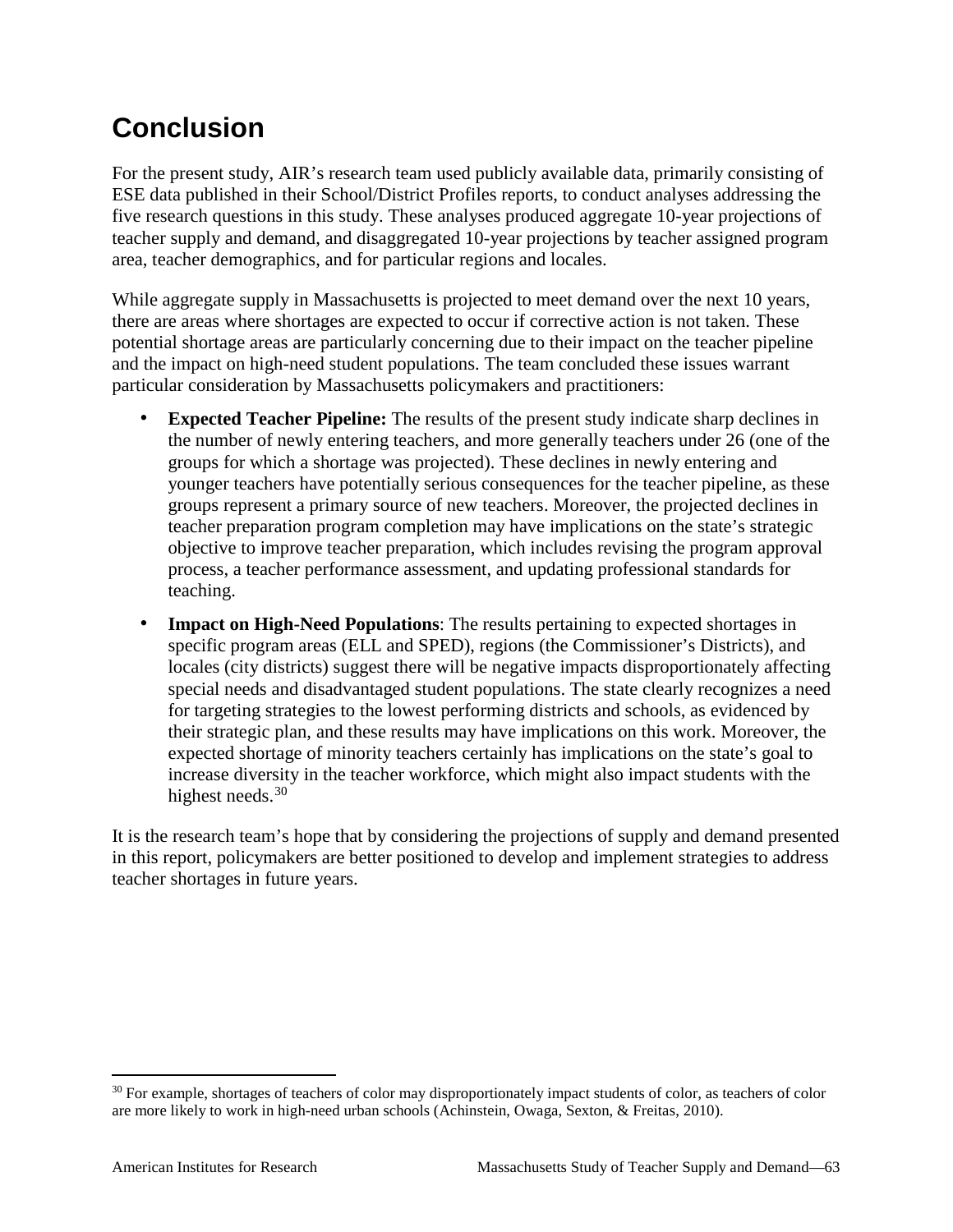# **Conclusion**

For the present study, AIR's research team used publicly available data, primarily consisting of ESE data published in their School/District Profiles reports, to conduct analyses addressing the five research questions in this study. These analyses produced aggregate 10-year projections of teacher supply and demand, and disaggregated 10-year projections by teacher assigned program area, teacher demographics, and for particular regions and locales.

While aggregate supply in Massachusetts is projected to meet demand over the next 10 years, there are areas where shortages are expected to occur if corrective action is not taken. These potential shortage areas are particularly concerning due to their impact on the teacher pipeline and the impact on high-need student populations. The team concluded these issues warrant particular consideration by Massachusetts policymakers and practitioners:

- **Expected Teacher Pipeline:** The results of the present study indicate sharp declines in the number of newly entering teachers, and more generally teachers under 26 (one of the groups for which a shortage was projected). These declines in newly entering and younger teachers have potentially serious consequences for the teacher pipeline, as these groups represent a primary source of new teachers. Moreover, the projected declines in teacher preparation program completion may have implications on the state's strategic objective to improve teacher preparation, which includes revising the program approval process, a teacher performance assessment, and updating professional standards for teaching.
- **Impact on High-Need Populations**: The results pertaining to expected shortages in specific program areas (ELL and SPED), regions (the Commissioner's Districts), and locales (city districts) suggest there will be negative impacts disproportionately affecting special needs and disadvantaged student populations. The state clearly recognizes a need for targeting strategies to the lowest performing districts and schools, as evidenced by their strategic plan, and these results may have implications on this work. Moreover, the expected shortage of minority teachers certainly has implications on the state's goal to increase diversity in the teacher workforce, which might also impact students with the highest needs.<sup>[30](#page-68-0)</sup>

It is the research team's hope that by considering the projections of supply and demand presented in this report, policymakers are better positioned to develop and implement strategies to address teacher shortages in future years.

<span id="page-68-0"></span><sup>&</sup>lt;sup>30</sup> For example, shortages of teachers of color may disproportionately impact students of color, as teachers of color are more likely to work in high-need urban schools (Achinstein, Owaga, Sexton, & Freitas, 2010).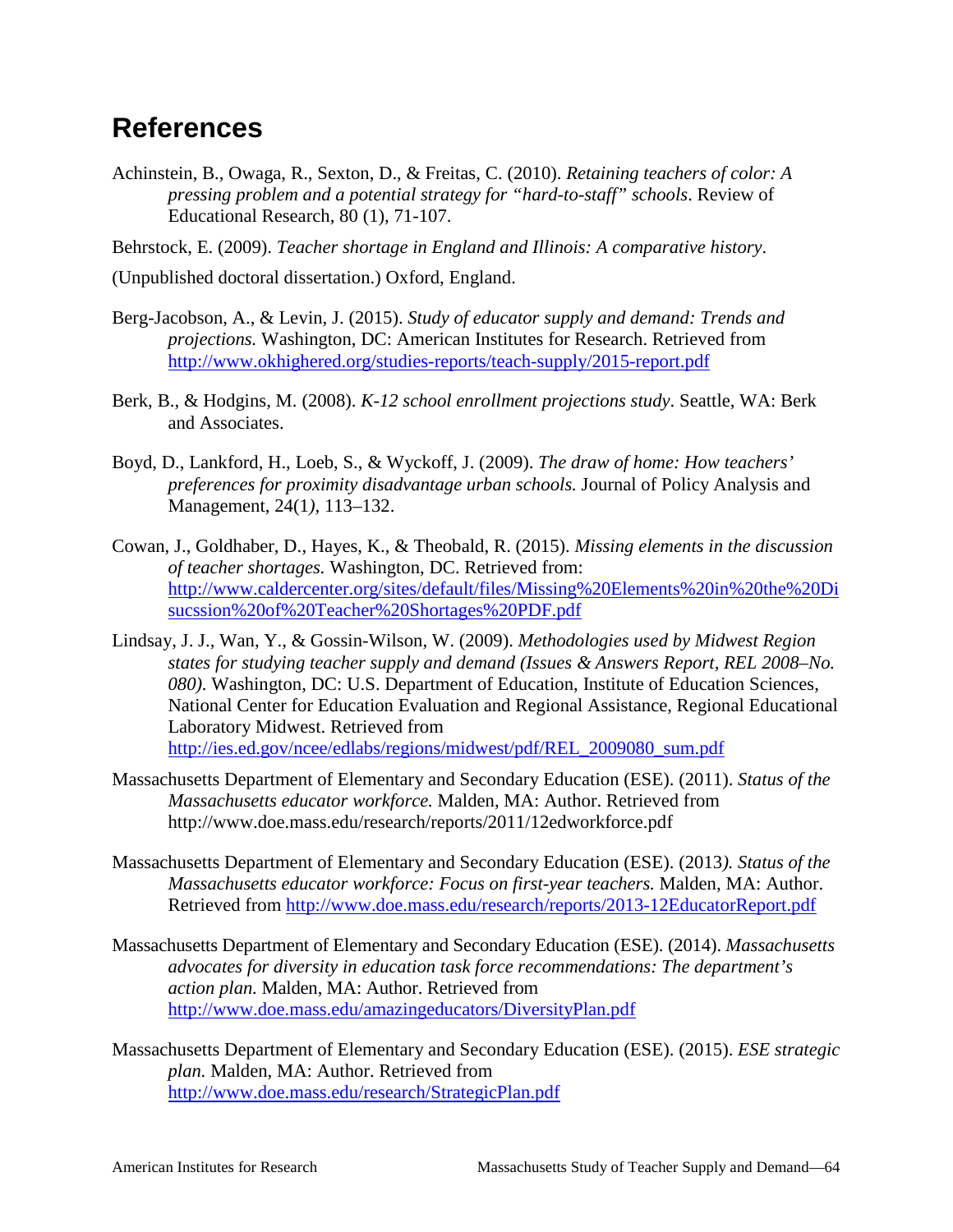## **References**

Achinstein, B., Owaga, R., Sexton, D., & Freitas, C. (2010). *Retaining teachers of color: A pressing problem and a potential strategy for "hard-to-staff" schools*. Review of Educational Research, 80 (1), 71-107.

Behrstock, E. (2009). *Teacher shortage in England and Illinois: A comparative history*.

(Unpublished doctoral dissertation.) Oxford, England.

- Berg-Jacobson, A., & Levin, J. (2015). *Study of educator supply and demand: Trends and projections.* Washington, DC: American Institutes for Research. Retrieved from <http://www.okhighered.org/studies-reports/teach-supply/2015-report.pdf>
- Berk, B., & Hodgins, M. (2008). *K-12 school enrollment projections study*. Seattle, WA: Berk and Associates.
- Boyd, D., Lankford, H., Loeb, S., & Wyckoff, J. (2009). *The draw of home: How teachers' preferences for proximity disadvantage urban schools.* Journal of Policy Analysis and Management, 24(1*),* 113–132.
- Cowan, J., Goldhaber, D., Hayes, K., & Theobald, R. (2015). *Missing elements in the discussion of teacher shortages.* Washington, DC. Retrieved from: [http://www.caldercenter.org/sites/default/files/Missing%20Elements%20in%20the%20Di](http://www.caldercenter.org/sites/default/files/Missing%20Elements%20in%20the%20Disucssion%20of%20Teacher%20Shortages%20PDF.pdf) [sucssion%20of%20Teacher%20Shortages%20PDF.pdf](http://www.caldercenter.org/sites/default/files/Missing%20Elements%20in%20the%20Disucssion%20of%20Teacher%20Shortages%20PDF.pdf)
- Lindsay, J. J., Wan, Y., & Gossin-Wilson, W. (2009). *Methodologies used by Midwest Region states for studying teacher supply and demand (Issues & Answers Report, REL 2008–No. 080)*. Washington, DC: U.S. Department of Education, Institute of Education Sciences, National Center for Education Evaluation and Regional Assistance, Regional Educational Laboratory Midwest. Retrieved from [http://ies.ed.gov/ncee/edlabs/regions/midwest/pdf/REL\\_2009080\\_sum.pdf](http://ies.ed.gov/ncee/edlabs/regions/midwest/pdf/REL_2009080_sum.pdf)
- Massachusetts Department of Elementary and Secondary Education (ESE). (2011). *Status of the Massachusetts educator workforce.* Malden, MA: Author. Retrieved from http://www.doe.mass.edu/research/reports/2011/12edworkforce.pdf
- Massachusetts Department of Elementary and Secondary Education (ESE). (2013*). Status of the Massachusetts educator workforce: Focus on first-year teachers.* Malden, MA: Author. Retrieved from<http://www.doe.mass.edu/research/reports/2013-12EducatorReport.pdf>
- Massachusetts Department of Elementary and Secondary Education (ESE). (2014). *Massachusetts advocates for diversity in education task force recommendations: The department's action plan.* Malden, MA: Author. Retrieved from <http://www.doe.mass.edu/amazingeducators/DiversityPlan.pdf>
- Massachusetts Department of Elementary and Secondary Education (ESE). (2015). *ESE strategic plan.* Malden, MA: Author. Retrieved from <http://www.doe.mass.edu/research/StrategicPlan.pdf>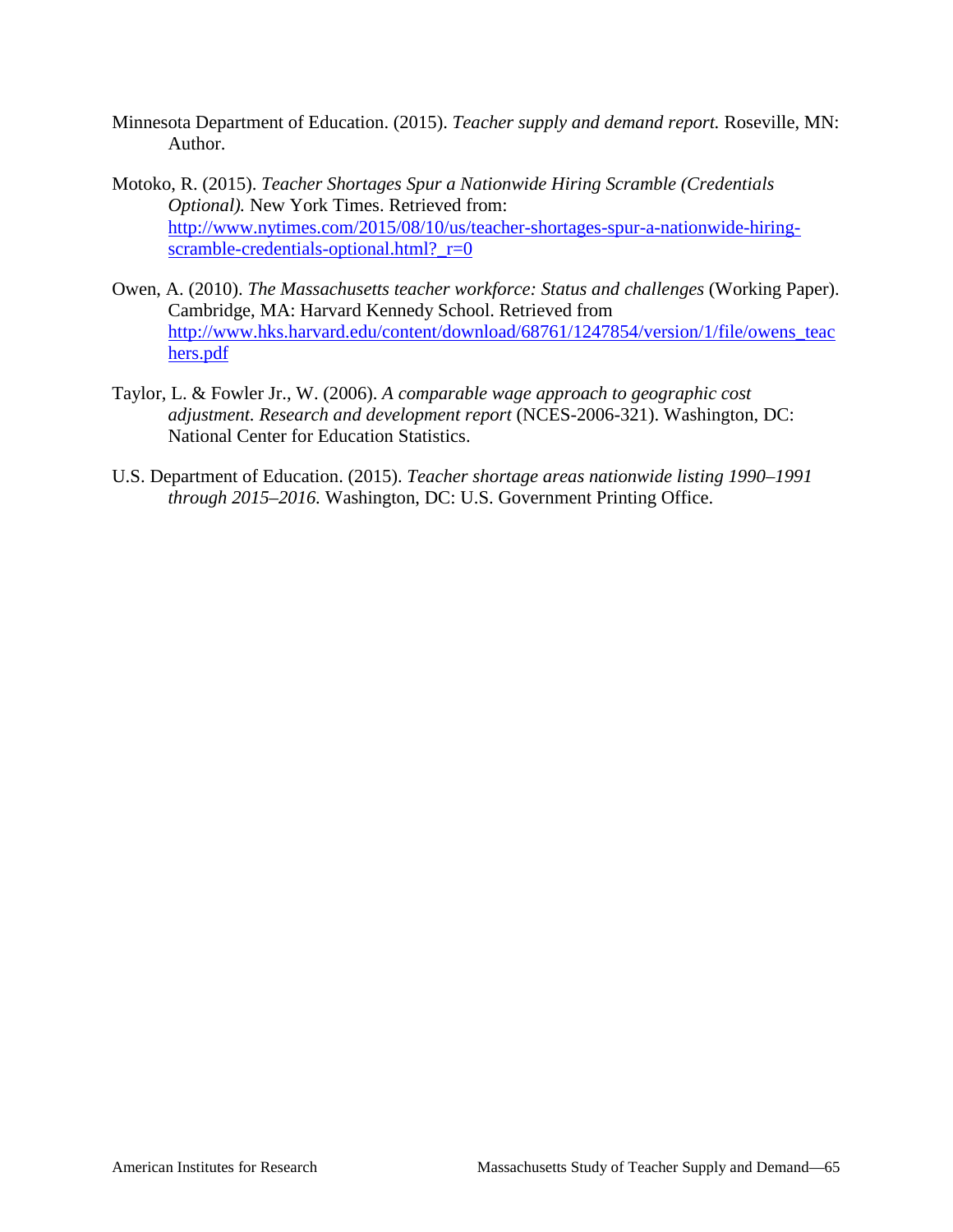- Minnesota Department of Education. (2015). *Teacher supply and demand report.* Roseville, MN: Author.
- Motoko, R. (2015). *Teacher Shortages Spur a Nationwide Hiring Scramble (Credentials Optional).* New York Times. Retrieved from: [http://www.nytimes.com/2015/08/10/us/teacher-shortages-spur-a-nationwide-hiring](http://www.nytimes.com/2015/08/10/us/teacher-shortages-spur-a-nationwide-hiring-scramble-credentials-optional.html?_r=0)[scramble-credentials-optional.html?\\_r=0](http://www.nytimes.com/2015/08/10/us/teacher-shortages-spur-a-nationwide-hiring-scramble-credentials-optional.html?_r=0)
- Owen, A. (2010). *The Massachusetts teacher workforce: Status and challenges* (Working Paper). Cambridge, MA: Harvard Kennedy School. Retrieved from [http://www.hks.harvard.edu/content/download/68761/1247854/version/1/file/owens\\_teac](http://www.hks.harvard.edu/content/download/68761/1247854/version/1/file/owens_teachers.pdf) [hers.pdf](http://www.hks.harvard.edu/content/download/68761/1247854/version/1/file/owens_teachers.pdf)
- Taylor, L. & Fowler Jr., W. (2006). *A comparable wage approach to geographic cost adjustment. Research and development report* (NCES-2006-321). Washington, DC: National Center for Education Statistics.
- U.S. Department of Education. (2015). *Teacher shortage areas nationwide listing 1990–1991 through 2015–2016.* Washington, DC: U.S. Government Printing Office.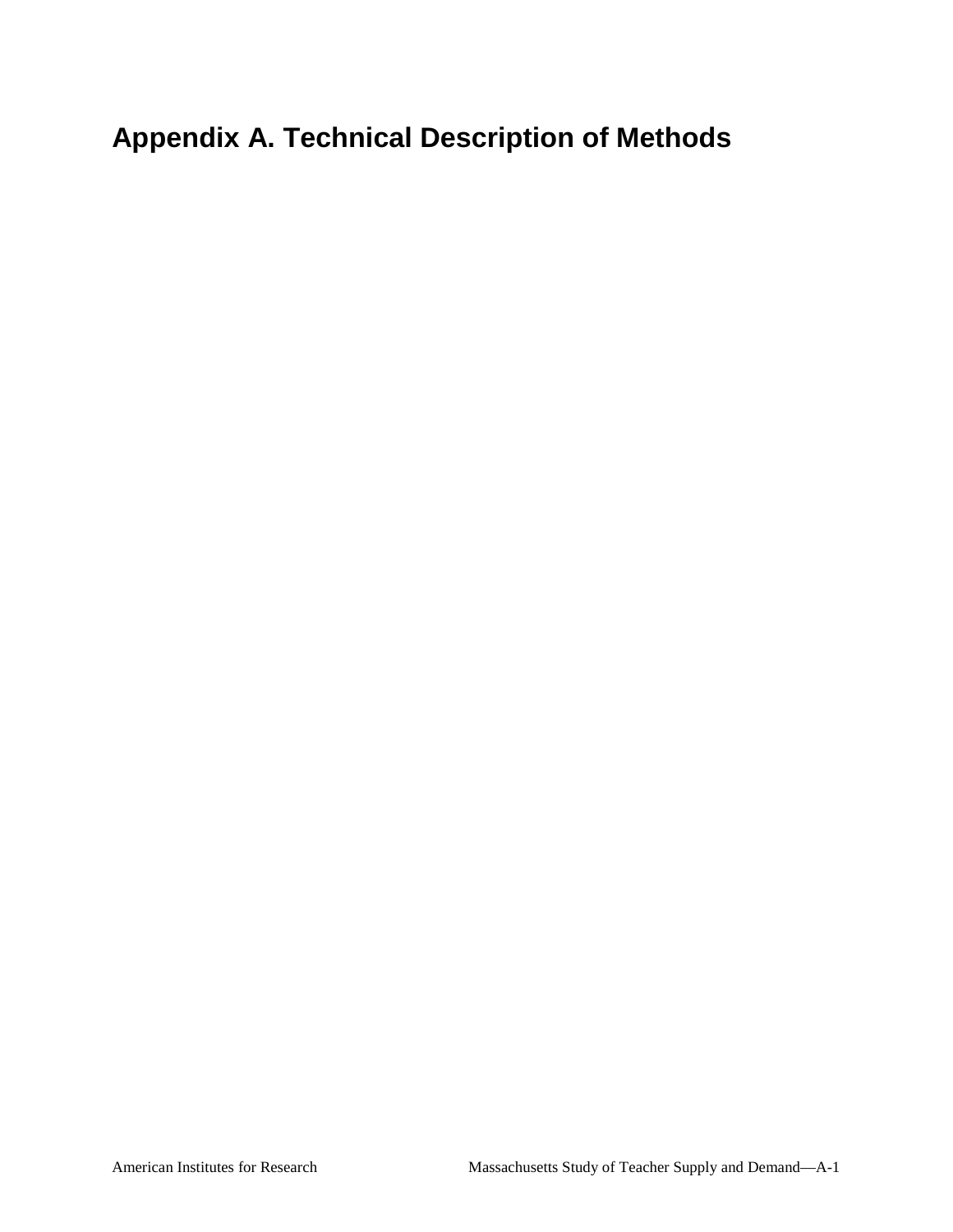# **Appendix A. Technical Description of Methods**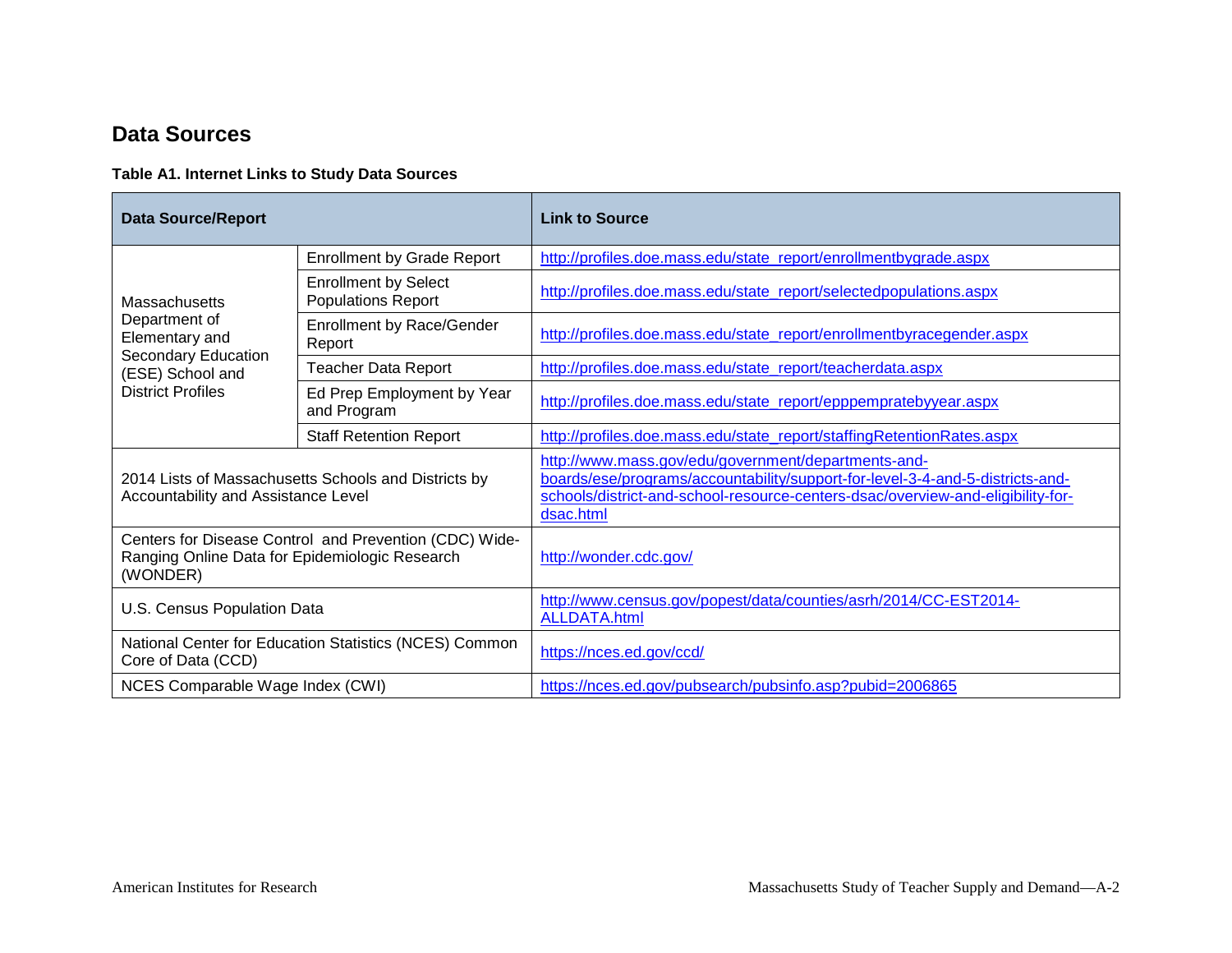# **Data Sources**

### **Table A1. Internet Links to Study Data Sources**

| <b>Data Source/Report</b>                                                                                            |                                                          | <b>Link to Source</b>                                                                                                                                                                                                                |
|----------------------------------------------------------------------------------------------------------------------|----------------------------------------------------------|--------------------------------------------------------------------------------------------------------------------------------------------------------------------------------------------------------------------------------------|
|                                                                                                                      | <b>Enrollment by Grade Report</b>                        | http://profiles.doe.mass.edu/state_report/enrollmentbygrade.aspx                                                                                                                                                                     |
| Massachusetts                                                                                                        | <b>Enrollment by Select</b><br><b>Populations Report</b> | http://profiles.doe.mass.edu/state_report/selectedpopulations.aspx                                                                                                                                                                   |
| Department of<br>Elementary and                                                                                      | <b>Enrollment by Race/Gender</b><br>Report               | http://profiles.doe.mass.edu/state_report/enrollmentbyracegender.aspx                                                                                                                                                                |
| Secondary Education<br>(ESE) School and                                                                              | <b>Teacher Data Report</b>                               | http://profiles.doe.mass.edu/state_report/teacherdata.aspx                                                                                                                                                                           |
| <b>District Profiles</b>                                                                                             | Ed Prep Employment by Year<br>and Program                | http://profiles.doe.mass.edu/state_report/epppempratebyyear.aspx                                                                                                                                                                     |
|                                                                                                                      | <b>Staff Retention Report</b>                            | http://profiles.doe.mass.edu/state_report/staffingRetentionRates.aspx                                                                                                                                                                |
| 2014 Lists of Massachusetts Schools and Districts by<br>Accountability and Assistance Level                          |                                                          | http://www.mass.gov/edu/government/departments-and-<br>boards/ese/programs/accountability/support-for-level-3-4-and-5-districts-and-<br>schools/district-and-school-resource-centers-dsac/overview-and-eligibility-for-<br>dsac.html |
| Centers for Disease Control and Prevention (CDC) Wide-<br>Ranging Online Data for Epidemiologic Research<br>(WONDER) |                                                          | http://wonder.cdc.gov/                                                                                                                                                                                                               |
| U.S. Census Population Data                                                                                          |                                                          | http://www.census.gov/popest/data/counties/asrh/2014/CC-EST2014-<br><b>ALLDATA.html</b>                                                                                                                                              |
| National Center for Education Statistics (NCES) Common<br>Core of Data (CCD)                                         |                                                          | https://nces.ed.gov/ccd/                                                                                                                                                                                                             |
| NCES Comparable Wage Index (CWI)                                                                                     |                                                          | https://nces.ed.gov/pubsearch/pubsinfo.asp?pubid=2006865                                                                                                                                                                             |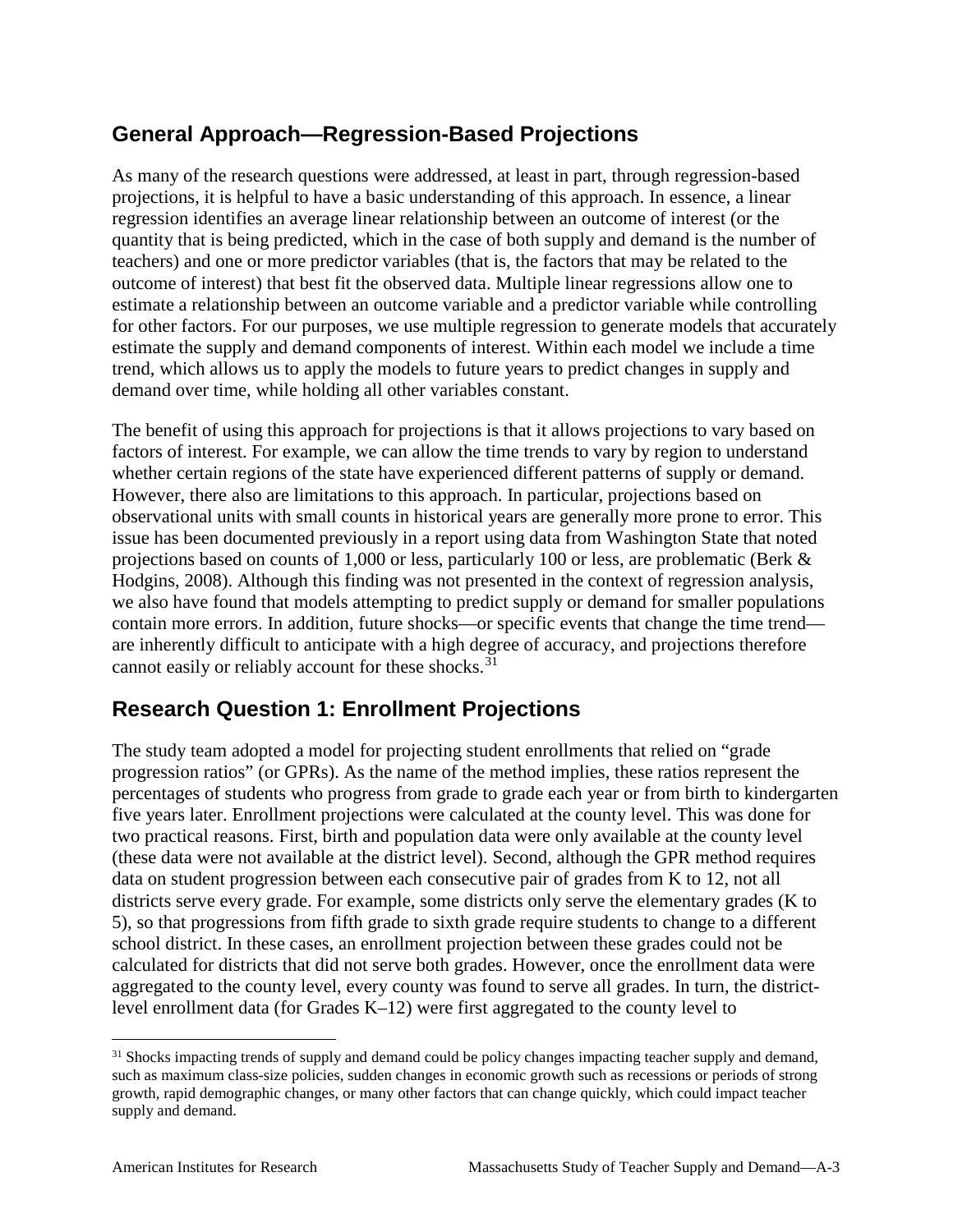# **General Approach—Regression-Based Projections**

As many of the research questions were addressed, at least in part, through regression-based projections, it is helpful to have a basic understanding of this approach. In essence, a linear regression identifies an average linear relationship between an outcome of interest (or the quantity that is being predicted, which in the case of both supply and demand is the number of teachers) and one or more predictor variables (that is, the factors that may be related to the outcome of interest) that best fit the observed data. Multiple linear regressions allow one to estimate a relationship between an outcome variable and a predictor variable while controlling for other factors. For our purposes, we use multiple regression to generate models that accurately estimate the supply and demand components of interest. Within each model we include a time trend, which allows us to apply the models to future years to predict changes in supply and demand over time, while holding all other variables constant.

The benefit of using this approach for projections is that it allows projections to vary based on factors of interest. For example, we can allow the time trends to vary by region to understand whether certain regions of the state have experienced different patterns of supply or demand. However, there also are limitations to this approach. In particular, projections based on observational units with small counts in historical years are generally more prone to error. This issue has been documented previously in a report using data from Washington State that noted projections based on counts of 1,000 or less, particularly 100 or less, are problematic (Berk & Hodgins, 2008). Although this finding was not presented in the context of regression analysis, we also have found that models attempting to predict supply or demand for smaller populations contain more errors. In addition, future shocks—or specific events that change the time trend are inherently difficult to anticipate with a high degree of accuracy, and projections therefore cannot easily or reliably account for these shocks.<sup>[31](#page-73-0)</sup>

# **Research Question 1: Enrollment Projections**

The study team adopted a model for projecting student enrollments that relied on "grade progression ratios" (or GPRs). As the name of the method implies, these ratios represent the percentages of students who progress from grade to grade each year or from birth to kindergarten five years later. Enrollment projections were calculated at the county level. This was done for two practical reasons. First, birth and population data were only available at the county level (these data were not available at the district level). Second, although the GPR method requires data on student progression between each consecutive pair of grades from K to 12, not all districts serve every grade. For example, some districts only serve the elementary grades (K to 5), so that progressions from fifth grade to sixth grade require students to change to a different school district. In these cases, an enrollment projection between these grades could not be calculated for districts that did not serve both grades. However, once the enrollment data were aggregated to the county level, every county was found to serve all grades. In turn, the districtlevel enrollment data (for Grades K–12) were first aggregated to the county level to

<span id="page-73-0"></span><sup>&</sup>lt;sup>31</sup> Shocks impacting trends of supply and demand could be policy changes impacting teacher supply and demand, such as maximum class-size policies, sudden changes in economic growth such as recessions or periods of strong growth, rapid demographic changes, or many other factors that can change quickly, which could impact teacher supply and demand.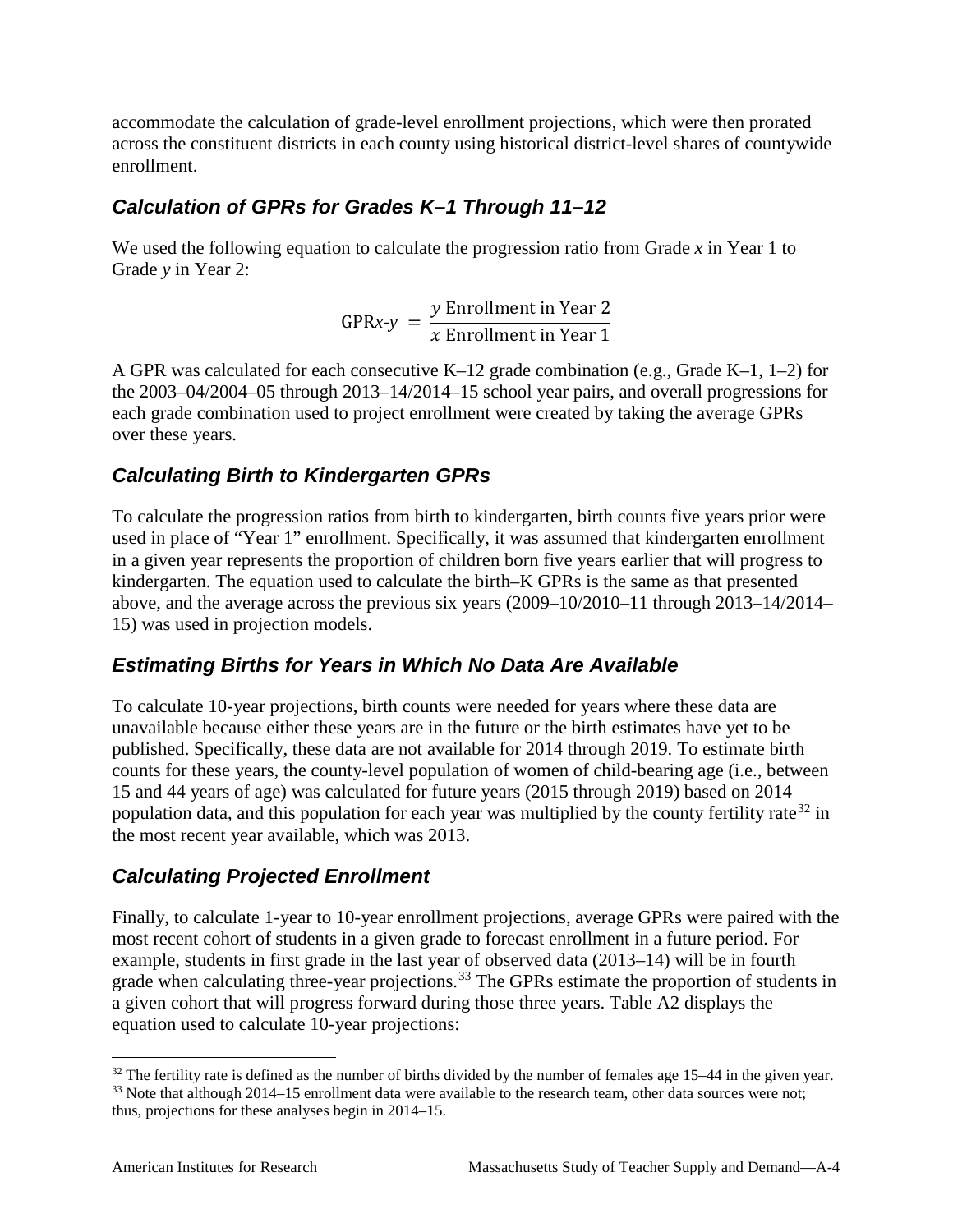accommodate the calculation of grade-level enrollment projections, which were then prorated across the constituent districts in each county using historical district-level shares of countywide enrollment.

### *Calculation of GPRs for Grades K–1 Through 11–12*

We used the following equation to calculate the progression ratio from Grade *x* in Year 1 to Grade *y* in Year 2:

$$
GPRx-y = \frac{y \text{ Enrollment in Year 2}}{x \text{ Enrollment in Year 1}}
$$

A GPR was calculated for each consecutive K–12 grade combination (e.g., Grade K–1, 1–2) for the 2003–04/2004–05 through 2013–14/2014–15 school year pairs, and overall progressions for each grade combination used to project enrollment were created by taking the average GPRs over these years.

## *Calculating Birth to Kindergarten GPRs*

To calculate the progression ratios from birth to kindergarten, birth counts five years prior were used in place of "Year 1" enrollment. Specifically, it was assumed that kindergarten enrollment in a given year represents the proportion of children born five years earlier that will progress to kindergarten. The equation used to calculate the birth–K GPRs is the same as that presented above, and the average across the previous six years (2009–10/2010–11 through 2013–14/2014– 15) was used in projection models.

### *Estimating Births for Years in Which No Data Are Available*

To calculate 10-year projections, birth counts were needed for years where these data are unavailable because either these years are in the future or the birth estimates have yet to be published. Specifically, these data are not available for 2014 through 2019. To estimate birth counts for these years, the county-level population of women of child-bearing age (i.e., between 15 and 44 years of age) was calculated for future years (2015 through 2019) based on 2014 population data, and this population for each year was multiplied by the county fertility rate<sup>[32](#page-74-0)</sup> in the most recent year available, which was 2013.

# *Calculating Projected Enrollment*

Finally, to calculate 1-year to 10-year enrollment projections, average GPRs were paired with the most recent cohort of students in a given grade to forecast enrollment in a future period. For example, students in first grade in the last year of observed data (2013–14) will be in fourth grade when calculating three-year projections.<sup>[33](#page-74-1)</sup> The GPRs estimate the proportion of students in a given cohort that will progress forward during those three years. Table A2 displays the equation used to calculate 10-year projections:

<span id="page-74-0"></span> $32$  The fertility rate is defined as the number of births divided by the number of females age 15–44 in the given year.

<span id="page-74-1"></span><sup>&</sup>lt;sup>33</sup> Note that although 2014–15 enrollment data were available to the research team, other data sources were not; thus, projections for these analyses begin in 2014–15.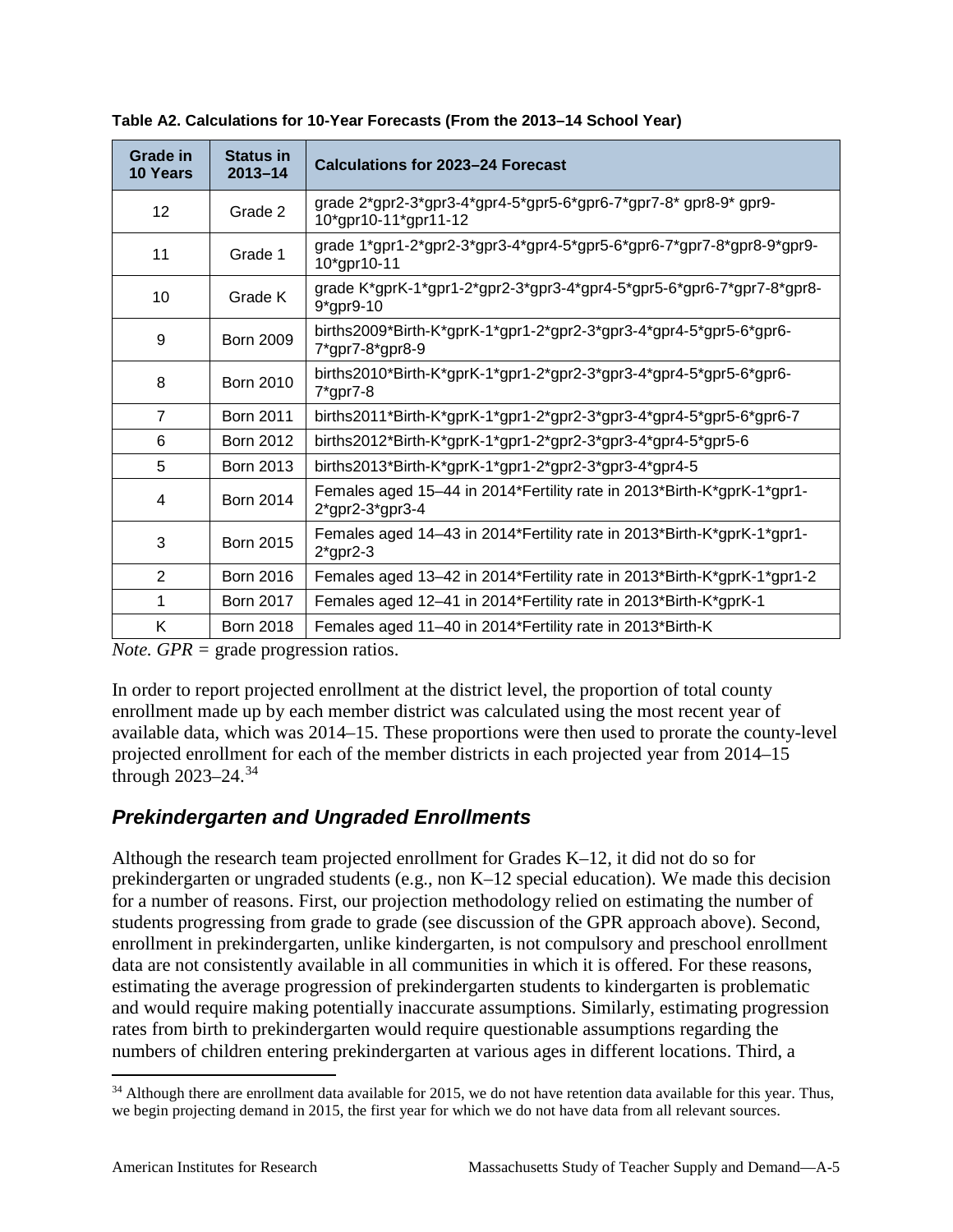| Grade in<br><b>10 Years</b> | <b>Status in</b><br>$2013 - 14$ | <b>Calculations for 2023-24 Forecast</b>                                                     |
|-----------------------------|---------------------------------|----------------------------------------------------------------------------------------------|
| 12 <sub>2</sub>             | Grade 2                         | grade $2$ *gpr2-3*gpr3-4*gpr4-5*gpr5-6*gpr6-7*gpr7-8*gpr8-9*gpr9-<br>10*gpr10-11*gpr11-12    |
| 11                          | Grade 1                         | grade 1*gpr1-2*gpr2-3*gpr3-4*gpr4-5*gpr5-6*gpr6-7*gpr7-8*gpr8-9*gpr9-<br>10*gpr10-11         |
| 10                          | Grade K                         | grade K*gprK-1*gpr1-2*gpr2-3*gpr3-4*gpr4-5*gpr5-6*gpr6-7*gpr7-8*gpr8-<br>9*gpr9-10           |
| 9                           | <b>Born 2009</b>                | births2009*Birth-K*gprK-1*gpr1-2*gpr2-3*gpr3-4*gpr4-5*gpr5-6*gpr6-<br>7*gpr7-8*gpr8-9        |
| 8                           | <b>Born 2010</b>                | births2010*Birth-K*gprK-1*gpr1-2*gpr2-3*gpr3-4*gpr4-5*gpr5-6*gpr6-<br>$7$ *gpr $7$ -8        |
| $\overline{7}$              | <b>Born 2011</b>                | births2011*Birth-K*gprK-1*gpr1-2*gpr2-3*gpr3-4*gpr4-5*gpr5-6*gpr6-7                          |
| 6                           | <b>Born 2012</b>                | births2012*Birth-K*gprK-1*gpr1-2*gpr2-3*gpr3-4*gpr4-5*gpr5-6                                 |
| 5                           | <b>Born 2013</b>                | births2013*Birth-K*gprK-1*gpr1-2*gpr2-3*gpr3-4*gpr4-5                                        |
| 4                           | <b>Born 2014</b>                | Females aged 15-44 in 2014*Fertility rate in 2013*Birth-K*gprK-1*gpr1-<br>$2$ *gpr2-3*gpr3-4 |
| 3                           | <b>Born 2015</b>                | Females aged 14-43 in 2014*Fertility rate in 2013*Birth-K*gprK-1*gpr1-<br>$2$ *gpr2-3        |
| 2                           | <b>Born 2016</b>                | Females aged 13-42 in 2014*Fertility rate in 2013*Birth-K*gprK-1*gpr1-2                      |
| 1                           | <b>Born 2017</b>                | Females aged 12-41 in 2014*Fertility rate in 2013*Birth-K*gprK-1                             |
| K                           | <b>Born 2018</b>                | Females aged 11-40 in 2014*Fertility rate in 2013*Birth-K                                    |

**Table A2. Calculations for 10-Year Forecasts (From the 2013–14 School Year)**

*Note. GPR =* grade progression ratios.

In order to report projected enrollment at the district level, the proportion of total county enrollment made up by each member district was calculated using the most recent year of available data, which was 2014–15. These proportions were then used to prorate the county-level projected enrollment for each of the member districts in each projected year from 2014–15 through  $2023 - 24.34$  $2023 - 24.34$ 

### *Prekindergarten and Ungraded Enrollments*

Although the research team projected enrollment for Grades K–12, it did not do so for prekindergarten or ungraded students (e.g., non K–12 special education). We made this decision for a number of reasons. First, our projection methodology relied on estimating the number of students progressing from grade to grade (see discussion of the GPR approach above). Second, enrollment in prekindergarten, unlike kindergarten, is not compulsory and preschool enrollment data are not consistently available in all communities in which it is offered. For these reasons, estimating the average progression of prekindergarten students to kindergarten is problematic and would require making potentially inaccurate assumptions. Similarly, estimating progression rates from birth to prekindergarten would require questionable assumptions regarding the numbers of children entering prekindergarten at various ages in different locations. Third, a

<span id="page-75-0"></span> $34$  Although there are enrollment data available for 2015, we do not have retention data available for this year. Thus, we begin projecting demand in 2015, the first year for which we do not have data from all relevant sources.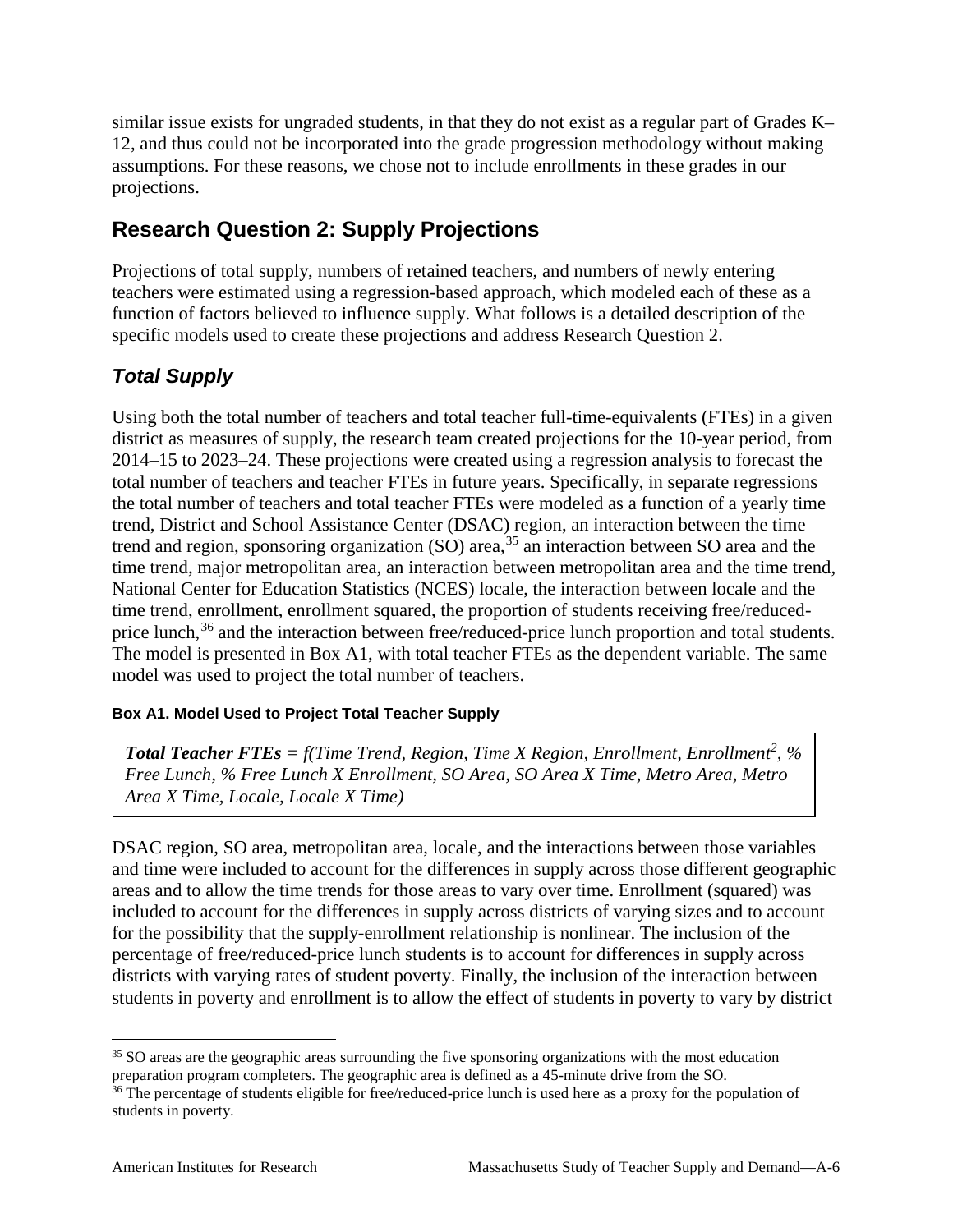similar issue exists for ungraded students, in that they do not exist as a regular part of Grades K– 12, and thus could not be incorporated into the grade progression methodology without making assumptions. For these reasons, we chose not to include enrollments in these grades in our projections.

# **Research Question 2: Supply Projections**

Projections of total supply, numbers of retained teachers, and numbers of newly entering teachers were estimated using a regression-based approach, which modeled each of these as a function of factors believed to influence supply. What follows is a detailed description of the specific models used to create these projections and address Research Question 2.

# *Total Supply*

Using both the total number of teachers and total teacher full-time-equivalents (FTEs) in a given district as measures of supply, the research team created projections for the 10-year period, from 2014–15 to 2023–24. These projections were created using a regression analysis to forecast the total number of teachers and teacher FTEs in future years. Specifically, in separate regressions the total number of teachers and total teacher FTEs were modeled as a function of a yearly time trend, District and School Assistance Center (DSAC) region, an interaction between the time trend and region, sponsoring organization (SO) area,<sup>[35](#page-76-0)</sup> an interaction between SO area and the time trend, major metropolitan area, an interaction between metropolitan area and the time trend, National Center for Education Statistics (NCES) locale, the interaction between locale and the time trend, enrollment, enrollment squared, the proportion of students receiving free/reduced-price lunch,<sup>[36](#page-76-1)</sup> and the interaction between free/reduced-price lunch proportion and total students. The model is presented in Box A1, with total teacher FTEs as the dependent variable. The same model was used to project the total number of teachers.

### **Box A1. Model Used to Project Total Teacher Supply**

*Total Teacher FTEs = f(Time Trend, Region, Time X Region, Enrollment, Enrollment<sup>2</sup> , % Free Lunch, % Free Lunch X Enrollment, SO Area, SO Area X Time, Metro Area, Metro Area X Time, Locale, Locale X Time)*

DSAC region, SO area, metropolitan area, locale, and the interactions between those variables and time were included to account for the differences in supply across those different geographic areas and to allow the time trends for those areas to vary over time. Enrollment (squared) was included to account for the differences in supply across districts of varying sizes and to account for the possibility that the supply-enrollment relationship is nonlinear. The inclusion of the percentage of free/reduced-price lunch students is to account for differences in supply across districts with varying rates of student poverty. Finally, the inclusion of the interaction between students in poverty and enrollment is to allow the effect of students in poverty to vary by district

<span id="page-76-0"></span><sup>&</sup>lt;sup>35</sup> SO areas are the geographic areas surrounding the five sponsoring organizations with the most education preparation program completers. The geographic area is defined as a 45-minute drive from the SO.

<span id="page-76-1"></span><sup>&</sup>lt;sup>36</sup> The percentage of students eligible for free/reduced-price lunch is used here as a proxy for the population of students in poverty.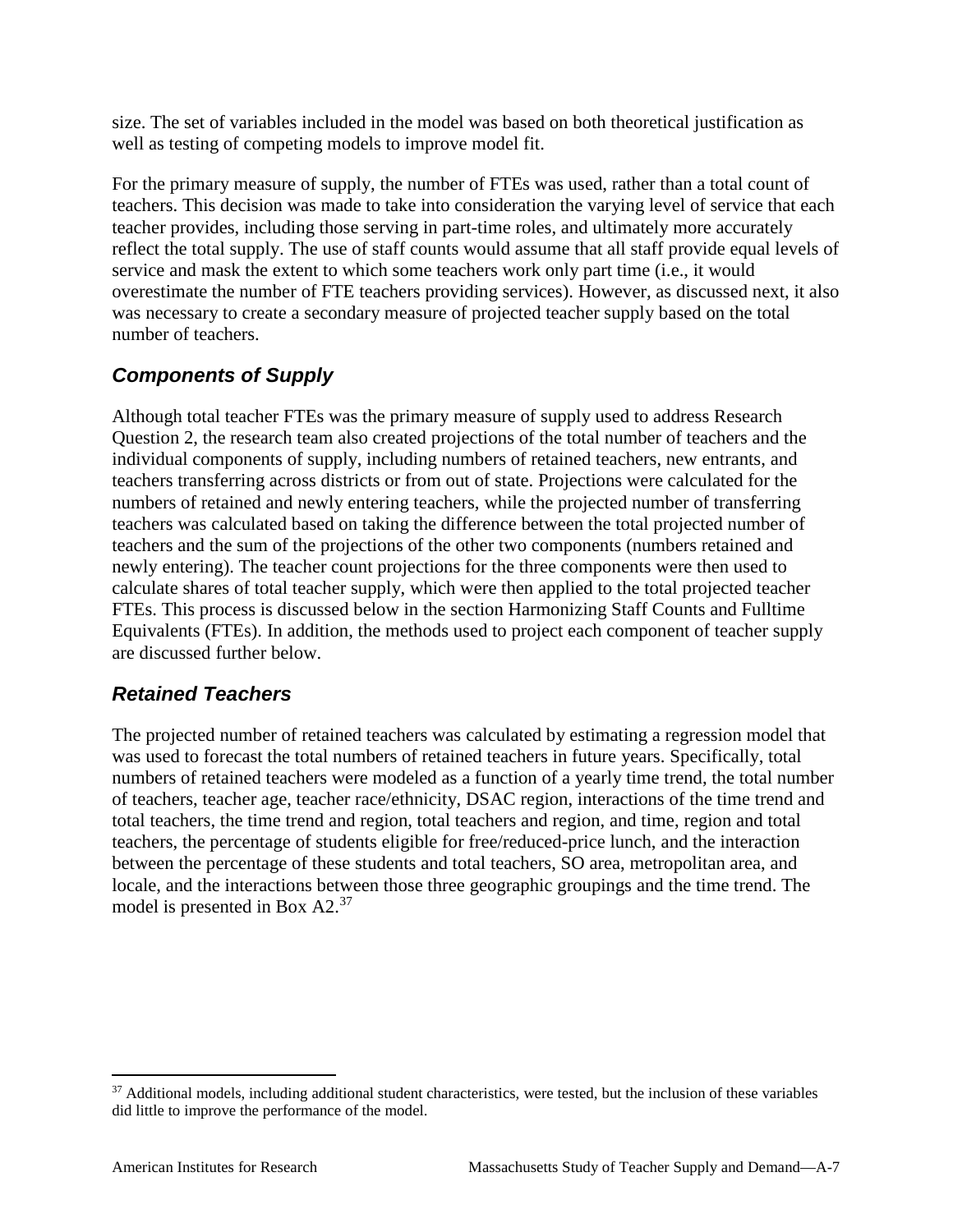size. The set of variables included in the model was based on both theoretical justification as well as testing of competing models to improve model fit.

For the primary measure of supply, the number of FTEs was used, rather than a total count of teachers. This decision was made to take into consideration the varying level of service that each teacher provides, including those serving in part-time roles, and ultimately more accurately reflect the total supply. The use of staff counts would assume that all staff provide equal levels of service and mask the extent to which some teachers work only part time (i.e., it would overestimate the number of FTE teachers providing services). However, as discussed next, it also was necessary to create a secondary measure of projected teacher supply based on the total number of teachers.

# *Components of Supply*

Although total teacher FTEs was the primary measure of supply used to address Research Question 2, the research team also created projections of the total number of teachers and the individual components of supply, including numbers of retained teachers, new entrants, and teachers transferring across districts or from out of state. Projections were calculated for the numbers of retained and newly entering teachers, while the projected number of transferring teachers was calculated based on taking the difference between the total projected number of teachers and the sum of the projections of the other two components (numbers retained and newly entering). The teacher count projections for the three components were then used to calculate shares of total teacher supply, which were then applied to the total projected teacher FTEs. This process is discussed below in the section Harmonizing Staff Counts and Fulltime Equivalents (FTEs). In addition, the methods used to project each component of teacher supply are discussed further below.

### *Retained Teachers*

The projected number of retained teachers was calculated by estimating a regression model that was used to forecast the total numbers of retained teachers in future years. Specifically, total numbers of retained teachers were modeled as a function of a yearly time trend, the total number of teachers, teacher age, teacher race/ethnicity, DSAC region, interactions of the time trend and total teachers, the time trend and region, total teachers and region, and time, region and total teachers, the percentage of students eligible for free/reduced-price lunch, and the interaction between the percentage of these students and total teachers, SO area, metropolitan area, and locale, and the interactions between those three geographic groupings and the time trend. The model is presented in Box A2.<sup>[37](#page-77-0)</sup>

<span id="page-77-0"></span> $37$  Additional models, including additional student characteristics, were tested, but the inclusion of these variables did little to improve the performance of the model.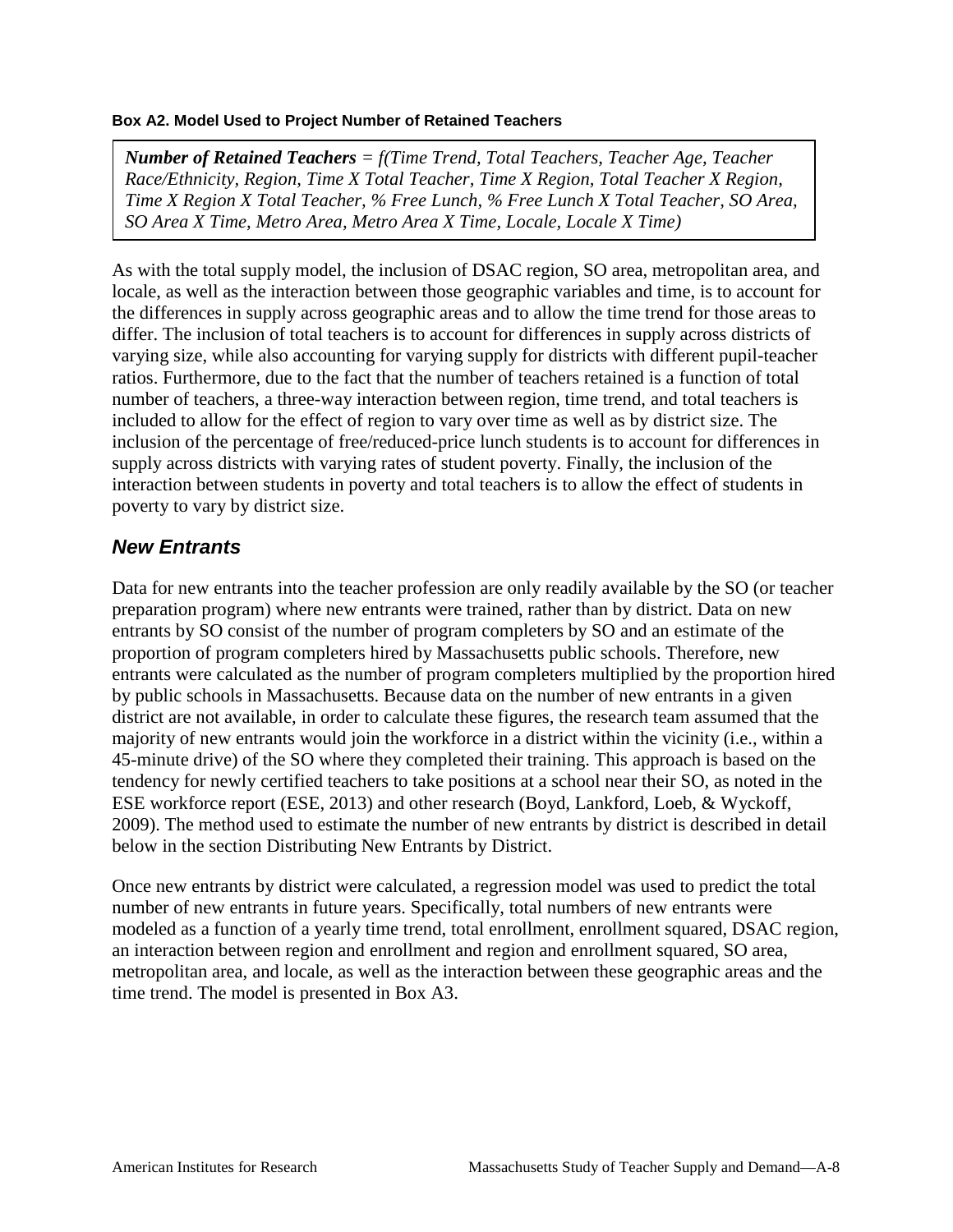#### **Box A2. Model Used to Project Number of Retained Teachers**

*Number of Retained Teachers = f(Time Trend, Total Teachers, Teacher Age, Teacher Race/Ethnicity, Region, Time X Total Teacher, Time X Region, Total Teacher X Region, Time X Region X Total Teacher, % Free Lunch, % Free Lunch X Total Teacher, SO Area, SO Area X Time, Metro Area, Metro Area X Time, Locale, Locale X Time)*

As with the total supply model, the inclusion of DSAC region, SO area, metropolitan area, and locale, as well as the interaction between those geographic variables and time, is to account for the differences in supply across geographic areas and to allow the time trend for those areas to differ. The inclusion of total teachers is to account for differences in supply across districts of varying size, while also accounting for varying supply for districts with different pupil-teacher ratios. Furthermore, due to the fact that the number of teachers retained is a function of total number of teachers, a three-way interaction between region, time trend, and total teachers is included to allow for the effect of region to vary over time as well as by district size. The inclusion of the percentage of free/reduced-price lunch students is to account for differences in supply across districts with varying rates of student poverty. Finally, the inclusion of the interaction between students in poverty and total teachers is to allow the effect of students in poverty to vary by district size.

### *New Entrants*

Data for new entrants into the teacher profession are only readily available by the SO (or teacher preparation program) where new entrants were trained, rather than by district. Data on new entrants by SO consist of the number of program completers by SO and an estimate of the proportion of program completers hired by Massachusetts public schools. Therefore, new entrants were calculated as the number of program completers multiplied by the proportion hired by public schools in Massachusetts. Because data on the number of new entrants in a given district are not available, in order to calculate these figures, the research team assumed that the majority of new entrants would join the workforce in a district within the vicinity (i.e., within a 45-minute drive) of the SO where they completed their training. This approach is based on the tendency for newly certified teachers to take positions at a school near their SO, as noted in the ESE workforce report (ESE, 2013) and other research (Boyd, Lankford, Loeb, & Wyckoff, 2009). The method used to estimate the number of new entrants by district is described in detail below in the section Distributing New Entrants by District.

Once new entrants by district were calculated, a regression model was used to predict the total number of new entrants in future years. Specifically, total numbers of new entrants were modeled as a function of a yearly time trend, total enrollment, enrollment squared, DSAC region, an interaction between region and enrollment and region and enrollment squared, SO area, metropolitan area, and locale, as well as the interaction between these geographic areas and the time trend. The model is presented in Box A3.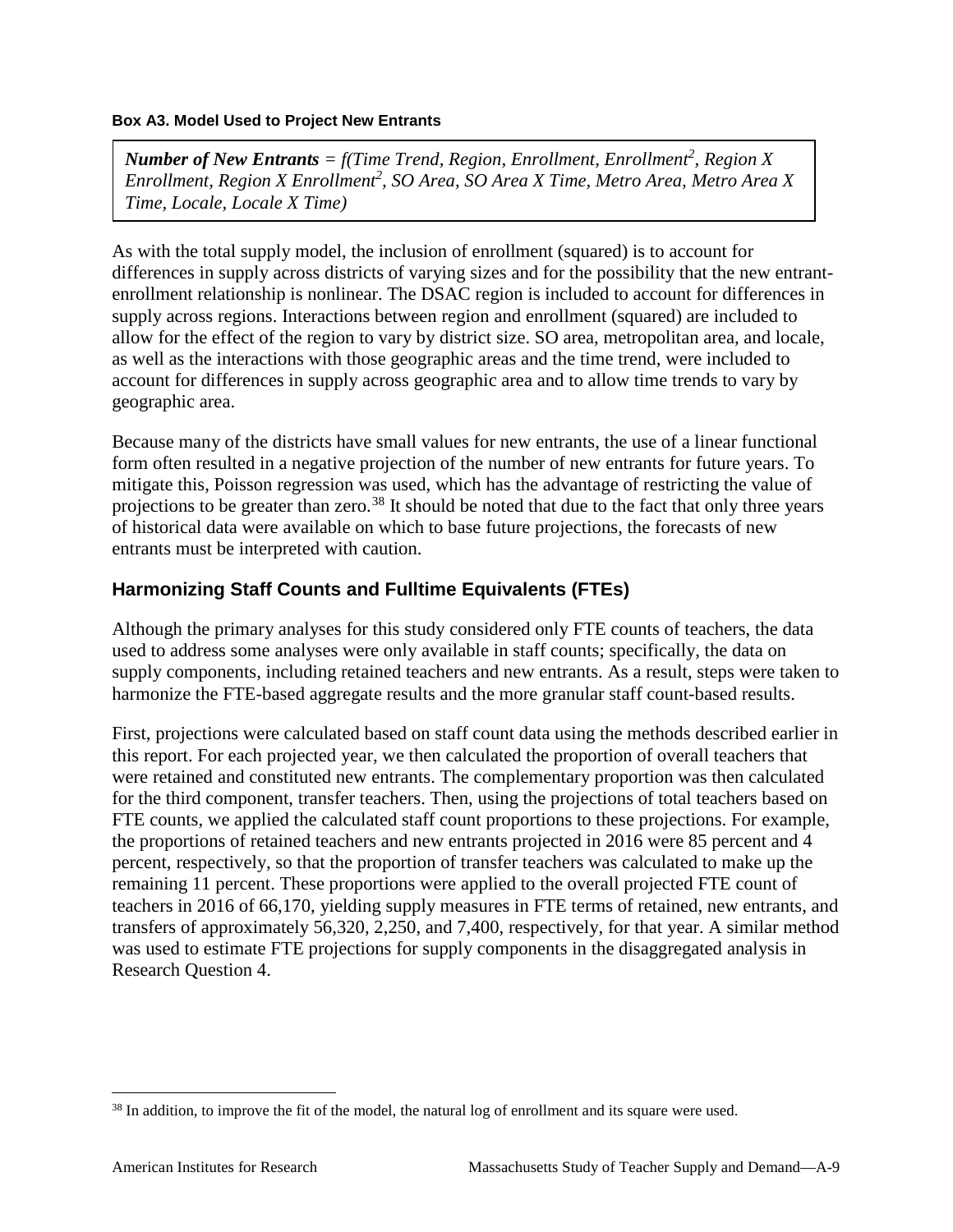#### **Box A3. Model Used to Project New Entrants**

*Number of New Entrants = f(Time Trend, Region, Enrollment, Enrollment<sup>2</sup> , Region X Enrollment, Region X Enrollment<sup>2</sup> , SO Area, SO Area X Time, Metro Area, Metro Area X Time, Locale, Locale X Time)*

As with the total supply model, the inclusion of enrollment (squared) is to account for differences in supply across districts of varying sizes and for the possibility that the new entrantenrollment relationship is nonlinear. The DSAC region is included to account for differences in supply across regions. Interactions between region and enrollment (squared) are included to allow for the effect of the region to vary by district size. SO area, metropolitan area, and locale, as well as the interactions with those geographic areas and the time trend, were included to account for differences in supply across geographic area and to allow time trends to vary by geographic area.

Because many of the districts have small values for new entrants, the use of a linear functional form often resulted in a negative projection of the number of new entrants for future years. To mitigate this, Poisson regression was used, which has the advantage of restricting the value of projections to be greater than zero.<sup>[38](#page-79-0)</sup> It should be noted that due to the fact that only three years of historical data were available on which to base future projections, the forecasts of new entrants must be interpreted with caution.

### **Harmonizing Staff Counts and Fulltime Equivalents (FTEs)**

Although the primary analyses for this study considered only FTE counts of teachers, the data used to address some analyses were only available in staff counts; specifically, the data on supply components, including retained teachers and new entrants. As a result, steps were taken to harmonize the FTE-based aggregate results and the more granular staff count-based results.

First, projections were calculated based on staff count data using the methods described earlier in this report. For each projected year, we then calculated the proportion of overall teachers that were retained and constituted new entrants. The complementary proportion was then calculated for the third component, transfer teachers. Then, using the projections of total teachers based on FTE counts, we applied the calculated staff count proportions to these projections. For example, the proportions of retained teachers and new entrants projected in 2016 were 85 percent and 4 percent, respectively, so that the proportion of transfer teachers was calculated to make up the remaining 11 percent. These proportions were applied to the overall projected FTE count of teachers in 2016 of 66,170, yielding supply measures in FTE terms of retained, new entrants, and transfers of approximately 56,320, 2,250, and 7,400, respectively, for that year. A similar method was used to estimate FTE projections for supply components in the disaggregated analysis in Research Question 4.

<span id="page-79-0"></span> <sup>38</sup> In addition, to improve the fit of the model, the natural log of enrollment and its square were used.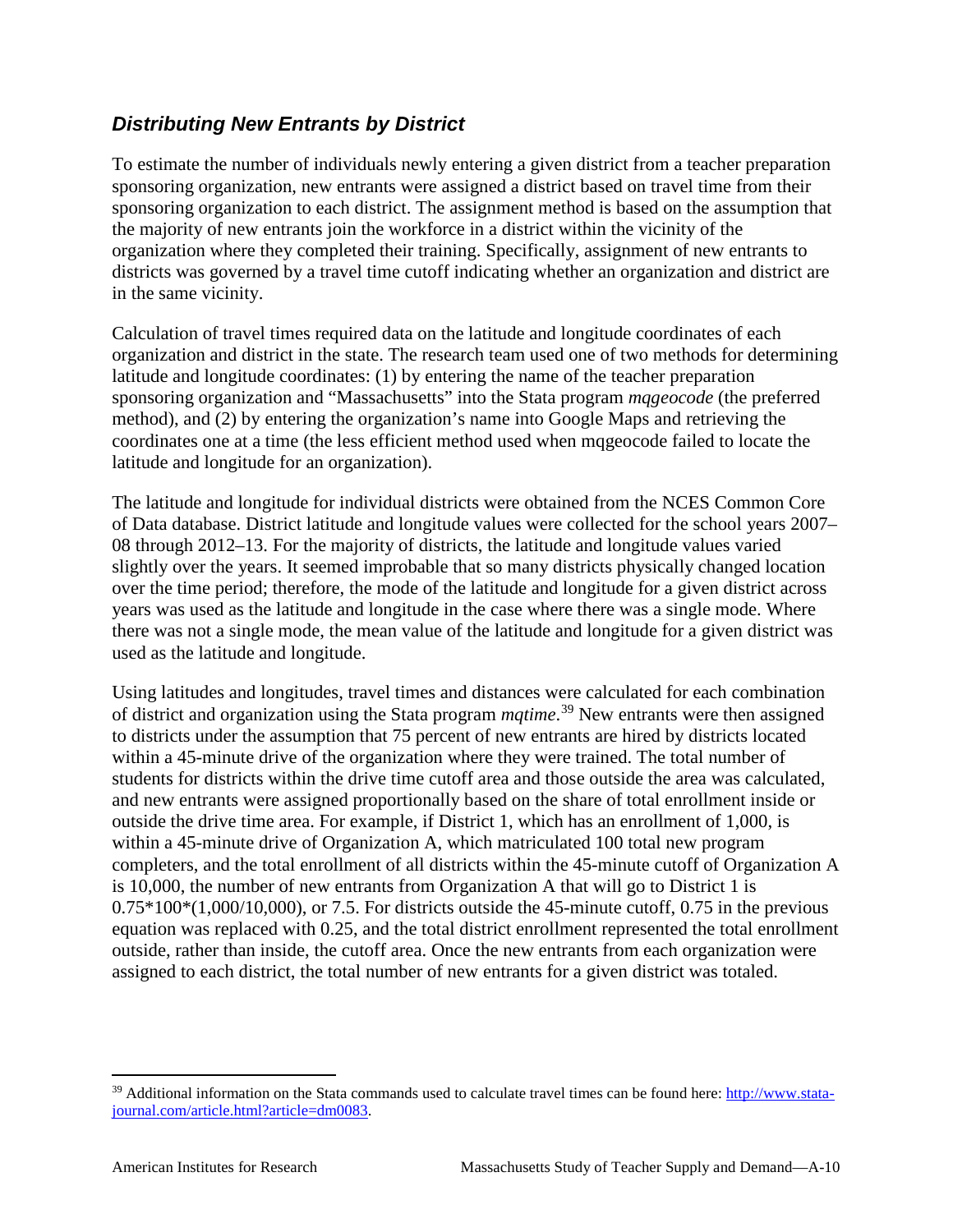### *Distributing New Entrants by District*

To estimate the number of individuals newly entering a given district from a teacher preparation sponsoring organization, new entrants were assigned a district based on travel time from their sponsoring organization to each district. The assignment method is based on the assumption that the majority of new entrants join the workforce in a district within the vicinity of the organization where they completed their training. Specifically, assignment of new entrants to districts was governed by a travel time cutoff indicating whether an organization and district are in the same vicinity.

Calculation of travel times required data on the latitude and longitude coordinates of each organization and district in the state. The research team used one of two methods for determining latitude and longitude coordinates: (1) by entering the name of the teacher preparation sponsoring organization and "Massachusetts" into the Stata program *mqgeocode* (the preferred method), and (2) by entering the organization's name into Google Maps and retrieving the coordinates one at a time (the less efficient method used when mqgeocode failed to locate the latitude and longitude for an organization).

The latitude and longitude for individual districts were obtained from the NCES Common Core of Data database. District latitude and longitude values were collected for the school years 2007– 08 through 2012–13. For the majority of districts, the latitude and longitude values varied slightly over the years. It seemed improbable that so many districts physically changed location over the time period; therefore, the mode of the latitude and longitude for a given district across years was used as the latitude and longitude in the case where there was a single mode. Where there was not a single mode, the mean value of the latitude and longitude for a given district was used as the latitude and longitude.

Using latitudes and longitudes, travel times and distances were calculated for each combination of district and organization using the Stata program *mqtime*. [39](#page-80-0) New entrants were then assigned to districts under the assumption that 75 percent of new entrants are hired by districts located within a 45-minute drive of the organization where they were trained. The total number of students for districts within the drive time cutoff area and those outside the area was calculated, and new entrants were assigned proportionally based on the share of total enrollment inside or outside the drive time area. For example, if District 1, which has an enrollment of 1,000, is within a 45-minute drive of Organization A, which matriculated 100 total new program completers, and the total enrollment of all districts within the 45-minute cutoff of Organization A is 10,000, the number of new entrants from Organization A that will go to District 1 is  $0.75*100*(1,000/10,000)$ , or 7.5. For districts outside the 45-minute cutoff, 0.75 in the previous equation was replaced with 0.25, and the total district enrollment represented the total enrollment outside, rather than inside, the cutoff area. Once the new entrants from each organization were assigned to each district, the total number of new entrants for a given district was totaled.

<span id="page-80-0"></span><sup>&</sup>lt;sup>39</sup> Additional information on the Stata commands used to calculate travel times can be found here[: http://www.stata](http://www.stata-journal.com/article.html?article=dm0083)[journal.com/article.html?article=dm0083.](http://www.stata-journal.com/article.html?article=dm0083)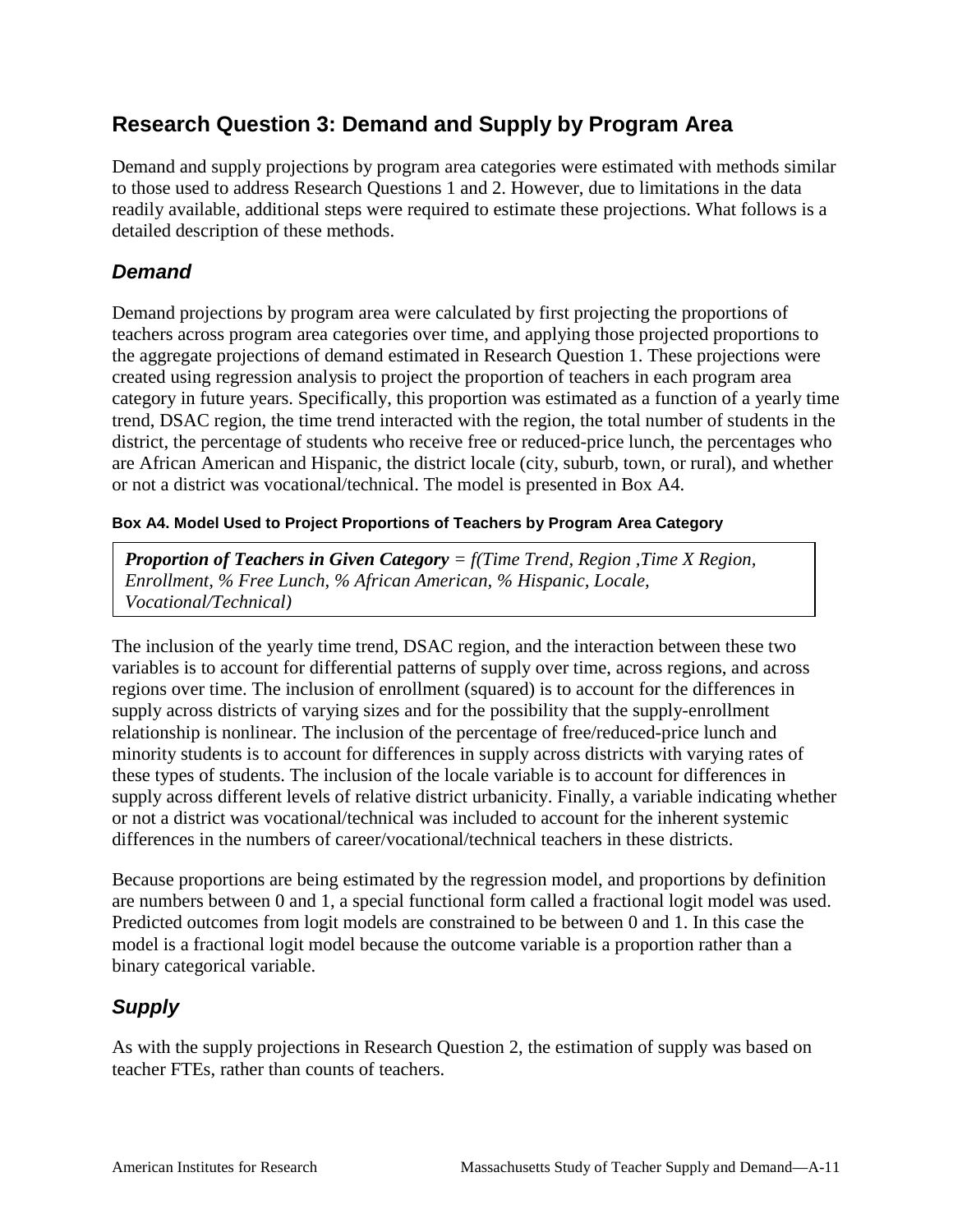# **Research Question 3: Demand and Supply by Program Area**

Demand and supply projections by program area categories were estimated with methods similar to those used to address Research Questions 1 and 2. However, due to limitations in the data readily available, additional steps were required to estimate these projections. What follows is a detailed description of these methods.

### *Demand*

Demand projections by program area were calculated by first projecting the proportions of teachers across program area categories over time, and applying those projected proportions to the aggregate projections of demand estimated in Research Question 1. These projections were created using regression analysis to project the proportion of teachers in each program area category in future years. Specifically, this proportion was estimated as a function of a yearly time trend, DSAC region, the time trend interacted with the region, the total number of students in the district, the percentage of students who receive free or reduced-price lunch, the percentages who are African American and Hispanic, the district locale (city, suburb, town, or rural), and whether or not a district was vocational/technical. The model is presented in Box A4.

### **Box A4. Model Used to Project Proportions of Teachers by Program Area Category**

*Proportion of Teachers in Given Category = f(Time Trend, Region ,Time X Region, Enrollment, % Free Lunch, % African American, % Hispanic, Locale, Vocational/Technical)*

The inclusion of the yearly time trend, DSAC region, and the interaction between these two variables is to account for differential patterns of supply over time, across regions, and across regions over time. The inclusion of enrollment (squared) is to account for the differences in supply across districts of varying sizes and for the possibility that the supply-enrollment relationship is nonlinear. The inclusion of the percentage of free/reduced-price lunch and minority students is to account for differences in supply across districts with varying rates of these types of students. The inclusion of the locale variable is to account for differences in supply across different levels of relative district urbanicity. Finally, a variable indicating whether or not a district was vocational/technical was included to account for the inherent systemic differences in the numbers of career/vocational/technical teachers in these districts.

Because proportions are being estimated by the regression model, and proportions by definition are numbers between 0 and 1, a special functional form called a fractional logit model was used. Predicted outcomes from logit models are constrained to be between 0 and 1. In this case the model is a fractional logit model because the outcome variable is a proportion rather than a binary categorical variable.

# *Supply*

As with the supply projections in Research Question 2, the estimation of supply was based on teacher FTEs, rather than counts of teachers.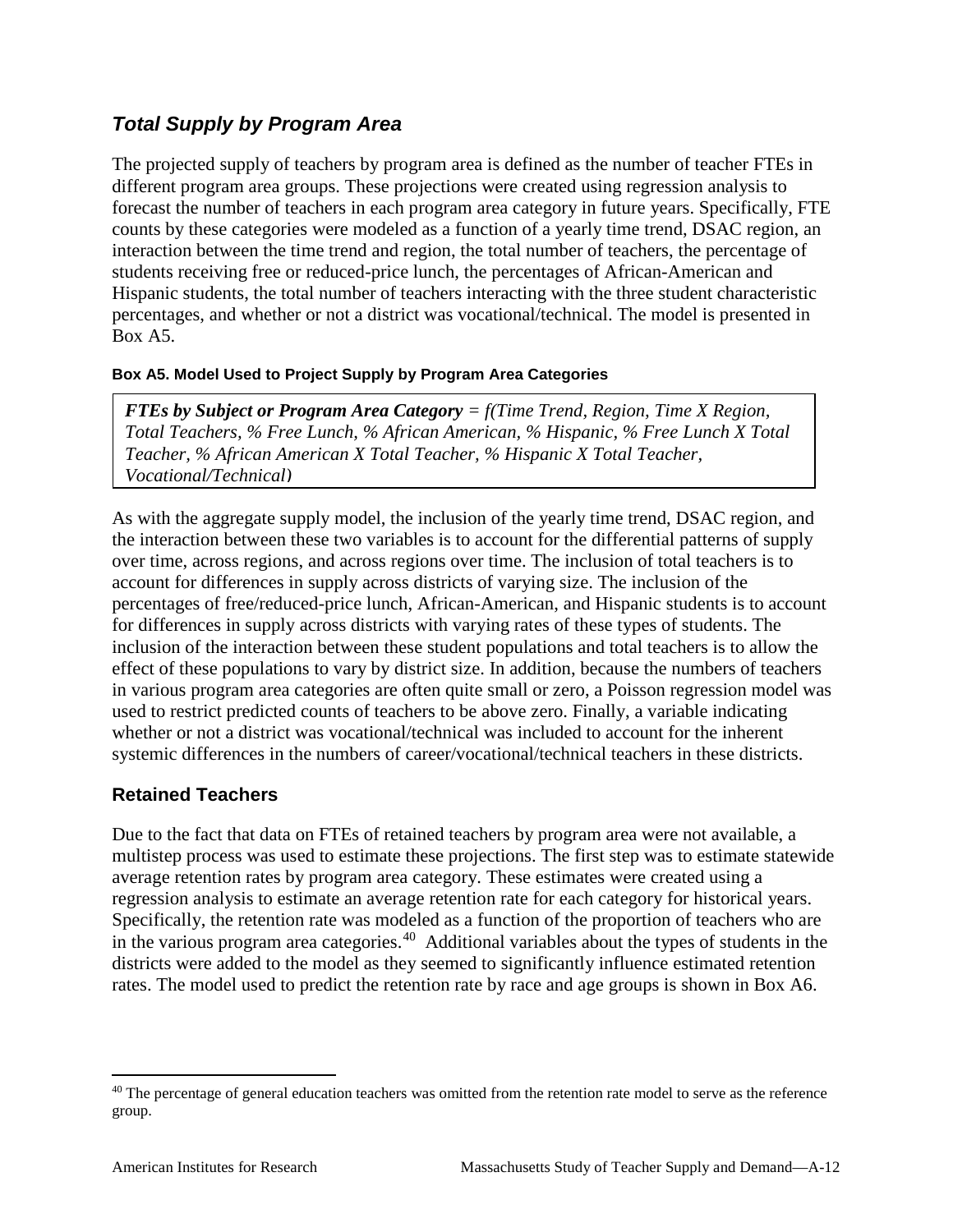### *Total Supply by Program Area*

The projected supply of teachers by program area is defined as the number of teacher FTEs in different program area groups. These projections were created using regression analysis to forecast the number of teachers in each program area category in future years. Specifically, FTE counts by these categories were modeled as a function of a yearly time trend, DSAC region, an interaction between the time trend and region, the total number of teachers, the percentage of students receiving free or reduced-price lunch, the percentages of African-American and Hispanic students, the total number of teachers interacting with the three student characteristic percentages, and whether or not a district was vocational/technical. The model is presented in Box A5.

### **Box A5. Model Used to Project Supply by Program Area Categories**

*FTEs by Subject or Program Area Category = f(Time Trend, Region, Time X Region, Total Teachers, % Free Lunch, % African American, % Hispanic, % Free Lunch X Total Teacher, % African American X Total Teacher, % Hispanic X Total Teacher, Vocational/Technical)*

As with the aggregate supply model, the inclusion of the yearly time trend, DSAC region, and the interaction between these two variables is to account for the differential patterns of supply over time, across regions, and across regions over time. The inclusion of total teachers is to account for differences in supply across districts of varying size. The inclusion of the percentages of free/reduced-price lunch, African-American, and Hispanic students is to account for differences in supply across districts with varying rates of these types of students. The inclusion of the interaction between these student populations and total teachers is to allow the effect of these populations to vary by district size. In addition, because the numbers of teachers in various program area categories are often quite small or zero, a Poisson regression model was used to restrict predicted counts of teachers to be above zero. Finally, a variable indicating whether or not a district was vocational/technical was included to account for the inherent systemic differences in the numbers of career/vocational/technical teachers in these districts.

### **Retained Teachers**

Due to the fact that data on FTEs of retained teachers by program area were not available, a multistep process was used to estimate these projections. The first step was to estimate statewide average retention rates by program area category. These estimates were created using a regression analysis to estimate an average retention rate for each category for historical years. Specifically, the retention rate was modeled as a function of the proportion of teachers who are in the various program area categories.<sup>[40](#page-82-0)</sup> Additional variables about the types of students in the districts were added to the model as they seemed to significantly influence estimated retention rates. The model used to predict the retention rate by race and age groups is shown in Box A6.

<span id="page-82-0"></span><sup>&</sup>lt;sup>40</sup> The percentage of general education teachers was omitted from the retention rate model to serve as the reference group.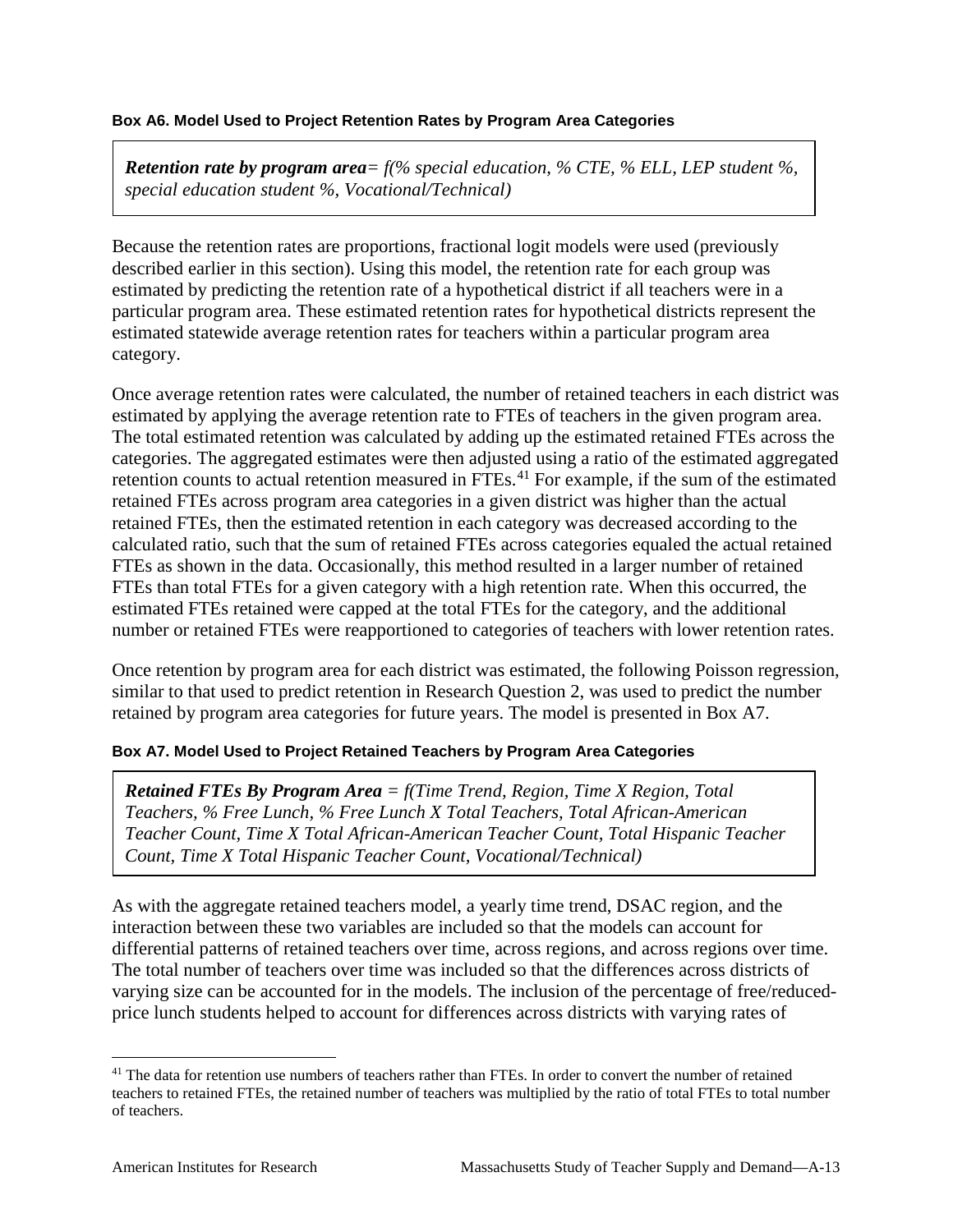#### **Box A6. Model Used to Project Retention Rates by Program Area Categories**

*Retention rate by program area= f(% special education, % CTE, % ELL, LEP student %, special education student %, Vocational/Technical)*

Because the retention rates are proportions, fractional logit models were used (previously described earlier in this section). Using this model, the retention rate for each group was estimated by predicting the retention rate of a hypothetical district if all teachers were in a particular program area. These estimated retention rates for hypothetical districts represent the estimated statewide average retention rates for teachers within a particular program area category.

Once average retention rates were calculated, the number of retained teachers in each district was estimated by applying the average retention rate to FTEs of teachers in the given program area. The total estimated retention was calculated by adding up the estimated retained FTEs across the categories. The aggregated estimates were then adjusted using a ratio of the estimated aggregated retention counts to actual retention measured in FTEs.<sup>[41](#page-83-0)</sup> For example, if the sum of the estimated retained FTEs across program area categories in a given district was higher than the actual retained FTEs, then the estimated retention in each category was decreased according to the calculated ratio, such that the sum of retained FTEs across categories equaled the actual retained FTEs as shown in the data. Occasionally, this method resulted in a larger number of retained FTEs than total FTEs for a given category with a high retention rate. When this occurred, the estimated FTEs retained were capped at the total FTEs for the category, and the additional number or retained FTEs were reapportioned to categories of teachers with lower retention rates.

Once retention by program area for each district was estimated, the following Poisson regression, similar to that used to predict retention in Research Question 2, was used to predict the number retained by program area categories for future years. The model is presented in Box A7.

#### **Box A7. Model Used to Project Retained Teachers by Program Area Categories**

*Retained FTEs By Program Area = f(Time Trend, Region, Time X Region, Total Teachers, % Free Lunch, % Free Lunch X Total Teachers, Total African-American Teacher Count, Time X Total African-American Teacher Count, Total Hispanic Teacher Count, Time X Total Hispanic Teacher Count, Vocational/Technical)*

As with the aggregate retained teachers model, a yearly time trend, DSAC region, and the interaction between these two variables are included so that the models can account for differential patterns of retained teachers over time, across regions, and across regions over time. The total number of teachers over time was included so that the differences across districts of varying size can be accounted for in the models. The inclusion of the percentage of free/reducedprice lunch students helped to account for differences across districts with varying rates of

<span id="page-83-0"></span><sup>&</sup>lt;sup>41</sup> The data for retention use numbers of teachers rather than FTEs. In order to convert the number of retained teachers to retained FTEs, the retained number of teachers was multiplied by the ratio of total FTEs to total number of teachers.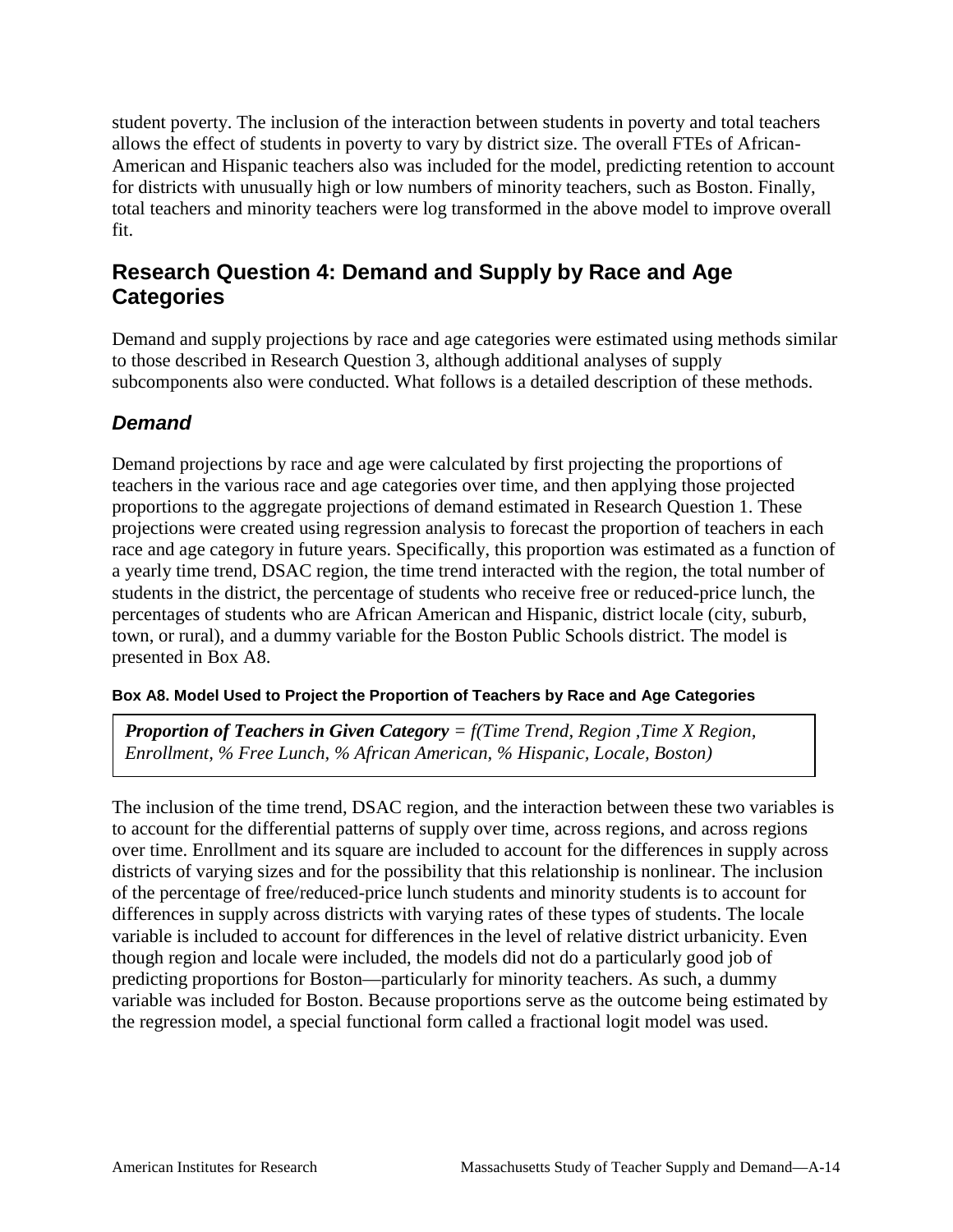student poverty. The inclusion of the interaction between students in poverty and total teachers allows the effect of students in poverty to vary by district size. The overall FTEs of African-American and Hispanic teachers also was included for the model, predicting retention to account for districts with unusually high or low numbers of minority teachers, such as Boston. Finally, total teachers and minority teachers were log transformed in the above model to improve overall fit.

# **Research Question 4: Demand and Supply by Race and Age Categories**

Demand and supply projections by race and age categories were estimated using methods similar to those described in Research Question 3, although additional analyses of supply subcomponents also were conducted. What follows is a detailed description of these methods.

# *Demand*

Demand projections by race and age were calculated by first projecting the proportions of teachers in the various race and age categories over time, and then applying those projected proportions to the aggregate projections of demand estimated in Research Question 1. These projections were created using regression analysis to forecast the proportion of teachers in each race and age category in future years. Specifically, this proportion was estimated as a function of a yearly time trend, DSAC region, the time trend interacted with the region, the total number of students in the district, the percentage of students who receive free or reduced-price lunch, the percentages of students who are African American and Hispanic, district locale (city, suburb, town, or rural), and a dummy variable for the Boston Public Schools district. The model is presented in Box A8.

### **Box A8. Model Used to Project the Proportion of Teachers by Race and Age Categories**

*Proportion of Teachers in Given Category = f(Time Trend, Region ,Time X Region, Enrollment, % Free Lunch, % African American, % Hispanic, Locale, Boston)*

The inclusion of the time trend, DSAC region, and the interaction between these two variables is to account for the differential patterns of supply over time, across regions, and across regions over time. Enrollment and its square are included to account for the differences in supply across districts of varying sizes and for the possibility that this relationship is nonlinear. The inclusion of the percentage of free/reduced-price lunch students and minority students is to account for differences in supply across districts with varying rates of these types of students. The locale variable is included to account for differences in the level of relative district urbanicity. Even though region and locale were included, the models did not do a particularly good job of predicting proportions for Boston—particularly for minority teachers. As such, a dummy variable was included for Boston. Because proportions serve as the outcome being estimated by the regression model, a special functional form called a fractional logit model was used.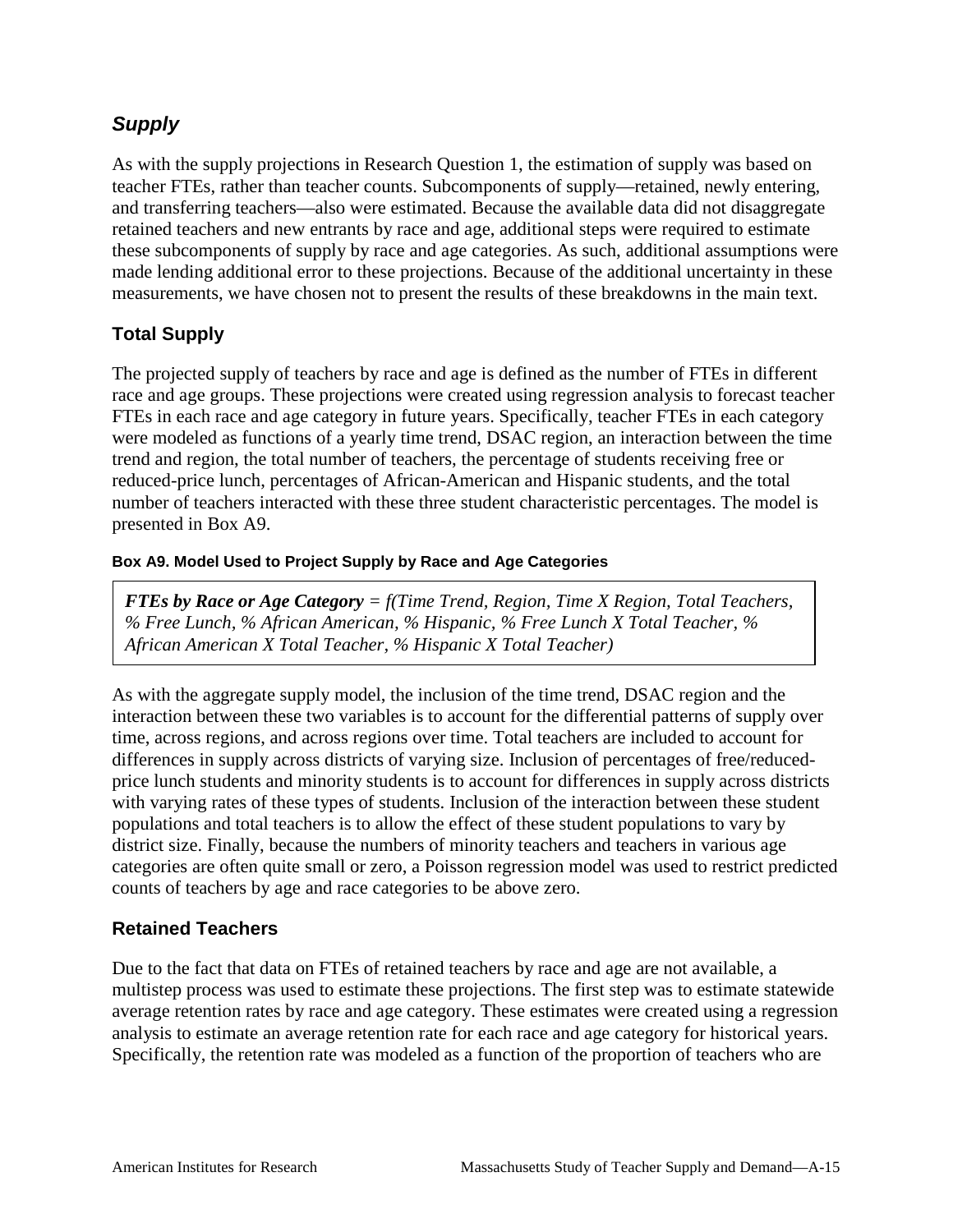# *Supply*

As with the supply projections in Research Question 1, the estimation of supply was based on teacher FTEs, rather than teacher counts. Subcomponents of supply—retained, newly entering, and transferring teachers—also were estimated. Because the available data did not disaggregate retained teachers and new entrants by race and age, additional steps were required to estimate these subcomponents of supply by race and age categories. As such, additional assumptions were made lending additional error to these projections. Because of the additional uncertainty in these measurements, we have chosen not to present the results of these breakdowns in the main text.

### **Total Supply**

The projected supply of teachers by race and age is defined as the number of FTEs in different race and age groups. These projections were created using regression analysis to forecast teacher FTEs in each race and age category in future years. Specifically, teacher FTEs in each category were modeled as functions of a yearly time trend, DSAC region, an interaction between the time trend and region, the total number of teachers, the percentage of students receiving free or reduced-price lunch, percentages of African-American and Hispanic students, and the total number of teachers interacted with these three student characteristic percentages. The model is presented in Box A9.

### **Box A9. Model Used to Project Supply by Race and Age Categories**

*FTEs by Race or Age Category = f(Time Trend, Region, Time X Region, Total Teachers, % Free Lunch, % African American, % Hispanic, % Free Lunch X Total Teacher, % African American X Total Teacher, % Hispanic X Total Teacher)*

As with the aggregate supply model, the inclusion of the time trend, DSAC region and the interaction between these two variables is to account for the differential patterns of supply over time, across regions, and across regions over time. Total teachers are included to account for differences in supply across districts of varying size. Inclusion of percentages of free/reducedprice lunch students and minority students is to account for differences in supply across districts with varying rates of these types of students. Inclusion of the interaction between these student populations and total teachers is to allow the effect of these student populations to vary by district size. Finally, because the numbers of minority teachers and teachers in various age categories are often quite small or zero, a Poisson regression model was used to restrict predicted counts of teachers by age and race categories to be above zero.

### **Retained Teachers**

Due to the fact that data on FTEs of retained teachers by race and age are not available, a multistep process was used to estimate these projections. The first step was to estimate statewide average retention rates by race and age category. These estimates were created using a regression analysis to estimate an average retention rate for each race and age category for historical years. Specifically, the retention rate was modeled as a function of the proportion of teachers who are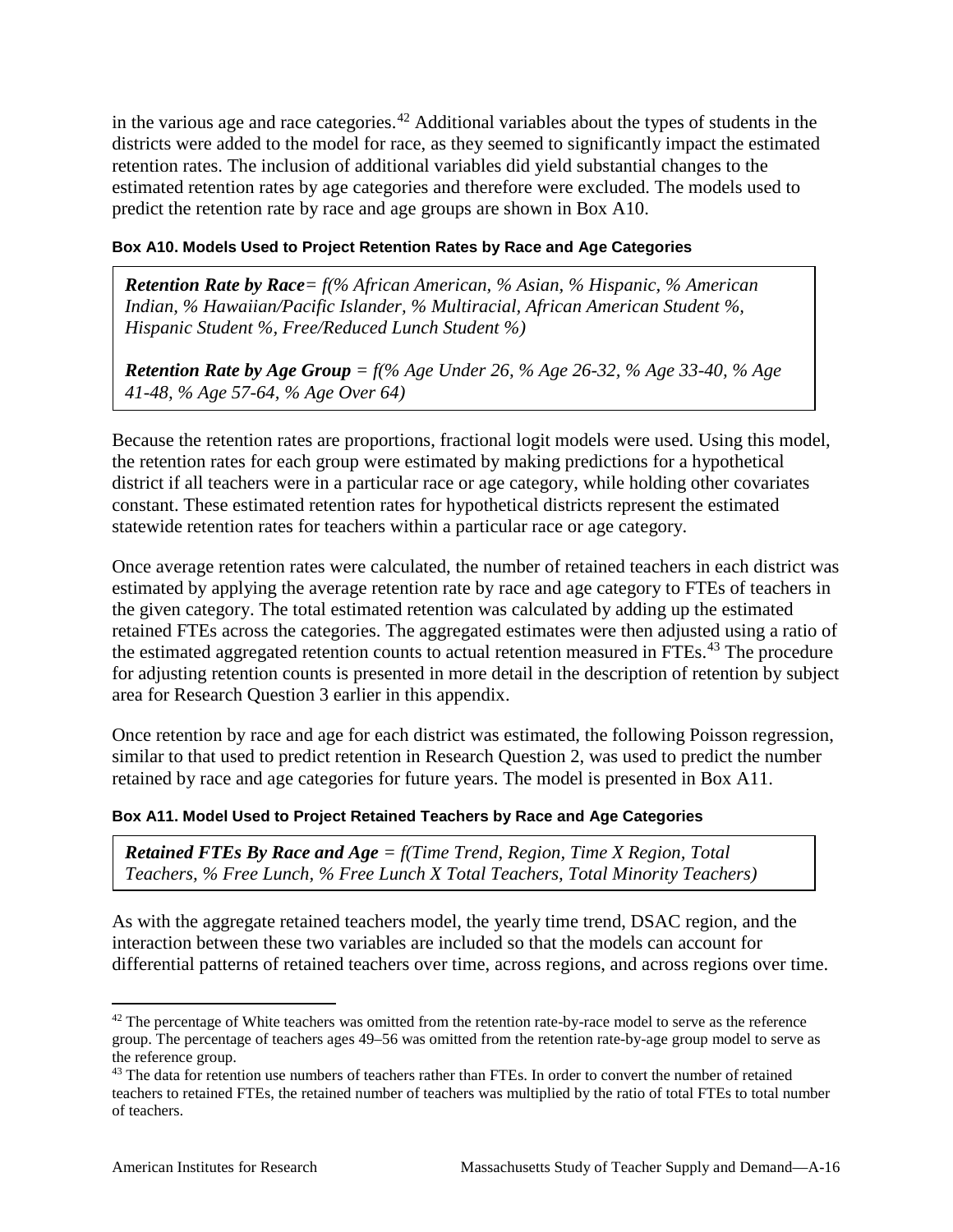in the various age and race categories.<sup>[42](#page-86-0)</sup> Additional variables about the types of students in the districts were added to the model for race, as they seemed to significantly impact the estimated retention rates. The inclusion of additional variables did yield substantial changes to the estimated retention rates by age categories and therefore were excluded. The models used to predict the retention rate by race and age groups are shown in Box A10.

#### **Box A10. Models Used to Project Retention Rates by Race and Age Categories**

*Retention Rate by Race= f(% African American, % Asian, % Hispanic, % American Indian, % Hawaiian/Pacific Islander, % Multiracial, African American Student %, Hispanic Student %, Free/Reduced Lunch Student %)*

*Retention Rate by Age Group = f(% Age Under 26, % Age 26-32, % Age 33-40, % Age 41-48, % Age 57-64, % Age Over 64)*

Because the retention rates are proportions, fractional logit models were used. Using this model, the retention rates for each group were estimated by making predictions for a hypothetical district if all teachers were in a particular race or age category, while holding other covariates constant. These estimated retention rates for hypothetical districts represent the estimated statewide retention rates for teachers within a particular race or age category.

Once average retention rates were calculated, the number of retained teachers in each district was estimated by applying the average retention rate by race and age category to FTEs of teachers in the given category. The total estimated retention was calculated by adding up the estimated retained FTEs across the categories. The aggregated estimates were then adjusted using a ratio of the estimated aggregated retention counts to actual retention measured in FTEs.<sup>[43](#page-86-1)</sup> The procedure for adjusting retention counts is presented in more detail in the description of retention by subject area for Research Question 3 earlier in this appendix.

Once retention by race and age for each district was estimated, the following Poisson regression, similar to that used to predict retention in Research Question 2, was used to predict the number retained by race and age categories for future years. The model is presented in Box A11.

#### **Box A11. Model Used to Project Retained Teachers by Race and Age Categories**

*Retained FTEs By Race and Age = f(Time Trend, Region, Time X Region, Total Teachers, % Free Lunch, % Free Lunch X Total Teachers, Total Minority Teachers)*

As with the aggregate retained teachers model, the yearly time trend, DSAC region, and the interaction between these two variables are included so that the models can account for differential patterns of retained teachers over time, across regions, and across regions over time.

<span id="page-86-0"></span><sup>&</sup>lt;sup>42</sup> The percentage of White teachers was omitted from the retention rate-by-race model to serve as the reference group. The percentage of teachers ages 49–56 was omitted from the retention rate-by-age group model to serve as the reference group.

<span id="page-86-1"></span><sup>&</sup>lt;sup>43</sup> The data for retention use numbers of teachers rather than FTEs. In order to convert the number of retained teachers to retained FTEs, the retained number of teachers was multiplied by the ratio of total FTEs to total number of teachers.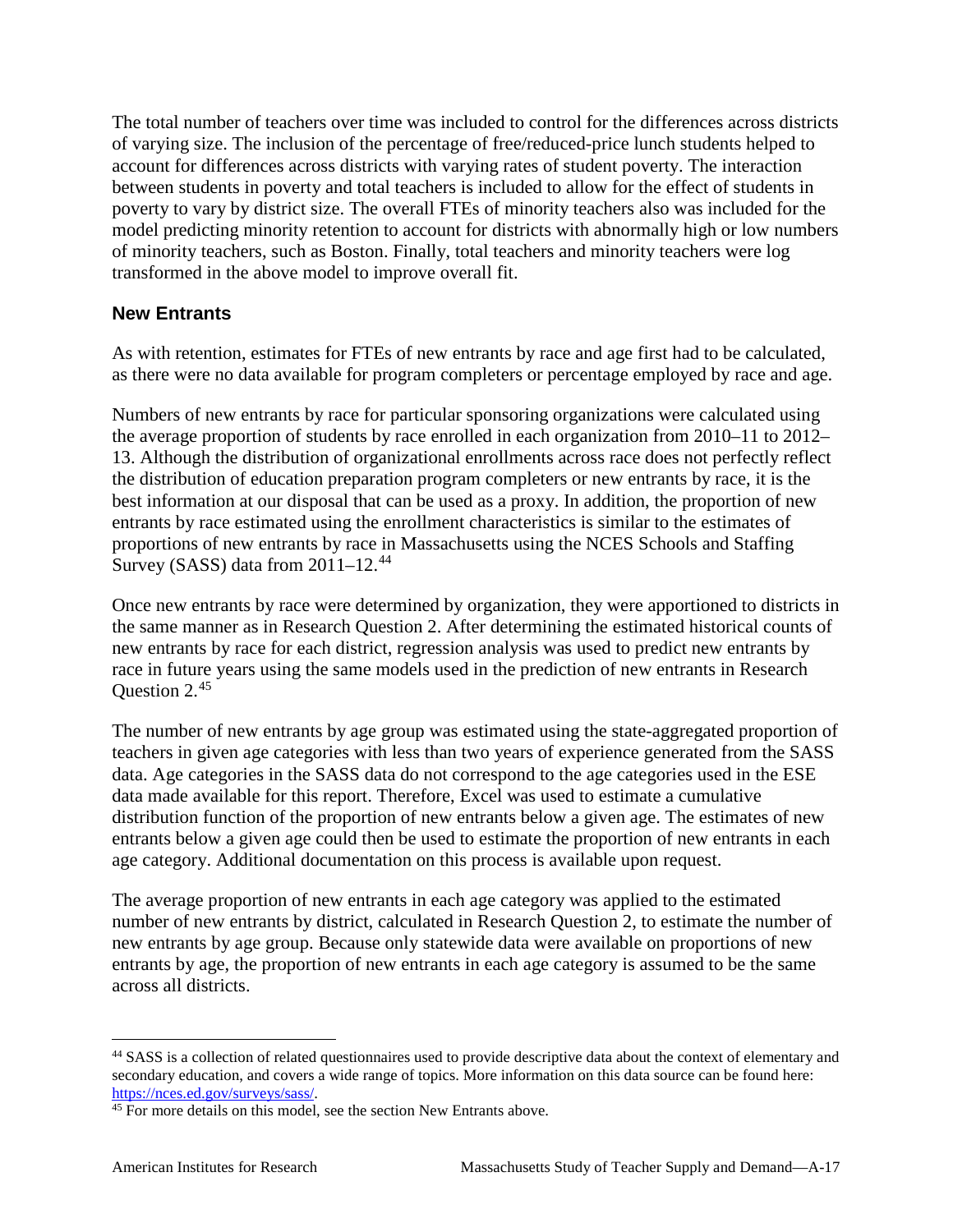The total number of teachers over time was included to control for the differences across districts of varying size. The inclusion of the percentage of free/reduced-price lunch students helped to account for differences across districts with varying rates of student poverty. The interaction between students in poverty and total teachers is included to allow for the effect of students in poverty to vary by district size. The overall FTEs of minority teachers also was included for the model predicting minority retention to account for districts with abnormally high or low numbers of minority teachers, such as Boston. Finally, total teachers and minority teachers were log transformed in the above model to improve overall fit.

### **New Entrants**

As with retention, estimates for FTEs of new entrants by race and age first had to be calculated, as there were no data available for program completers or percentage employed by race and age.

Numbers of new entrants by race for particular sponsoring organizations were calculated using the average proportion of students by race enrolled in each organization from 2010–11 to 2012– 13. Although the distribution of organizational enrollments across race does not perfectly reflect the distribution of education preparation program completers or new entrants by race, it is the best information at our disposal that can be used as a proxy. In addition, the proportion of new entrants by race estimated using the enrollment characteristics is similar to the estimates of proportions of new entrants by race in Massachusetts using the NCES Schools and Staffing Survey (SASS) data from  $2011-12.^{44}$  $2011-12.^{44}$  $2011-12.^{44}$ 

Once new entrants by race were determined by organization, they were apportioned to districts in the same manner as in Research Question 2. After determining the estimated historical counts of new entrants by race for each district, regression analysis was used to predict new entrants by race in future years using the same models used in the prediction of new entrants in Research Question 2.[45](#page-87-1)

The number of new entrants by age group was estimated using the state-aggregated proportion of teachers in given age categories with less than two years of experience generated from the SASS data. Age categories in the SASS data do not correspond to the age categories used in the ESE data made available for this report. Therefore, Excel was used to estimate a cumulative distribution function of the proportion of new entrants below a given age. The estimates of new entrants below a given age could then be used to estimate the proportion of new entrants in each age category. Additional documentation on this process is available upon request.

The average proportion of new entrants in each age category was applied to the estimated number of new entrants by district, calculated in Research Question 2, to estimate the number of new entrants by age group. Because only statewide data were available on proportions of new entrants by age, the proportion of new entrants in each age category is assumed to be the same across all districts.

<span id="page-87-0"></span> <sup>44</sup> SASS is a collection of related questionnaires used to provide descriptive data about the context of elementary and secondary education, and covers a wide range of topics. More information on this data source can be found here: [https://nces.ed.gov/surveys/sass/.](https://nces.ed.gov/surveys/sass/)

<span id="page-87-1"></span><sup>&</sup>lt;sup>45</sup> For more details on this model, see the section New Entrants above.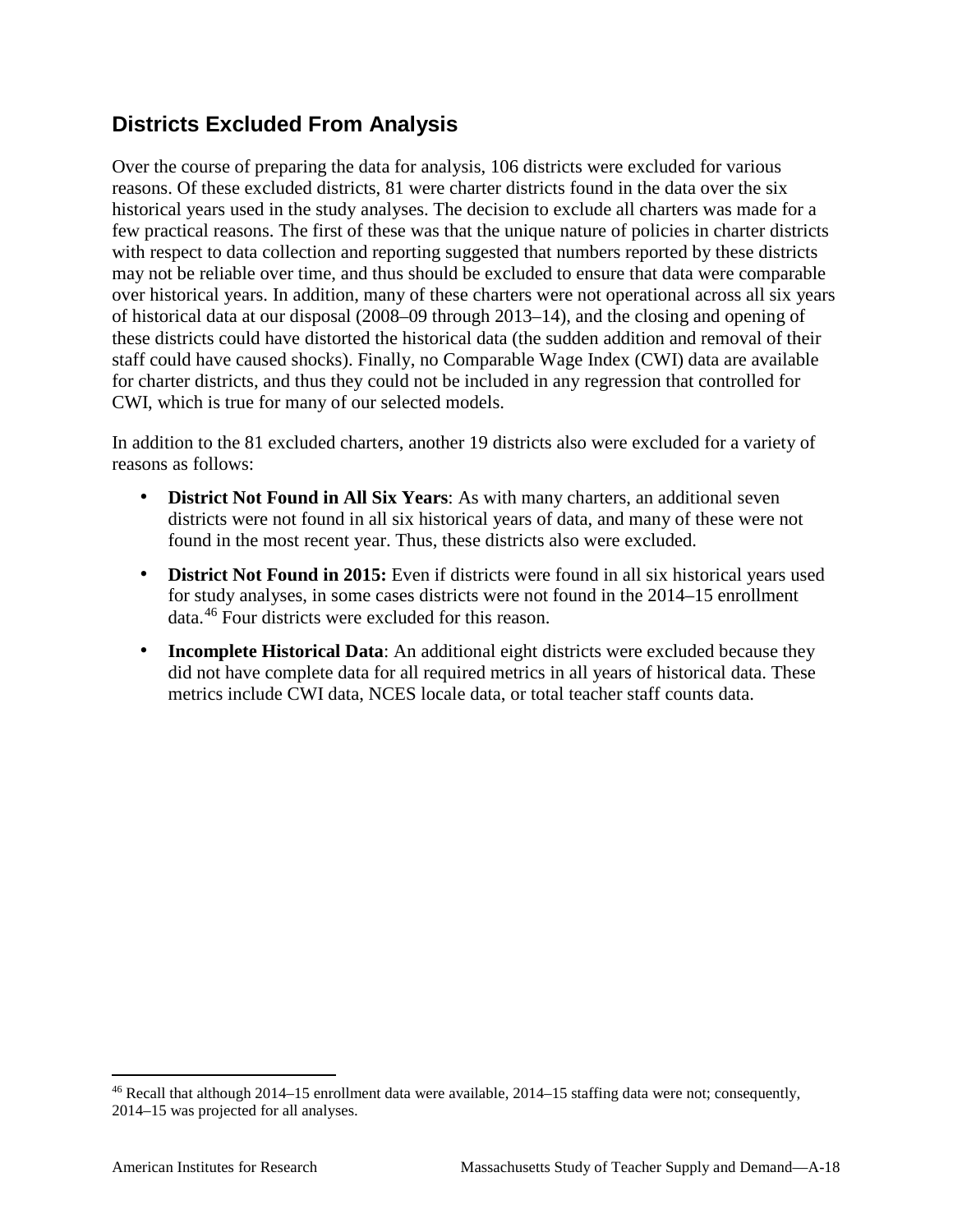# **Districts Excluded From Analysis**

Over the course of preparing the data for analysis, 106 districts were excluded for various reasons. Of these excluded districts, 81 were charter districts found in the data over the six historical years used in the study analyses. The decision to exclude all charters was made for a few practical reasons. The first of these was that the unique nature of policies in charter districts with respect to data collection and reporting suggested that numbers reported by these districts may not be reliable over time, and thus should be excluded to ensure that data were comparable over historical years. In addition, many of these charters were not operational across all six years of historical data at our disposal (2008–09 through 2013–14), and the closing and opening of these districts could have distorted the historical data (the sudden addition and removal of their staff could have caused shocks). Finally, no Comparable Wage Index (CWI) data are available for charter districts, and thus they could not be included in any regression that controlled for CWI, which is true for many of our selected models.

In addition to the 81 excluded charters, another 19 districts also were excluded for a variety of reasons as follows:

- **District Not Found in All Six Years:** As with many charters, an additional seven districts were not found in all six historical years of data, and many of these were not found in the most recent year. Thus, these districts also were excluded.
- **District Not Found in 2015:** Even if districts were found in all six historical years used for study analyses, in some cases districts were not found in the 2014–15 enrollment data.[46](#page-88-0) Four districts were excluded for this reason.
- **Incomplete Historical Data**: An additional eight districts were excluded because they did not have complete data for all required metrics in all years of historical data. These metrics include CWI data, NCES locale data, or total teacher staff counts data.

<span id="page-88-0"></span> <sup>46</sup> Recall that although 2014–15 enrollment data were available, 2014–15 staffing data were not; consequently, 2014–15 was projected for all analyses.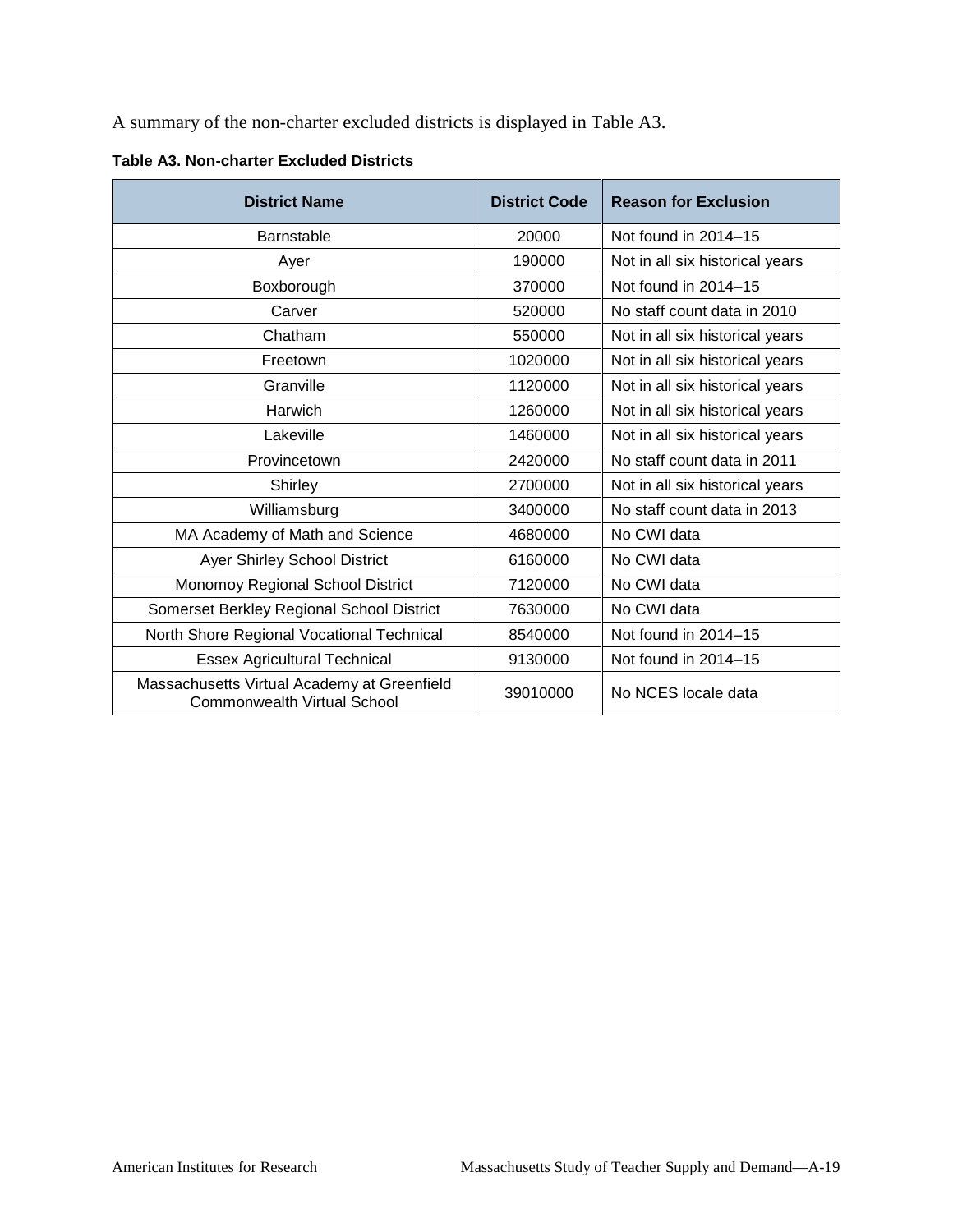A summary of the non-charter excluded districts is displayed in Table A3.

| <b>District Name</b>                                                              | <b>District Code</b> | <b>Reason for Exclusion</b>     |
|-----------------------------------------------------------------------------------|----------------------|---------------------------------|
| <b>Barnstable</b>                                                                 | 20000                | Not found in 2014-15            |
| Ayer                                                                              | 190000               | Not in all six historical years |
| Boxborough                                                                        | 370000               | Not found in 2014-15            |
| Carver                                                                            | 520000               | No staff count data in 2010     |
| Chatham                                                                           | 550000               | Not in all six historical years |
| Freetown                                                                          | 1020000              | Not in all six historical years |
| Granville                                                                         | 1120000              | Not in all six historical years |
| Harwich                                                                           | 1260000              | Not in all six historical years |
| Lakeville                                                                         | 1460000              | Not in all six historical years |
| Provincetown                                                                      | 2420000              | No staff count data in 2011     |
| Shirley                                                                           | 2700000              | Not in all six historical years |
| Williamsburg                                                                      | 3400000              | No staff count data in 2013     |
| MA Academy of Math and Science                                                    | 4680000              | No CWI data                     |
| Ayer Shirley School District                                                      | 6160000              | No CWI data                     |
| Monomoy Regional School District                                                  | 7120000              | No CWI data                     |
| Somerset Berkley Regional School District                                         | 7630000              | No CWI data                     |
| North Shore Regional Vocational Technical                                         | 8540000              | Not found in 2014-15            |
| <b>Essex Agricultural Technical</b>                                               | 9130000              | Not found in 2014-15            |
| Massachusetts Virtual Academy at Greenfield<br><b>Commonwealth Virtual School</b> | 39010000             | No NCES locale data             |

**Table A3. Non-charter Excluded Districts**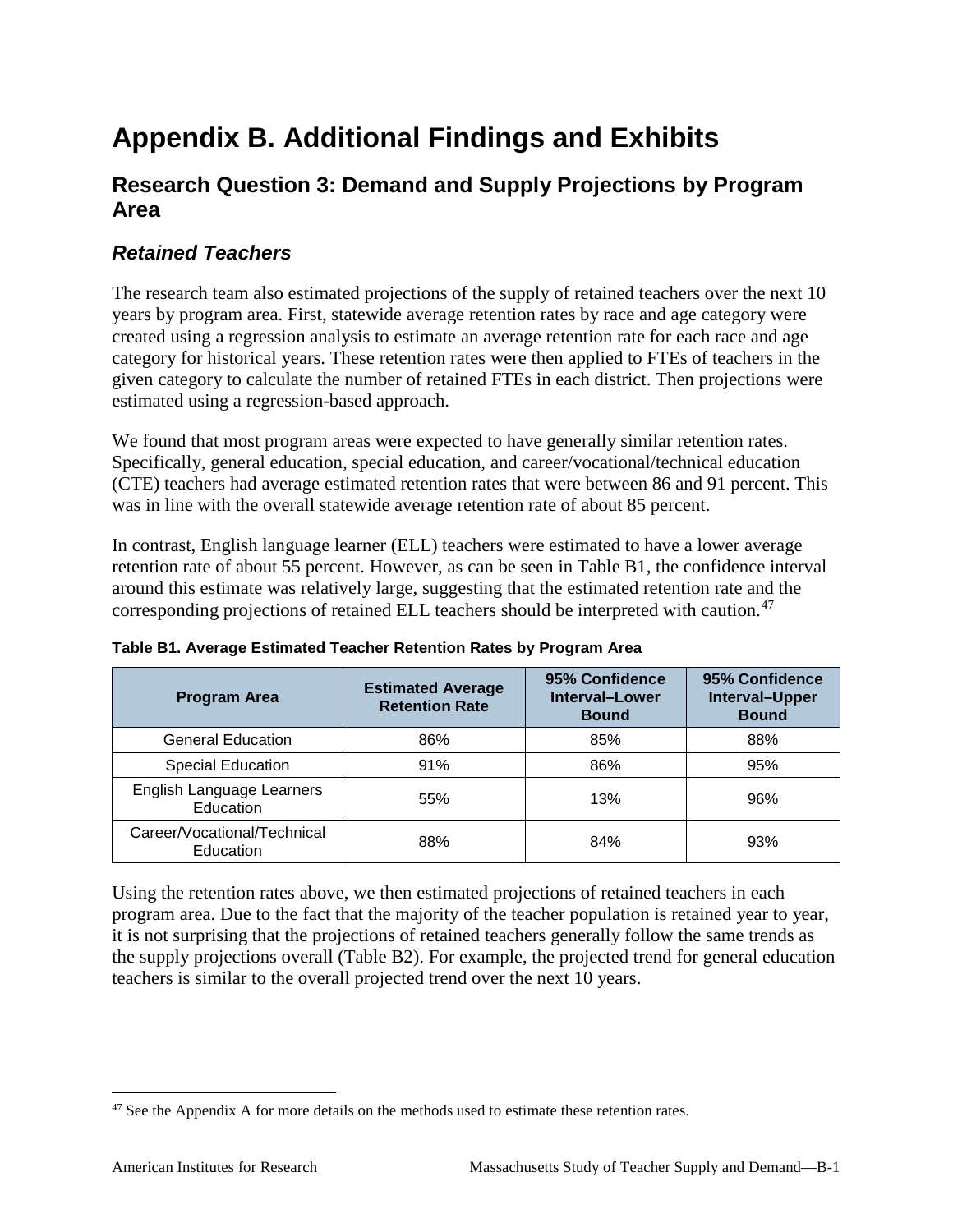# **Appendix B. Additional Findings and Exhibits**

## **Research Question 3: Demand and Supply Projections by Program Area**

### *Retained Teachers*

The research team also estimated projections of the supply of retained teachers over the next 10 years by program area. First, statewide average retention rates by race and age category were created using a regression analysis to estimate an average retention rate for each race and age category for historical years. These retention rates were then applied to FTEs of teachers in the given category to calculate the number of retained FTEs in each district. Then projections were estimated using a regression-based approach.

We found that most program areas were expected to have generally similar retention rates. Specifically, general education, special education, and career/vocational/technical education (CTE) teachers had average estimated retention rates that were between 86 and 91 percent. This was in line with the overall statewide average retention rate of about 85 percent.

In contrast, English language learner (ELL) teachers were estimated to have a lower average retention rate of about 55 percent. However, as can be seen in Table B1, the confidence interval around this estimate was relatively large, suggesting that the estimated retention rate and the corresponding projections of retained ELL teachers should be interpreted with caution.<sup>[47](#page-90-0)</sup>

| <b>Program Area</b>                      | <b>Estimated Average</b><br><b>Retention Rate</b> | 95% Confidence<br>Interval-Lower<br><b>Bound</b> | 95% Confidence<br>Interval-Upper<br><b>Bound</b> |
|------------------------------------------|---------------------------------------------------|--------------------------------------------------|--------------------------------------------------|
| <b>General Education</b>                 | 86%                                               | 85%                                              | 88%                                              |
| <b>Special Education</b>                 | 91%                                               | 86%                                              | 95%                                              |
| English Language Learners<br>Education   | 55%                                               | 13%                                              | 96%                                              |
| Career/Vocational/Technical<br>Education | 88%                                               | 84%                                              | 93%                                              |

**Table B1. Average Estimated Teacher Retention Rates by Program Area**

Using the retention rates above, we then estimated projections of retained teachers in each program area. Due to the fact that the majority of the teacher population is retained year to year, it is not surprising that the projections of retained teachers generally follow the same trends as the supply projections overall (Table B2). For example, the projected trend for general education teachers is similar to the overall projected trend over the next 10 years.

<span id="page-90-0"></span><sup>&</sup>lt;sup>47</sup> See the Appendix A for more details on the methods used to estimate these retention rates.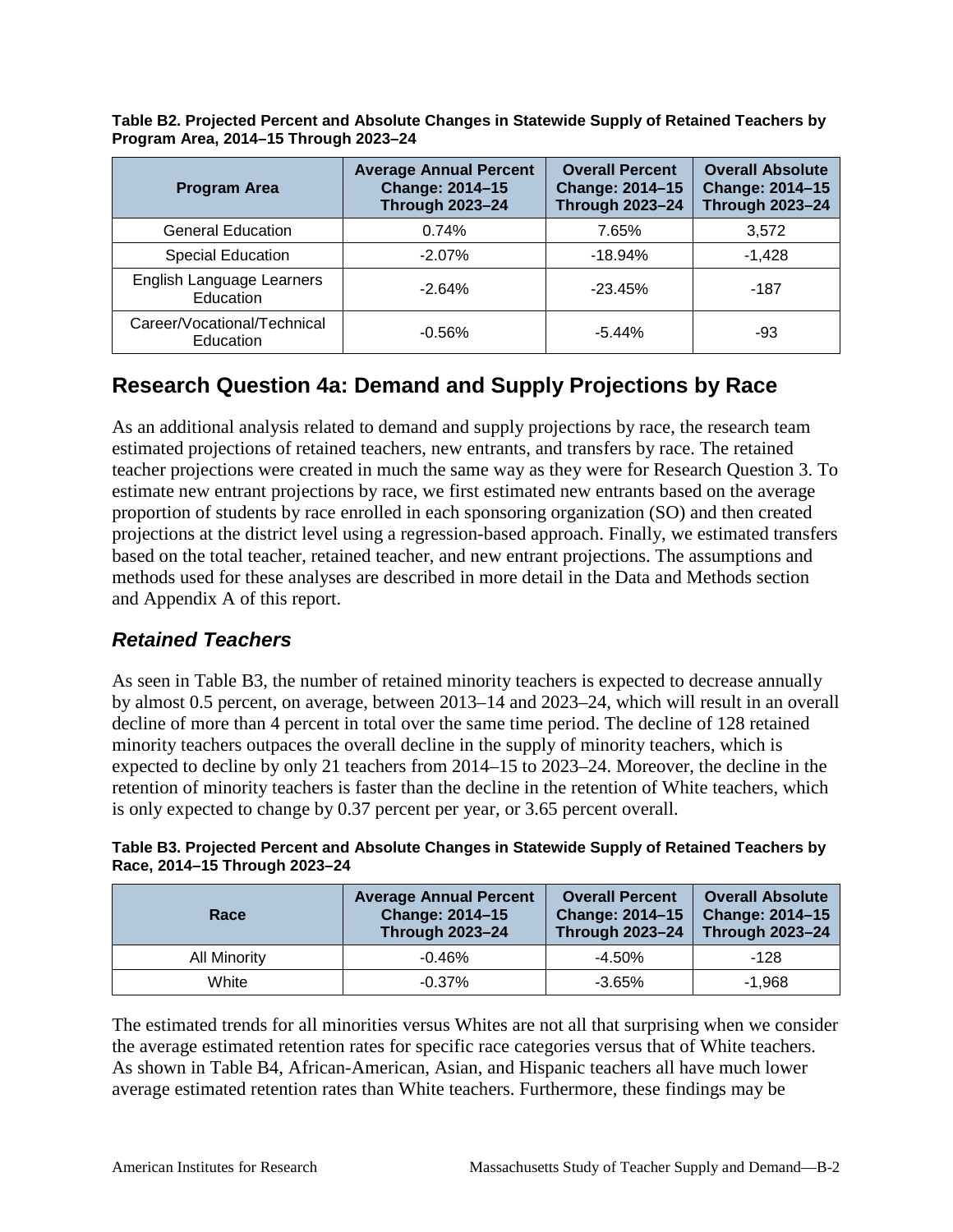| <b>Program Area</b>                      | <b>Average Annual Percent</b><br>Change: 2014-15<br><b>Through 2023-24</b> | <b>Overall Percent</b><br><b>Change: 2014-15</b><br><b>Through 2023-24</b> | <b>Overall Absolute</b><br>Change: 2014-15<br><b>Through 2023-24</b> |
|------------------------------------------|----------------------------------------------------------------------------|----------------------------------------------------------------------------|----------------------------------------------------------------------|
| <b>General Education</b>                 | 0.74%                                                                      | 7.65%                                                                      | 3,572                                                                |
| <b>Special Education</b>                 | $-2.07\%$                                                                  | $-18.94%$                                                                  | $-1.428$                                                             |
| English Language Learners<br>Education   | $-2.64%$                                                                   | $-23.45%$                                                                  | $-187$                                                               |
| Career/Vocational/Technical<br>Education | $-0.56%$                                                                   | $-5.44%$                                                                   | -93                                                                  |

**Table B2. Projected Percent and Absolute Changes in Statewide Supply of Retained Teachers by Program Area, 2014–15 Through 2023–24**

# **Research Question 4a: Demand and Supply Projections by Race**

As an additional analysis related to demand and supply projections by race, the research team estimated projections of retained teachers, new entrants, and transfers by race. The retained teacher projections were created in much the same way as they were for Research Question 3. To estimate new entrant projections by race, we first estimated new entrants based on the average proportion of students by race enrolled in each sponsoring organization (SO) and then created projections at the district level using a regression-based approach. Finally, we estimated transfers based on the total teacher, retained teacher, and new entrant projections. The assumptions and methods used for these analyses are described in more detail in the Data and Methods section and Appendix A of this report.

### *Retained Teachers*

As seen in Table B3, the number of retained minority teachers is expected to decrease annually by almost 0.5 percent, on average, between 2013–14 and 2023–24, which will result in an overall decline of more than 4 percent in total over the same time period. The decline of 128 retained minority teachers outpaces the overall decline in the supply of minority teachers, which is expected to decline by only 21 teachers from 2014–15 to 2023–24. Moreover, the decline in the retention of minority teachers is faster than the decline in the retention of White teachers, which is only expected to change by 0.37 percent per year, or 3.65 percent overall.

| Table B3. Projected Percent and Absolute Changes in Statewide Supply of Retained Teachers by |  |  |
|----------------------------------------------------------------------------------------------|--|--|
| Race, 2014-15 Through 2023-24                                                                |  |  |

| Race         | <b>Average Annual Percent</b><br><b>Change: 2014-15</b><br><b>Through 2023-24</b> | <b>Overall Percent</b><br><b>Change: 2014-15</b><br><b>Through 2023-24</b> | <b>Overall Absolute</b><br><b>Change: 2014-15</b><br><b>Through 2023-24</b> |
|--------------|-----------------------------------------------------------------------------------|----------------------------------------------------------------------------|-----------------------------------------------------------------------------|
| All Minority | $-0.46%$                                                                          | $-4.50\%$                                                                  | $-128$                                                                      |
| White        | $-0.37\%$                                                                         | $-3.65%$                                                                   | $-1.968$                                                                    |

The estimated trends for all minorities versus Whites are not all that surprising when we consider the average estimated retention rates for specific race categories versus that of White teachers. As shown in Table B4, African-American, Asian, and Hispanic teachers all have much lower average estimated retention rates than White teachers. Furthermore, these findings may be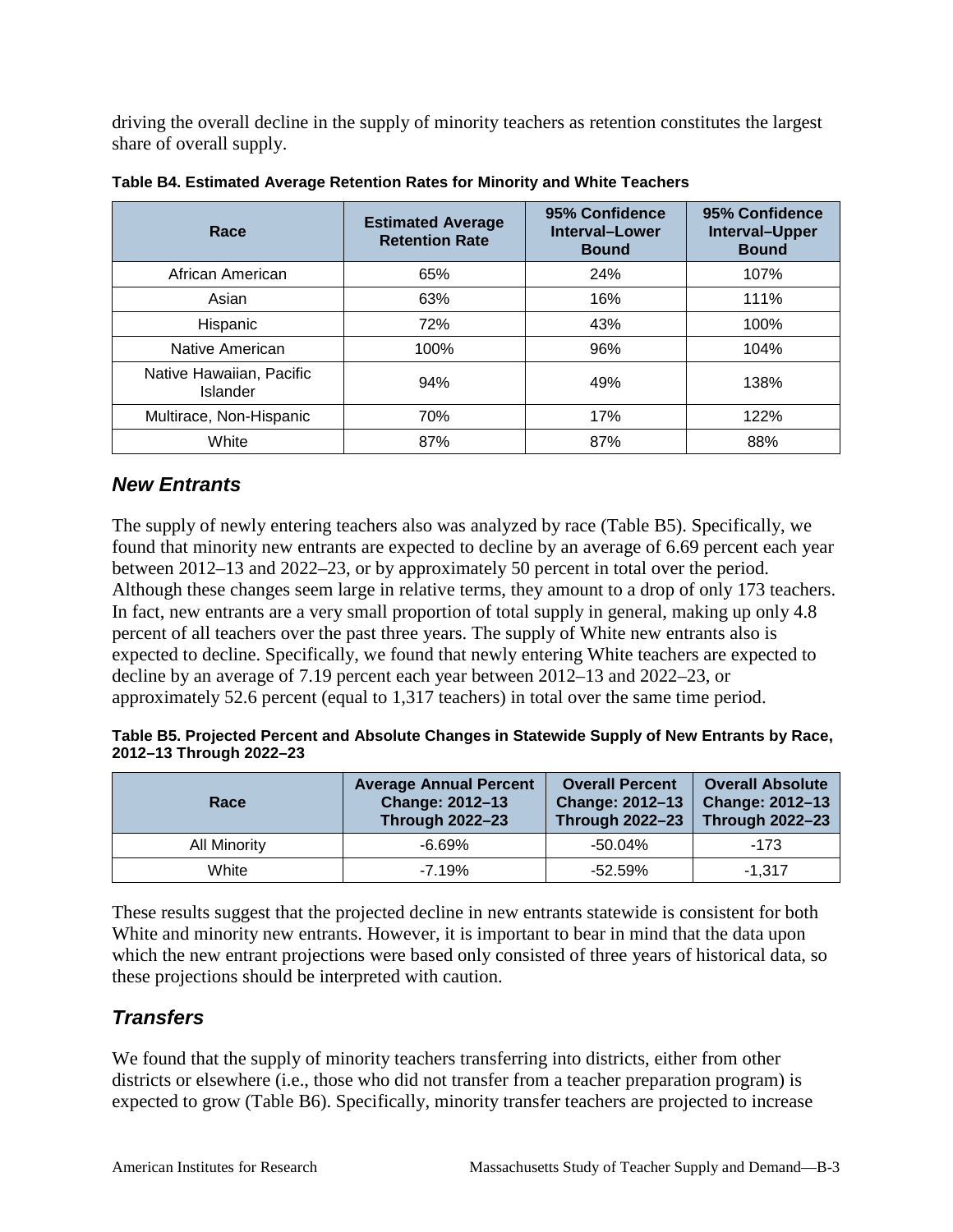driving the overall decline in the supply of minority teachers as retention constitutes the largest share of overall supply.

| Race                                 | <b>Estimated Average</b><br><b>Retention Rate</b> | 95% Confidence<br>Interval-Lower<br><b>Bound</b> | 95% Confidence<br>Interval-Upper<br><b>Bound</b> |
|--------------------------------------|---------------------------------------------------|--------------------------------------------------|--------------------------------------------------|
| African American                     | 65%                                               | 24%                                              | 107%                                             |
| Asian                                | 63%                                               | 16%                                              | 111%                                             |
| Hispanic                             | 72%                                               | 43%                                              | 100%                                             |
| Native American                      | 100%                                              | 96%                                              | 104%                                             |
| Native Hawaiian, Pacific<br>Islander | 94%                                               | 49%                                              | 138%                                             |
| Multirace, Non-Hispanic              | 70%                                               | 17%                                              | 122%                                             |
| White                                | 87%                                               | 87%                                              | 88%                                              |

**Table B4. Estimated Average Retention Rates for Minority and White Teachers**

### *New Entrants*

The supply of newly entering teachers also was analyzed by race (Table B5). Specifically, we found that minority new entrants are expected to decline by an average of 6.69 percent each year between 2012–13 and 2022–23, or by approximately 50 percent in total over the period. Although these changes seem large in relative terms, they amount to a drop of only 173 teachers. In fact, new entrants are a very small proportion of total supply in general, making up only 4.8 percent of all teachers over the past three years. The supply of White new entrants also is expected to decline. Specifically, we found that newly entering White teachers are expected to decline by an average of 7.19 percent each year between 2012–13 and 2022–23, or approximately 52.6 percent (equal to 1,317 teachers) in total over the same time period.

| Table B5. Projected Percent and Absolute Changes in Statewide Supply of New Entrants by Race, |  |
|-----------------------------------------------------------------------------------------------|--|
| 2012-13 Through 2022-23                                                                       |  |

| Race                | <b>Average Annual Percent</b><br>Change: 2012-13<br><b>Through 2022-23</b> | <b>Overall Percent</b><br>Change: 2012-13<br><b>Through 2022-23</b> | <b>Overall Absolute</b><br><b>Change: 2012-13</b><br><b>Through 2022-23</b> |
|---------------------|----------------------------------------------------------------------------|---------------------------------------------------------------------|-----------------------------------------------------------------------------|
| <b>All Minority</b> | $-6.69\%$                                                                  | $-50.04\%$                                                          | $-173$                                                                      |
| White               | $-7.19%$                                                                   | $-52.59%$                                                           | $-1.317$                                                                    |

These results suggest that the projected decline in new entrants statewide is consistent for both White and minority new entrants. However, it is important to bear in mind that the data upon which the new entrant projections were based only consisted of three years of historical data, so these projections should be interpreted with caution.

# *Transfers*

We found that the supply of minority teachers transferring into districts, either from other districts or elsewhere (i.e., those who did not transfer from a teacher preparation program) is expected to grow (Table B6). Specifically, minority transfer teachers are projected to increase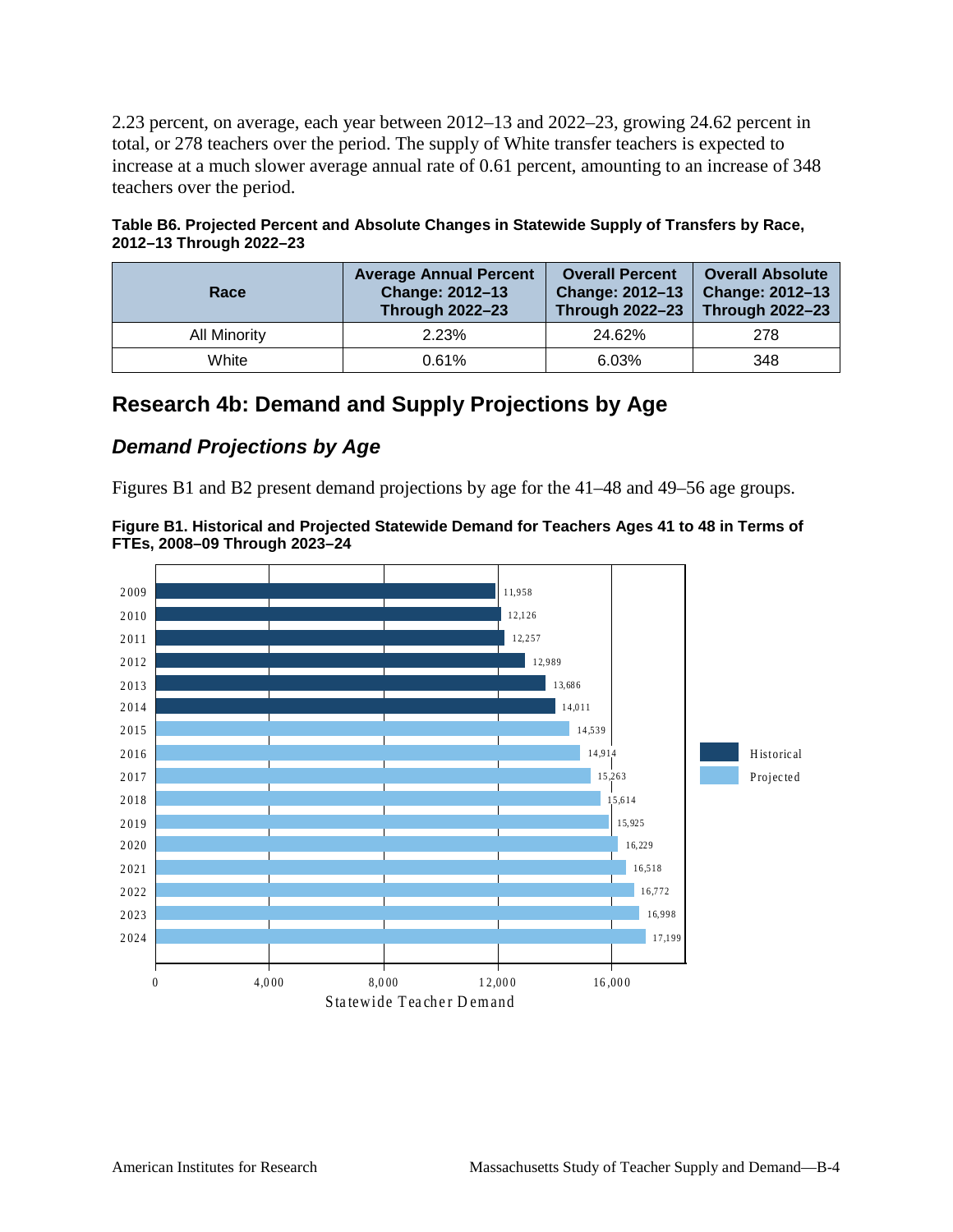2.23 percent, on average, each year between 2012–13 and 2022–23, growing 24.62 percent in total, or 278 teachers over the period. The supply of White transfer teachers is expected to increase at a much slower average annual rate of 0.61 percent, amounting to an increase of 348 teachers over the period.

|                         | Table B6. Projected Percent and Absolute Changes in Statewide Supply of Transfers by Race, |  |
|-------------------------|--------------------------------------------------------------------------------------------|--|
| 2012-13 Through 2022-23 |                                                                                            |  |

| Race                | <b>Average Annual Percent</b><br>Change: 2012-13<br><b>Through 2022-23</b> | <b>Overall Percent</b><br><b>Change: 2012-13</b><br><b>Through 2022-23</b> | Overall Absolute<br><b>Change: 2012-13</b><br><b>Through 2022-23</b> |
|---------------------|----------------------------------------------------------------------------|----------------------------------------------------------------------------|----------------------------------------------------------------------|
| <b>All Minority</b> | 2.23%                                                                      | 24.62%                                                                     | 278                                                                  |
| White               | 0.61%                                                                      | 6.03%                                                                      | 348                                                                  |

# **Research 4b: Demand and Supply Projections by Age**

### *Demand Projections by Age*

Figures B1 and B2 present demand projections by age for the 41–48 and 49–56 age groups.



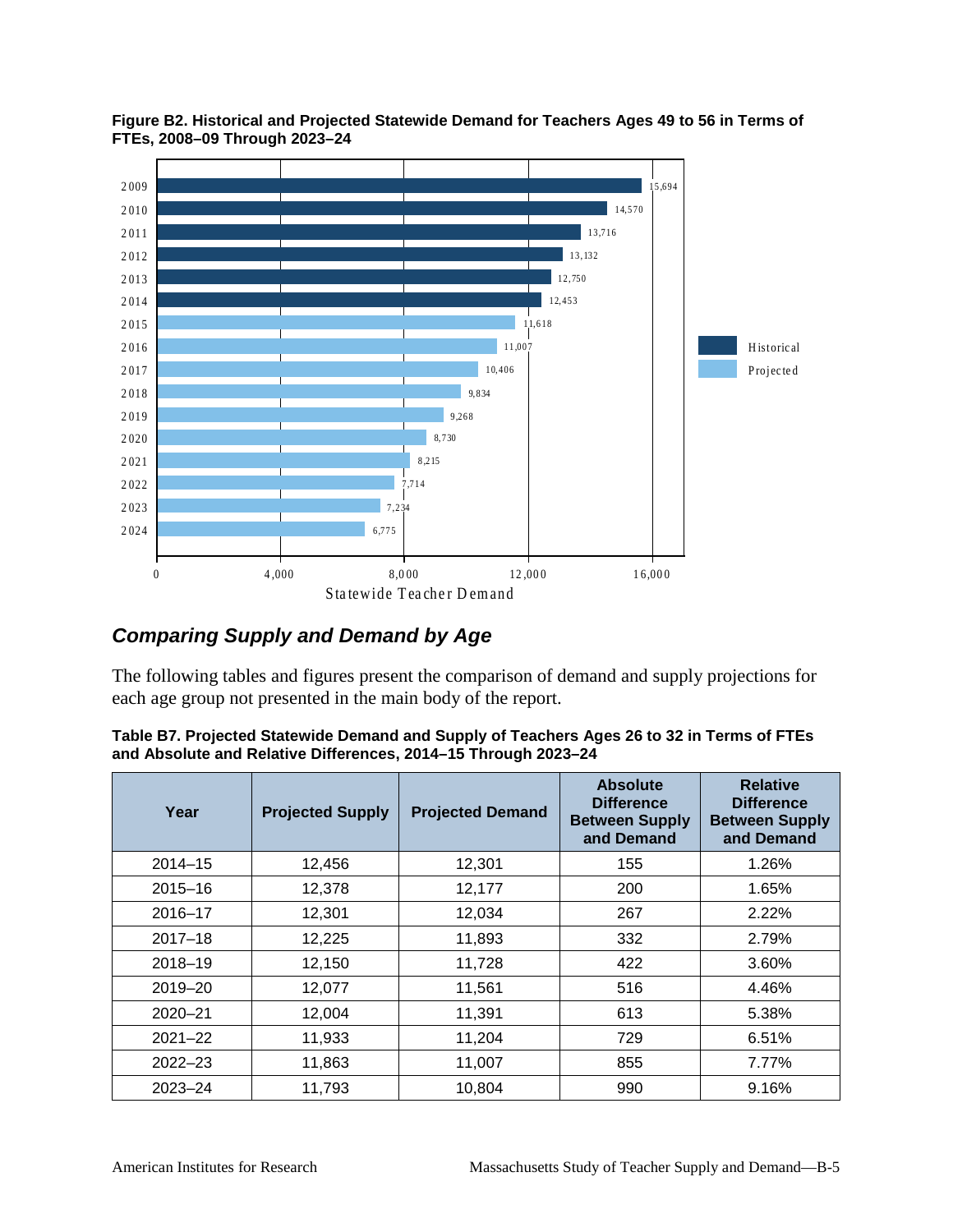

**Figure B2. Historical and Projected Statewide Demand for Teachers Ages 49 to 56 in Terms of FTEs, 2008–09 Through 2023–24**

# *Comparing Supply and Demand by Age*

The following tables and figures present the comparison of demand and supply projections for each age group not presented in the main body of the report.

| Table B7. Projected Statewide Demand and Supply of Teachers Ages 26 to 32 in Terms of FTEs |
|--------------------------------------------------------------------------------------------|
| and Absolute and Relative Differences, 2014–15 Through 2023–24                             |

| Year        | <b>Projected Supply</b> | <b>Projected Demand</b> | <b>Absolute</b><br><b>Difference</b><br><b>Between Supply</b><br>and Demand | <b>Relative</b><br><b>Difference</b><br><b>Between Supply</b><br>and Demand |
|-------------|-------------------------|-------------------------|-----------------------------------------------------------------------------|-----------------------------------------------------------------------------|
| $2014 - 15$ | 12,456                  | 12,301                  | 155                                                                         | 1.26%                                                                       |
| $2015 - 16$ | 12,378                  | 12,177                  | 200                                                                         | 1.65%                                                                       |
| $2016 - 17$ | 12,301                  | 12,034                  | 267                                                                         | 2.22%                                                                       |
| $2017 - 18$ | 12,225                  | 11,893                  | 332                                                                         | 2.79%                                                                       |
| $2018 - 19$ | 12,150                  | 11,728                  | 422                                                                         | 3.60%                                                                       |
| 2019-20     | 12,077                  | 11,561                  | 516                                                                         | 4.46%                                                                       |
| $2020 - 21$ | 12,004                  | 11,391                  | 613                                                                         | 5.38%                                                                       |
| $2021 - 22$ | 11,933                  | 11,204                  | 729                                                                         | 6.51%                                                                       |
| $2022 - 23$ | 11,863                  | 11,007                  | 855                                                                         | 7.77%                                                                       |
| $2023 - 24$ | 11,793                  | 10,804                  | 990                                                                         | 9.16%                                                                       |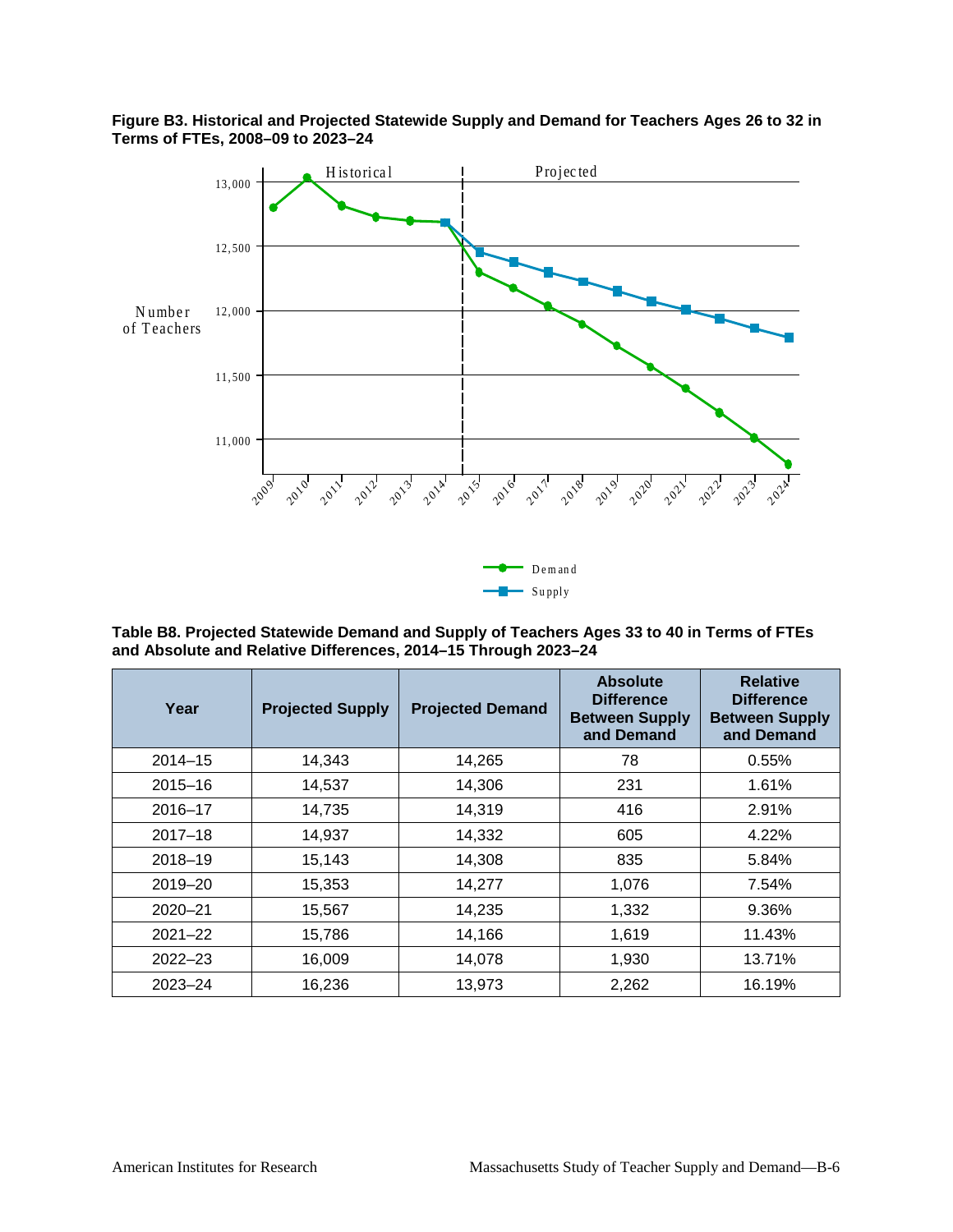

**Figure B3. Historical and Projected Statewide Supply and Demand for Teachers Ages 26 to 32 in Terms of FTEs, 2008–09 to 2023–24**

**Table B8. Projected Statewide Demand and Supply of Teachers Ages 33 to 40 in Terms of FTEs and Absolute and Relative Differences, 2014–15 Through 2023–24**

Supply

| Year        | <b>Projected Supply</b> | <b>Projected Demand</b> | <b>Absolute</b><br><b>Difference</b><br><b>Between Supply</b><br>and Demand | <b>Relative</b><br><b>Difference</b><br><b>Between Supply</b><br>and Demand |
|-------------|-------------------------|-------------------------|-----------------------------------------------------------------------------|-----------------------------------------------------------------------------|
| $2014 - 15$ | 14,343                  | 14,265                  | 78                                                                          | 0.55%                                                                       |
| $2015 - 16$ | 14,537                  | 14,306                  | 231                                                                         | 1.61%                                                                       |
| $2016 - 17$ | 14,735                  | 14,319                  | 416                                                                         | 2.91%                                                                       |
| $2017 - 18$ | 14,937                  | 14,332                  | 605                                                                         | 4.22%                                                                       |
| $2018 - 19$ | 15,143                  | 14,308                  | 835                                                                         | 5.84%                                                                       |
| 2019-20     | 15,353                  | 14,277                  | 1,076                                                                       | 7.54%                                                                       |
| $2020 - 21$ | 15,567                  | 14,235                  | 1,332                                                                       | 9.36%                                                                       |
| $2021 - 22$ | 15,786                  | 14,166                  | 1,619                                                                       | 11.43%                                                                      |
| $2022 - 23$ | 16,009                  | 14,078                  | 1,930                                                                       | 13.71%                                                                      |
| $2023 - 24$ | 16,236                  | 13,973                  | 2,262                                                                       | 16.19%                                                                      |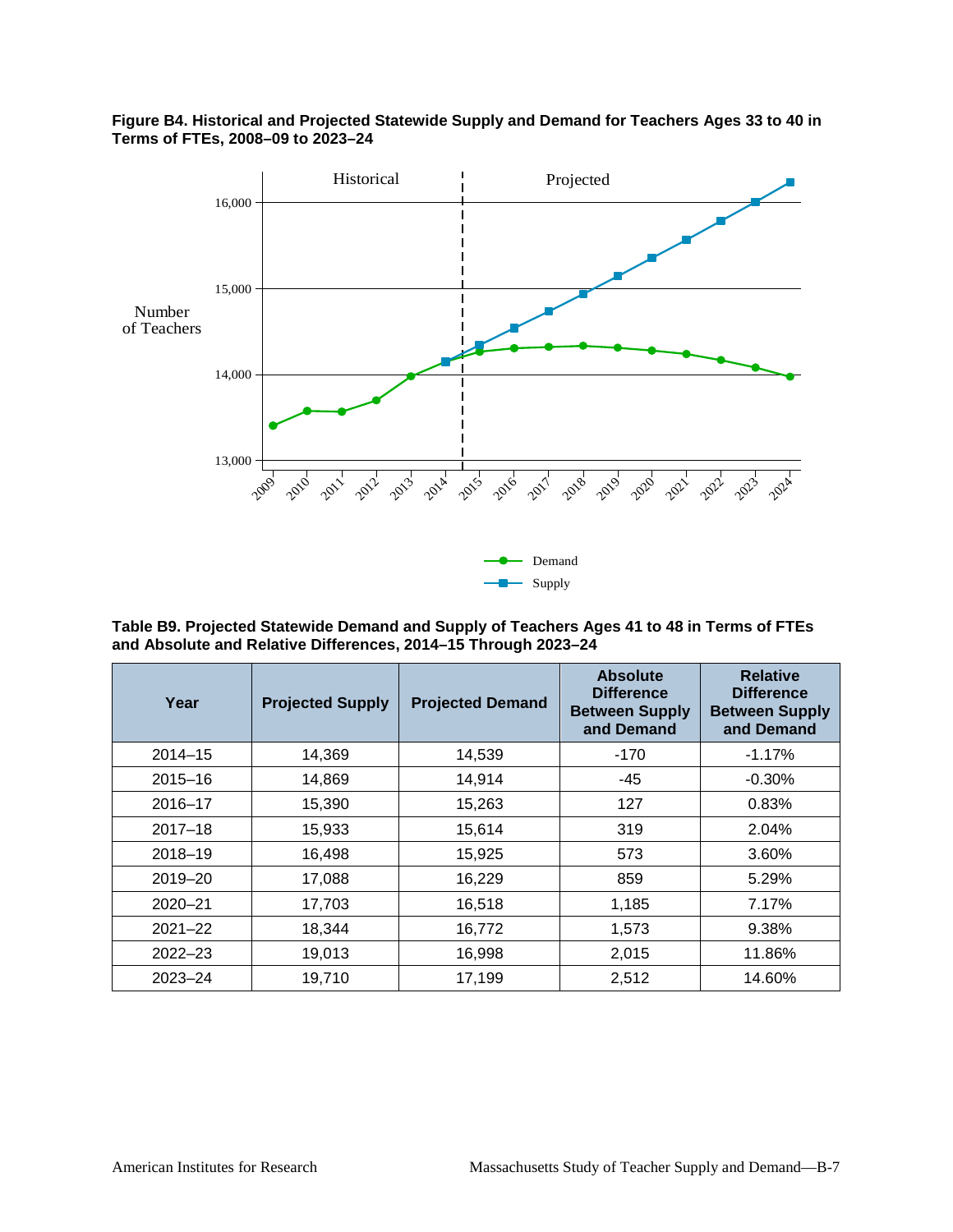

**Figure B4. Historical and Projected Statewide Supply and Demand for Teachers Ages 33 to 40 in Terms of FTEs, 2008–09 to 2023–24**

**Table B9. Projected Statewide Demand and Supply of Teachers Ages 41 to 48 in Terms of FTEs and Absolute and Relative Differences, 2014–15 Through 2023–24**

| Year        | <b>Projected Supply</b> | <b>Projected Demand</b> | <b>Absolute</b><br><b>Difference</b><br><b>Between Supply</b><br>and Demand | <b>Relative</b><br><b>Difference</b><br><b>Between Supply</b><br>and Demand |
|-------------|-------------------------|-------------------------|-----------------------------------------------------------------------------|-----------------------------------------------------------------------------|
| $2014 - 15$ | 14,369                  | 14,539                  | $-170$                                                                      | $-1.17%$                                                                    |
| $2015 - 16$ | 14,869                  | 14,914                  | $-45$                                                                       | $-0.30\%$                                                                   |
| $2016 - 17$ | 15,390                  | 15,263                  | 127                                                                         | 0.83%                                                                       |
| $2017 - 18$ | 15,933                  | 15,614                  | 319                                                                         | 2.04%                                                                       |
| $2018 - 19$ | 16,498                  | 15,925                  | 573                                                                         | 3.60%                                                                       |
| 2019-20     | 17,088                  | 16,229                  | 859                                                                         | 5.29%                                                                       |
| $2020 - 21$ | 17,703                  | 16,518                  | 1,185                                                                       | 7.17%                                                                       |
| $2021 - 22$ | 18,344                  | 16,772                  | 1,573                                                                       | 9.38%                                                                       |
| $2022 - 23$ | 19,013                  | 16,998                  | 2,015                                                                       | 11.86%                                                                      |
| 2023-24     | 19,710                  | 17,199                  | 2,512                                                                       | 14.60%                                                                      |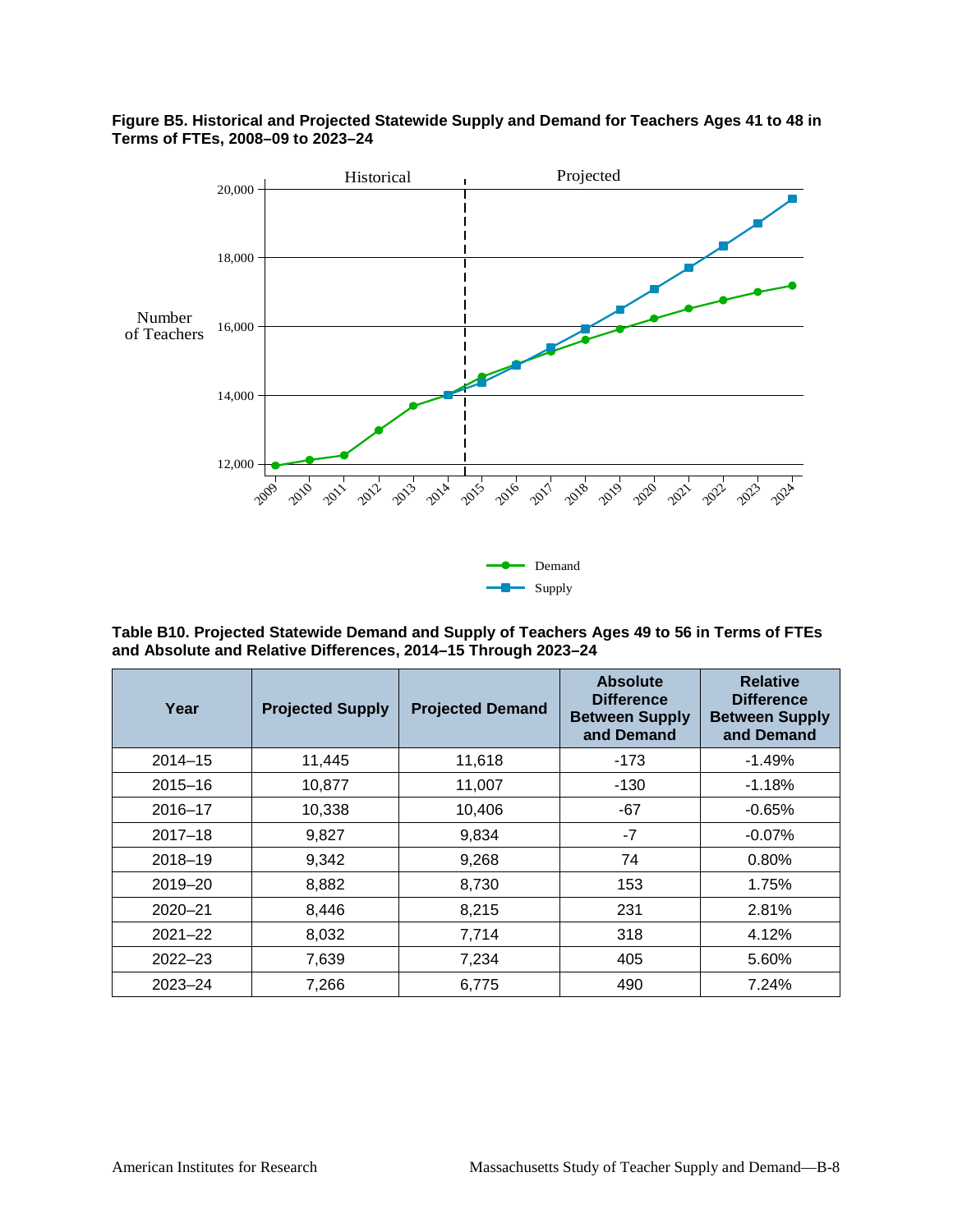

#### **Figure B5. Historical and Projected Statewide Supply and Demand for Teachers Ages 41 to 48 in Terms of FTEs, 2008–09 to 2023–24**

**Table B10. Projected Statewide Demand and Supply of Teachers Ages 49 to 56 in Terms of FTEs and Absolute and Relative Differences, 2014–15 Through 2023–24**

| Year        | <b>Projected Supply</b> | <b>Projected Demand</b> | <b>Absolute</b><br><b>Difference</b><br><b>Between Supply</b><br>and Demand | <b>Relative</b><br><b>Difference</b><br><b>Between Supply</b><br>and Demand |
|-------------|-------------------------|-------------------------|-----------------------------------------------------------------------------|-----------------------------------------------------------------------------|
| $2014 - 15$ | 11,445                  | 11,618                  | $-173$                                                                      | $-1.49%$                                                                    |
| $2015 - 16$ | 10,877                  | 11,007                  | $-130$                                                                      | $-1.18%$                                                                    |
| $2016 - 17$ | 10,338                  | 10,406                  | $-67$                                                                       | $-0.65%$                                                                    |
| $2017 - 18$ | 9,827                   | 9,834                   | $-7$                                                                        | $-0.07\%$                                                                   |
| $2018 - 19$ | 9,342                   | 9,268                   | 74                                                                          | 0.80%                                                                       |
| 2019-20     | 8,882                   | 8,730                   | 153                                                                         | 1.75%                                                                       |
| $2020 - 21$ | 8,446                   | 8,215                   | 231                                                                         | 2.81%                                                                       |
| $2021 - 22$ | 8,032                   | 7,714                   | 318                                                                         | 4.12%                                                                       |
| $2022 - 23$ | 7,639                   | 7,234                   | 405                                                                         | 5.60%                                                                       |
| $2023 - 24$ | 7,266                   | 6,775                   | 490                                                                         | 7.24%                                                                       |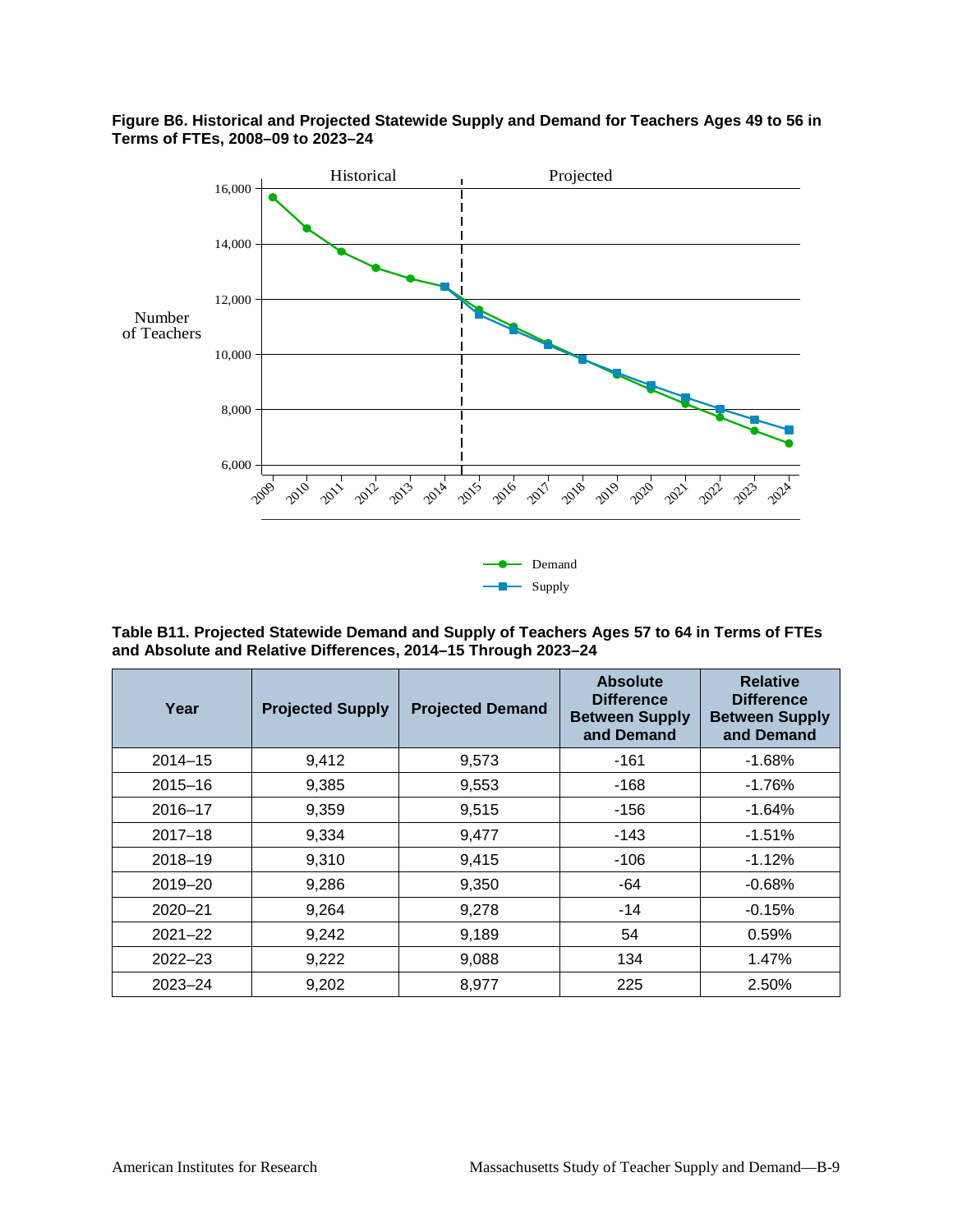

#### **Figure B6. Historical and Projected Statewide Supply and Demand for Teachers Ages 49 to 56 in Terms of FTEs, 2008–09 to 2023–24**

**Table B11. Projected Statewide Demand and Supply of Teachers Ages 57 to 64 in Terms of FTEs and Absolute and Relative Differences, 2014–15 Through 2023–24**

| Year        | <b>Projected Supply</b> | <b>Projected Demand</b> | <b>Absolute</b><br><b>Difference</b><br><b>Between Supply</b><br>and Demand | <b>Relative</b><br><b>Difference</b><br><b>Between Supply</b><br>and Demand |
|-------------|-------------------------|-------------------------|-----------------------------------------------------------------------------|-----------------------------------------------------------------------------|
| $2014 - 15$ | 9,412                   | 9,573                   | $-161$                                                                      | $-1.68%$                                                                    |
| $2015 - 16$ | 9,385                   | 9,553                   | $-168$                                                                      | $-1.76%$                                                                    |
| $2016 - 17$ | 9,359                   | 9,515                   | $-156$                                                                      | $-1.64%$                                                                    |
| $2017 - 18$ | 9,334                   | 9,477                   | $-143$                                                                      | $-1.51%$                                                                    |
| $2018 - 19$ | 9,310                   | 9,415                   | $-106$                                                                      | $-1.12%$                                                                    |
| 2019-20     | 9,286                   | 9,350                   | $-64$                                                                       | $-0.68%$                                                                    |
| $2020 - 21$ | 9,264                   | 9,278                   | $-14$                                                                       | $-0.15%$                                                                    |
| $2021 - 22$ | 9,242                   | 9,189                   | 54                                                                          | 0.59%                                                                       |
| $2022 - 23$ | 9,222                   | 9,088                   | 134                                                                         | 1.47%                                                                       |
| $2023 - 24$ | 9,202                   | 8,977                   | 225                                                                         | 2.50%                                                                       |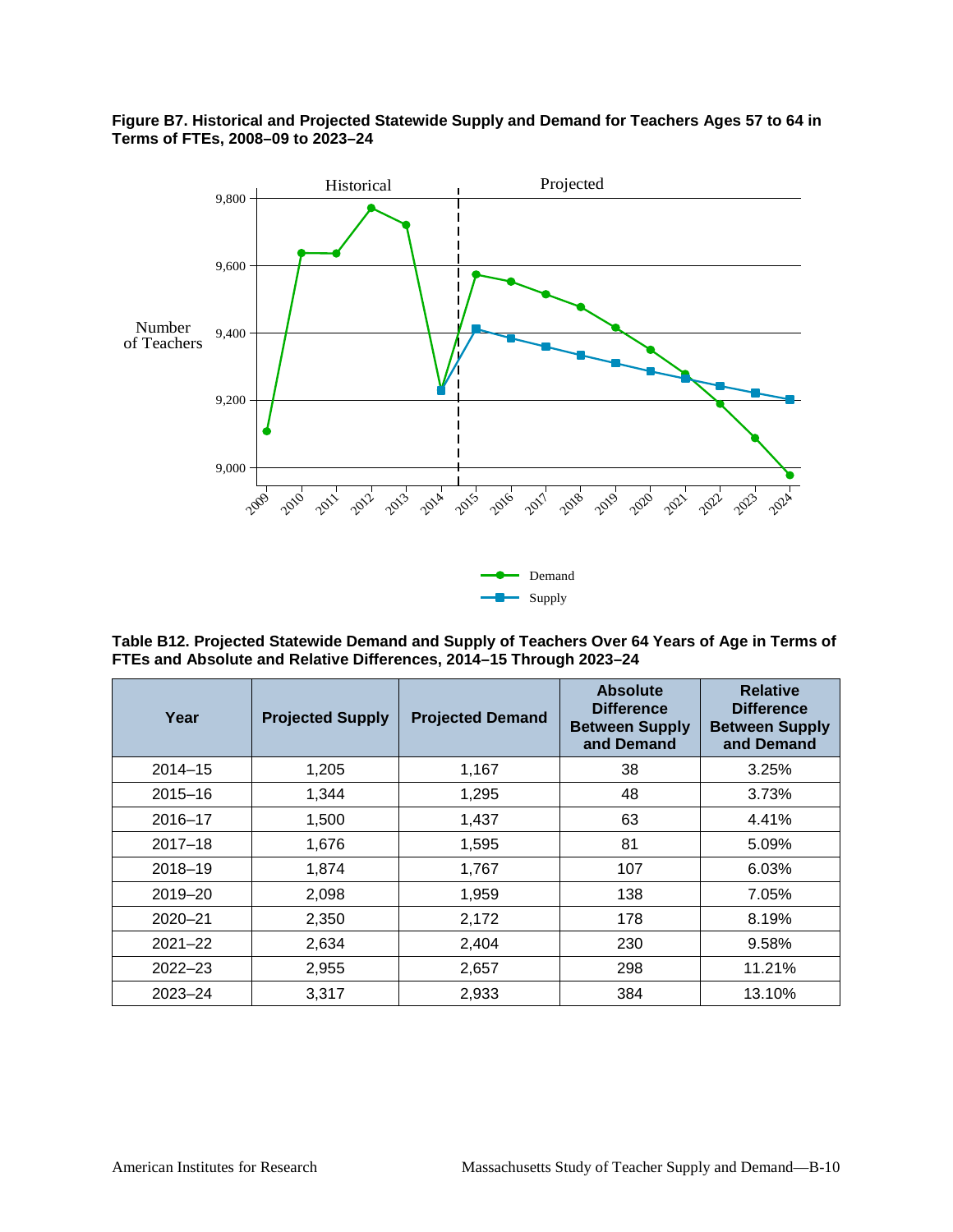#### **Figure B7. Historical and Projected Statewide Supply and Demand for Teachers Ages 57 to 64 in Terms of FTEs, 2008–09 to 2023–24**



**Table B12. Projected Statewide Demand and Supply of Teachers Over 64 Years of Age in Terms of FTEs and Absolute and Relative Differences, 2014–15 Through 2023–24**

| Year        | <b>Projected Supply</b> | <b>Projected Demand</b> | <b>Absolute</b><br><b>Difference</b><br><b>Between Supply</b><br>and Demand | <b>Relative</b><br><b>Difference</b><br><b>Between Supply</b><br>and Demand |
|-------------|-------------------------|-------------------------|-----------------------------------------------------------------------------|-----------------------------------------------------------------------------|
| $2014 - 15$ | 1,205                   | 1,167                   | 38                                                                          | 3.25%                                                                       |
| $2015 - 16$ | 1,344                   | 1,295                   | 48                                                                          | 3.73%                                                                       |
| $2016 - 17$ | 1,500                   | 1,437                   | 63                                                                          | 4.41%                                                                       |
| $2017 - 18$ | 1,676                   | 1,595                   | 81                                                                          | 5.09%                                                                       |
| $2018 - 19$ | 1,874                   | 1,767                   | 107                                                                         | 6.03%                                                                       |
| 2019-20     | 2,098                   | 1,959                   | 138                                                                         | 7.05%                                                                       |
| $2020 - 21$ | 2,350                   | 2,172                   | 178                                                                         | 8.19%                                                                       |
| $2021 - 22$ | 2,634                   | 2,404                   | 230                                                                         | 9.58%                                                                       |
| $2022 - 23$ | 2,955                   | 2,657                   | 298                                                                         | 11.21%                                                                      |
| $2023 - 24$ | 3,317                   | 2,933                   | 384                                                                         | 13.10%                                                                      |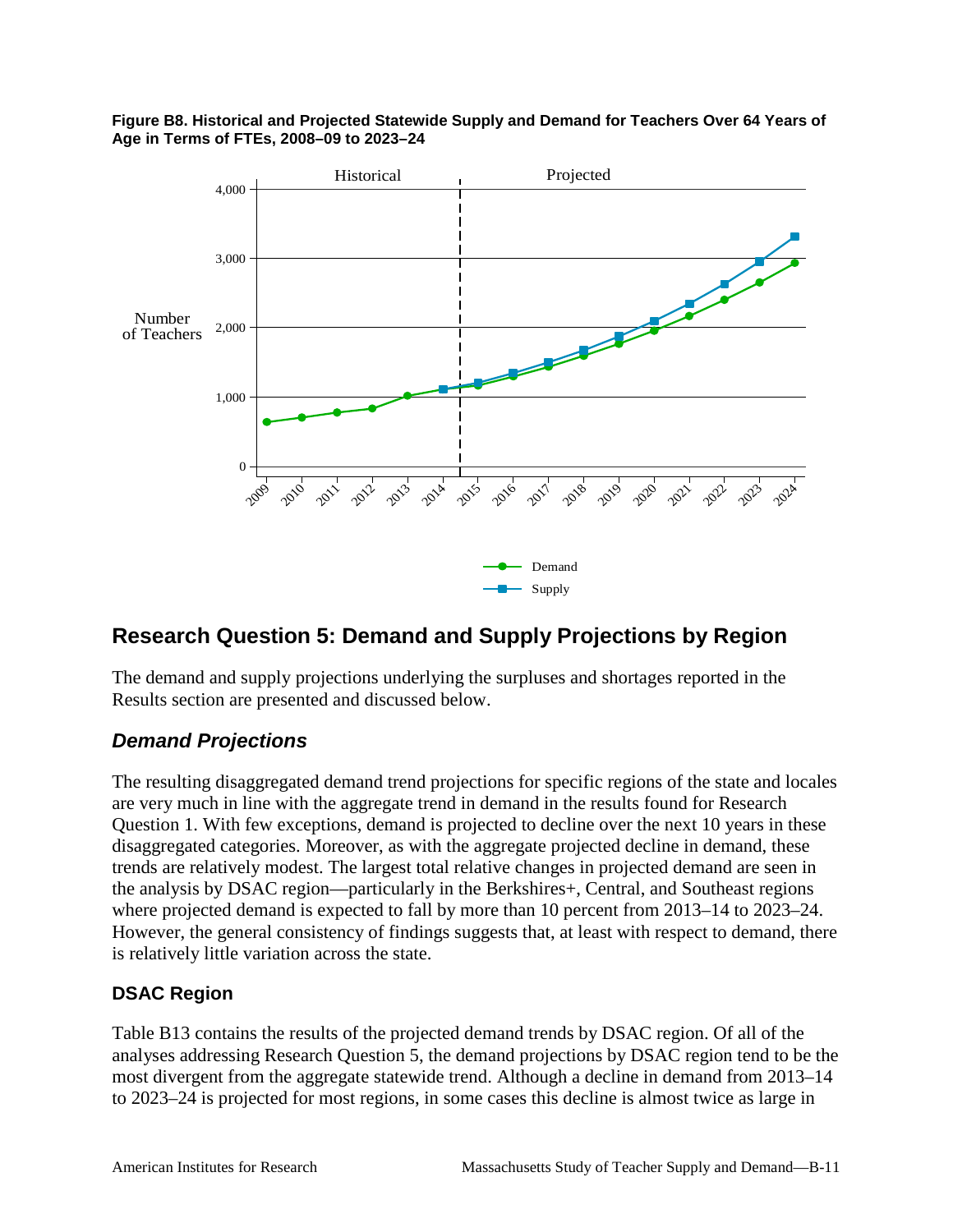

#### **Figure B8. Historical and Projected Statewide Supply and Demand for Teachers Over 64 Years of Age in Terms of FTEs, 2008–09 to 2023–24**

# **Research Question 5: Demand and Supply Projections by Region**

The demand and supply projections underlying the surpluses and shortages reported in the Results section are presented and discussed below.

### *Demand Projections*

The resulting disaggregated demand trend projections for specific regions of the state and locales are very much in line with the aggregate trend in demand in the results found for Research Question 1. With few exceptions, demand is projected to decline over the next 10 years in these disaggregated categories. Moreover, as with the aggregate projected decline in demand, these trends are relatively modest. The largest total relative changes in projected demand are seen in the analysis by DSAC region—particularly in the Berkshires+, Central, and Southeast regions where projected demand is expected to fall by more than 10 percent from 2013–14 to 2023–24. However, the general consistency of findings suggests that, at least with respect to demand, there is relatively little variation across the state.

### **DSAC Region**

Table B13 contains the results of the projected demand trends by DSAC region. Of all of the analyses addressing Research Question 5, the demand projections by DSAC region tend to be the most divergent from the aggregate statewide trend. Although a decline in demand from 2013–14 to 2023–24 is projected for most regions, in some cases this decline is almost twice as large in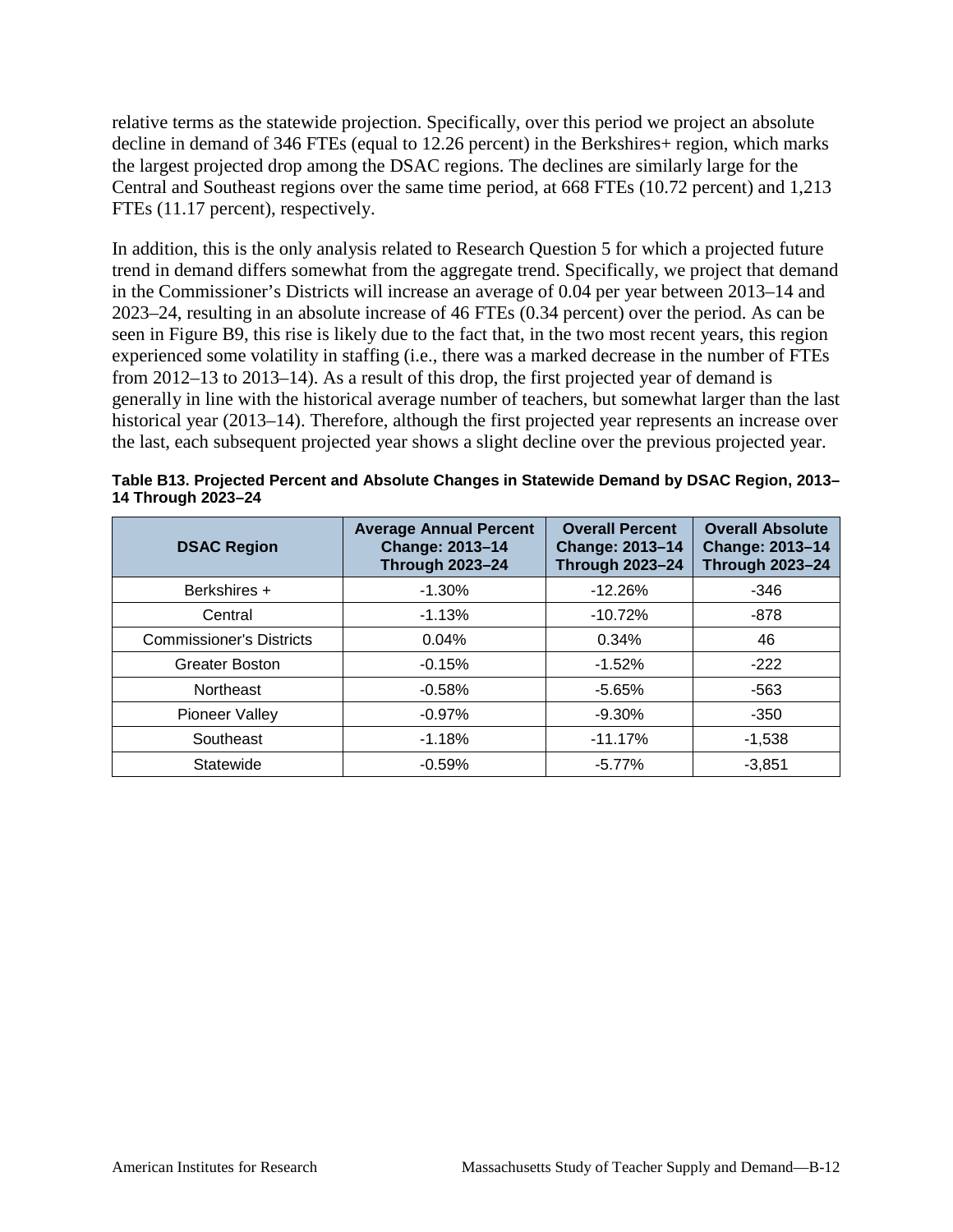relative terms as the statewide projection. Specifically, over this period we project an absolute decline in demand of 346 FTEs (equal to 12.26 percent) in the Berkshires+ region, which marks the largest projected drop among the DSAC regions. The declines are similarly large for the Central and Southeast regions over the same time period, at 668 FTEs (10.72 percent) and 1,213 FTEs (11.17 percent), respectively.

In addition, this is the only analysis related to Research Question 5 for which a projected future trend in demand differs somewhat from the aggregate trend. Specifically, we project that demand in the Commissioner's Districts will increase an average of 0.04 per year between 2013–14 and 2023–24, resulting in an absolute increase of 46 FTEs (0.34 percent) over the period. As can be seen in Figure B9, this rise is likely due to the fact that, in the two most recent years, this region experienced some volatility in staffing (i.e., there was a marked decrease in the number of FTEs from 2012–13 to 2013–14). As a result of this drop, the first projected year of demand is generally in line with the historical average number of teachers, but somewhat larger than the last historical year (2013–14). Therefore, although the first projected year represents an increase over the last, each subsequent projected year shows a slight decline over the previous projected year.

| Table B13. Projected Percent and Absolute Changes in Statewide Demand by DSAC Region, 2013– |  |
|---------------------------------------------------------------------------------------------|--|
| 14 Through 2023-24                                                                          |  |

| <b>DSAC Region</b>              | <b>Average Annual Percent</b><br><b>Change: 2013-14</b><br><b>Through 2023-24</b> | <b>Overall Percent</b><br><b>Change: 2013-14</b><br><b>Through 2023-24</b> | <b>Overall Absolute</b><br><b>Change: 2013-14</b><br><b>Through 2023-24</b> |
|---------------------------------|-----------------------------------------------------------------------------------|----------------------------------------------------------------------------|-----------------------------------------------------------------------------|
| Berkshires +                    | $-1.30%$                                                                          | $-12.26%$                                                                  | $-346$                                                                      |
| Central                         | $-1.13%$                                                                          | $-10.72%$                                                                  | -878                                                                        |
| <b>Commissioner's Districts</b> | 0.04%                                                                             | 0.34%                                                                      | 46                                                                          |
| Greater Boston                  | $-0.15%$                                                                          | $-1.52%$                                                                   | $-222$                                                                      |
| <b>Northeast</b>                | $-0.58%$                                                                          | $-5.65%$                                                                   | -563                                                                        |
| Pioneer Valley                  | $-0.97%$                                                                          | $-9.30%$                                                                   | $-350$                                                                      |
| Southeast                       | $-1.18%$                                                                          | $-11.17%$                                                                  | $-1,538$                                                                    |
| Statewide                       | $-0.59%$                                                                          | $-5.77\%$                                                                  | $-3.851$                                                                    |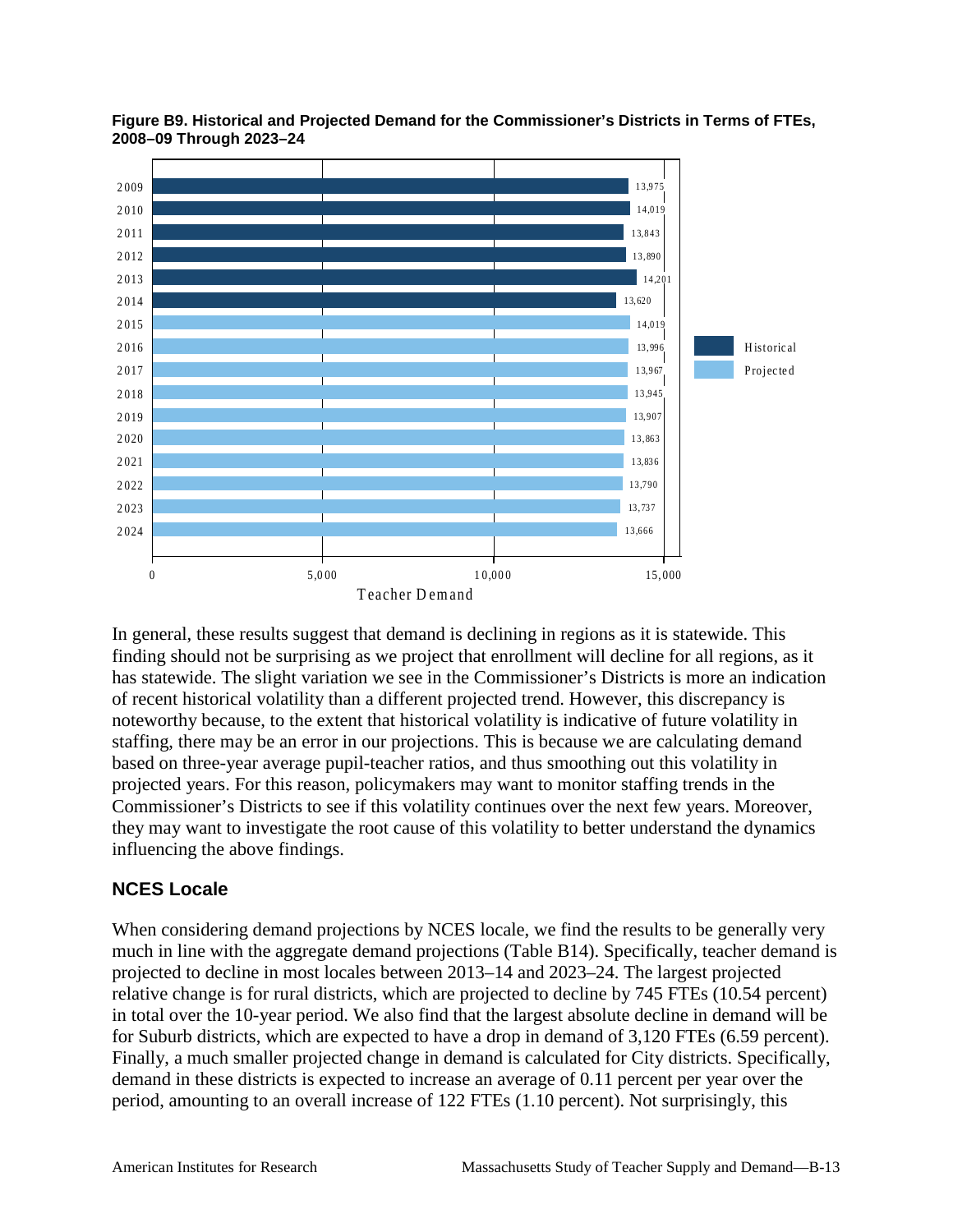

**Figure B9. Historical and Projected Demand for the Commissioner's Districts in Terms of FTEs, 2008–09 Through 2023–24**

In general, these results suggest that demand is declining in regions as it is statewide. This finding should not be surprising as we project that enrollment will decline for all regions, as it has statewide. The slight variation we see in the Commissioner's Districts is more an indication of recent historical volatility than a different projected trend. However, this discrepancy is noteworthy because, to the extent that historical volatility is indicative of future volatility in staffing, there may be an error in our projections. This is because we are calculating demand based on three-year average pupil-teacher ratios, and thus smoothing out this volatility in projected years. For this reason, policymakers may want to monitor staffing trends in the Commissioner's Districts to see if this volatility continues over the next few years. Moreover, they may want to investigate the root cause of this volatility to better understand the dynamics influencing the above findings.

### **NCES Locale**

When considering demand projections by NCES locale, we find the results to be generally very much in line with the aggregate demand projections (Table B14). Specifically, teacher demand is projected to decline in most locales between 2013–14 and 2023–24. The largest projected relative change is for rural districts, which are projected to decline by 745 FTEs (10.54 percent) in total over the 10-year period. We also find that the largest absolute decline in demand will be for Suburb districts, which are expected to have a drop in demand of 3,120 FTEs (6.59 percent). Finally, a much smaller projected change in demand is calculated for City districts. Specifically, demand in these districts is expected to increase an average of 0.11 percent per year over the period, amounting to an overall increase of 122 FTEs (1.10 percent). Not surprisingly, this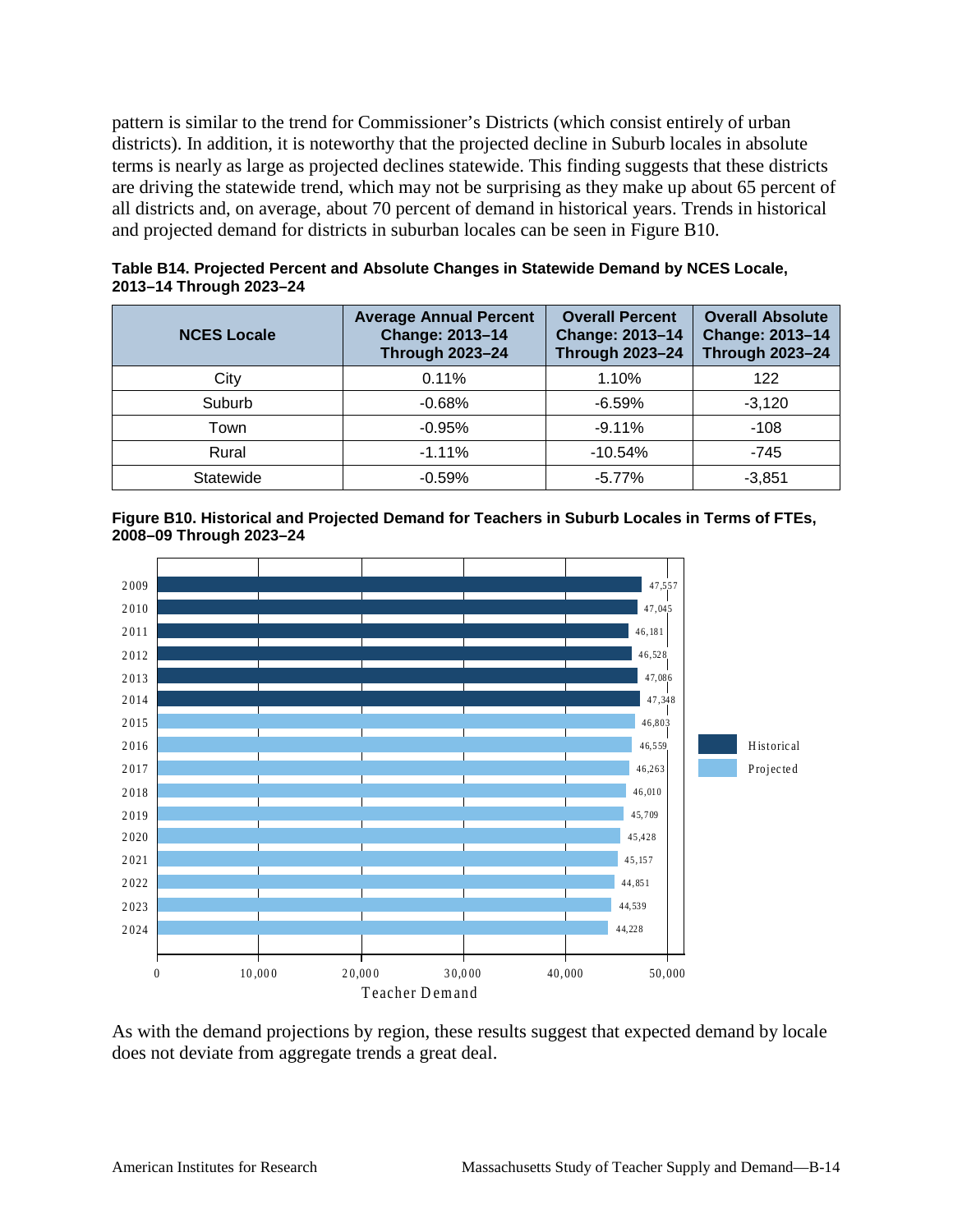pattern is similar to the trend for Commissioner's Districts (which consist entirely of urban districts). In addition, it is noteworthy that the projected decline in Suburb locales in absolute terms is nearly as large as projected declines statewide. This finding suggests that these districts are driving the statewide trend, which may not be surprising as they make up about 65 percent of all districts and, on average, about 70 percent of demand in historical years. Trends in historical and projected demand for districts in suburban locales can be seen in Figure B10.

| <b>NCES Locale</b> | <b>Average Annual Percent</b><br>Change: 2013-14<br><b>Through 2023-24</b> | <b>Overall Percent</b><br><b>Change: 2013-14</b><br><b>Through 2023-24</b> | <b>Overall Absolute</b><br>Change: 2013-14<br><b>Through 2023-24</b> |
|--------------------|----------------------------------------------------------------------------|----------------------------------------------------------------------------|----------------------------------------------------------------------|
| City               | 0.11%                                                                      | 1.10%                                                                      | 122                                                                  |
| Suburb             | $-0.68%$                                                                   | $-6.59%$                                                                   | $-3.120$                                                             |
| Town               | $-0.95%$                                                                   | $-9.11%$                                                                   | $-108$                                                               |
| Rural              | $-1.11%$                                                                   | $-10.54%$                                                                  | $-745$                                                               |
| Statewide          | $-0.59%$                                                                   | $-5.77\%$                                                                  | $-3.851$                                                             |

**Table B14. Projected Percent and Absolute Changes in Statewide Demand by NCES Locale, 2013–14 Through 2023–24**





As with the demand projections by region, these results suggest that expected demand by locale does not deviate from aggregate trends a great deal.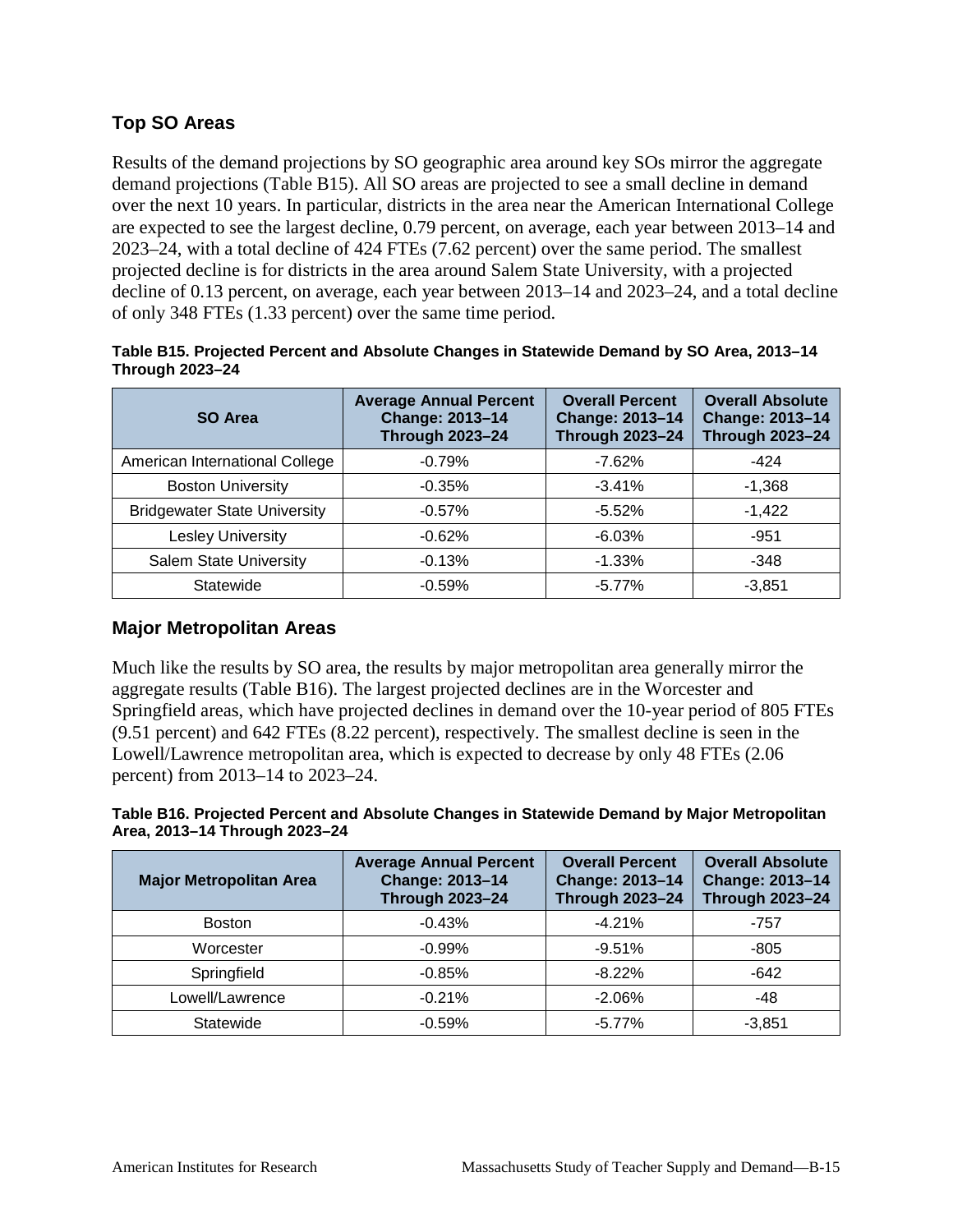### **Top SO Areas**

Results of the demand projections by SO geographic area around key SOs mirror the aggregate demand projections (Table B15). All SO areas are projected to see a small decline in demand over the next 10 years. In particular, districts in the area near the American International College are expected to see the largest decline, 0.79 percent, on average, each year between 2013–14 and 2023–24, with a total decline of 424 FTEs (7.62 percent) over the same period. The smallest projected decline is for districts in the area around Salem State University, with a projected decline of 0.13 percent, on average, each year between 2013–14 and 2023–24, and a total decline of only 348 FTEs (1.33 percent) over the same time period.

| <b>SO Area</b>                      | <b>Average Annual Percent</b><br>Change: 2013-14<br><b>Through 2023-24</b> | <b>Overall Percent</b><br>Change: 2013-14<br><b>Through 2023-24</b> | <b>Overall Absolute</b><br><b>Change: 2013-14</b><br><b>Through 2023-24</b> |
|-------------------------------------|----------------------------------------------------------------------------|---------------------------------------------------------------------|-----------------------------------------------------------------------------|
| American International College      | $-0.79%$                                                                   | $-7.62%$                                                            | $-424$                                                                      |
| <b>Boston University</b>            | $-0.35%$                                                                   | $-3.41%$                                                            | $-1,368$                                                                    |
| <b>Bridgewater State University</b> | $-0.57%$                                                                   | $-5.52%$                                                            | $-1,422$                                                                    |
| <b>Lesley University</b>            | $-0.62%$                                                                   | $-6.03%$                                                            | $-951$                                                                      |
| Salem State University              | $-0.13%$                                                                   | $-1.33\%$                                                           | -348                                                                        |
| Statewide                           | $-0.59%$                                                                   | $-5.77%$                                                            | $-3,851$                                                                    |

#### **Table B15. Projected Percent and Absolute Changes in Statewide Demand by SO Area, 2013–14 Through 2023–24**

### **Major Metropolitan Areas**

Much like the results by SO area, the results by major metropolitan area generally mirror the aggregate results (Table B16). The largest projected declines are in the Worcester and Springfield areas, which have projected declines in demand over the 10-year period of 805 FTEs (9.51 percent) and 642 FTEs (8.22 percent), respectively. The smallest decline is seen in the Lowell/Lawrence metropolitan area, which is expected to decrease by only 48 FTEs (2.06 percent) from 2013–14 to 2023–24.

#### **Table B16. Projected Percent and Absolute Changes in Statewide Demand by Major Metropolitan Area, 2013–14 Through 2023–24**

| <b>Major Metropolitan Area</b> | <b>Average Annual Percent</b><br><b>Change: 2013-14</b><br><b>Through 2023-24</b> | <b>Overall Percent</b><br>Change: 2013-14<br><b>Through 2023-24</b> | <b>Overall Absolute</b><br>Change: 2013-14<br><b>Through 2023-24</b> |
|--------------------------------|-----------------------------------------------------------------------------------|---------------------------------------------------------------------|----------------------------------------------------------------------|
| <b>Boston</b>                  | $-0.43%$                                                                          | $-4.21%$                                                            | -757                                                                 |
| Worcester                      | $-0.99%$                                                                          | $-9.51%$                                                            | $-805$                                                               |
| Springfield                    | $-0.85%$                                                                          | $-8.22%$                                                            | $-642$                                                               |
| Lowell/Lawrence                | $-0.21%$                                                                          | $-2.06%$                                                            | -48                                                                  |
| Statewide                      | $-0.59%$                                                                          | $-5.77%$                                                            | $-3.851$                                                             |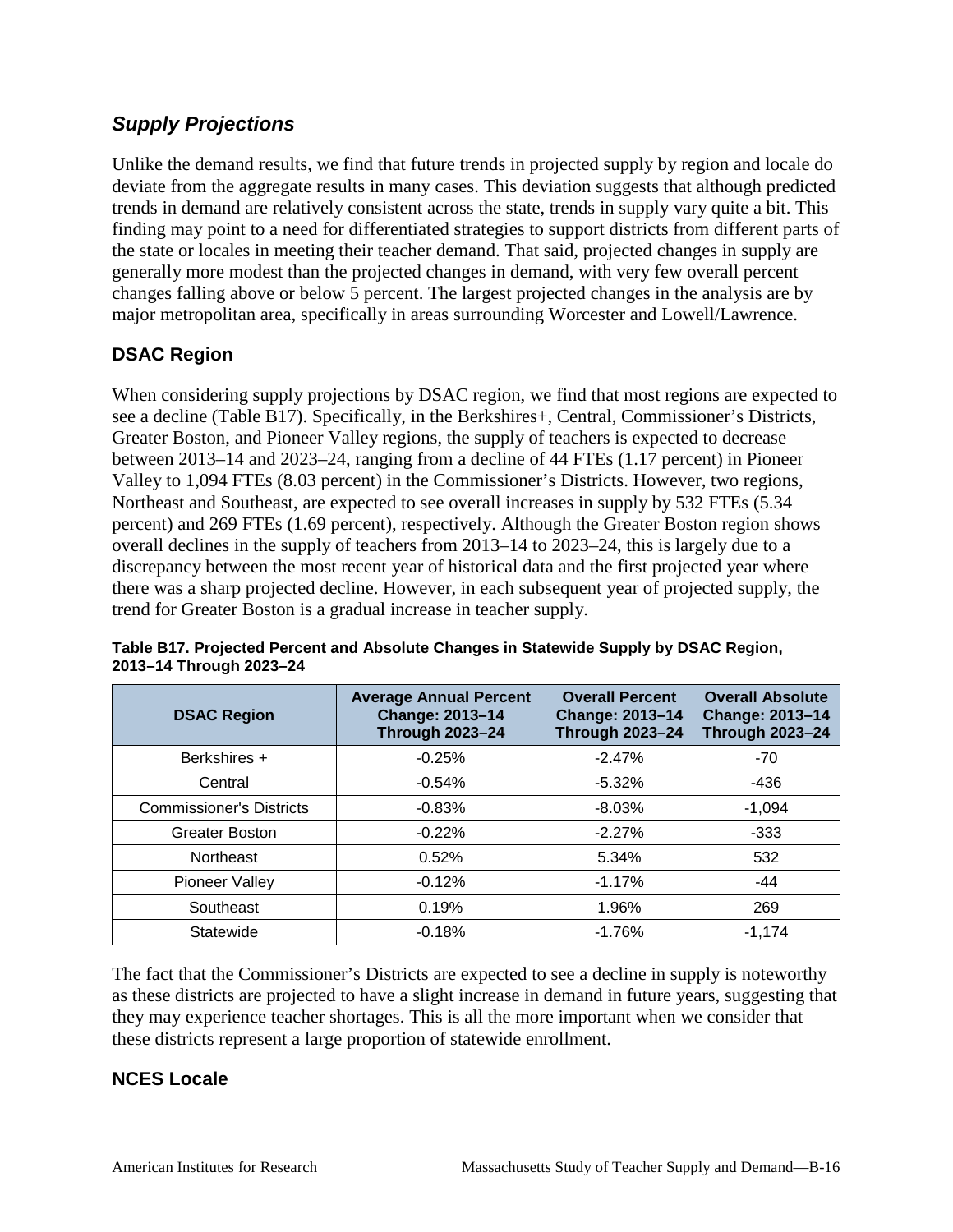### *Supply Projections*

Unlike the demand results, we find that future trends in projected supply by region and locale do deviate from the aggregate results in many cases. This deviation suggests that although predicted trends in demand are relatively consistent across the state, trends in supply vary quite a bit. This finding may point to a need for differentiated strategies to support districts from different parts of the state or locales in meeting their teacher demand. That said, projected changes in supply are generally more modest than the projected changes in demand, with very few overall percent changes falling above or below 5 percent. The largest projected changes in the analysis are by major metropolitan area, specifically in areas surrounding Worcester and Lowell/Lawrence.

### **DSAC Region**

When considering supply projections by DSAC region, we find that most regions are expected to see a decline (Table B17). Specifically, in the Berkshires+, Central, Commissioner's Districts, Greater Boston, and Pioneer Valley regions, the supply of teachers is expected to decrease between 2013–14 and 2023–24, ranging from a decline of 44 FTEs (1.17 percent) in Pioneer Valley to 1,094 FTEs (8.03 percent) in the Commissioner's Districts. However, two regions, Northeast and Southeast, are expected to see overall increases in supply by 532 FTEs (5.34 percent) and 269 FTEs (1.69 percent), respectively. Although the Greater Boston region shows overall declines in the supply of teachers from 2013–14 to 2023–24, this is largely due to a discrepancy between the most recent year of historical data and the first projected year where there was a sharp projected decline. However, in each subsequent year of projected supply, the trend for Greater Boston is a gradual increase in teacher supply.

| <b>DSAC Region</b>              | <b>Average Annual Percent</b><br><b>Change: 2013-14</b><br><b>Through 2023-24</b> | <b>Overall Percent</b><br><b>Change: 2013-14</b><br><b>Through 2023-24</b> | <b>Overall Absolute</b><br><b>Change: 2013-14</b><br><b>Through 2023-24</b> |
|---------------------------------|-----------------------------------------------------------------------------------|----------------------------------------------------------------------------|-----------------------------------------------------------------------------|
| Berkshires +                    | $-0.25%$                                                                          | $-2.47%$                                                                   | $-70$                                                                       |
| Central                         | $-0.54%$                                                                          | $-5.32\%$                                                                  | $-436$                                                                      |
| <b>Commissioner's Districts</b> | $-0.83%$                                                                          | $-8.03%$                                                                   | $-1,094$                                                                    |
| <b>Greater Boston</b>           | $-0.22%$                                                                          | $-2.27%$                                                                   | $-333$                                                                      |
| Northeast                       | 0.52%                                                                             | 5.34%                                                                      | 532                                                                         |
| Pioneer Valley                  | $-0.12%$                                                                          | $-1.17%$                                                                   | $-44$                                                                       |
| Southeast                       | 0.19%                                                                             | 1.96%                                                                      | 269                                                                         |
| Statewide                       | $-0.18%$                                                                          | $-1.76%$                                                                   | $-1,174$                                                                    |

**Table B17. Projected Percent and Absolute Changes in Statewide Supply by DSAC Region, 2013–14 Through 2023–24**

The fact that the Commissioner's Districts are expected to see a decline in supply is noteworthy as these districts are projected to have a slight increase in demand in future years, suggesting that they may experience teacher shortages. This is all the more important when we consider that these districts represent a large proportion of statewide enrollment.

### **NCES Locale**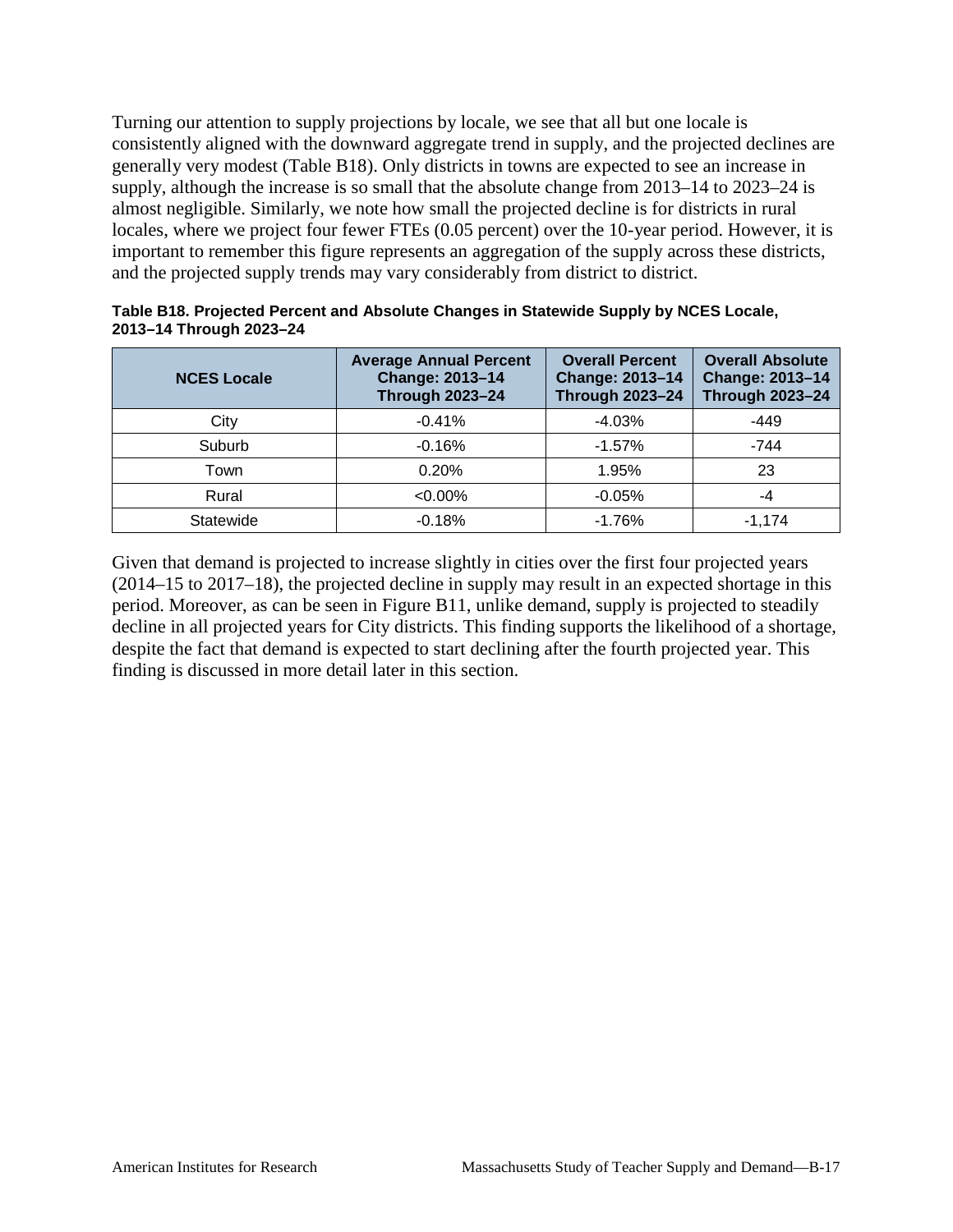Turning our attention to supply projections by locale, we see that all but one locale is consistently aligned with the downward aggregate trend in supply, and the projected declines are generally very modest (Table B18). Only districts in towns are expected to see an increase in supply, although the increase is so small that the absolute change from 2013–14 to 2023–24 is almost negligible. Similarly, we note how small the projected decline is for districts in rural locales, where we project four fewer FTEs (0.05 percent) over the 10-year period. However, it is important to remember this figure represents an aggregation of the supply across these districts, and the projected supply trends may vary considerably from district to district.

| <b>NCES Locale</b> | <b>Average Annual Percent</b><br><b>Change: 2013-14</b><br><b>Through 2023-24</b> | <b>Overall Percent</b><br><b>Change: 2013-14</b><br><b>Through 2023-24</b> | <b>Overall Absolute</b><br><b>Change: 2013-14</b><br><b>Through 2023-24</b> |
|--------------------|-----------------------------------------------------------------------------------|----------------------------------------------------------------------------|-----------------------------------------------------------------------------|
| City               | $-0.41%$                                                                          | $-4.03%$                                                                   | $-449$                                                                      |
| Suburb             | $-0.16%$                                                                          | $-1.57%$                                                                   | -744                                                                        |
| Town               | 0.20%                                                                             | 1.95%                                                                      | 23                                                                          |
| Rural              | $< 0.00\%$                                                                        | $-0.05%$                                                                   | -4                                                                          |
| Statewide          | $-0.18%$                                                                          | $-1.76%$                                                                   | $-1.174$                                                                    |

**Table B18. Projected Percent and Absolute Changes in Statewide Supply by NCES Locale, 2013–14 Through 2023–24**

Given that demand is projected to increase slightly in cities over the first four projected years (2014–15 to 2017–18), the projected decline in supply may result in an expected shortage in this period. Moreover, as can be seen in Figure B11, unlike demand, supply is projected to steadily decline in all projected years for City districts. This finding supports the likelihood of a shortage, despite the fact that demand is expected to start declining after the fourth projected year. This finding is discussed in more detail later in this section.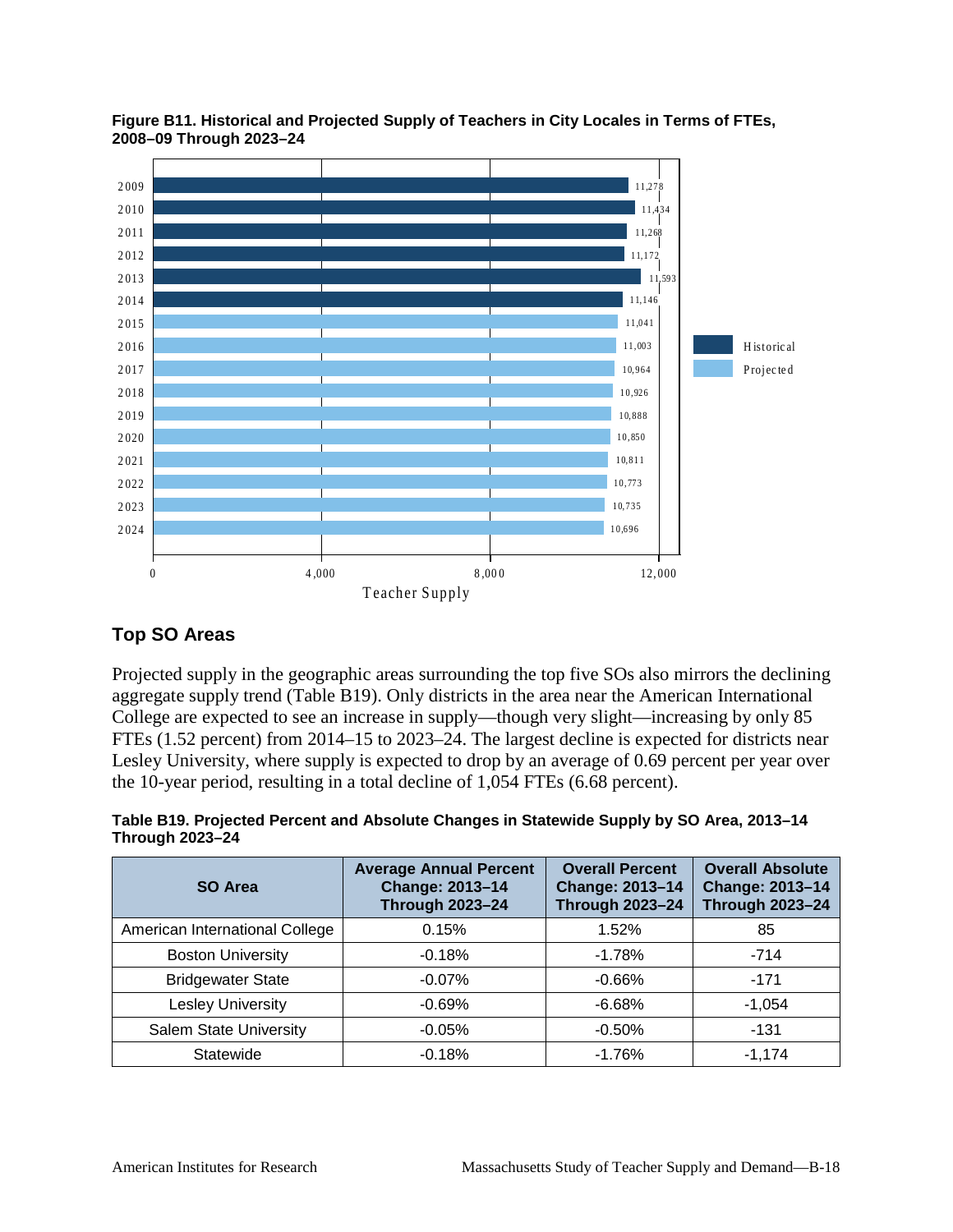

**Figure B11. Historical and Projected Supply of Teachers in City Locales in Terms of FTEs, 2008–09 Through 2023–24**

### **Top SO Areas**

Projected supply in the geographic areas surrounding the top five SOs also mirrors the declining aggregate supply trend (Table B19). Only districts in the area near the American International College are expected to see an increase in supply—though very slight—increasing by only 85 FTEs (1.52 percent) from 2014–15 to 2023–24. The largest decline is expected for districts near Lesley University, where supply is expected to drop by an average of 0.69 percent per year over the 10-year period, resulting in a total decline of 1,054 FTEs (6.68 percent).

**Table B19. Projected Percent and Absolute Changes in Statewide Supply by SO Area, 2013–14 Through 2023–24**

| SO Area                        | <b>Average Annual Percent</b><br><b>Change: 2013-14</b><br><b>Through 2023-24</b> | <b>Overall Percent</b><br><b>Change: 2013-14</b><br><b>Through 2023-24</b> | <b>Overall Absolute</b><br><b>Change: 2013-14</b><br><b>Through 2023-24</b> |
|--------------------------------|-----------------------------------------------------------------------------------|----------------------------------------------------------------------------|-----------------------------------------------------------------------------|
| American International College | 0.15%                                                                             | 1.52%                                                                      | 85                                                                          |
| <b>Boston University</b>       | $-0.18%$                                                                          | $-1.78%$                                                                   | $-714$                                                                      |
| <b>Bridgewater State</b>       | $-0.07%$                                                                          | $-0.66%$                                                                   | $-171$                                                                      |
| <b>Lesley University</b>       | $-0.69%$                                                                          | $-6.68%$                                                                   | $-1,054$                                                                    |
| Salem State University         | $-0.05%$                                                                          | $-0.50%$                                                                   | $-131$                                                                      |
| Statewide                      | $-0.18%$                                                                          | $-1.76%$                                                                   | $-1.174$                                                                    |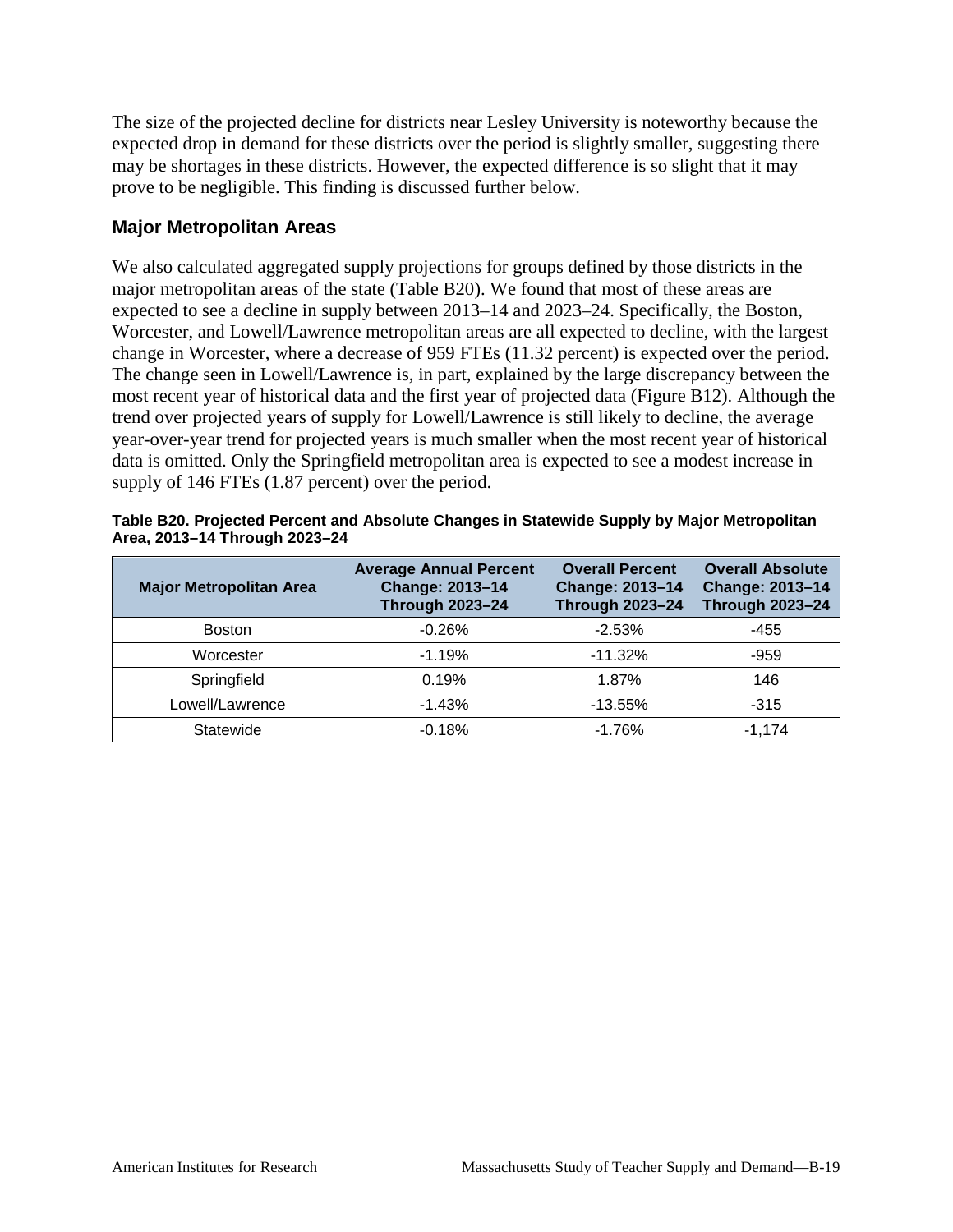The size of the projected decline for districts near Lesley University is noteworthy because the expected drop in demand for these districts over the period is slightly smaller, suggesting there may be shortages in these districts. However, the expected difference is so slight that it may prove to be negligible. This finding is discussed further below.

#### **Major Metropolitan Areas**

We also calculated aggregated supply projections for groups defined by those districts in the major metropolitan areas of the state (Table B20). We found that most of these areas are expected to see a decline in supply between 2013–14 and 2023–24. Specifically, the Boston, Worcester, and Lowell/Lawrence metropolitan areas are all expected to decline, with the largest change in Worcester, where a decrease of 959 FTEs (11.32 percent) is expected over the period. The change seen in Lowell/Lawrence is, in part, explained by the large discrepancy between the most recent year of historical data and the first year of projected data (Figure B12). Although the trend over projected years of supply for Lowell/Lawrence is still likely to decline, the average year-over-year trend for projected years is much smaller when the most recent year of historical data is omitted. Only the Springfield metropolitan area is expected to see a modest increase in supply of 146 FTEs (1.87 percent) over the period.

| <b>Major Metropolitan Area</b> | <b>Average Annual Percent</b><br>Change: 2013-14<br><b>Through 2023-24</b> | <b>Overall Percent</b><br><b>Change: 2013-14</b><br><b>Through 2023-24</b> | <b>Overall Absolute</b><br>Change: 2013-14<br><b>Through 2023-24</b> |  |
|--------------------------------|----------------------------------------------------------------------------|----------------------------------------------------------------------------|----------------------------------------------------------------------|--|
| <b>Boston</b>                  | $-0.26%$                                                                   | $-2.53%$                                                                   | -455                                                                 |  |
| Worcester                      | $-1.19%$<br>$-11.32%$                                                      |                                                                            | $-959$                                                               |  |
| Springfield                    | 0.19%                                                                      | 1.87%                                                                      | 146                                                                  |  |
| Lowell/Lawrence                | $-1.43%$                                                                   | $-13.55%$                                                                  | $-315$                                                               |  |
| Statewide                      | $-0.18%$                                                                   | $-1.76%$                                                                   | $-1.174$                                                             |  |

| Table B20. Projected Percent and Absolute Changes in Statewide Supply by Major Metropolitan |  |
|---------------------------------------------------------------------------------------------|--|
| Area, 2013-14 Through 2023-24                                                               |  |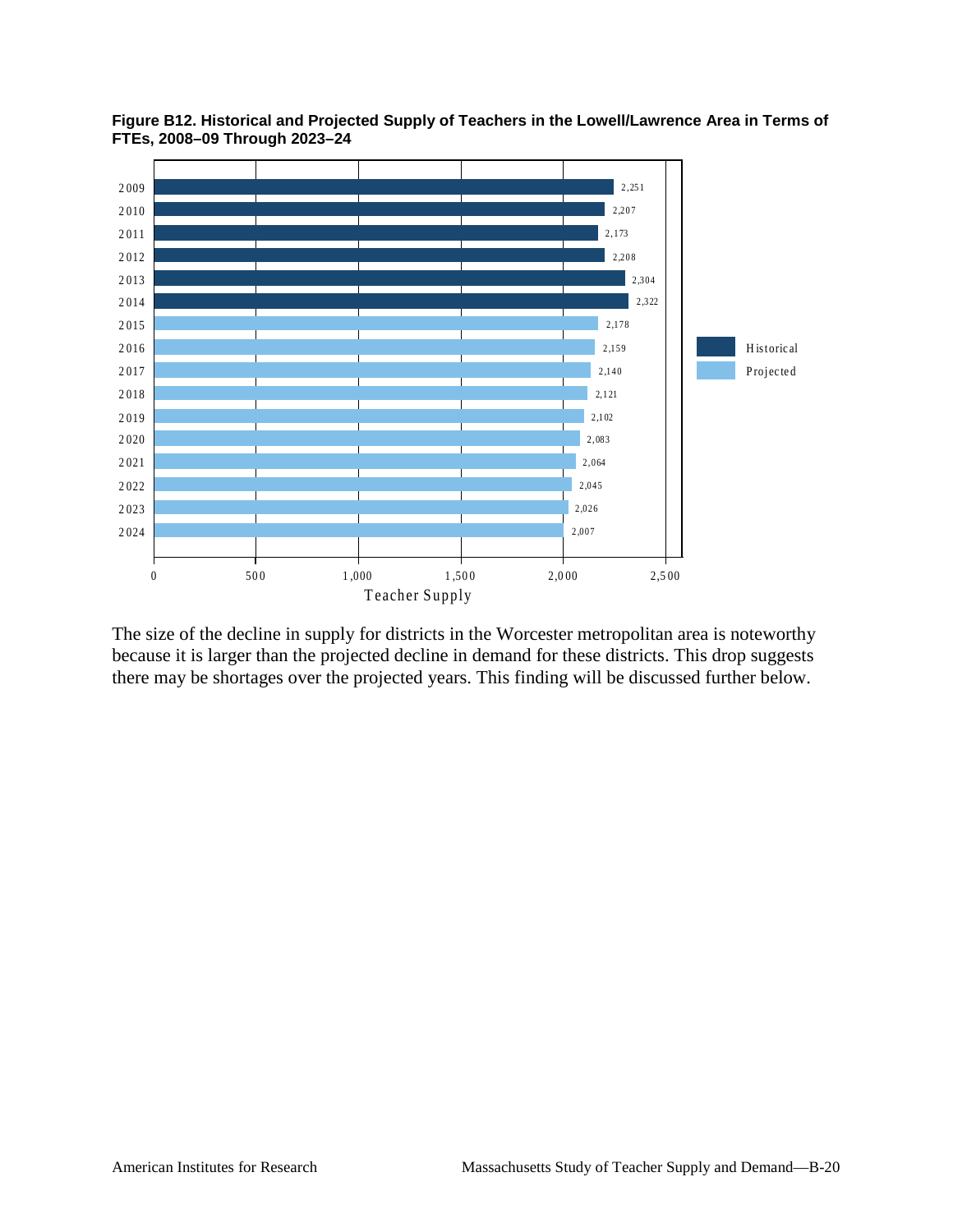

**Figure B12. Historical and Projected Supply of Teachers in the Lowell/Lawrence Area in Terms of FTEs, 2008–09 Through 2023–24**

The size of the decline in supply for districts in the Worcester metropolitan area is noteworthy because it is larger than the projected decline in demand for these districts. This drop suggests there may be shortages over the projected years. This finding will be discussed further below.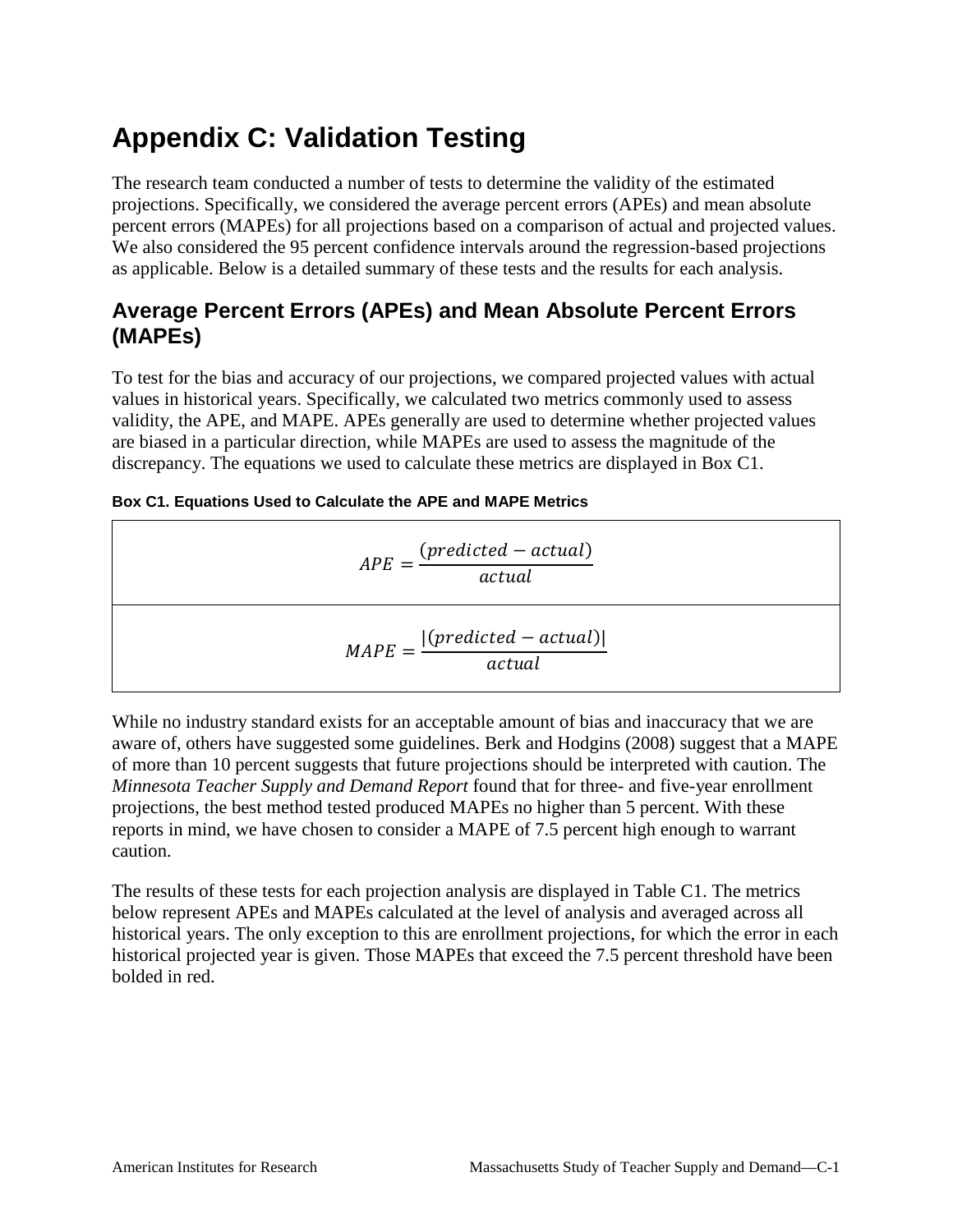# **Appendix C: Validation Testing**

The research team conducted a number of tests to determine the validity of the estimated projections. Specifically, we considered the average percent errors (APEs) and mean absolute percent errors (MAPEs) for all projections based on a comparison of actual and projected values. We also considered the 95 percent confidence intervals around the regression-based projections as applicable. Below is a detailed summary of these tests and the results for each analysis.

## **Average Percent Errors (APEs) and Mean Absolute Percent Errors (MAPEs)**

To test for the bias and accuracy of our projections, we compared projected values with actual values in historical years. Specifically, we calculated two metrics commonly used to assess validity, the APE, and MAPE. APEs generally are used to determine whether projected values are biased in a particular direction, while MAPEs are used to assess the magnitude of the discrepancy. The equations we used to calculate these metrics are displayed in Box C1.

| Box C1. Equations Used to Calculate the APE and MAPE Metrics |  |
|--------------------------------------------------------------|--|
|--------------------------------------------------------------|--|

$$
APE = \frac{(predicted - actual)}{actual}
$$

$$
MAPE = \frac{|(predicted - actual)|}{actual}
$$

While no industry standard exists for an acceptable amount of bias and inaccuracy that we are aware of, others have suggested some guidelines. Berk and Hodgins (2008) suggest that a MAPE of more than 10 percent suggests that future projections should be interpreted with caution. The *Minnesota Teacher Supply and Demand Report* found that for three- and five-year enrollment projections, the best method tested produced MAPEs no higher than 5 percent. With these reports in mind, we have chosen to consider a MAPE of 7.5 percent high enough to warrant caution.

The results of these tests for each projection analysis are displayed in Table C1. The metrics below represent APEs and MAPEs calculated at the level of analysis and averaged across all historical years. The only exception to this are enrollment projections, for which the error in each historical projected year is given. Those MAPEs that exceed the 7.5 percent threshold have been bolded in red.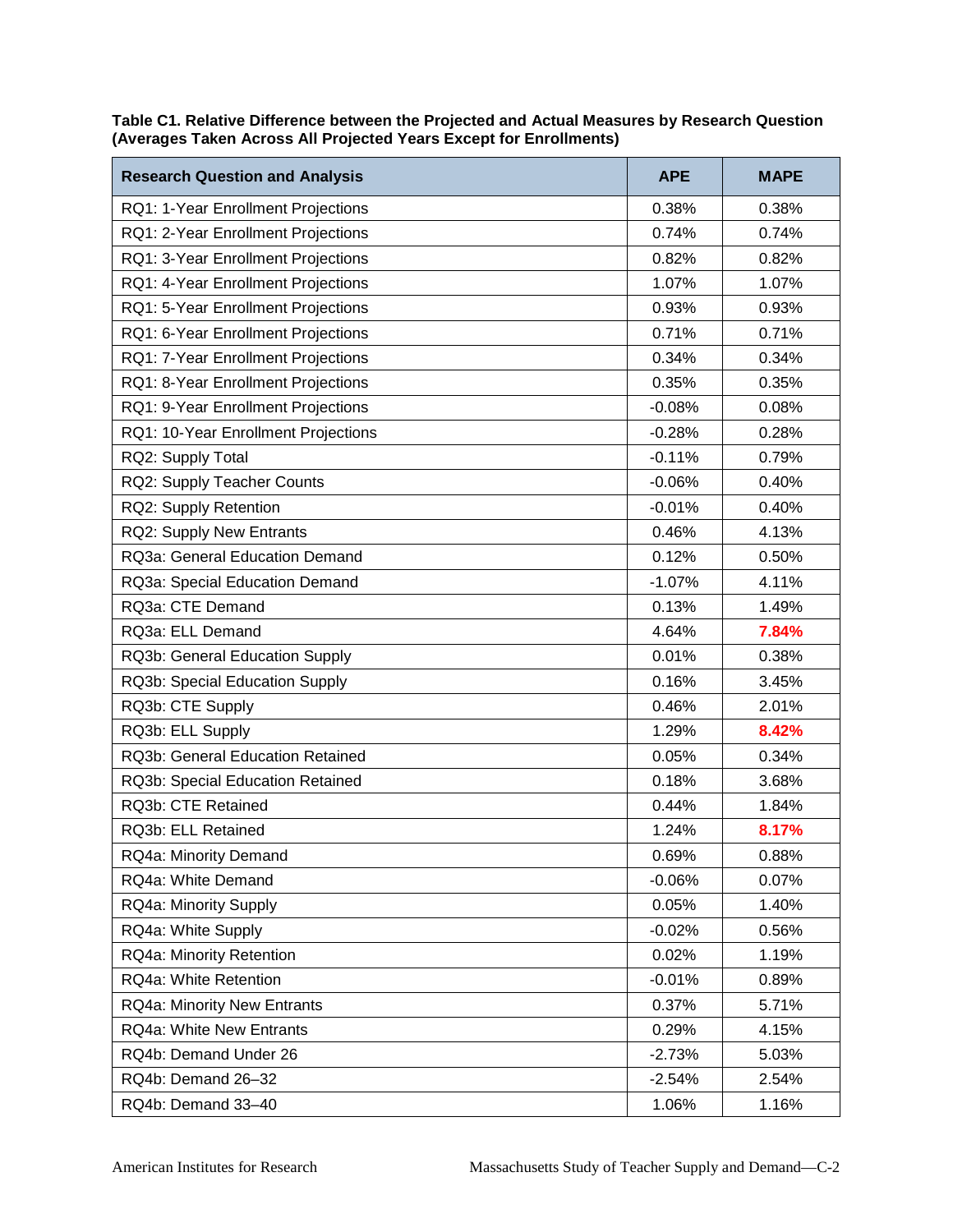| <b>Research Question and Analysis</b> | <b>APE</b> | <b>MAPE</b> |
|---------------------------------------|------------|-------------|
| RQ1: 1-Year Enrollment Projections    | 0.38%      | 0.38%       |
| RQ1: 2-Year Enrollment Projections    | 0.74%      | 0.74%       |
| RQ1: 3-Year Enrollment Projections    | 0.82%      | 0.82%       |
| RQ1: 4-Year Enrollment Projections    | 1.07%      | 1.07%       |
| RQ1: 5-Year Enrollment Projections    | 0.93%      | 0.93%       |
| RQ1: 6-Year Enrollment Projections    | 0.71%      | 0.71%       |
| RQ1: 7-Year Enrollment Projections    | 0.34%      | 0.34%       |
| RQ1: 8-Year Enrollment Projections    | 0.35%      | 0.35%       |
| RQ1: 9-Year Enrollment Projections    | $-0.08%$   | 0.08%       |
| RQ1: 10-Year Enrollment Projections   | $-0.28%$   | 0.28%       |
| RQ2: Supply Total                     | $-0.11%$   | 0.79%       |
| RQ2: Supply Teacher Counts            | $-0.06%$   | 0.40%       |
| RQ2: Supply Retention                 | $-0.01%$   | 0.40%       |
| RQ2: Supply New Entrants              | 0.46%      | 4.13%       |
| RQ3a: General Education Demand        | 0.12%      | 0.50%       |
| RQ3a: Special Education Demand        | $-1.07%$   | 4.11%       |
| RQ3a: CTE Demand                      | 0.13%      | 1.49%       |
| RQ3a: ELL Demand                      | 4.64%      | 7.84%       |
| RQ3b: General Education Supply        | 0.01%      | 0.38%       |
| RQ3b: Special Education Supply        | 0.16%      | 3.45%       |
| RQ3b: CTE Supply                      | 0.46%      | 2.01%       |
| RQ3b: ELL Supply                      | 1.29%      | 8.42%       |
| RQ3b: General Education Retained      | 0.05%      | 0.34%       |
| RQ3b: Special Education Retained      | 0.18%      | 3.68%       |
| RQ3b: CTE Retained                    | 0.44%      | 1.84%       |
| RQ3b: ELL Retained                    | 1.24%      | 8.17%       |
| RQ4a: Minority Demand                 | 0.69%      | 0.88%       |
| RQ4a: White Demand                    | $-0.06%$   | 0.07%       |
| RQ4a: Minority Supply                 | 0.05%      | 1.40%       |
| RQ4a: White Supply                    | $-0.02%$   | 0.56%       |
| RQ4a: Minority Retention              | 0.02%      | 1.19%       |
| RQ4a: White Retention                 | $-0.01%$   | 0.89%       |
| RQ4a: Minority New Entrants           | 0.37%      | 5.71%       |
| <b>RQ4a: White New Entrants</b>       | 0.29%      | 4.15%       |
| RQ4b: Demand Under 26                 | $-2.73%$   | 5.03%       |
| RQ4b: Demand 26-32                    | $-2.54%$   | 2.54%       |
| RQ4b: Demand 33-40                    | 1.06%      | 1.16%       |

**Table C1. Relative Difference between the Projected and Actual Measures by Research Question (Averages Taken Across All Projected Years Except for Enrollments)**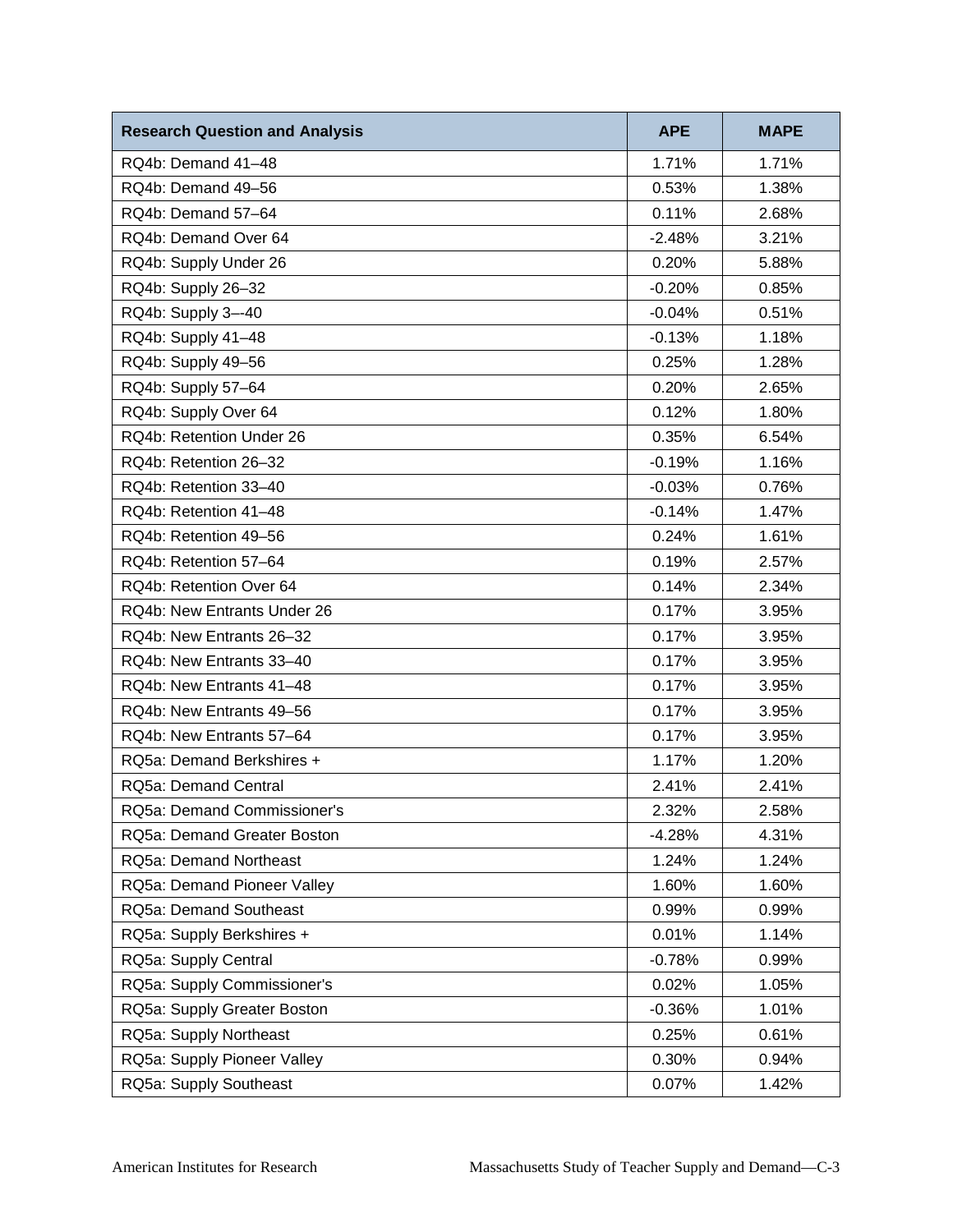| <b>Research Question and Analysis</b> | <b>APE</b> | <b>MAPE</b> |
|---------------------------------------|------------|-------------|
| RQ4b: Demand 41-48                    | 1.71%      | 1.71%       |
| RQ4b: Demand 49-56                    | 0.53%      | 1.38%       |
| RQ4b: Demand 57-64                    | 0.11%      | 2.68%       |
| RQ4b: Demand Over 64                  | $-2.48%$   | 3.21%       |
| RQ4b: Supply Under 26                 | 0.20%      | 5.88%       |
| RQ4b: Supply 26-32                    | $-0.20%$   | 0.85%       |
| RQ4b: Supply 3--40                    | $-0.04%$   | 0.51%       |
| RQ4b: Supply 41-48                    | $-0.13%$   | 1.18%       |
| RQ4b: Supply 49-56                    | 0.25%      | 1.28%       |
| RQ4b: Supply 57-64                    | 0.20%      | 2.65%       |
| RQ4b: Supply Over 64                  | 0.12%      | 1.80%       |
| RQ4b: Retention Under 26              | 0.35%      | 6.54%       |
| RQ4b: Retention 26-32                 | $-0.19%$   | 1.16%       |
| RQ4b: Retention 33-40                 | $-0.03%$   | 0.76%       |
| RQ4b: Retention 41-48                 | $-0.14%$   | 1.47%       |
| RQ4b: Retention 49-56                 | 0.24%      | 1.61%       |
| RQ4b: Retention 57-64                 | 0.19%      | 2.57%       |
| RQ4b: Retention Over 64               | 0.14%      | 2.34%       |
| RQ4b: New Entrants Under 26           | 0.17%      | 3.95%       |
| RQ4b: New Entrants 26-32              | 0.17%      | 3.95%       |
| RQ4b: New Entrants 33-40              | 0.17%      | 3.95%       |
| RQ4b: New Entrants 41-48              | 0.17%      | 3.95%       |
| RQ4b: New Entrants 49-56              | 0.17%      | 3.95%       |
| RQ4b: New Entrants 57-64              | 0.17%      | 3.95%       |
| RQ5a: Demand Berkshires +             | 1.17%      | 1.20%       |
| RQ5a: Demand Central                  | 2.41%      | 2.41%       |
| RQ5a: Demand Commissioner's           | 2.32%      | 2.58%       |
| RQ5a: Demand Greater Boston           | $-4.28%$   | 4.31%       |
| RQ5a: Demand Northeast                | 1.24%      | 1.24%       |
| RQ5a: Demand Pioneer Valley           | 1.60%      | 1.60%       |
| RQ5a: Demand Southeast                | 0.99%      | 0.99%       |
| RQ5a: Supply Berkshires +             | 0.01%      | 1.14%       |
| RQ5a: Supply Central                  | $-0.78%$   | 0.99%       |
| RQ5a: Supply Commissioner's           | 0.02%      | 1.05%       |
| RQ5a: Supply Greater Boston           | $-0.36%$   | 1.01%       |
| RQ5a: Supply Northeast                | 0.25%      | 0.61%       |
| RQ5a: Supply Pioneer Valley           | 0.30%      | 0.94%       |
| RQ5a: Supply Southeast                | 0.07%      | 1.42%       |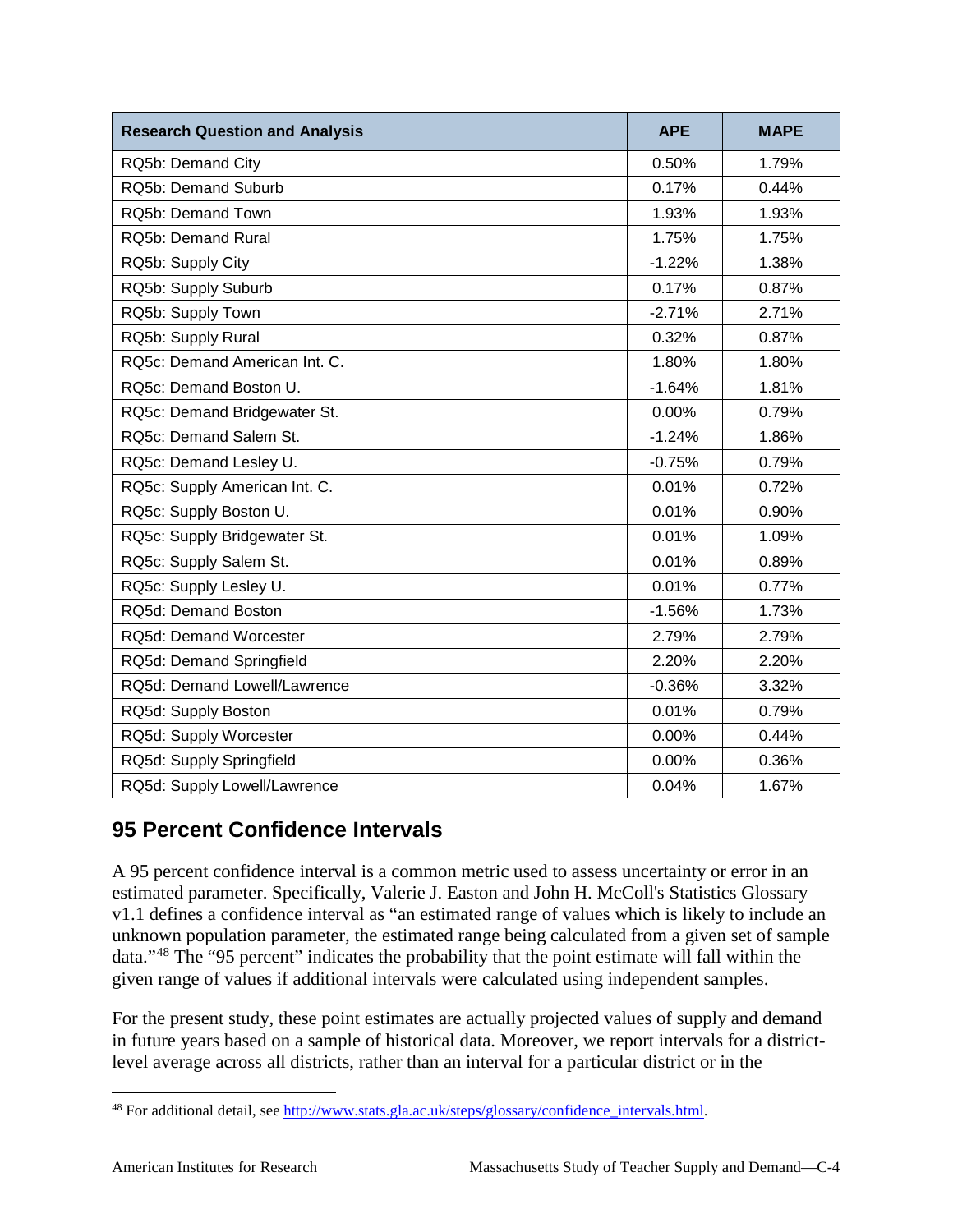| <b>Research Question and Analysis</b> | <b>APE</b> | <b>MAPE</b> |
|---------------------------------------|------------|-------------|
| RQ5b: Demand City                     | 0.50%      | 1.79%       |
| RQ5b: Demand Suburb                   | 0.17%      | 0.44%       |
| RQ5b: Demand Town                     | 1.93%      | 1.93%       |
| RQ5b: Demand Rural                    | 1.75%      | 1.75%       |
| RQ5b: Supply City                     | $-1.22%$   | 1.38%       |
| RQ5b: Supply Suburb                   | 0.17%      | 0.87%       |
| RQ5b: Supply Town                     | $-2.71%$   | 2.71%       |
| RQ5b: Supply Rural                    | 0.32%      | 0.87%       |
| RQ5c: Demand American Int. C.         | 1.80%      | 1.80%       |
| RQ5c: Demand Boston U.                | $-1.64%$   | 1.81%       |
| RQ5c: Demand Bridgewater St.          | 0.00%      | 0.79%       |
| RQ5c: Demand Salem St.                | $-1.24%$   | 1.86%       |
| RQ5c: Demand Lesley U.                | $-0.75%$   | 0.79%       |
| RQ5c: Supply American Int. C.         | 0.01%      | 0.72%       |
| RQ5c: Supply Boston U.                | 0.01%      | 0.90%       |
| RQ5c: Supply Bridgewater St.          | 0.01%      | 1.09%       |
| RQ5c: Supply Salem St.                | 0.01%      | 0.89%       |
| RQ5c: Supply Lesley U.                | 0.01%      | 0.77%       |
| RQ5d: Demand Boston                   | $-1.56%$   | 1.73%       |
| <b>RQ5d: Demand Worcester</b>         | 2.79%      | 2.79%       |
| RQ5d: Demand Springfield              | 2.20%      | 2.20%       |
| RQ5d: Demand Lowell/Lawrence          | $-0.36%$   | 3.32%       |
| RQ5d: Supply Boston                   | 0.01%      | 0.79%       |
| RQ5d: Supply Worcester                | $0.00\%$   | 0.44%       |
| RQ5d: Supply Springfield              | 0.00%      | 0.36%       |
| RQ5d: Supply Lowell/Lawrence          | 0.04%      | 1.67%       |

# **95 Percent Confidence Intervals**

A 95 percent confidence interval is a common metric used to assess uncertainty or error in an estimated parameter. Specifically, Valerie J. Easton and John H. McColl's Statistics Glossary v1.1 defines a confidence interval as "an estimated range of values which is likely to include an unknown population parameter, the estimated range being calculated from a given set of sample data."[48](#page-113-0) The "95 percent" indicates the probability that the point estimate will fall within the given range of values if additional intervals were calculated using independent samples.

For the present study, these point estimates are actually projected values of supply and demand in future years based on a sample of historical data. Moreover, we report intervals for a districtlevel average across all districts, rather than an interval for a particular district or in the

<span id="page-113-0"></span> <sup>48</sup> For additional detail, see [http://www.stats.gla.ac.uk/steps/glossary/confidence\\_intervals.html.](http://www.stats.gla.ac.uk/steps/glossary/confidence_intervals.html)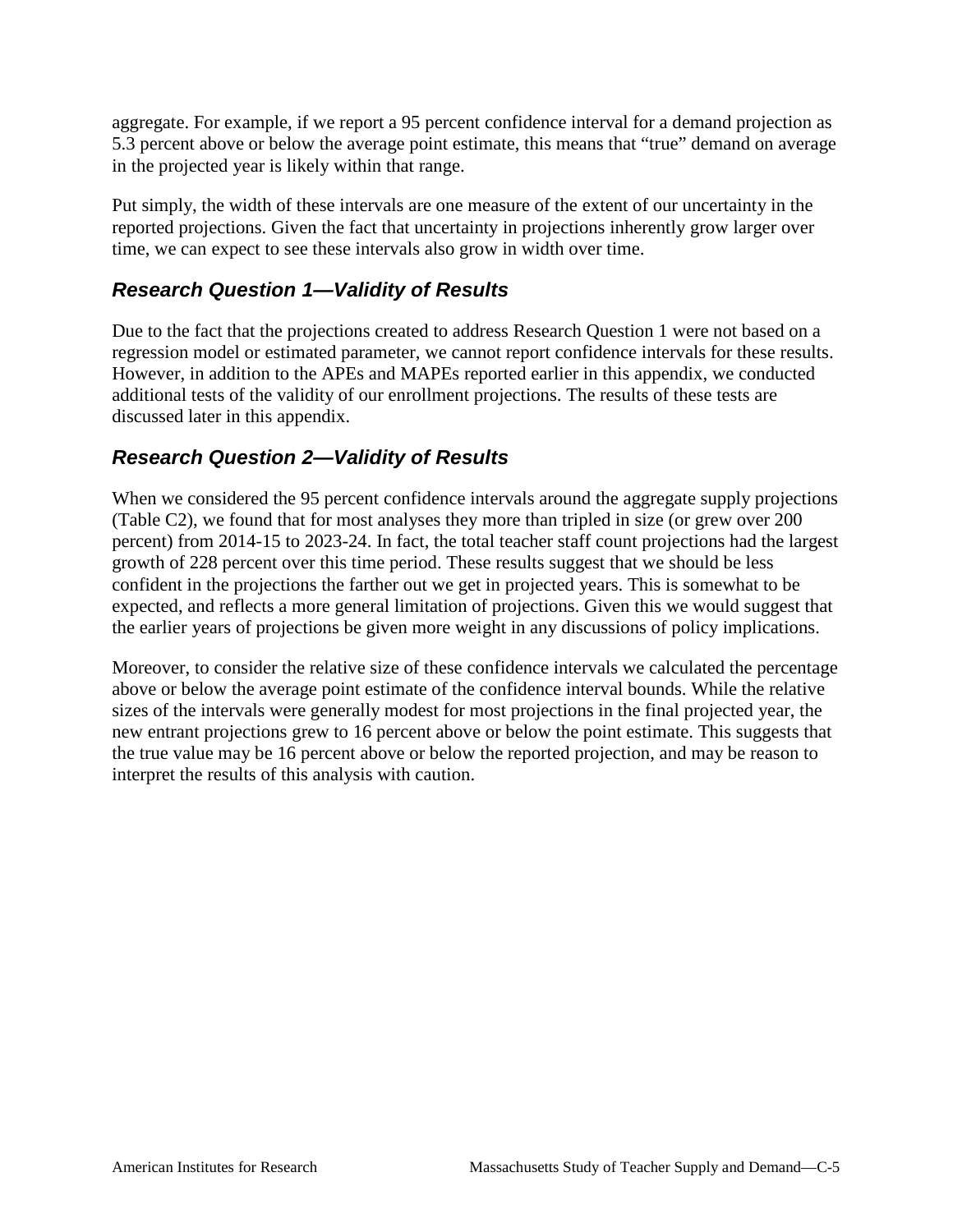aggregate. For example, if we report a 95 percent confidence interval for a demand projection as 5.3 percent above or below the average point estimate, this means that "true" demand on average in the projected year is likely within that range.

Put simply, the width of these intervals are one measure of the extent of our uncertainty in the reported projections. Given the fact that uncertainty in projections inherently grow larger over time, we can expect to see these intervals also grow in width over time.

## *Research Question 1—Validity of Results*

Due to the fact that the projections created to address Research Question 1 were not based on a regression model or estimated parameter, we cannot report confidence intervals for these results. However, in addition to the APEs and MAPEs reported earlier in this appendix, we conducted additional tests of the validity of our enrollment projections. The results of these tests are discussed later in this appendix.

## *Research Question 2—Validity of Results*

When we considered the 95 percent confidence intervals around the aggregate supply projections (Table C2), we found that for most analyses they more than tripled in size (or grew over 200 percent) from 2014-15 to 2023-24. In fact, the total teacher staff count projections had the largest growth of 228 percent over this time period. These results suggest that we should be less confident in the projections the farther out we get in projected years. This is somewhat to be expected, and reflects a more general limitation of projections. Given this we would suggest that the earlier years of projections be given more weight in any discussions of policy implications.

Moreover, to consider the relative size of these confidence intervals we calculated the percentage above or below the average point estimate of the confidence interval bounds. While the relative sizes of the intervals were generally modest for most projections in the final projected year, the new entrant projections grew to 16 percent above or below the point estimate. This suggests that the true value may be 16 percent above or below the reported projection, and may be reason to interpret the results of this analysis with caution.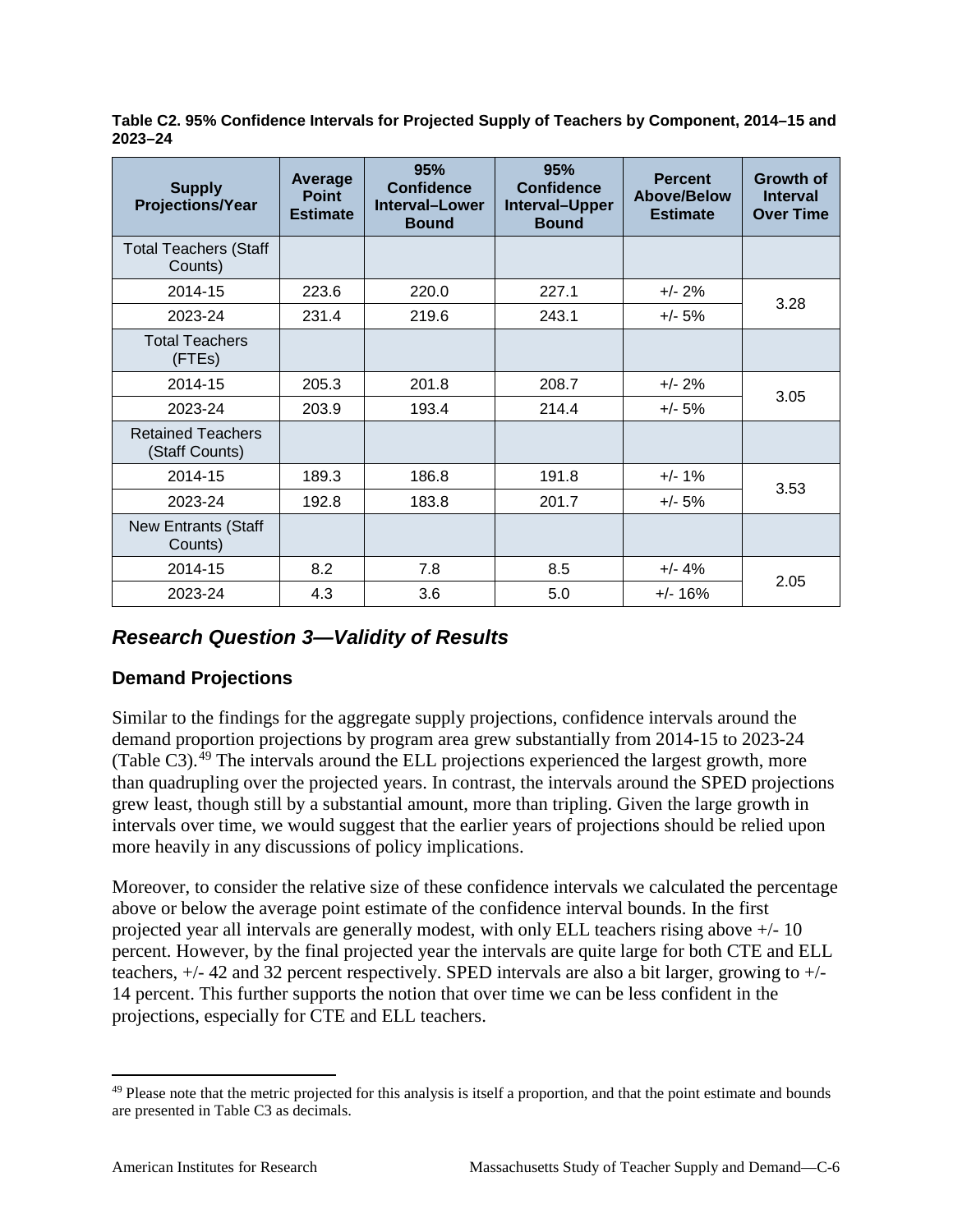**Table C2. 95% Confidence Intervals for Projected Supply of Teachers by Component, 2014–15 and 2023–24**

| <b>Supply</b><br><b>Projections/Year</b>   | Average<br><b>Point</b><br><b>Estimate</b> | 95%<br><b>Confidence</b><br>Interval-Lower<br><b>Bound</b> | 95%<br><b>Confidence</b><br>Interval-Upper<br><b>Bound</b> | <b>Percent</b><br><b>Above/Below</b><br><b>Estimate</b> | <b>Growth of</b><br><b>Interval</b><br><b>Over Time</b> |
|--------------------------------------------|--------------------------------------------|------------------------------------------------------------|------------------------------------------------------------|---------------------------------------------------------|---------------------------------------------------------|
| <b>Total Teachers (Staff</b><br>Counts)    |                                            |                                                            |                                                            |                                                         |                                                         |
| 2014-15                                    | 223.6                                      | 220.0                                                      | 227.1                                                      | $+/- 2\%$                                               | 3.28                                                    |
| 2023-24                                    | 231.4                                      | 219.6                                                      | 243.1                                                      | +/- 5%                                                  |                                                         |
| <b>Total Teachers</b><br>(FTEs)            |                                            |                                                            |                                                            |                                                         |                                                         |
| 2014-15                                    | 205.3                                      | 201.8                                                      | 208.7                                                      | $+/- 2%$                                                | 3.05                                                    |
| 2023-24                                    | 203.9                                      | 193.4                                                      | 214.4                                                      | $+/- 5%$                                                |                                                         |
| <b>Retained Teachers</b><br>(Staff Counts) |                                            |                                                            |                                                            |                                                         |                                                         |
| 2014-15                                    | 189.3                                      | 186.8                                                      | 191.8                                                      | $+/- 1%$                                                | 3.53                                                    |
| 2023-24                                    | 192.8                                      | 183.8                                                      | 201.7                                                      | $+/- 5%$                                                |                                                         |
| <b>New Entrants (Staff</b><br>Counts)      |                                            |                                                            |                                                            |                                                         |                                                         |
| 2014-15                                    | 8.2                                        | 7.8                                                        | 8.5                                                        | $+/- 4%$                                                |                                                         |
| 2023-24                                    | 4.3                                        | 3.6                                                        | 5.0                                                        | $+/- 16%$                                               | 2.05                                                    |

## *Research Question 3—Validity of Results*

#### **Demand Projections**

Similar to the findings for the aggregate supply projections, confidence intervals around the demand proportion projections by program area grew substantially from 2014-15 to 2023-24 (Table C3).<sup>[49](#page-115-0)</sup> The intervals around the ELL projections experienced the largest growth, more than quadrupling over the projected years. In contrast, the intervals around the SPED projections grew least, though still by a substantial amount, more than tripling. Given the large growth in intervals over time, we would suggest that the earlier years of projections should be relied upon more heavily in any discussions of policy implications.

Moreover, to consider the relative size of these confidence intervals we calculated the percentage above or below the average point estimate of the confidence interval bounds. In the first projected year all intervals are generally modest, with only ELL teachers rising above +/- 10 percent. However, by the final projected year the intervals are quite large for both CTE and ELL teachers, +/- 42 and 32 percent respectively. SPED intervals are also a bit larger, growing to +/- 14 percent. This further supports the notion that over time we can be less confident in the projections, especially for CTE and ELL teachers.

<span id="page-115-0"></span> $49$  Please note that the metric projected for this analysis is itself a proportion, and that the point estimate and bounds are presented in Table C3 as decimals.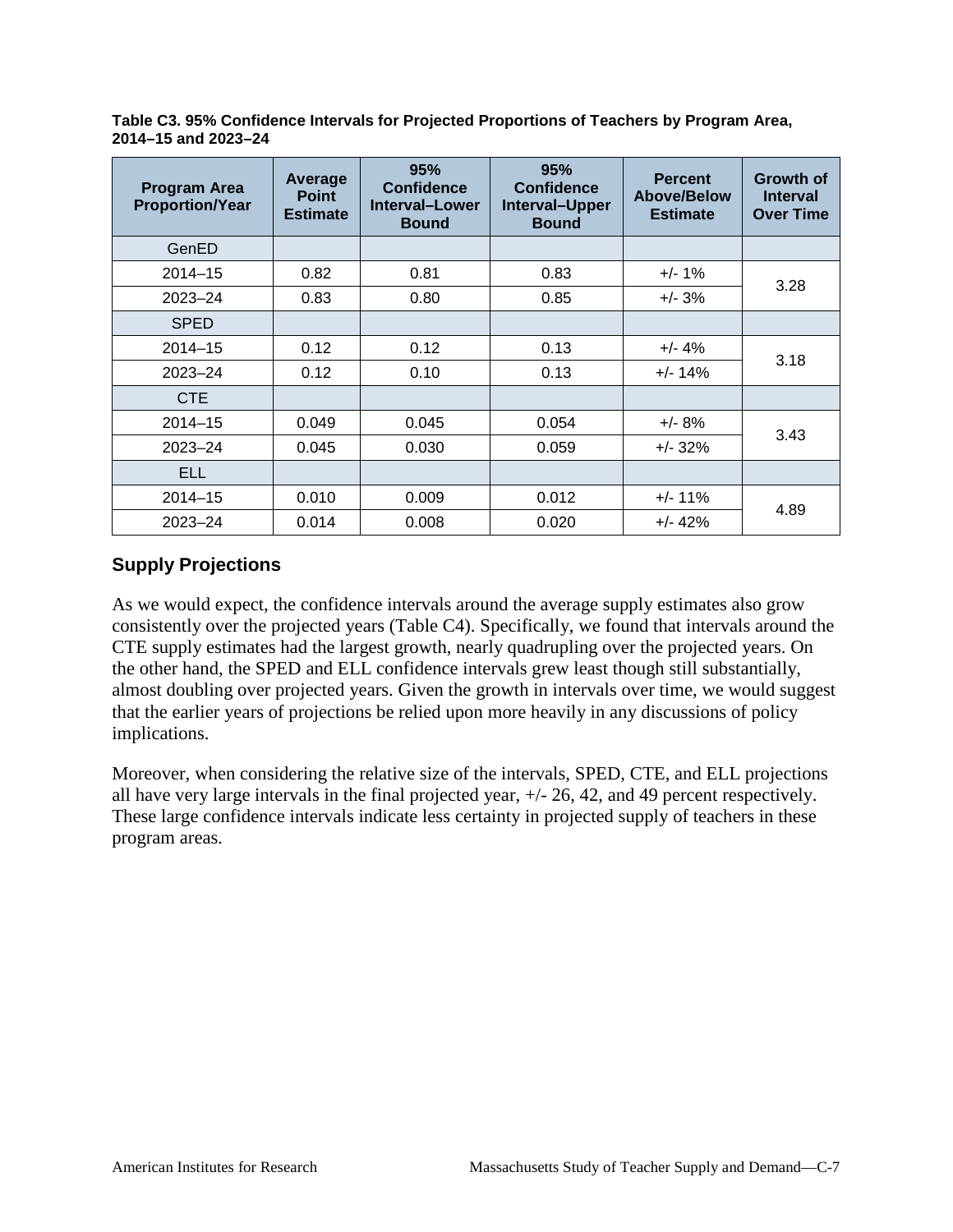**Table C3. 95% Confidence Intervals for Projected Proportions of Teachers by Program Area, 2014–15 and 2023–24**

| <b>Program Area</b><br><b>Proportion/Year</b> | Average<br><b>Point</b><br><b>Estimate</b> | 95%<br><b>Confidence</b><br>Interval-Lower<br><b>Bound</b> | 95%<br><b>Confidence</b><br>Interval-Upper<br><b>Bound</b> | <b>Percent</b><br><b>Above/Below</b><br><b>Estimate</b> | <b>Growth of</b><br><b>Interval</b><br><b>Over Time</b> |
|-----------------------------------------------|--------------------------------------------|------------------------------------------------------------|------------------------------------------------------------|---------------------------------------------------------|---------------------------------------------------------|
| GenED                                         |                                            |                                                            |                                                            |                                                         |                                                         |
| $2014 - 15$                                   | 0.82                                       | 0.81                                                       | 0.83                                                       | $+/- 1\%$                                               |                                                         |
| $2023 - 24$                                   | 0.83                                       | 0.80                                                       | 0.85                                                       | $+/- 3%$                                                | 3.28                                                    |
| <b>SPED</b>                                   |                                            |                                                            |                                                            |                                                         |                                                         |
| $2014 - 15$                                   | 0.12                                       | 0.12                                                       | 0.13                                                       | $+/- 4%$                                                |                                                         |
| $2023 - 24$                                   | 0.12                                       | 0.10                                                       | 0.13                                                       | $+/- 14%$                                               | 3.18                                                    |
| CTE                                           |                                            |                                                            |                                                            |                                                         |                                                         |
| $2014 - 15$                                   | 0.049                                      | 0.045                                                      | 0.054                                                      | $+/- 8%$                                                |                                                         |
| $2023 - 24$                                   | 0.045                                      | 0.030                                                      | 0.059                                                      | $+/- 32%$                                               | 3.43                                                    |
| <b>ELL</b>                                    |                                            |                                                            |                                                            |                                                         |                                                         |
| $2014 - 15$                                   | 0.010                                      | 0.009                                                      | 0.012                                                      | $+/- 11%$                                               | 4.89                                                    |
| $2023 - 24$                                   | 0.014                                      | 0.008                                                      | 0.020                                                      | $+/- 42%$                                               |                                                         |

## **Supply Projections**

As we would expect, the confidence intervals around the average supply estimates also grow consistently over the projected years (Table C4). Specifically, we found that intervals around the CTE supply estimates had the largest growth, nearly quadrupling over the projected years. On the other hand, the SPED and ELL confidence intervals grew least though still substantially, almost doubling over projected years. Given the growth in intervals over time, we would suggest that the earlier years of projections be relied upon more heavily in any discussions of policy implications.

Moreover, when considering the relative size of the intervals, SPED, CTE, and ELL projections all have very large intervals in the final projected year, +/- 26, 42, and 49 percent respectively. These large confidence intervals indicate less certainty in projected supply of teachers in these program areas.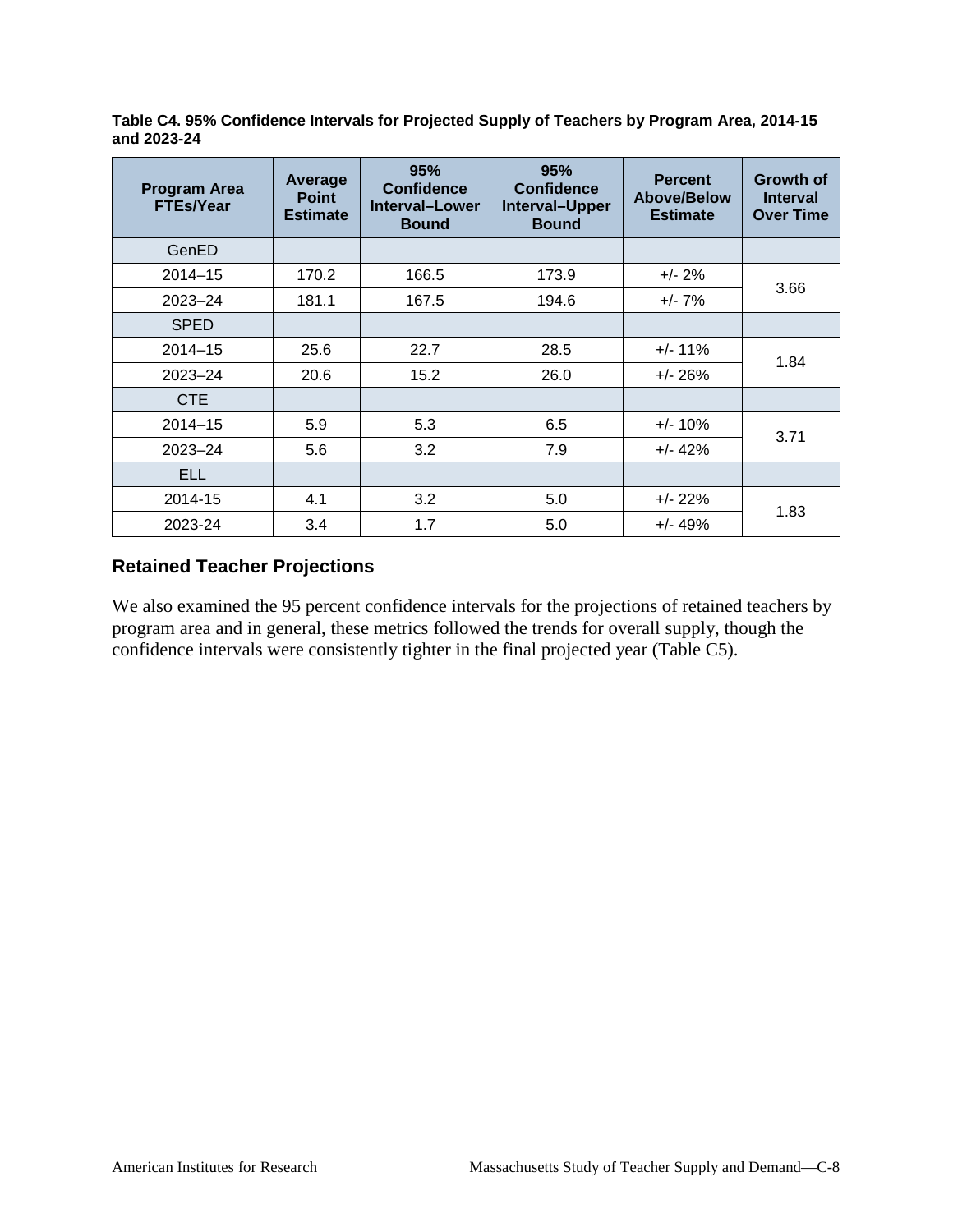**Table C4. 95% Confidence Intervals for Projected Supply of Teachers by Program Area, 2014-15 and 2023-24**

| <b>Program Area</b><br><b>FTEs/Year</b> | Average<br><b>Point</b><br><b>Estimate</b> | 95%<br><b>Confidence</b><br><b>Interval-Lower</b><br><b>Bound</b> | 95%<br><b>Confidence</b><br>Interval-Upper<br><b>Bound</b> | <b>Percent</b><br><b>Above/Below</b><br><b>Estimate</b> | Growth of<br><b>Interval</b><br><b>Over Time</b> |
|-----------------------------------------|--------------------------------------------|-------------------------------------------------------------------|------------------------------------------------------------|---------------------------------------------------------|--------------------------------------------------|
| GenED                                   |                                            |                                                                   |                                                            |                                                         |                                                  |
| $2014 - 15$                             | 170.2                                      | 166.5                                                             | 173.9                                                      | $+/- 2\%$                                               |                                                  |
| $2023 - 24$                             | 181.1                                      | 167.5                                                             | 194.6                                                      | $+/- 7\%$                                               | 3.66                                             |
| <b>SPED</b>                             |                                            |                                                                   |                                                            |                                                         |                                                  |
| $2014 - 15$                             | 25.6                                       | 22.7                                                              | 28.5                                                       | $+/- 11%$                                               |                                                  |
| $2023 - 24$                             | 20.6                                       | 15.2                                                              | 26.0                                                       | $+/- 26%$                                               | 1.84                                             |
| CTE                                     |                                            |                                                                   |                                                            |                                                         |                                                  |
| $2014 - 15$                             | 5.9                                        | 5.3                                                               | 6.5                                                        | $+/- 10\%$                                              |                                                  |
| $2023 - 24$                             | 5.6                                        | 3.2                                                               | 7.9                                                        | $+/- 42%$                                               | 3.71                                             |
| <b>ELL</b>                              |                                            |                                                                   |                                                            |                                                         |                                                  |
| 2014-15                                 | 4.1                                        | 3.2                                                               | 5.0                                                        | $+/- 22%$                                               | 1.83                                             |
| 2023-24                                 | 3.4                                        | 1.7                                                               | 5.0                                                        | $+/- 49%$                                               |                                                  |

#### **Retained Teacher Projections**

We also examined the 95 percent confidence intervals for the projections of retained teachers by program area and in general, these metrics followed the trends for overall supply, though the confidence intervals were consistently tighter in the final projected year (Table C5).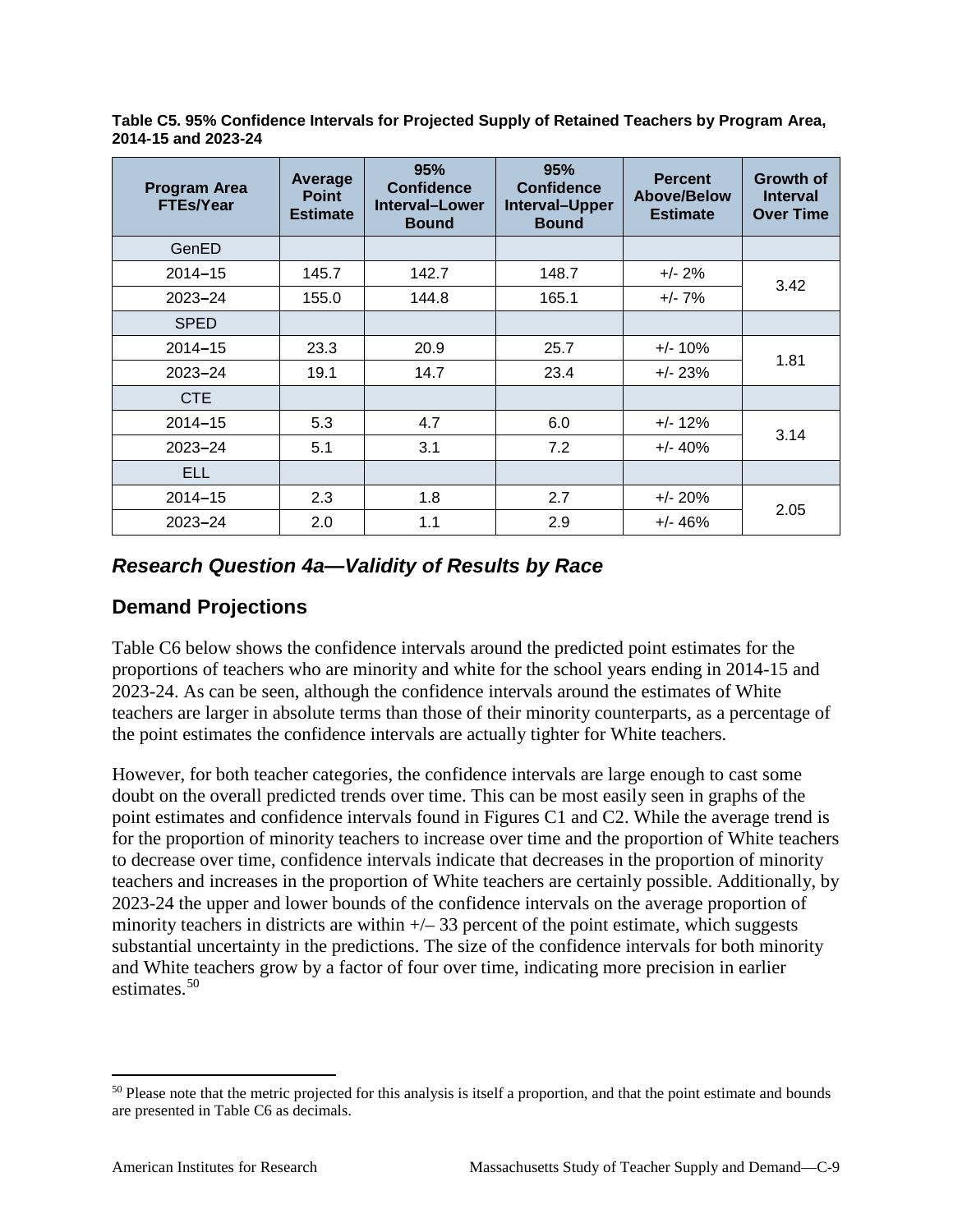**Table C5. 95% Confidence Intervals for Projected Supply of Retained Teachers by Program Area, 2014-15 and 2023-24**

| <b>Program Area</b><br><b>FTEs/Year</b> | Average<br><b>Point</b><br><b>Estimate</b> | 95%<br><b>Confidence</b><br>Interval-Lower<br><b>Bound</b> | 95%<br><b>Confidence</b><br>Interval-Upper<br><b>Bound</b> | <b>Percent</b><br>Above/Below<br><b>Estimate</b> | <b>Growth of</b><br><b>Interval</b><br><b>Over Time</b> |
|-----------------------------------------|--------------------------------------------|------------------------------------------------------------|------------------------------------------------------------|--------------------------------------------------|---------------------------------------------------------|
| GenED                                   |                                            |                                                            |                                                            |                                                  |                                                         |
| $2014 - 15$                             | 145.7                                      | 142.7                                                      | 148.7                                                      | $+/- 2\%$                                        |                                                         |
| $2023 - 24$                             | 155.0                                      | 144.8                                                      | 165.1                                                      | $+/- 7\%$                                        | 3.42                                                    |
| <b>SPED</b>                             |                                            |                                                            |                                                            |                                                  |                                                         |
| $2014 - 15$                             | 23.3                                       | 20.9                                                       | 25.7                                                       | $+/- 10\%$                                       |                                                         |
| $2023 - 24$                             | 19.1                                       | 14.7                                                       | 23.4                                                       | $+/- 23%$                                        | 1.81                                                    |
| <b>CTE</b>                              |                                            |                                                            |                                                            |                                                  |                                                         |
| $2014 - 15$                             | 5.3                                        | 4.7                                                        | 6.0                                                        | $+/- 12\%$                                       |                                                         |
| $2023 - 24$                             | 5.1                                        | 3.1                                                        | 7.2                                                        | $+/- 40%$                                        | 3.14                                                    |
| <b>ELL</b>                              |                                            |                                                            |                                                            |                                                  |                                                         |
| $2014 - 15$                             | 2.3                                        | 1.8                                                        | 2.7                                                        | $+/- 20%$                                        |                                                         |
| $2023 - 24$                             | 2.0                                        | 1.1                                                        | 2.9                                                        | $+/- 46%$                                        | 2.05                                                    |

## *Research Question 4a—Validity of Results by Race*

#### **Demand Projections**

Table C6 below shows the confidence intervals around the predicted point estimates for the proportions of teachers who are minority and white for the school years ending in 2014-15 and 2023-24. As can be seen, although the confidence intervals around the estimates of White teachers are larger in absolute terms than those of their minority counterparts, as a percentage of the point estimates the confidence intervals are actually tighter for White teachers.

However, for both teacher categories, the confidence intervals are large enough to cast some doubt on the overall predicted trends over time. This can be most easily seen in graphs of the point estimates and confidence intervals found in Figures C1 and C2. While the average trend is for the proportion of minority teachers to increase over time and the proportion of White teachers to decrease over time, confidence intervals indicate that decreases in the proportion of minority teachers and increases in the proportion of White teachers are certainly possible. Additionally, by 2023-24 the upper and lower bounds of the confidence intervals on the average proportion of minority teachers in districts are within  $+\sqrt{-33}$  percent of the point estimate, which suggests substantial uncertainty in the predictions. The size of the confidence intervals for both minority and White teachers grow by a factor of four over time, indicating more precision in earlier estimates.<sup>[50](#page-118-0)</sup>

<span id="page-118-0"></span><sup>&</sup>lt;sup>50</sup> Please note that the metric projected for this analysis is itself a proportion, and that the point estimate and bounds are presented in Table C6 as decimals.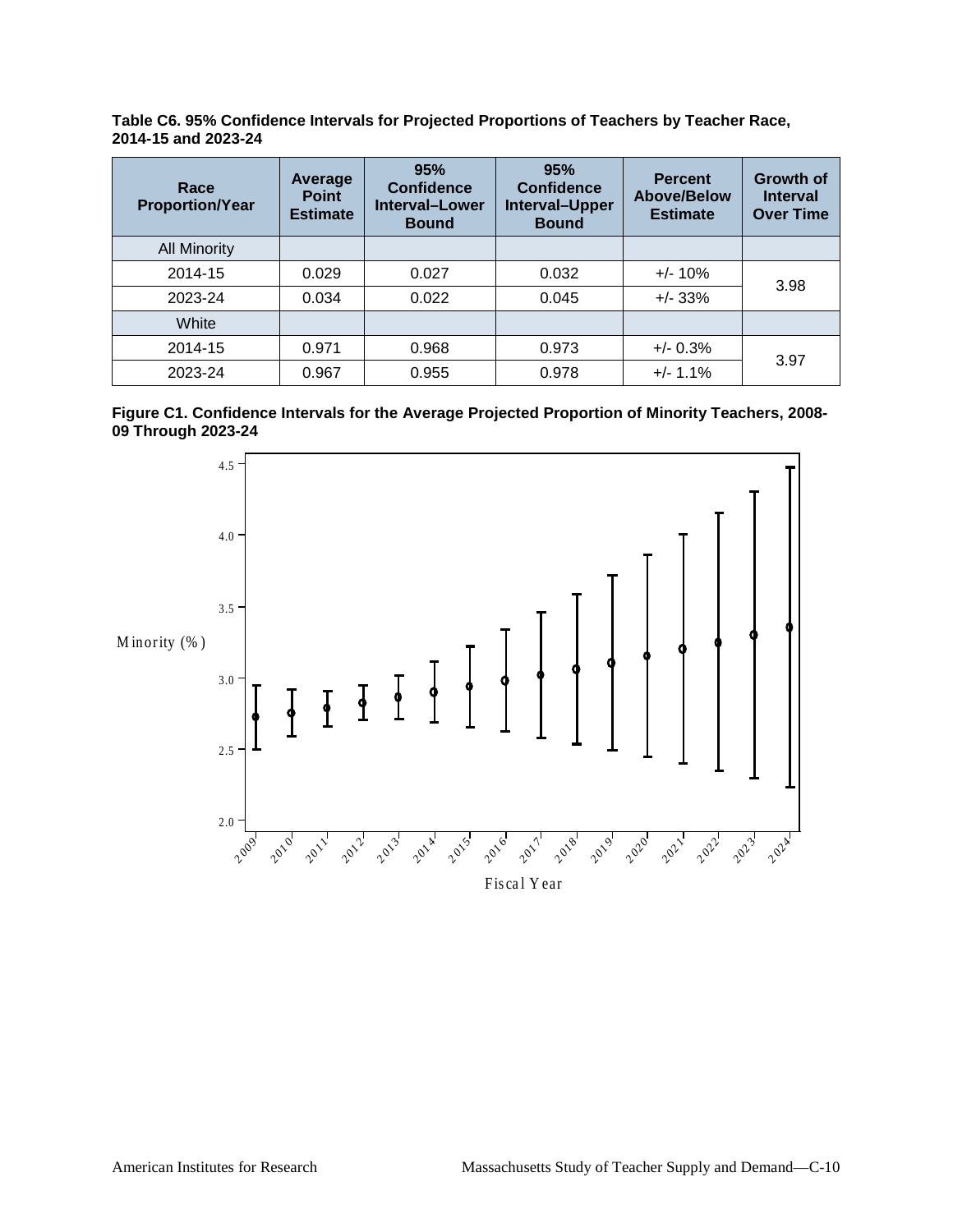**Table C6. 95% Confidence Intervals for Projected Proportions of Teachers by Teacher Race, 2014-15 and 2023-24**

| Race<br><b>Proportion/Year</b> | Average<br><b>Point</b><br><b>Estimate</b> | 95%<br><b>Confidence</b><br><b>Interval-Lower</b><br><b>Bound</b> | 95%<br><b>Confidence</b><br>Interval-Upper<br><b>Bound</b> | <b>Percent</b><br><b>Above/Below</b><br><b>Estimate</b> | <b>Growth of</b><br><b>Interval</b><br><b>Over Time</b> |
|--------------------------------|--------------------------------------------|-------------------------------------------------------------------|------------------------------------------------------------|---------------------------------------------------------|---------------------------------------------------------|
| <b>All Minority</b>            |                                            |                                                                   |                                                            |                                                         |                                                         |
| 2014-15                        | 0.029                                      | 0.027                                                             | 0.032                                                      | $+/- 10%$                                               |                                                         |
| 2023-24                        | 0.034                                      | 0.022                                                             | 0.045                                                      | $+/- 33%$                                               | 3.98                                                    |
| White                          |                                            |                                                                   |                                                            |                                                         |                                                         |
| 2014-15                        | 0.971                                      | 0.968                                                             | 0.973                                                      | $+/- 0.3%$                                              | 3.97                                                    |
| 2023-24                        | 0.967                                      | 0.955                                                             | 0.978                                                      | $+/- 1.1%$                                              |                                                         |



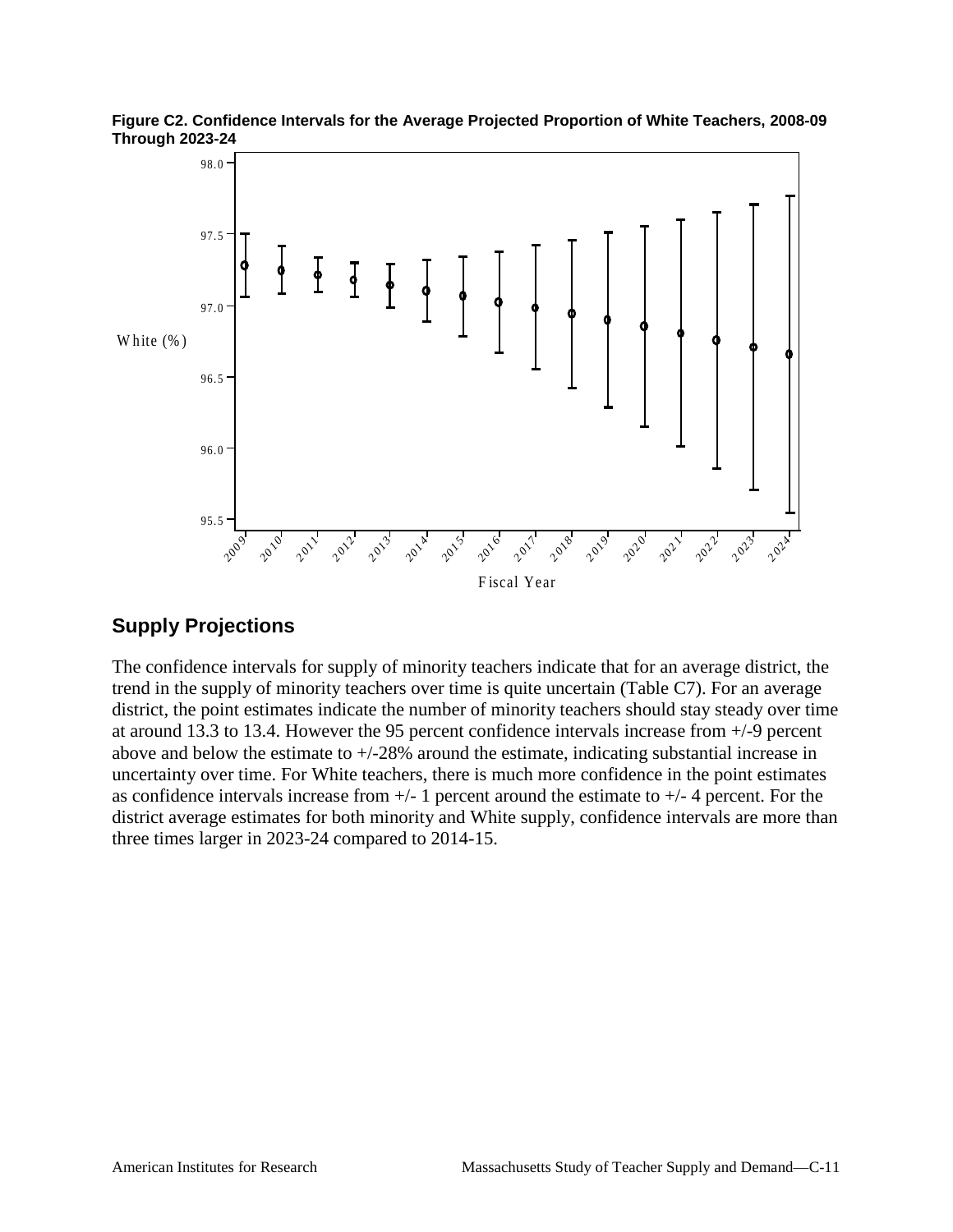

**Figure C2. Confidence Intervals for the Average Projected Proportion of White Teachers, 2008-09 Through 2023-24**

## **Supply Projections**

The confidence intervals for supply of minority teachers indicate that for an average district, the trend in the supply of minority teachers over time is quite uncertain (Table C7). For an average district, the point estimates indicate the number of minority teachers should stay steady over time at around 13.3 to 13.4. However the 95 percent confidence intervals increase from +/-9 percent above and below the estimate to +/-28% around the estimate, indicating substantial increase in uncertainty over time. For White teachers, there is much more confidence in the point estimates as confidence intervals increase from  $+/- 1$  percent around the estimate to  $+/- 4$  percent. For the district average estimates for both minority and White supply, confidence intervals are more than three times larger in 2023-24 compared to 2014-15.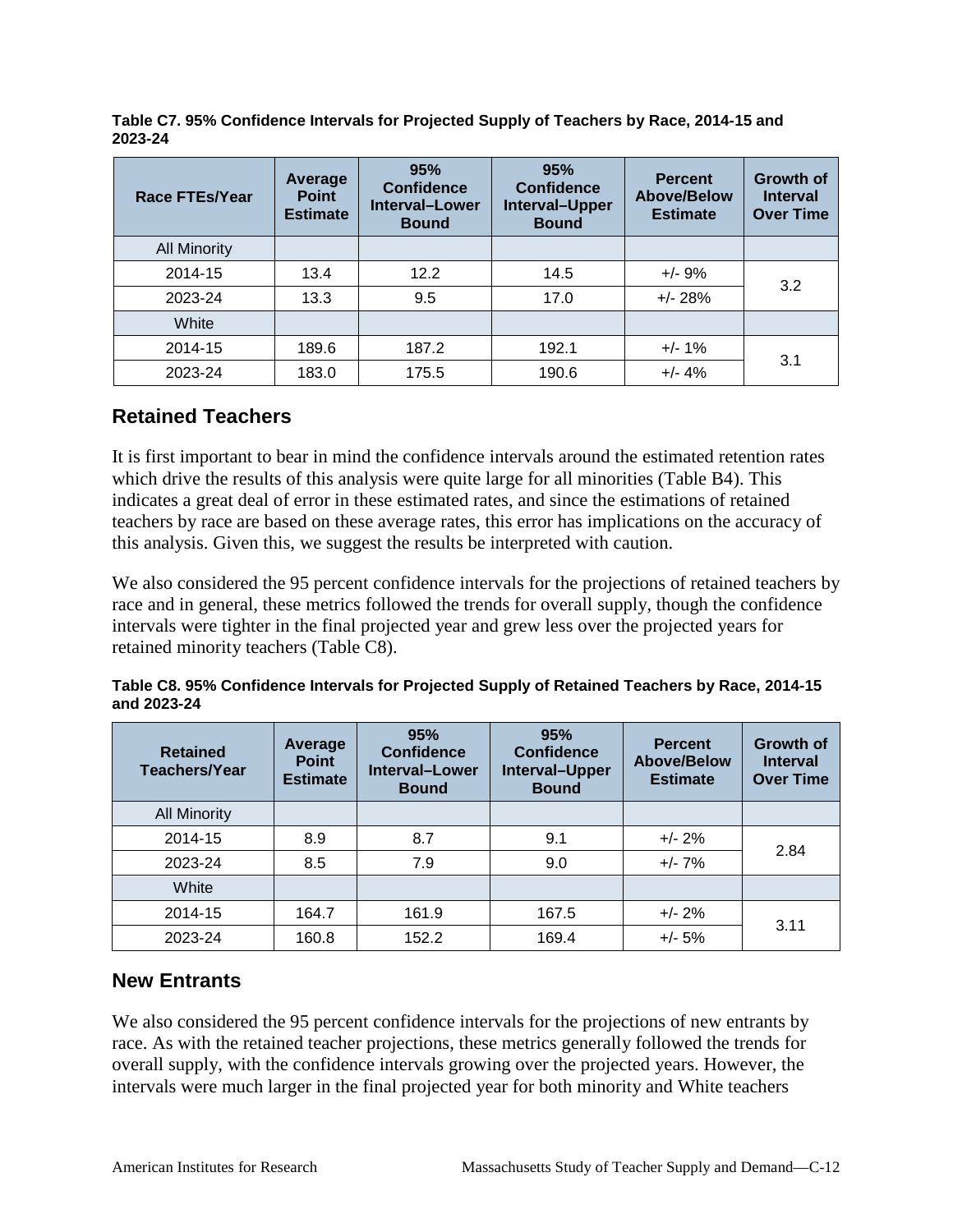| <b>Race FTEs/Year</b> | Average<br><b>Point</b><br><b>Estimate</b> | 95%<br><b>Confidence</b><br>Interval-Lower<br><b>Bound</b> | 95%<br><b>Confidence</b><br>Interval-Upper<br><b>Bound</b> | <b>Percent</b><br><b>Above/Below</b><br><b>Estimate</b> | <b>Growth of</b><br><b>Interval</b><br><b>Over Time</b> |
|-----------------------|--------------------------------------------|------------------------------------------------------------|------------------------------------------------------------|---------------------------------------------------------|---------------------------------------------------------|
| <b>All Minority</b>   |                                            |                                                            |                                                            |                                                         |                                                         |
| 2014-15               | 13.4                                       | 12.2                                                       | 14.5                                                       | $+/- 9%$                                                |                                                         |
| 2023-24               | 13.3                                       | 9.5                                                        | 17.0                                                       | $+/- 28%$                                               | 3.2                                                     |
| White                 |                                            |                                                            |                                                            |                                                         |                                                         |
| 2014-15               | 189.6                                      | 187.2                                                      | 192.1                                                      | $+/- 1%$                                                | 3.1                                                     |
| 2023-24               | 183.0                                      | 175.5                                                      | 190.6                                                      | $+/- 4%$                                                |                                                         |

**Table C7. 95% Confidence Intervals for Projected Supply of Teachers by Race, 2014-15 and 2023-24**

#### **Retained Teachers**

It is first important to bear in mind the confidence intervals around the estimated retention rates which drive the results of this analysis were quite large for all minorities (Table B4). This indicates a great deal of error in these estimated rates, and since the estimations of retained teachers by race are based on these average rates, this error has implications on the accuracy of this analysis. Given this, we suggest the results be interpreted with caution.

We also considered the 95 percent confidence intervals for the projections of retained teachers by race and in general, these metrics followed the trends for overall supply, though the confidence intervals were tighter in the final projected year and grew less over the projected years for retained minority teachers (Table C8).

|             | Table C8. 95% Confidence Intervals for Projected Supply of Retained Teachers by Race, 2014-15 |  |
|-------------|-----------------------------------------------------------------------------------------------|--|
| and 2023-24 |                                                                                               |  |

| <b>Retained</b><br><b>Teachers/Year</b> | Average<br><b>Point</b><br><b>Estimate</b> | 95%<br><b>Confidence</b><br><b>Interval-Lower</b><br><b>Bound</b> | 95%<br><b>Confidence</b><br>Interval-Upper<br><b>Bound</b> | <b>Percent</b><br><b>Above/Below</b><br><b>Estimate</b> | <b>Growth of</b><br><b>Interval</b><br><b>Over Time</b> |
|-----------------------------------------|--------------------------------------------|-------------------------------------------------------------------|------------------------------------------------------------|---------------------------------------------------------|---------------------------------------------------------|
| <b>All Minority</b>                     |                                            |                                                                   |                                                            |                                                         |                                                         |
| 2014-15                                 | 8.9                                        | 8.7                                                               | 9.1                                                        | $+/- 2%$                                                | 2.84                                                    |
| 2023-24                                 | 8.5                                        | 7.9                                                               | 9.0                                                        | $+/- 7%$                                                |                                                         |
| White                                   |                                            |                                                                   |                                                            |                                                         |                                                         |
| 2014-15                                 | 164.7                                      | 161.9                                                             | 167.5                                                      | $+/- 2%$                                                | 3.11                                                    |
| 2023-24                                 | 160.8                                      | 152.2                                                             | 169.4                                                      | $+/- 5%$                                                |                                                         |

#### **New Entrants**

We also considered the 95 percent confidence intervals for the projections of new entrants by race. As with the retained teacher projections, these metrics generally followed the trends for overall supply, with the confidence intervals growing over the projected years. However, the intervals were much larger in the final projected year for both minority and White teachers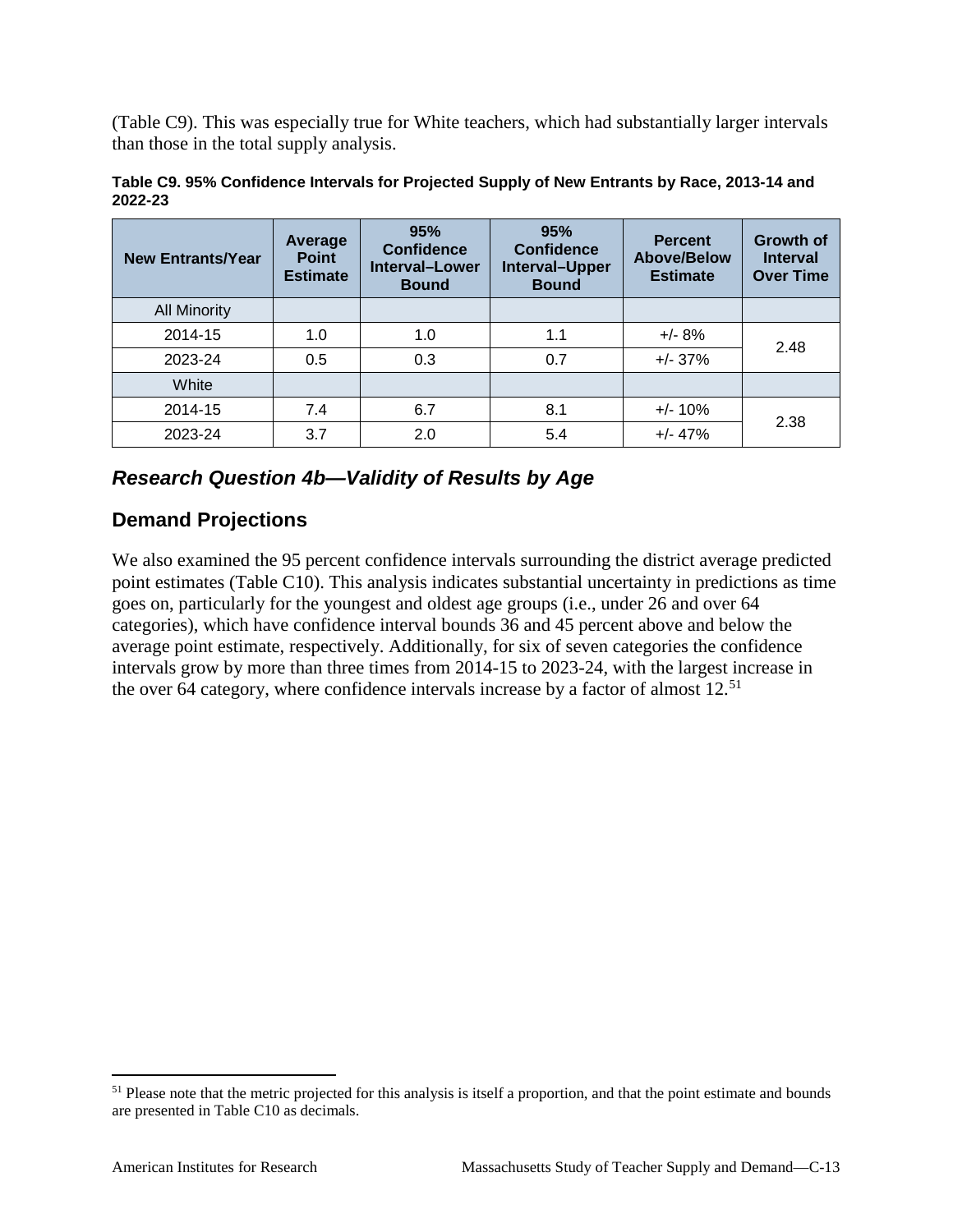(Table C9). This was especially true for White teachers, which had substantially larger intervals than those in the total supply analysis.

| <b>New Entrants/Year</b> | <b>Average</b><br><b>Point</b><br><b>Estimate</b> | 95%<br><b>Confidence</b><br><b>Interval-Lower</b><br><b>Bound</b> | 95%<br><b>Confidence</b><br>Interval-Upper<br><b>Bound</b> | <b>Percent</b><br><b>Above/Below</b><br><b>Estimate</b> | <b>Growth of</b><br><b>Interval</b><br><b>Over Time</b> |
|--------------------------|---------------------------------------------------|-------------------------------------------------------------------|------------------------------------------------------------|---------------------------------------------------------|---------------------------------------------------------|
| <b>All Minority</b>      |                                                   |                                                                   |                                                            |                                                         |                                                         |
| 2014-15                  | 1.0                                               | 1.0                                                               | 1.1                                                        | $+/- 8%$                                                | 2.48                                                    |
| 2023-24                  | 0.5                                               | 0.3                                                               | 0.7                                                        | $+/- 37%$                                               |                                                         |
| White                    |                                                   |                                                                   |                                                            |                                                         |                                                         |
| 2014-15                  | 7.4                                               | 6.7                                                               | 8.1                                                        | $+/- 10%$                                               | 2.38                                                    |
| 2023-24                  | 3.7                                               | 2.0                                                               | 5.4                                                        | $+/- 47%$                                               |                                                         |

**Table C9. 95% Confidence Intervals for Projected Supply of New Entrants by Race, 2013-14 and 2022-23**

## *Research Question 4b—Validity of Results by Age*

## **Demand Projections**

We also examined the 95 percent confidence intervals surrounding the district average predicted point estimates (Table C10). This analysis indicates substantial uncertainty in predictions as time goes on, particularly for the youngest and oldest age groups (i.e., under 26 and over 64 categories), which have confidence interval bounds 36 and 45 percent above and below the average point estimate, respectively. Additionally, for six of seven categories the confidence intervals grow by more than three times from 2014-15 to 2023-24, with the largest increase in the over 64 category, where confidence intervals increase by a factor of almost 12.<sup>[51](#page-122-0)</sup>

<span id="page-122-0"></span><sup>&</sup>lt;sup>51</sup> Please note that the metric projected for this analysis is itself a proportion, and that the point estimate and bounds are presented in Table C10 as decimals.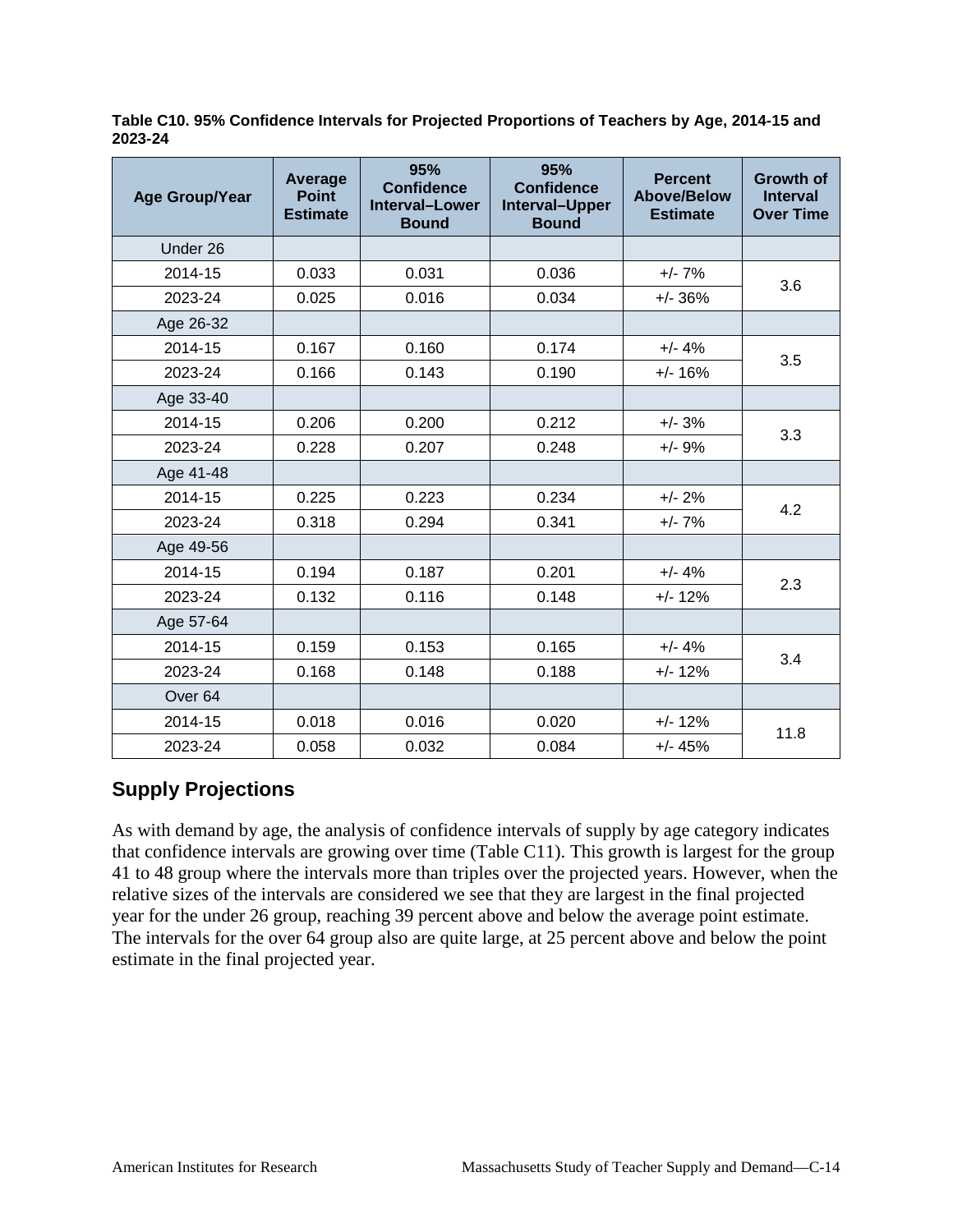**Table C10. 95% Confidence Intervals for Projected Proportions of Teachers by Age, 2014-15 and 2023-24**

| <b>Age Group/Year</b> | Average<br><b>Point</b><br><b>Estimate</b> | 95%<br><b>Confidence</b><br><b>Interval-Lower</b><br><b>Bound</b> | 95%<br><b>Confidence</b><br>Interval-Upper<br><b>Bound</b> | <b>Percent</b><br><b>Above/Below</b><br><b>Estimate</b> | <b>Growth of</b><br><b>Interval</b><br><b>Over Time</b> |
|-----------------------|--------------------------------------------|-------------------------------------------------------------------|------------------------------------------------------------|---------------------------------------------------------|---------------------------------------------------------|
| Under 26              |                                            |                                                                   |                                                            |                                                         |                                                         |
| 2014-15               | 0.033                                      | 0.031                                                             | 0.036                                                      | $+/- 7%$                                                |                                                         |
| 2023-24               | 0.025                                      | 0.016                                                             | 0.034                                                      | $+/- 36%$                                               | 3.6                                                     |
| Age 26-32             |                                            |                                                                   |                                                            |                                                         |                                                         |
| 2014-15               | 0.167                                      | 0.160                                                             | 0.174                                                      | $+/- 4%$                                                | 3.5                                                     |
| 2023-24               | 0.166                                      | 0.143                                                             | 0.190                                                      | $+/- 16%$                                               |                                                         |
| Age 33-40             |                                            |                                                                   |                                                            |                                                         |                                                         |
| 2014-15               | 0.206                                      | 0.200                                                             | 0.212                                                      | $+/- 3%$                                                | 3.3                                                     |
| 2023-24               | 0.228                                      | 0.207                                                             | 0.248                                                      | $+/- 9%$                                                |                                                         |
| Age 41-48             |                                            |                                                                   |                                                            |                                                         |                                                         |
| 2014-15               | 0.225                                      | 0.223                                                             | 0.234                                                      | $+/- 2%$                                                | 4.2                                                     |
| 2023-24               | 0.318                                      | 0.294                                                             | 0.341                                                      | $+/- 7%$                                                |                                                         |
| Age 49-56             |                                            |                                                                   |                                                            |                                                         |                                                         |
| 2014-15               | 0.194                                      | 0.187                                                             | 0.201                                                      | $+/- 4%$                                                | 2.3                                                     |
| 2023-24               | 0.132                                      | 0.116                                                             | 0.148                                                      | $+/- 12%$                                               |                                                         |
| Age 57-64             |                                            |                                                                   |                                                            |                                                         |                                                         |
| 2014-15               | 0.159                                      | 0.153                                                             | 0.165                                                      | $+/- 4%$                                                | 3.4                                                     |
| 2023-24               | 0.168                                      | 0.148                                                             | 0.188                                                      | $+/- 12%$                                               |                                                         |
| Over <sub>64</sub>    |                                            |                                                                   |                                                            |                                                         |                                                         |
| 2014-15               | 0.018                                      | 0.016                                                             | 0.020                                                      | $+/- 12%$                                               | 11.8                                                    |
| 2023-24               | 0.058                                      | 0.032                                                             | 0.084                                                      | $+/- 45%$                                               |                                                         |

## **Supply Projections**

As with demand by age, the analysis of confidence intervals of supply by age category indicates that confidence intervals are growing over time (Table C11). This growth is largest for the group 41 to 48 group where the intervals more than triples over the projected years. However, when the relative sizes of the intervals are considered we see that they are largest in the final projected year for the under 26 group, reaching 39 percent above and below the average point estimate. The intervals for the over 64 group also are quite large, at 25 percent above and below the point estimate in the final projected year.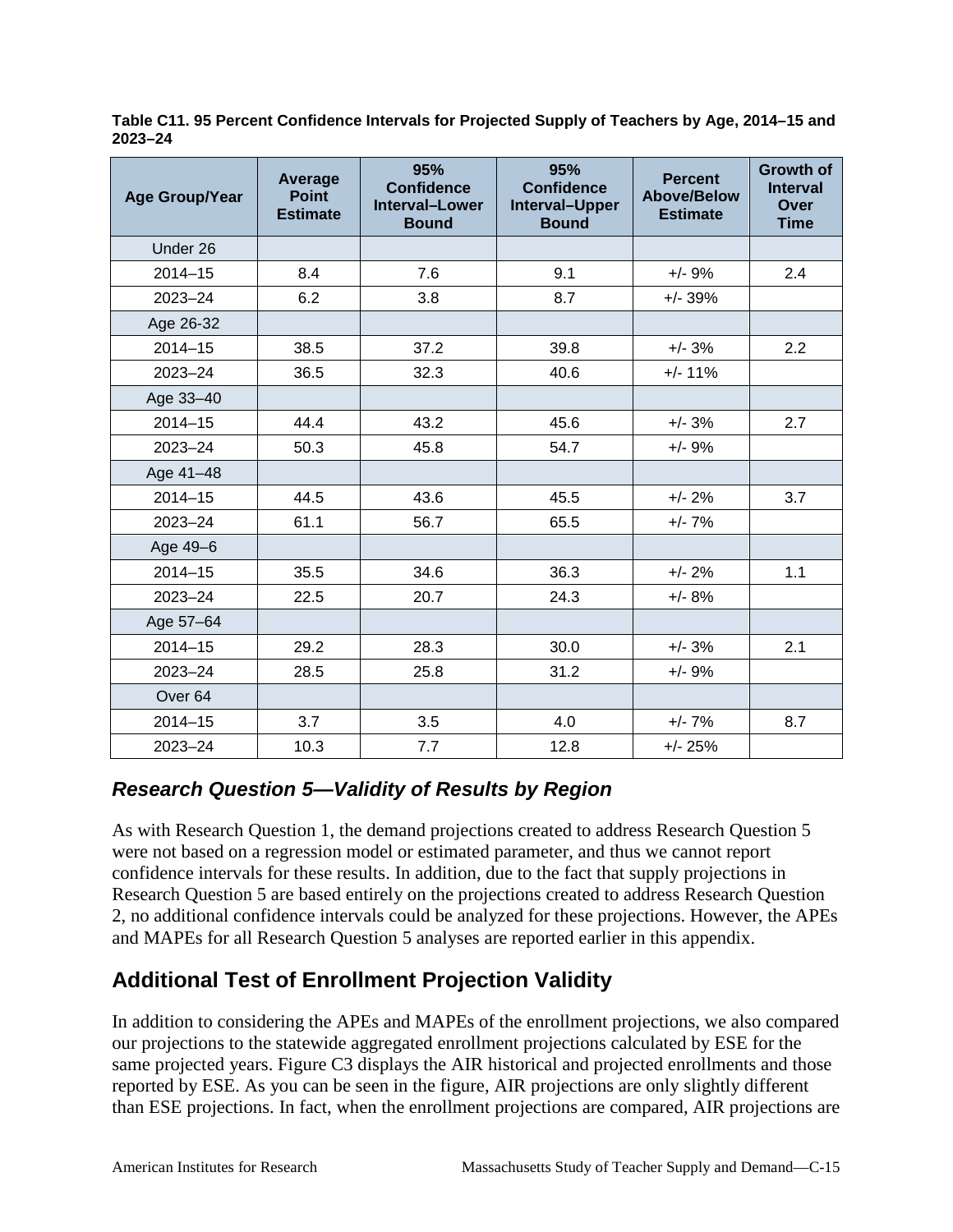| <b>Age Group/Year</b> | Average<br><b>Point</b><br><b>Estimate</b> | 95%<br><b>Confidence</b><br><b>Interval-Lower</b><br><b>Bound</b> | 95%<br><b>Confidence</b><br>Interval-Upper<br><b>Bound</b> | <b>Percent</b><br><b>Above/Below</b><br><b>Estimate</b> | <b>Growth of</b><br><b>Interval</b><br>Over<br><b>Time</b> |
|-----------------------|--------------------------------------------|-------------------------------------------------------------------|------------------------------------------------------------|---------------------------------------------------------|------------------------------------------------------------|
| Under 26              |                                            |                                                                   |                                                            |                                                         |                                                            |
| $2014 - 15$           | 8.4                                        | 7.6                                                               | 9.1                                                        | $+/- 9%$                                                | 2.4                                                        |
| 2023-24               | 6.2                                        | 3.8                                                               | 8.7                                                        | $+/- 39%$                                               |                                                            |
| Age 26-32             |                                            |                                                                   |                                                            |                                                         |                                                            |
| $2014 - 15$           | 38.5                                       | 37.2                                                              | 39.8                                                       | $+/- 3%$                                                | 2.2                                                        |
| 2023-24               | 36.5                                       | 32.3                                                              | 40.6                                                       | $+/- 11%$                                               |                                                            |
| Age 33-40             |                                            |                                                                   |                                                            |                                                         |                                                            |
| $2014 - 15$           | 44.4                                       | 43.2                                                              | 45.6                                                       | $+/- 3%$                                                | 2.7                                                        |
| 2023-24               | 50.3                                       | 45.8                                                              | 54.7                                                       | $+/- 9%$                                                |                                                            |
| Age 41-48             |                                            |                                                                   |                                                            |                                                         |                                                            |
| $2014 - 15$           | 44.5                                       | 43.6                                                              | 45.5                                                       | $+/- 2%$                                                | 3.7                                                        |
| 2023-24               | 61.1                                       | 56.7                                                              | 65.5                                                       | $+/- 7%$                                                |                                                            |
| Age 49-6              |                                            |                                                                   |                                                            |                                                         |                                                            |
| $2014 - 15$           | 35.5                                       | 34.6                                                              | 36.3                                                       | $+/- 2%$                                                | 1.1                                                        |
| 2023-24               | 22.5                                       | 20.7                                                              | 24.3                                                       | $+/- 8%$                                                |                                                            |
| Age 57-64             |                                            |                                                                   |                                                            |                                                         |                                                            |
| $2014 - 15$           | 29.2                                       | 28.3                                                              | 30.0                                                       | $+/- 3%$                                                | 2.1                                                        |
| $2023 - 24$           | 28.5                                       | 25.8                                                              | 31.2                                                       | $+/- 9%$                                                |                                                            |
| Over <sub>64</sub>    |                                            |                                                                   |                                                            |                                                         |                                                            |
| $2014 - 15$           | 3.7                                        | 3.5                                                               | 4.0                                                        | $+/- 7%$                                                | 8.7                                                        |
| 2023-24               | 10.3                                       | 7.7                                                               | 12.8                                                       | $+/- 25%$                                               |                                                            |

**Table C11. 95 Percent Confidence Intervals for Projected Supply of Teachers by Age, 2014–15 and 2023–24**

## *Research Question 5—Validity of Results by Region*

As with Research Question 1, the demand projections created to address Research Question 5 were not based on a regression model or estimated parameter, and thus we cannot report confidence intervals for these results. In addition, due to the fact that supply projections in Research Question 5 are based entirely on the projections created to address Research Question 2, no additional confidence intervals could be analyzed for these projections. However, the APEs and MAPEs for all Research Question 5 analyses are reported earlier in this appendix.

# **Additional Test of Enrollment Projection Validity**

In addition to considering the APEs and MAPEs of the enrollment projections, we also compared our projections to the statewide aggregated enrollment projections calculated by ESE for the same projected years. Figure C3 displays the AIR historical and projected enrollments and those reported by ESE. As you can be seen in the figure, AIR projections are only slightly different than ESE projections. In fact, when the enrollment projections are compared, AIR projections are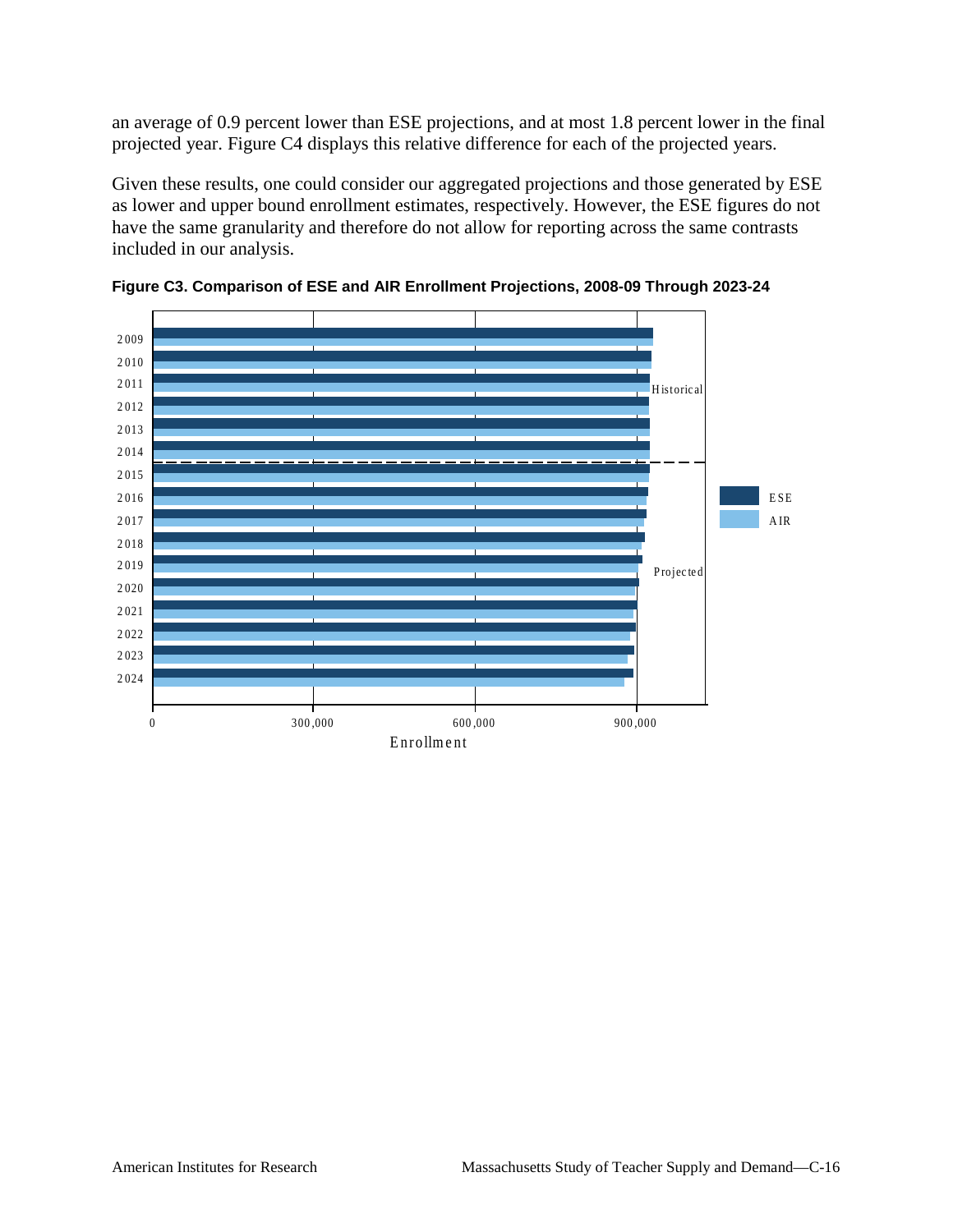an average of 0.9 percent lower than ESE projections, and at most 1.8 percent lower in the final projected year. Figure C4 displays this relative difference for each of the projected years.

Given these results, one could consider our aggregated projections and those generated by ESE as lower and upper bound enrollment estimates, respectively. However, the ESE figures do not have the same granularity and therefore do not allow for reporting across the same contrasts included in our analysis.



**Figure C3. Comparison of ESE and AIR Enrollment Projections, 2008-09 Through 2023-24**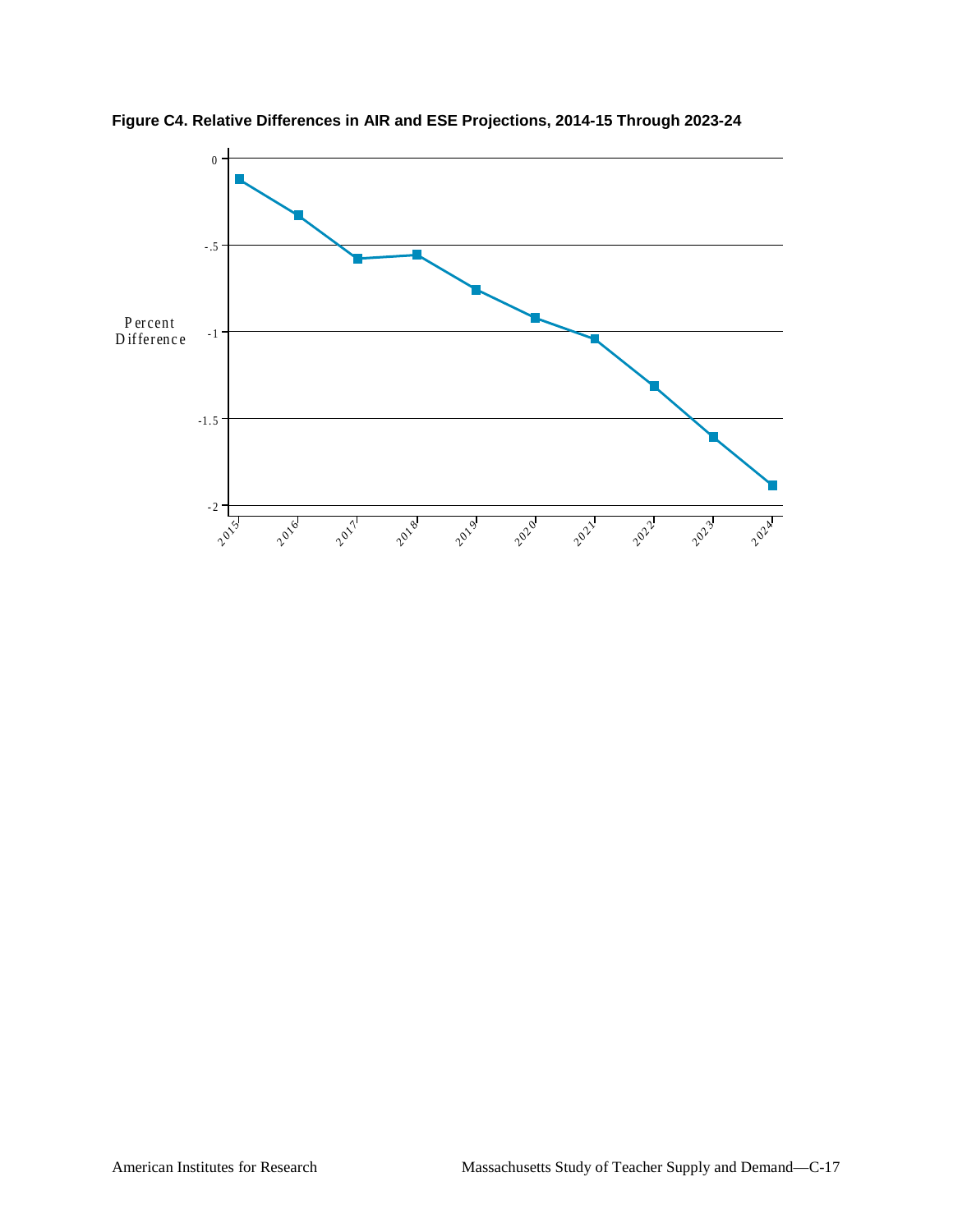

**Figure C4. Relative Differences in AIR and ESE Projections, 2014-15 Through 2023-24**